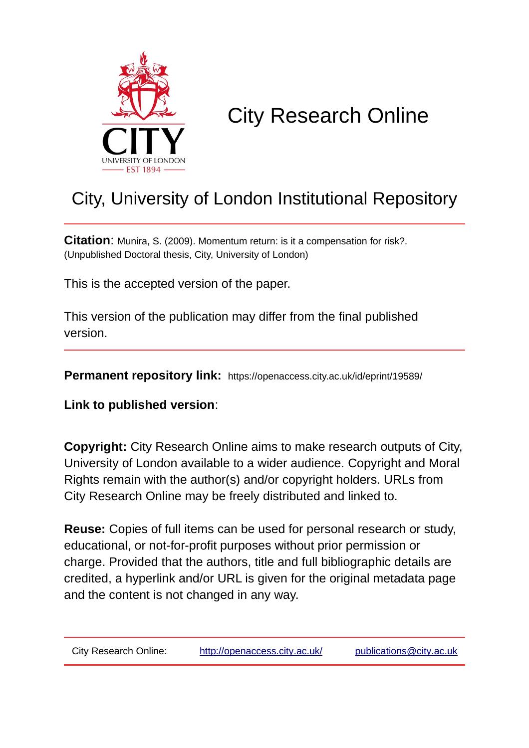

# City Research Online

# City, University of London Institutional Repository

**Citation**: Munira, S. (2009). Momentum return: is it a compensation for risk?. (Unpublished Doctoral thesis, City, University of London)

This is the accepted version of the paper.

This version of the publication may differ from the final published version.

**Permanent repository link:** https://openaccess.city.ac.uk/id/eprint/19589/

**Link to published version**:

**Copyright:** City Research Online aims to make research outputs of City, University of London available to a wider audience. Copyright and Moral Rights remain with the author(s) and/or copyright holders. URLs from City Research Online may be freely distributed and linked to.

**Reuse:** Copies of full items can be used for personal research or study, educational, or not-for-profit purposes without prior permission or charge. Provided that the authors, title and full bibliographic details are credited, a hyperlink and/or URL is given for the original metadata page and the content is not changed in any way.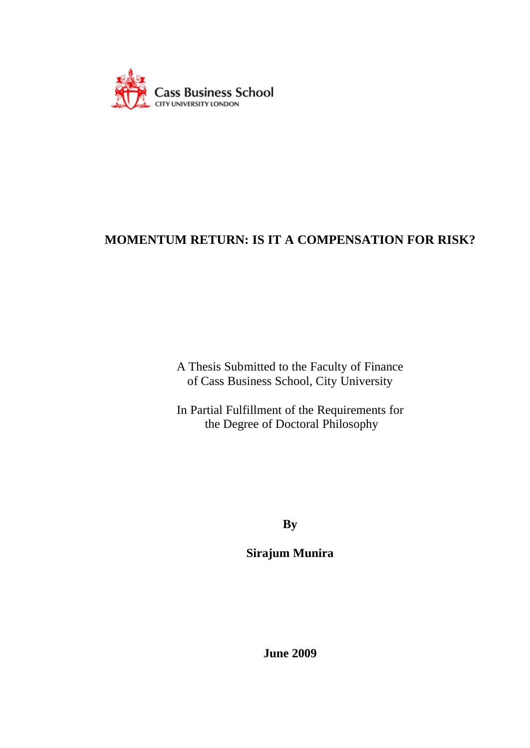

A Thesis Submitted to the Faculty of Finance of Cass Business School, City University

In Partial Fulfillment of the Requirements for the Degree of Doctoral Philosophy

**By**

**Sirajum Munira**

**June 2009**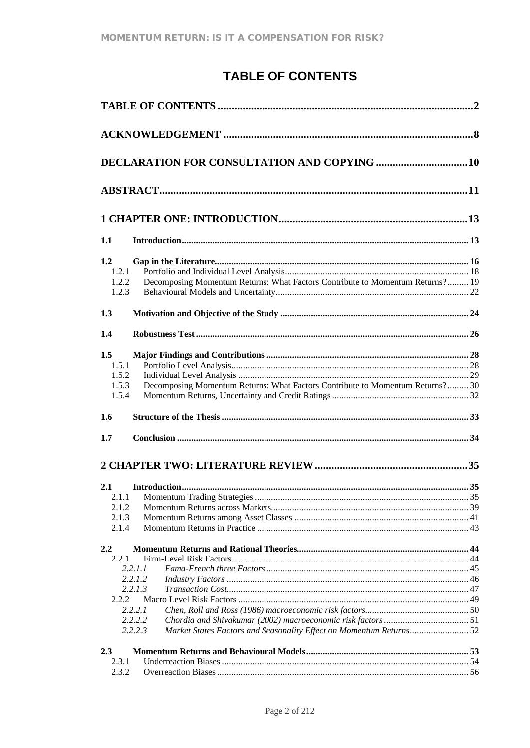# TABLE OF CONTENTS

|                | <b>DECLARATION FOR CONSULTATION AND COPYING  10</b>                                       |  |
|----------------|-------------------------------------------------------------------------------------------|--|
|                |                                                                                           |  |
|                |                                                                                           |  |
| 1.1            |                                                                                           |  |
| 1.2            |                                                                                           |  |
| 1.2.1          |                                                                                           |  |
| 1.2.2<br>1.2.3 | Decomposing Momentum Returns: What Factors Contribute to Momentum Returns? 19             |  |
| 1.3            |                                                                                           |  |
| 1.4            |                                                                                           |  |
| 1.5            |                                                                                           |  |
| 1.5.1          |                                                                                           |  |
| 1.5.2          |                                                                                           |  |
| 1.5.3          | Decomposing Momentum Returns: What Factors Contribute to Momentum Returns? 30             |  |
| 1.5.4          |                                                                                           |  |
| 1.6            |                                                                                           |  |
| 1.7            |                                                                                           |  |
|                |                                                                                           |  |
|                |                                                                                           |  |
| 2.1            |                                                                                           |  |
| 2.1.2          |                                                                                           |  |
| 2.1.3          |                                                                                           |  |
| 2.1.4          |                                                                                           |  |
| 2.2            |                                                                                           |  |
| 2.2.1          |                                                                                           |  |
|                | 2.2.1.1                                                                                   |  |
|                | 2.2.1.2                                                                                   |  |
|                | 2.2.1.3                                                                                   |  |
| 2.2.2          |                                                                                           |  |
|                | 2.2.2.1                                                                                   |  |
|                | 2.2.2.2<br>2.2.2.3<br>Market States Factors and Seasonality Effect on Momentum Returns 52 |  |
| 2.3            |                                                                                           |  |
| 2.3.1          |                                                                                           |  |
| 2.3.2          |                                                                                           |  |
|                |                                                                                           |  |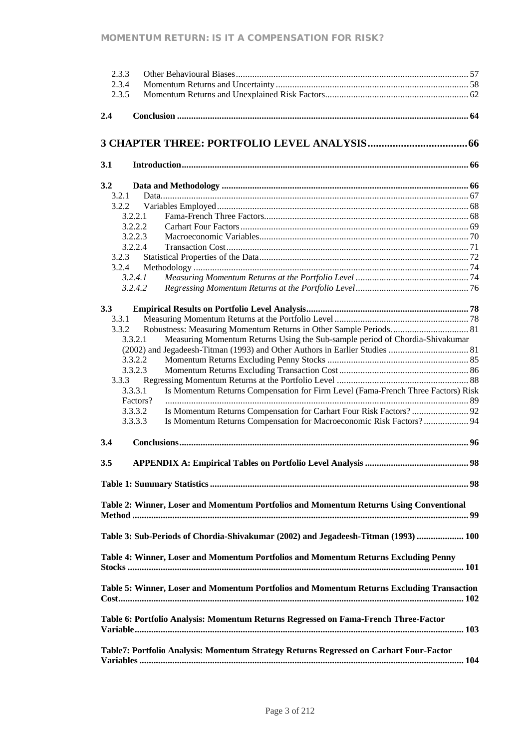|     | 2.3.3    |                                                                                           |
|-----|----------|-------------------------------------------------------------------------------------------|
|     | 2.3.4    |                                                                                           |
|     | 2.3.5    |                                                                                           |
|     |          |                                                                                           |
| 2.4 |          |                                                                                           |
|     |          |                                                                                           |
|     |          |                                                                                           |
|     |          |                                                                                           |
|     |          |                                                                                           |
| 3.1 |          |                                                                                           |
|     |          |                                                                                           |
|     |          |                                                                                           |
| 3.2 |          |                                                                                           |
|     | 3.2.1    |                                                                                           |
|     | 3.2.2    |                                                                                           |
|     | 3.2.2.1  |                                                                                           |
|     | 3.2.2.2  |                                                                                           |
|     | 3.2.2.3  |                                                                                           |
|     | 3.2.2.4  |                                                                                           |
|     | 3.2.3    |                                                                                           |
|     | 3.2.4    |                                                                                           |
|     | 3.2.4.1  |                                                                                           |
|     | 3.2.4.2  |                                                                                           |
|     |          |                                                                                           |
|     |          |                                                                                           |
| 3.3 |          |                                                                                           |
|     | 3.3.1    |                                                                                           |
|     | 3.3.2    |                                                                                           |
|     | 3.3.2.1  | Measuring Momentum Returns Using the Sub-sample period of Chordia-Shivakumar              |
|     |          |                                                                                           |
|     | 3.3.2.2  |                                                                                           |
|     | 3.3.2.3  |                                                                                           |
|     | 3.3.3    |                                                                                           |
|     | 3.3.3.1  | Is Momentum Returns Compensation for Firm Level (Fama-French Three Factors) Risk          |
|     | Factors? |                                                                                           |
|     | 3.3.3.2  |                                                                                           |
|     | 3.3.3.3  | Is Momentum Returns Compensation for Macroeconomic Risk Factors? 94                       |
|     |          |                                                                                           |
| 3.4 |          |                                                                                           |
|     |          |                                                                                           |
| 3.5 |          |                                                                                           |
|     |          |                                                                                           |
|     |          |                                                                                           |
|     |          |                                                                                           |
|     |          |                                                                                           |
|     |          | Table 2: Winner, Loser and Momentum Portfolios and Momentum Returns Using Conventional    |
|     |          | . 99                                                                                      |
|     |          |                                                                                           |
|     |          | Table 3: Sub-Periods of Chordia-Shivakumar (2002) and Jegadeesh-Titman (1993)  100        |
|     |          |                                                                                           |
|     |          | Table 4: Winner, Loser and Momentum Portfolios and Momentum Returns Excluding Penny       |
|     |          |                                                                                           |
|     |          |                                                                                           |
|     |          | Table 5: Winner, Loser and Momentum Portfolios and Momentum Returns Excluding Transaction |
|     |          |                                                                                           |
|     |          |                                                                                           |
|     |          |                                                                                           |
|     |          | Table 6: Portfolio Analysis: Momentum Returns Regressed on Fama-French Three-Factor       |
|     |          |                                                                                           |
|     |          |                                                                                           |
|     |          | Table7: Portfolio Analysis: Momentum Strategy Returns Regressed on Carhart Four-Factor    |
|     |          |                                                                                           |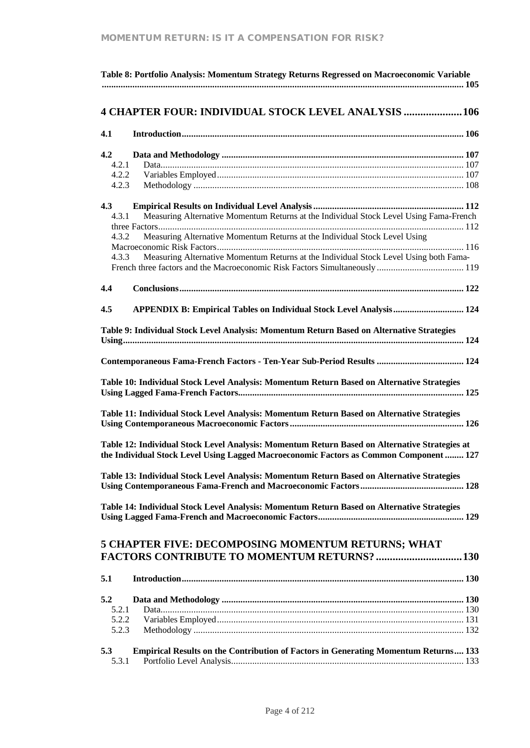| Table 8: Portfolio Analysis: Momentum Strategy Returns Regressed on Macroeconomic Variable                                                                                                                                                                                                      |
|-------------------------------------------------------------------------------------------------------------------------------------------------------------------------------------------------------------------------------------------------------------------------------------------------|
| <b>4 CHAPTER FOUR: INDIVIDUAL STOCK LEVEL ANALYSIS  106</b>                                                                                                                                                                                                                                     |
| 4.1                                                                                                                                                                                                                                                                                             |
| 4.2<br>4.2.1<br>4.2.2<br>4.2.3                                                                                                                                                                                                                                                                  |
| 4.3<br>Measuring Alternative Momentum Returns at the Individual Stock Level Using Fama-French<br>4.3.1<br>Measuring Alternative Momentum Returns at the Individual Stock Level Using<br>4.3.2<br>Measuring Alternative Momentum Returns at the Individual Stock Level Using both Fama-<br>4.3.3 |
| 4.4                                                                                                                                                                                                                                                                                             |
| 4.5<br>APPENDIX B: Empirical Tables on Individual Stock Level Analysis 124                                                                                                                                                                                                                      |
| Table 9: Individual Stock Level Analysis: Momentum Return Based on Alternative Strategies                                                                                                                                                                                                       |
| Contemporaneous Fama-French Factors - Ten-Year Sub-Period Results  124                                                                                                                                                                                                                          |
| Table 10: Individual Stock Level Analysis: Momentum Return Based on Alternative Strategies                                                                                                                                                                                                      |
| Table 11: Individual Stock Level Analysis: Momentum Return Based on Alternative Strategies                                                                                                                                                                                                      |
| Table 12: Individual Stock Level Analysis: Momentum Return Based on Alternative Strategies at<br>the Individual Stock Level Using Lagged Macroeconomic Factors as Common Component  127                                                                                                         |
| Table 13: Individual Stock Level Analysis: Momentum Return Based on Alternative Strategies                                                                                                                                                                                                      |
| Table 14: Individual Stock Level Analysis: Momentum Return Based on Alternative Strategies                                                                                                                                                                                                      |
| 5 CHAPTER FIVE: DECOMPOSING MOMENTUM RETURNS; WHAT<br><b>FACTORS CONTRIBUTE TO MOMENTUM RETURNS?  130</b>                                                                                                                                                                                       |
| 5.1                                                                                                                                                                                                                                                                                             |
| 5.2<br>5.2.1<br>5.2.2<br>5.2.3                                                                                                                                                                                                                                                                  |
| <b>Empirical Results on the Contribution of Factors in Generating Momentum Returns 133</b><br>5.3<br>5.3.1                                                                                                                                                                                      |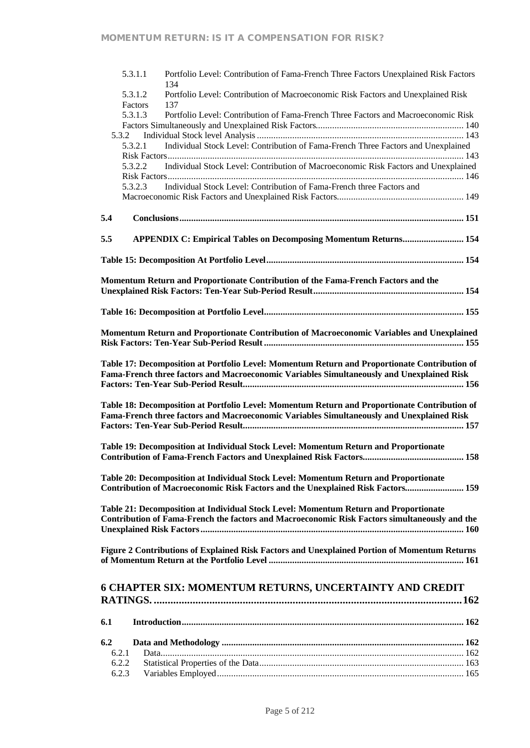|              | 5.3.1.1<br>Portfolio Level: Contribution of Fama-French Three Factors Unexplained Risk Factors<br>134                                                                                      |
|--------------|--------------------------------------------------------------------------------------------------------------------------------------------------------------------------------------------|
|              | 5.3.1.2<br>Portfolio Level: Contribution of Macroeconomic Risk Factors and Unexplained Risk                                                                                                |
|              | Factors<br>137<br>5.3.1.3                                                                                                                                                                  |
|              | Portfolio Level: Contribution of Fama-French Three Factors and Macroeconomic Risk                                                                                                          |
| 5.3.2        |                                                                                                                                                                                            |
|              | Individual Stock Level: Contribution of Fama-French Three Factors and Unexplained<br>5.3.2.1                                                                                               |
|              |                                                                                                                                                                                            |
|              | Individual Stock Level: Contribution of Macroeconomic Risk Factors and Unexplained<br>5.3.2.2                                                                                              |
|              |                                                                                                                                                                                            |
|              | Individual Stock Level: Contribution of Fama-French three Factors and<br>5.3.2.3                                                                                                           |
|              |                                                                                                                                                                                            |
| 5.4          |                                                                                                                                                                                            |
| 5.5          |                                                                                                                                                                                            |
|              | <b>APPENDIX C: Empirical Tables on Decomposing Momentum Returns 154</b>                                                                                                                    |
|              |                                                                                                                                                                                            |
|              | Momentum Return and Proportionate Contribution of the Fama-French Factors and the                                                                                                          |
|              |                                                                                                                                                                                            |
|              |                                                                                                                                                                                            |
|              |                                                                                                                                                                                            |
|              | Momentum Return and Proportionate Contribution of Macroeconomic Variables and Unexplained                                                                                                  |
|              |                                                                                                                                                                                            |
|              |                                                                                                                                                                                            |
|              | Table 17: Decomposition at Portfolio Level: Momentum Return and Proportionate Contribution of<br>Fama-French three factors and Macroeconomic Variables Simultaneously and Unexplained Risk |
|              |                                                                                                                                                                                            |
|              |                                                                                                                                                                                            |
|              | Table 18: Decomposition at Portfolio Level: Momentum Return and Proportionate Contribution of                                                                                              |
|              | Fama-French three factors and Macroeconomic Variables Simultaneously and Unexplained Risk                                                                                                  |
|              |                                                                                                                                                                                            |
|              | Table 19: Decomposition at Individual Stock Level: Momentum Return and Proportionate                                                                                                       |
|              |                                                                                                                                                                                            |
|              |                                                                                                                                                                                            |
|              | Table 20: Decomposition at Individual Stock Level: Momentum Return and Proportionate                                                                                                       |
|              | Contribution of Macroeconomic Risk Factors and the Unexplained Risk Factors 159                                                                                                            |
|              |                                                                                                                                                                                            |
|              | Table 21: Decomposition at Individual Stock Level: Momentum Return and Proportionate                                                                                                       |
|              | Contribution of Fama-French the factors and Macroeconomic Risk Factors simultaneously and the                                                                                              |
|              |                                                                                                                                                                                            |
|              |                                                                                                                                                                                            |
|              | Figure 2 Contributions of Explained Risk Factors and Unexplained Portion of Momentum Returns                                                                                               |
|              |                                                                                                                                                                                            |
|              |                                                                                                                                                                                            |
|              | <b>6 CHAPTER SIX: MOMENTUM RETURNS, UNCERTAINTY AND CREDIT</b>                                                                                                                             |
|              |                                                                                                                                                                                            |
| 6.1          |                                                                                                                                                                                            |
|              |                                                                                                                                                                                            |
| 6.2<br>6.2.1 |                                                                                                                                                                                            |
| 6.2.2        |                                                                                                                                                                                            |
| 6.2.3        |                                                                                                                                                                                            |
|              |                                                                                                                                                                                            |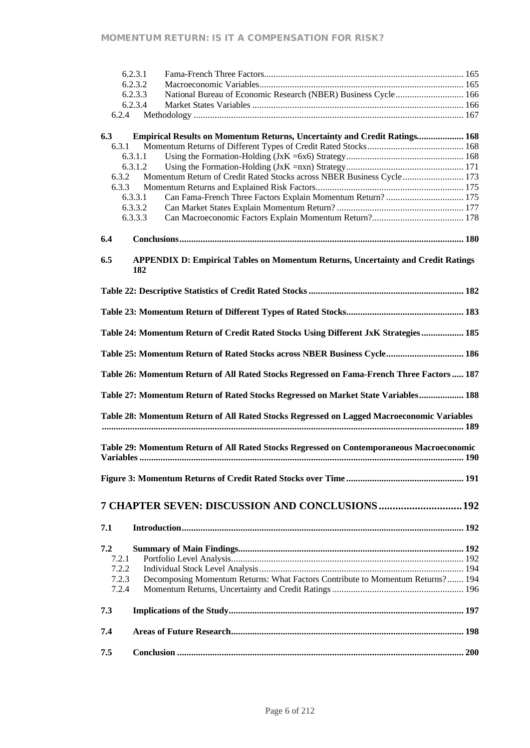|       | 6.2.3.1                                                                                        |  |
|-------|------------------------------------------------------------------------------------------------|--|
|       | 6.2.3.2                                                                                        |  |
|       | National Bureau of Economic Research (NBER) Business Cycle 166<br>6.2.3.3                      |  |
|       | 6.2.3.4                                                                                        |  |
| 6.2.4 |                                                                                                |  |
| 6.3   |                                                                                                |  |
| 6.3.1 | <b>Empirical Results on Momentum Returns, Uncertainty and Credit Ratings 168</b>               |  |
|       | 6.3.1.1                                                                                        |  |
|       | 6.3.1.2                                                                                        |  |
| 6.3.2 | Momentum Return of Credit Rated Stocks across NBER Business Cycle  173                         |  |
| 6.3.3 |                                                                                                |  |
|       | Can Fama-French Three Factors Explain Momentum Return?  175<br>6.3.3.1                         |  |
|       | 6.3.3.2                                                                                        |  |
|       | 6.3.3.3                                                                                        |  |
|       |                                                                                                |  |
| 6.4   |                                                                                                |  |
|       |                                                                                                |  |
| 6.5   | <b>APPENDIX D: Empirical Tables on Momentum Returns, Uncertainty and Credit Ratings</b><br>182 |  |
|       |                                                                                                |  |
|       |                                                                                                |  |
|       |                                                                                                |  |
|       | Table 24: Momentum Return of Credit Rated Stocks Using Different JxK Strategies 185            |  |
|       | Table 25: Momentum Return of Rated Stocks across NBER Business Cycle 186                       |  |
|       | Table 26: Momentum Return of All Rated Stocks Regressed on Fama-French Three Factors 187       |  |
|       | Table 27: Momentum Return of Rated Stocks Regressed on Market State Variables 188              |  |
|       | Table 28: Momentum Return of All Rated Stocks Regressed on Lagged Macroeconomic Variables      |  |
|       |                                                                                                |  |
|       | Table 29: Momentum Return of All Rated Stocks Regressed on Contemporaneous Macroeconomic       |  |
|       |                                                                                                |  |
|       |                                                                                                |  |
|       |                                                                                                |  |
|       | 7 CHAPTER SEVEN: DISCUSSION AND CONCLUSIONS  192                                               |  |
|       |                                                                                                |  |
| 7.1   |                                                                                                |  |
|       |                                                                                                |  |
| 7.2   |                                                                                                |  |
| 7.2.1 |                                                                                                |  |
| 7.2.2 |                                                                                                |  |
| 7.2.3 | Decomposing Momentum Returns: What Factors Contribute to Momentum Returns? 194                 |  |
| 7.2.4 |                                                                                                |  |
| 7.3   |                                                                                                |  |
|       |                                                                                                |  |
| 7.4   |                                                                                                |  |
| 7.5   |                                                                                                |  |
|       |                                                                                                |  |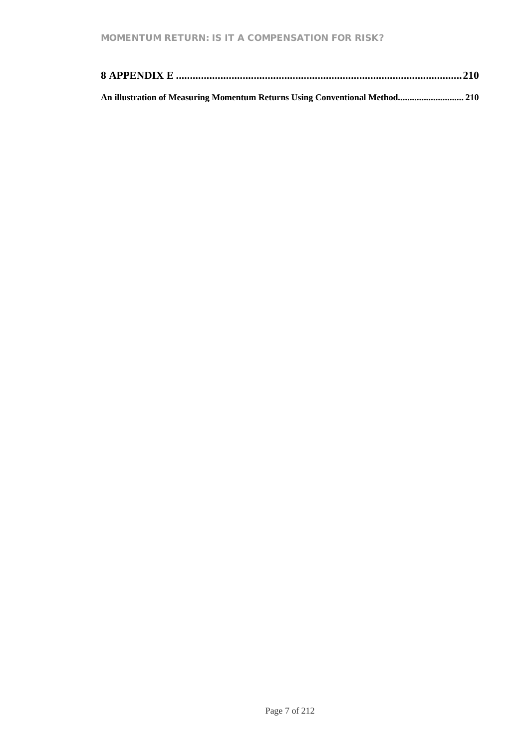| An illustration of Measuring Momentum Returns Using Conventional Method 210 |  |
|-----------------------------------------------------------------------------|--|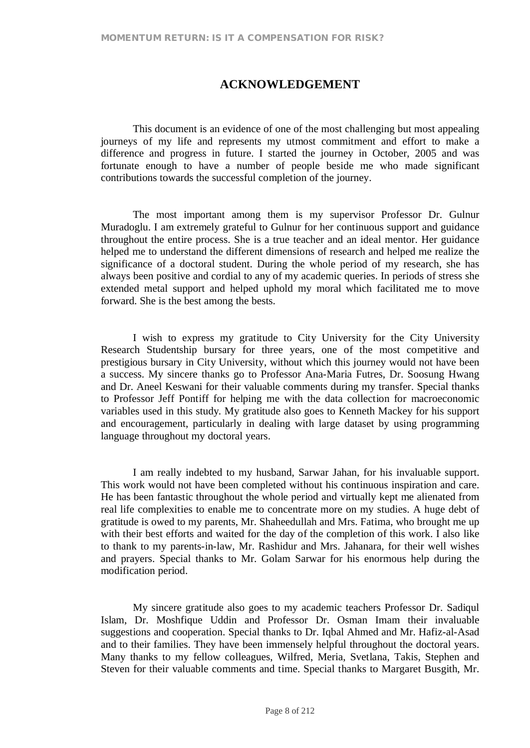# **ACKNOWLEDGEMENT**

This document is an evidence of one of the most challenging but most appealing journeys of my life and represents my utmost commitment and effort to make a difference and progress in future. I started the journey in October, 2005 and was fortunate enough to have a number of people beside me who made significant contributions towards the successful completion of the journey.

The most important among them is my supervisor Professor Dr. Gulnur Muradoglu. I am extremely grateful to Gulnur for her continuous support and guidance throughout the entire process. She is a true teacher and an ideal mentor. Her guidance helped me to understand the different dimensions of research and helped me realize the significance of a doctoral student. During the whole period of my research, she has always been positive and cordial to any of my academic queries. In periods of stress she extended metal support and helped uphold my moral which facilitated me to move forward. She is the best among the bests.

I wish to express my gratitude to City University for the City University Research Studentship bursary for three years, one of the most competitive and prestigious bursary in City University, without which this journey would not have been a success. My sincere thanks go to Professor Ana-Maria Futres, Dr. Soosung Hwang and Dr. Aneel Keswani for their valuable comments during my transfer. Special thanks to Professor Jeff Pontiff for helping me with the data collection for macroeconomic variables used in this study. My gratitude also goes to Kenneth Mackey for his support and encouragement, particularly in dealing with large dataset by using programming language throughout my doctoral years.

I am really indebted to my husband, Sarwar Jahan, for his invaluable support. This work would not have been completed without his continuous inspiration and care. He has been fantastic throughout the whole period and virtually kept me alienated from real life complexities to enable me to concentrate more on my studies. A huge debt of gratitude is owed to my parents, Mr. Shaheedullah and Mrs. Fatima, who brought me up with their best efforts and waited for the day of the completion of this work. I also like to thank to my parents-in-law, Mr. Rashidur and Mrs. Jahanara, for their well wishes and prayers. Special thanks to Mr. Golam Sarwar for his enormous help during the modification period.

My sincere gratitude also goes to my academic teachers Professor Dr. Sadiqul Islam, Dr. Moshfique Uddin and Professor Dr. Osman Imam their invaluable suggestions and cooperation. Special thanks to Dr. Iqbal Ahmed and Mr. Hafiz-al-Asad and to their families. They have been immensely helpful throughout the doctoral years. Many thanks to my fellow colleagues, Wilfred, Meria, Svetlana, Takis, Stephen and Steven for their valuable comments and time. Special thanks to Margaret Busgith, Mr.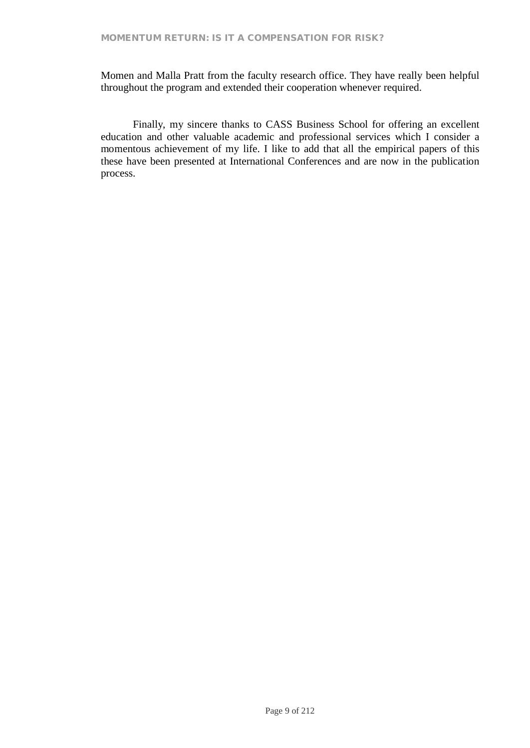Momen and Malla Pratt from the faculty research office. They have really been helpful throughout the program and extended their cooperation whenever required.

Finally, my sincere thanks to CASS Business School for offering an excellent education and other valuable academic and professional services which I consider a momentous achievement of my life. I like to add that all the empirical papers of this these have been presented at International Conferences and are now in the publication process.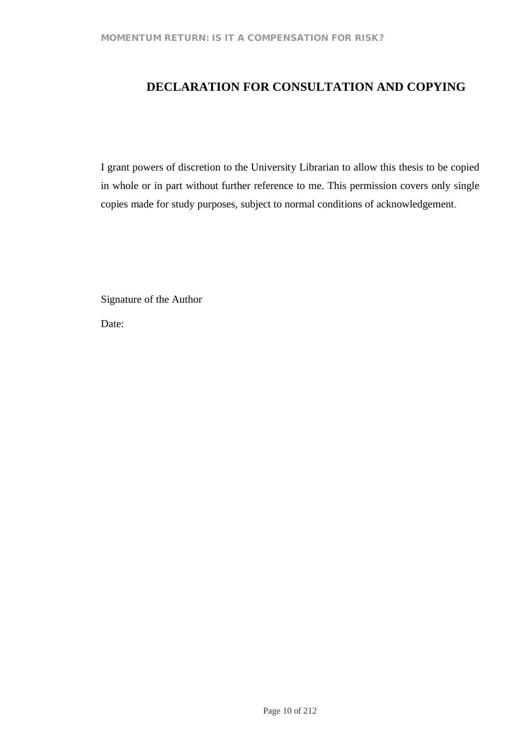# **DECLARATION FOR CONSULTATION AND COPYING**

I grant powers of discretion to the University Librarian to allow this thesis to be copied in whole or in part without further reference to me. This permission covers only single copies made for study purposes, subject to normal conditions of acknowledgement.

Signature of the Author

Date: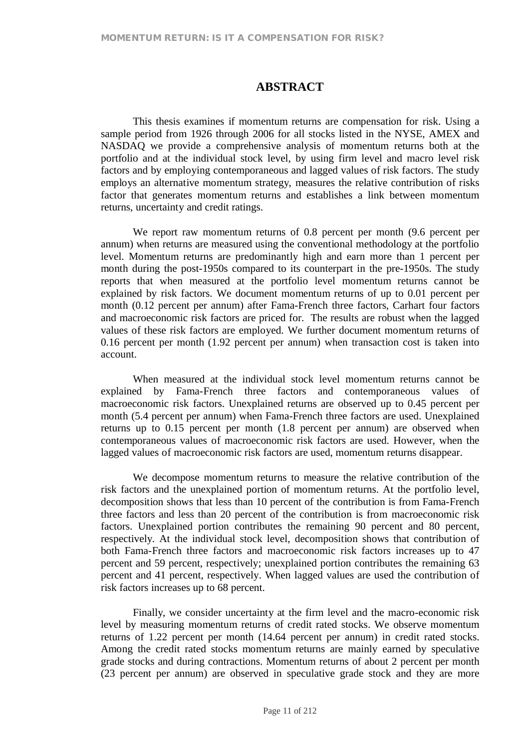# **ABSTRACT**

This thesis examines if momentum returns are compensation for risk. Using a sample period from 1926 through 2006 for all stocks listed in the NYSE, AMEX and NASDAQ we provide a comprehensive analysis of momentum returns both at the portfolio and at the individual stock level, by using firm level and macro level risk factors and by employing contemporaneous and lagged values of risk factors. The study employs an alternative momentum strategy, measures the relative contribution of risks factor that generates momentum returns and establishes a link between momentum returns, uncertainty and credit ratings.

We report raw momentum returns of 0.8 percent per month (9.6 percent per annum) when returns are measured using the conventional methodology at the portfolio level. Momentum returns are predominantly high and earn more than 1 percent per month during the post-1950s compared to its counterpart in the pre-1950s. The study reports that when measured at the portfolio level momentum returns cannot be explained by risk factors. We document momentum returns of up to 0.01 percent per month (0.12 percent per annum) after Fama-French three factors, Carhart four factors and macroeconomic risk factors are priced for. The results are robust when the lagged values of these risk factors are employed. We further document momentum returns of 0.16 percent per month (1.92 percent per annum) when transaction cost is taken into account.

When measured at the individual stock level momentum returns cannot be explained by Fama-French three factors and contemporaneous values of macroeconomic risk factors. Unexplained returns are observed up to 0.45 percent per month (5.4 percent per annum) when Fama-French three factors are used. Unexplained returns up to 0.15 percent per month (1.8 percent per annum) are observed when contemporaneous values of macroeconomic risk factors are used. However, when the lagged values of macroeconomic risk factors are used, momentum returns disappear.

We decompose momentum returns to measure the relative contribution of the risk factors and the unexplained portion of momentum returns. At the portfolio level, decomposition shows that less than 10 percent of the contribution is from Fama-French three factors and less than 20 percent of the contribution is from macroeconomic risk factors. Unexplained portion contributes the remaining 90 percent and 80 percent, respectively. At the individual stock level, decomposition shows that contribution of both Fama-French three factors and macroeconomic risk factors increases up to 47 percent and 59 percent, respectively; unexplained portion contributes the remaining 63 percent and 41 percent, respectively. When lagged values are used the contribution of risk factors increases up to 68 percent.

Finally, we consider uncertainty at the firm level and the macro-economic risk level by measuring momentum returns of credit rated stocks. We observe momentum returns of 1.22 percent per month (14.64 percent per annum) in credit rated stocks. Among the credit rated stocks momentum returns are mainly earned by speculative grade stocks and during contractions. Momentum returns of about 2 percent per month (23 percent per annum) are observed in speculative grade stock and they are more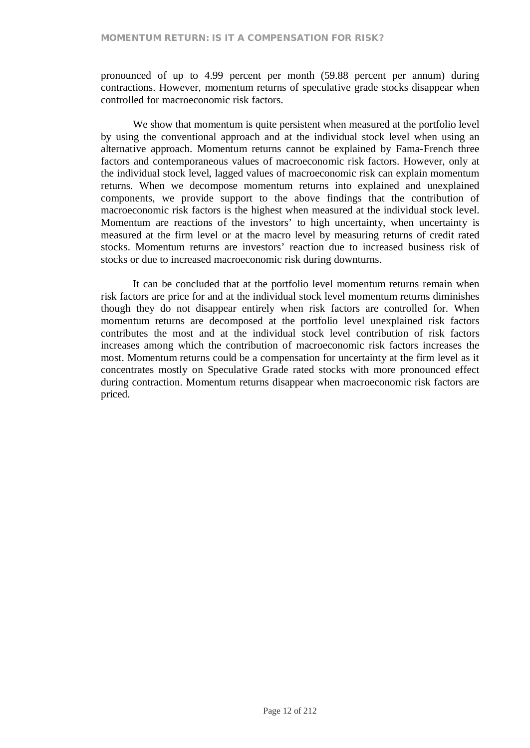pronounced of up to 4.99 percent per month (59.88 percent per annum) during contractions. However, momentum returns of speculative grade stocks disappear when controlled for macroeconomic risk factors.

We show that momentum is quite persistent when measured at the portfolio level by using the conventional approach and at the individual stock level when using an alternative approach. Momentum returns cannot be explained by Fama-French three factors and contemporaneous values of macroeconomic risk factors. However, only at the individual stock level, lagged values of macroeconomic risk can explain momentum returns. When we decompose momentum returns into explained and unexplained components, we provide support to the above findings that the contribution of macroeconomic risk factors is the highest when measured at the individual stock level. Momentum are reactions of the investors' to high uncertainty, when uncertainty is measured at the firm level or at the macro level by measuring returns of credit rated stocks. Momentum returns are investors' reaction due to increased business risk of stocks or due to increased macroeconomic risk during downturns.

It can be concluded that at the portfolio level momentum returns remain when risk factors are price for and at the individual stock level momentum returns diminishes though they do not disappear entirely when risk factors are controlled for. When momentum returns are decomposed at the portfolio level unexplained risk factors contributes the most and at the individual stock level contribution of risk factors increases among which the contribution of macroeconomic risk factors increases the most. Momentum returns could be a compensation for uncertainty at the firm level as it concentrates mostly on Speculative Grade rated stocks with more pronounced effect during contraction. Momentum returns disappear when macroeconomic risk factors are priced.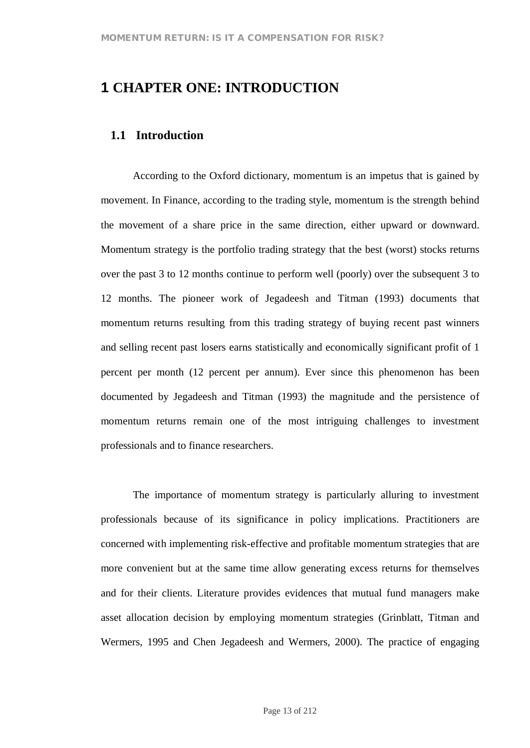# **1 CHAPTER ONE: INTRODUCTION**

# **1.1 Introduction**

According to the Oxford dictionary, momentum is an impetus that is gained by movement. In Finance, according to the trading style, momentum is the strength behind the movement of a share price in the same direction, either upward or downward. Momentum strategy is the portfolio trading strategy that the best (worst) stocks returns over the past 3 to 12 months continue to perform well (poorly) over the subsequent 3 to 12 months. The pioneer work of Jegadeesh and Titman (1993) documents that momentum returns resulting from this trading strategy of buying recent past winners and selling recent past losers earns statistically and economically significant profit of 1 percent per month (12 percent per annum). Ever since this phenomenon has been documented by Jegadeesh and Titman (1993) the magnitude and the persistence of momentum returns remain one of the most intriguing challenges to investment professionals and to finance researchers.

The importance of momentum strategy is particularly alluring to investment professionals because of its significance in policy implications. Practitioners are concerned with implementing risk-effective and profitable momentum strategies that are more convenient but at the same time allow generating excess returns for themselves and for their clients. Literature provides evidences that mutual fund managers make asset allocation decision by employing momentum strategies (Grinblatt, Titman and Wermers, 1995 and Chen Jegadeesh and Wermers, 2000). The practice of engaging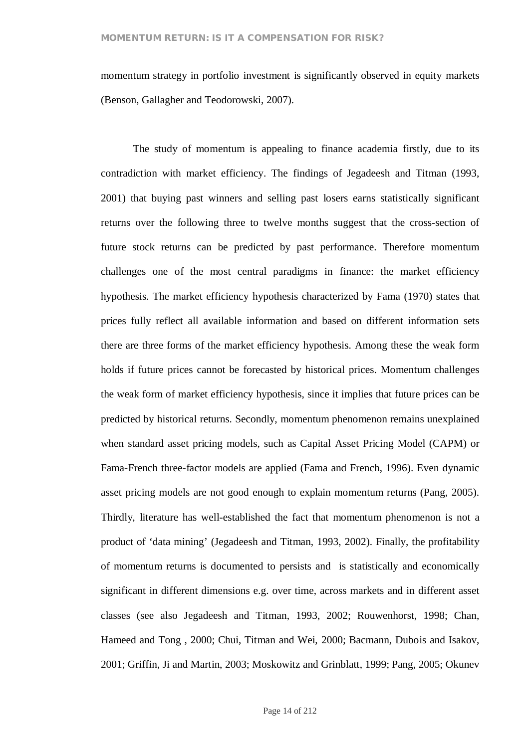momentum strategy in portfolio investment is significantly observed in equity markets (Benson, Gallagher and Teodorowski, 2007).

The study of momentum is appealing to finance academia firstly, due to its contradiction with market efficiency. The findings of Jegadeesh and Titman (1993, 2001) that buying past winners and selling past losers earns statistically significant returns over the following three to twelve months suggest that the cross-section of future stock returns can be predicted by past performance. Therefore momentum challenges one of the most central paradigms in finance: the market efficiency hypothesis. The market efficiency hypothesis characterized by Fama (1970) states that prices fully reflect all available information and based on different information sets there are three forms of the market efficiency hypothesis. Among these the weak form holds if future prices cannot be forecasted by historical prices. Momentum challenges the weak form of market efficiency hypothesis, since it implies that future prices can be predicted by historical returns. Secondly, momentum phenomenon remains unexplained when standard asset pricing models, such as Capital Asset Pricing Model (CAPM) or Fama-French three-factor models are applied (Fama and French, 1996). Even dynamic asset pricing models are not good enough to explain momentum returns (Pang, 2005). Thirdly, literature has well-established the fact that momentum phenomenon is not a product of 'data mining' (Jegadeesh and Titman, 1993, 2002). Finally, the profitability of momentum returns is documented to persists and is statistically and economically significant in different dimensions e.g. over time, across markets and in different asset classes (see also Jegadeesh and Titman, 1993, 2002; Rouwenhorst, 1998; Chan, Hameed and Tong , 2000; Chui, Titman and Wei, 2000; Bacmann, Dubois and Isakov, 2001; Griffin, Ji and Martin, 2003; Moskowitz and Grinblatt, 1999; Pang, 2005; Okunev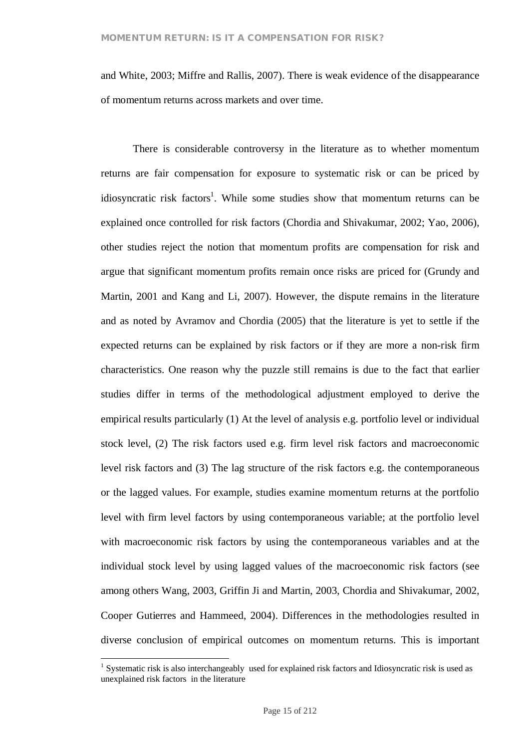and White, 2003; Miffre and Rallis, 2007). There is weak evidence of the disappearance of momentum returns across markets and over time.

There is considerable controversy in the literature as to whether momentum returns are fair compensation for exposure to systematic risk or can be priced by idiosyncratic risk factors<sup>1</sup>. While some studies show that momentum returns can be explained once controlled for risk factors (Chordia and Shivakumar, 2002; Yao, 2006), other studies reject the notion that momentum profits are compensation for risk and argue that significant momentum profits remain once risks are priced for (Grundy and Martin, 2001 and Kang and Li, 2007). However, the dispute remains in the literature and as noted by Avramov and Chordia (2005) that the literature is yet to settle if the expected returns can be explained by risk factors or if they are more a non-risk firm characteristics. One reason why the puzzle still remains is due to the fact that earlier studies differ in terms of the methodological adjustment employed to derive the empirical results particularly (1) At the level of analysis e.g. portfolio level or individual stock level, (2) The risk factors used e.g. firm level risk factors and macroeconomic level risk factors and (3) The lag structure of the risk factors e.g. the contemporaneous or the lagged values. For example, studies examine momentum returns at the portfolio level with firm level factors by using contemporaneous variable; at the portfolio level with macroeconomic risk factors by using the contemporaneous variables and at the individual stock level by using lagged values of the macroeconomic risk factors (see among others Wang, 2003, Griffin Ji and Martin, 2003, Chordia and Shivakumar, 2002, Cooper Gutierres and Hammeed, 2004). Differences in the methodologies resulted in diverse conclusion of empirical outcomes on momentum returns. This is important

<sup>&</sup>lt;sup>1</sup> Systematic risk is also interchangeably used for explained risk factors and Idiosyncratic risk is used as unexplained risk factors in the literature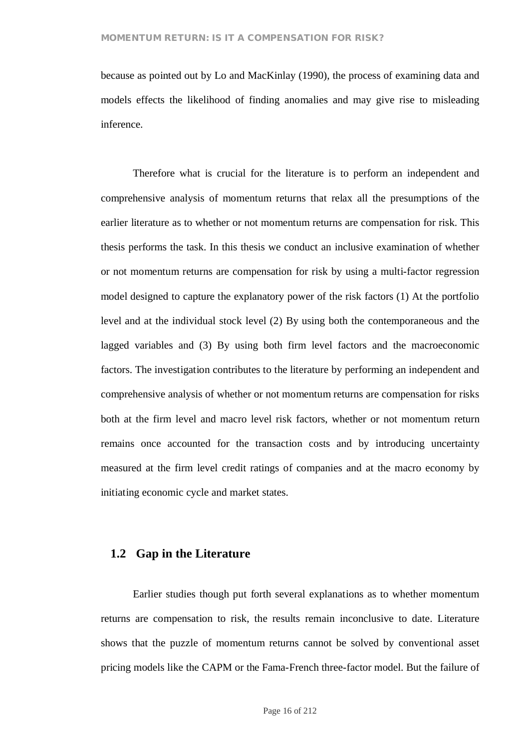because as pointed out by Lo and MacKinlay (1990), the process of examining data and models effects the likelihood of finding anomalies and may give rise to misleading inference.

Therefore what is crucial for the literature is to perform an independent and comprehensive analysis of momentum returns that relax all the presumptions of the earlier literature as to whether or not momentum returns are compensation for risk. This thesis performs the task. In this thesis we conduct an inclusive examination of whether or not momentum returns are compensation for risk by using a multi-factor regression model designed to capture the explanatory power of the risk factors (1) At the portfolio level and at the individual stock level (2) By using both the contemporaneous and the lagged variables and (3) By using both firm level factors and the macroeconomic factors. The investigation contributes to the literature by performing an independent and comprehensive analysis of whether or not momentum returns are compensation for risks both at the firm level and macro level risk factors, whether or not momentum return remains once accounted for the transaction costs and by introducing uncertainty measured at the firm level credit ratings of companies and at the macro economy by initiating economic cycle and market states.

# **1.2 Gap in the Literature**

Earlier studies though put forth several explanations as to whether momentum returns are compensation to risk, the results remain inconclusive to date. Literature shows that the puzzle of momentum returns cannot be solved by conventional asset pricing models like the CAPM or the Fama-French three-factor model. But the failure of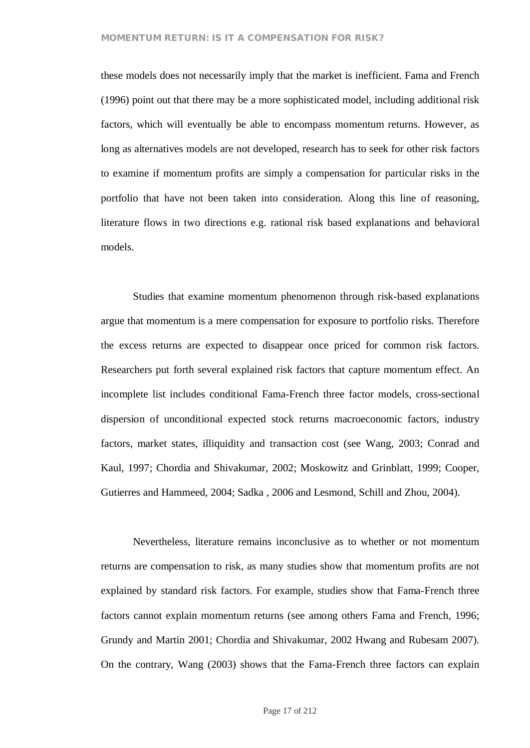these models does not necessarily imply that the market is inefficient. Fama and French (1996) point out that there may be a more sophisticated model, including additional risk factors, which will eventually be able to encompass momentum returns. However, as long as alternatives models are not developed, research has to seek for other risk factors to examine if momentum profits are simply a compensation for particular risks in the portfolio that have not been taken into consideration. Along this line of reasoning, literature flows in two directions e.g. rational risk based explanations and behavioral models.

Studies that examine momentum phenomenon through risk-based explanations argue that momentum is a mere compensation for exposure to portfolio risks. Therefore the excess returns are expected to disappear once priced for common risk factors. Researchers put forth several explained risk factors that capture momentum effect. An incomplete list includes conditional Fama-French three factor models, cross-sectional dispersion of unconditional expected stock returns macroeconomic factors, industry factors, market states, illiquidity and transaction cost (see Wang, 2003; Conrad and Kaul, 1997; Chordia and Shivakumar, 2002; Moskowitz and Grinblatt, 1999; Cooper, Gutierres and Hammeed, 2004; Sadka , 2006 and Lesmond, Schill and Zhou, 2004).

Nevertheless, literature remains inconclusive as to whether or not momentum returns are compensation to risk, as many studies show that momentum profits are not explained by standard risk factors. For example, studies show that Fama-French three factors cannot explain momentum returns (see among others Fama and French, 1996; Grundy and Martin 2001; Chordia and Shivakumar, 2002 Hwang and Rubesam 2007). On the contrary, Wang (2003) shows that the Fama-French three factors can explain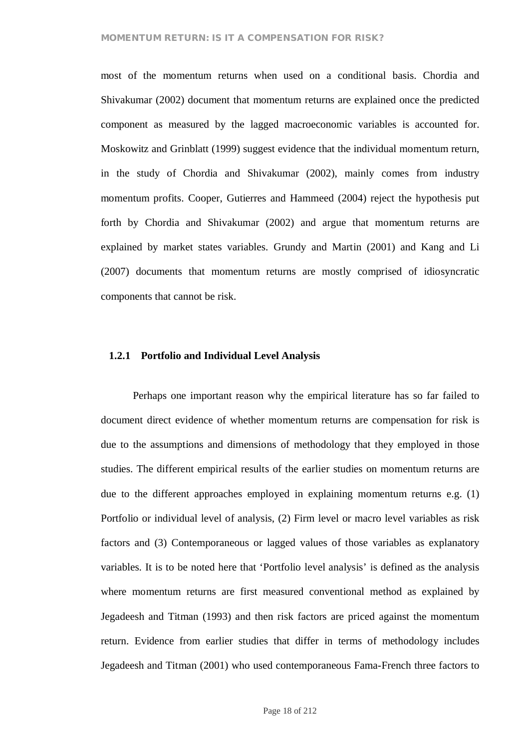most of the momentum returns when used on a conditional basis. Chordia and Shivakumar (2002) document that momentum returns are explained once the predicted component as measured by the lagged macroeconomic variables is accounted for. Moskowitz and Grinblatt (1999) suggest evidence that the individual momentum return, in the study of Chordia and Shivakumar (2002), mainly comes from industry momentum profits. Cooper, Gutierres and Hammeed (2004) reject the hypothesis put forth by Chordia and Shivakumar (2002) and argue that momentum returns are explained by market states variables. Grundy and Martin (2001) and Kang and Li (2007) documents that momentum returns are mostly comprised of idiosyncratic components that cannot be risk.

#### **1.2.1 Portfolio and Individual Level Analysis**

Perhaps one important reason why the empirical literature has so far failed to document direct evidence of whether momentum returns are compensation for risk is due to the assumptions and dimensions of methodology that they employed in those studies. The different empirical results of the earlier studies on momentum returns are due to the different approaches employed in explaining momentum returns e.g. (1) Portfolio or individual level of analysis, (2) Firm level or macro level variables as risk factors and (3) Contemporaneous or lagged values of those variables as explanatory variables. It is to be noted here that 'Portfolio level analysis' is defined as the analysis where momentum returns are first measured conventional method as explained by Jegadeesh and Titman (1993) and then risk factors are priced against the momentum return. Evidence from earlier studies that differ in terms of methodology includes Jegadeesh and Titman (2001) who used contemporaneous Fama-French three factors to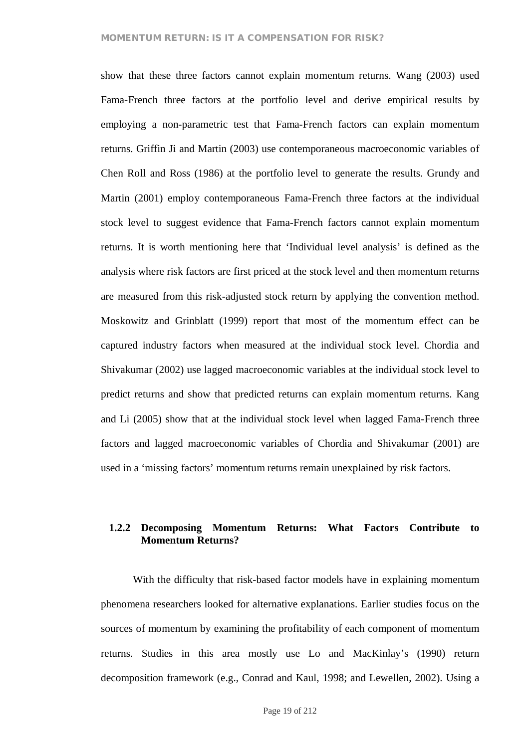show that these three factors cannot explain momentum returns. Wang (2003) used Fama-French three factors at the portfolio level and derive empirical results by employing a non-parametric test that Fama-French factors can explain momentum returns. Griffin Ji and Martin (2003) use contemporaneous macroeconomic variables of Chen Roll and Ross (1986) at the portfolio level to generate the results. Grundy and Martin (2001) employ contemporaneous Fama-French three factors at the individual stock level to suggest evidence that Fama-French factors cannot explain momentum returns. It is worth mentioning here that 'Individual level analysis' is defined as the analysis where risk factors are first priced at the stock level and then momentum returns are measured from this risk-adjusted stock return by applying the convention method. Moskowitz and Grinblatt (1999) report that most of the momentum effect can be captured industry factors when measured at the individual stock level. Chordia and Shivakumar (2002) use lagged macroeconomic variables at the individual stock level to predict returns and show that predicted returns can explain momentum returns. Kang and Li (2005) show that at the individual stock level when lagged Fama-French three factors and lagged macroeconomic variables of Chordia and Shivakumar (2001) are used in a 'missing factors' momentum returns remain unexplained by risk factors.

# **1.2.2 Decomposing Momentum Returns: What Factors Contribute to Momentum Returns?**

With the difficulty that risk-based factor models have in explaining momentum phenomena researchers looked for alternative explanations. Earlier studies focus on the sources of momentum by examining the profitability of each component of momentum returns. Studies in this area mostly use Lo and MacKinlay's (1990) return decomposition framework (e.g., Conrad and Kaul, 1998; and Lewellen, 2002). Using a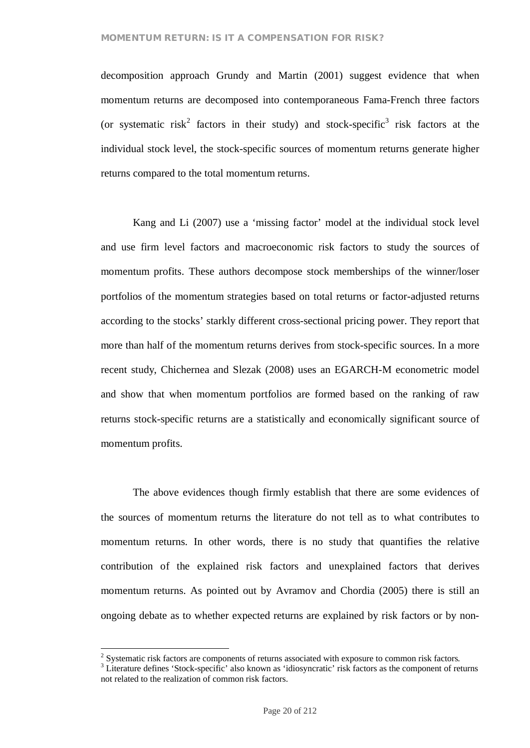decomposition approach Grundy and Martin (2001) suggest evidence that when momentum returns are decomposed into contemporaneous Fama-French three factors (or systematic risk<sup>2</sup> factors in their study) and stock-specific<sup>3</sup> risk factors at the individual stock level, the stock-specific sources of momentum returns generate higher returns compared to the total momentum returns.

Kang and Li (2007) use a 'missing factor' model at the individual stock level and use firm level factors and macroeconomic risk factors to study the sources of momentum profits. These authors decompose stock memberships of the winner/loser portfolios of the momentum strategies based on total returns or factor-adjusted returns according to the stocks' starkly different cross-sectional pricing power. They report that more than half of the momentum returns derives from stock-specific sources. In a more recent study, Chichernea and Slezak (2008) uses an EGARCH-M econometric model and show that when momentum portfolios are formed based on the ranking of raw returns stock-specific returns are a statistically and economically significant source of momentum profits.

The above evidences though firmly establish that there are some evidences of the sources of momentum returns the literature do not tell as to what contributes to momentum returns. In other words, there is no study that quantifies the relative contribution of the explained risk factors and unexplained factors that derives momentum returns. As pointed out by Avramov and Chordia (2005) there is still an ongoing debate as to whether expected returns are explained by risk factors or by non-

 $2$  Systematic risk factors are components of returns associated with exposure to common risk factors.

<sup>&</sup>lt;sup>3</sup> Literature defines 'Stock-specific' also known as 'idiosyncratic' risk factors as the component of returns not related to the realization of common risk factors.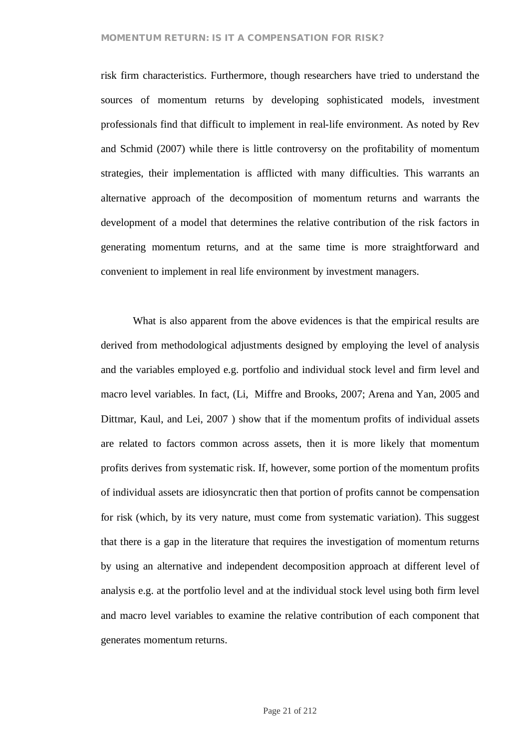risk firm characteristics. Furthermore, though researchers have tried to understand the sources of momentum returns by developing sophisticated models, investment professionals find that difficult to implement in real-life environment. As noted by Rev and Schmid (2007) while there is little controversy on the profitability of momentum strategies, their implementation is afflicted with many difficulties. This warrants an alternative approach of the decomposition of momentum returns and warrants the development of a model that determines the relative contribution of the risk factors in generating momentum returns, and at the same time is more straightforward and convenient to implement in real life environment by investment managers.

What is also apparent from the above evidences is that the empirical results are derived from methodological adjustments designed by employing the level of analysis and the variables employed e.g. portfolio and individual stock level and firm level and macro level variables. In fact, (Li, Miffre and Brooks, 2007; Arena and Yan, 2005 and Dittmar, Kaul, and Lei, 2007 ) show that if the momentum profits of individual assets are related to factors common across assets, then it is more likely that momentum profits derives from systematic risk. If, however, some portion of the momentum profits of individual assets are idiosyncratic then that portion of profits cannot be compensation for risk (which, by its very nature, must come from systematic variation). This suggest that there is a gap in the literature that requires the investigation of momentum returns by using an alternative and independent decomposition approach at different level of analysis e.g. at the portfolio level and at the individual stock level using both firm level and macro level variables to examine the relative contribution of each component that generates momentum returns.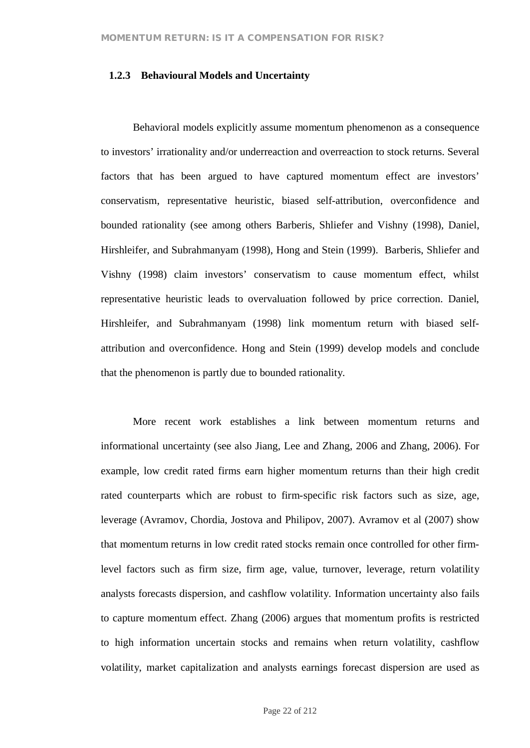#### **1.2.3 Behavioural Models and Uncertainty**

Behavioral models explicitly assume momentum phenomenon as a consequence to investors' irrationality and/or underreaction and overreaction to stock returns. Several factors that has been argued to have captured momentum effect are investors' conservatism, representative heuristic, biased self-attribution, overconfidence and bounded rationality (see among others Barberis, Shliefer and Vishny (1998), Daniel, Hirshleifer, and Subrahmanyam (1998), Hong and Stein (1999). Barberis, Shliefer and Vishny (1998) claim investors' conservatism to cause momentum effect, whilst representative heuristic leads to overvaluation followed by price correction. Daniel, Hirshleifer, and Subrahmanyam (1998) link momentum return with biased selfattribution and overconfidence. Hong and Stein (1999) develop models and conclude that the phenomenon is partly due to bounded rationality.

More recent work establishes a link between momentum returns and informational uncertainty (see also Jiang, Lee and Zhang, 2006 and Zhang, 2006). For example, low credit rated firms earn higher momentum returns than their high credit rated counterparts which are robust to firm-specific risk factors such as size, age, leverage (Avramov, Chordia, Jostova and Philipov, 2007). Avramov et al (2007) show that momentum returns in low credit rated stocks remain once controlled for other firmlevel factors such as firm size, firm age, value, turnover, leverage, return volatility analysts forecasts dispersion, and cashflow volatility. Information uncertainty also fails to capture momentum effect. Zhang (2006) argues that momentum profits is restricted to high information uncertain stocks and remains when return volatility, cashflow volatility, market capitalization and analysts earnings forecast dispersion are used as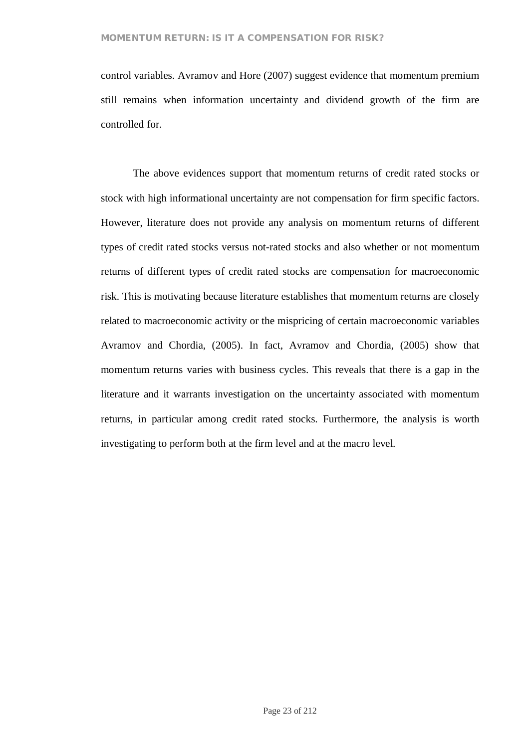control variables. Avramov and Hore (2007) suggest evidence that momentum premium still remains when information uncertainty and dividend growth of the firm are controlled for.

The above evidences support that momentum returns of credit rated stocks or stock with high informational uncertainty are not compensation for firm specific factors. However, literature does not provide any analysis on momentum returns of different types of credit rated stocks versus not-rated stocks and also whether or not momentum returns of different types of credit rated stocks are compensation for macroeconomic risk. This is motivating because literature establishes that momentum returns are closely related to macroeconomic activity or the mispricing of certain macroeconomic variables Avramov and Chordia, (2005). In fact, Avramov and Chordia, (2005) show that momentum returns varies with business cycles. This reveals that there is a gap in the literature and it warrants investigation on the uncertainty associated with momentum returns, in particular among credit rated stocks. Furthermore, the analysis is worth investigating to perform both at the firm level and at the macro level.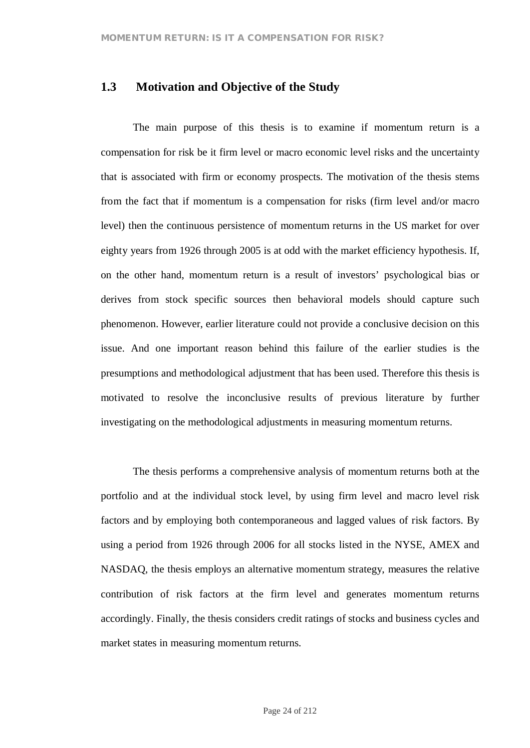# **1.3 Motivation and Objective of the Study**

The main purpose of this thesis is to examine if momentum return is a compensation for risk be it firm level or macro economic level risks and the uncertainty that is associated with firm or economy prospects. The motivation of the thesis stems from the fact that if momentum is a compensation for risks (firm level and/or macro level) then the continuous persistence of momentum returns in the US market for over eighty years from 1926 through 2005 is at odd with the market efficiency hypothesis. If, on the other hand, momentum return is a result of investors' psychological bias or derives from stock specific sources then behavioral models should capture such phenomenon. However, earlier literature could not provide a conclusive decision on this issue. And one important reason behind this failure of the earlier studies is the presumptions and methodological adjustment that has been used. Therefore this thesis is motivated to resolve the inconclusive results of previous literature by further investigating on the methodological adjustments in measuring momentum returns.

The thesis performs a comprehensive analysis of momentum returns both at the portfolio and at the individual stock level, by using firm level and macro level risk factors and by employing both contemporaneous and lagged values of risk factors. By using a period from 1926 through 2006 for all stocks listed in the NYSE, AMEX and NASDAQ, the thesis employs an alternative momentum strategy, measures the relative contribution of risk factors at the firm level and generates momentum returns accordingly. Finally, the thesis considers credit ratings of stocks and business cycles and market states in measuring momentum returns.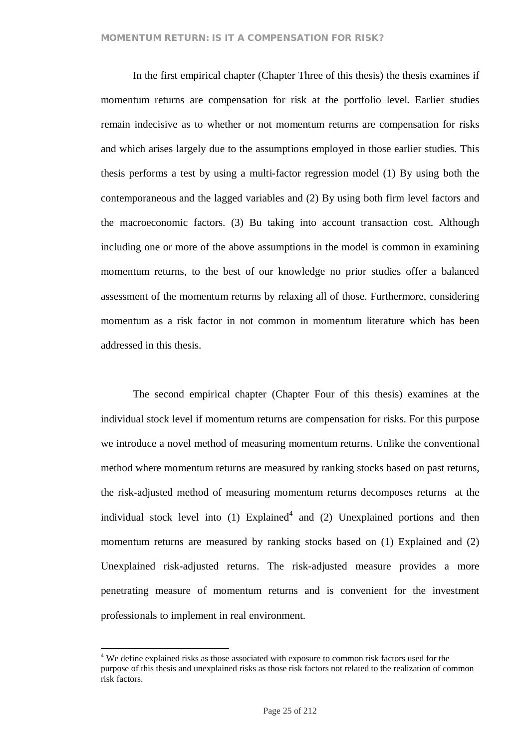In the first empirical chapter (Chapter Three of this thesis) the thesis examines if momentum returns are compensation for risk at the portfolio level. Earlier studies remain indecisive as to whether or not momentum returns are compensation for risks and which arises largely due to the assumptions employed in those earlier studies. This thesis performs a test by using a multi-factor regression model (1) By using both the contemporaneous and the lagged variables and (2) By using both firm level factors and the macroeconomic factors. (3) Bu taking into account transaction cost. Although including one or more of the above assumptions in the model is common in examining momentum returns, to the best of our knowledge no prior studies offer a balanced assessment of the momentum returns by relaxing all of those. Furthermore, considering momentum as a risk factor in not common in momentum literature which has been addressed in this thesis.

The second empirical chapter (Chapter Four of this thesis) examines at the individual stock level if momentum returns are compensation for risks. For this purpose we introduce a novel method of measuring momentum returns. Unlike the conventional method where momentum returns are measured by ranking stocks based on past returns, the risk-adjusted method of measuring momentum returns decomposes returns at the individual stock level into  $(1)$  Explained<sup>4</sup> and  $(2)$  Unexplained portions and then momentum returns are measured by ranking stocks based on (1) Explained and (2) Unexplained risk-adjusted returns. The risk-adjusted measure provides a more penetrating measure of momentum returns and is convenient for the investment professionals to implement in real environment.

<sup>&</sup>lt;sup>4</sup> We define explained risks as those associated with exposure to common risk factors used for the purpose of this thesis and unexplained risks as those risk factors not related to the realization of common risk factors.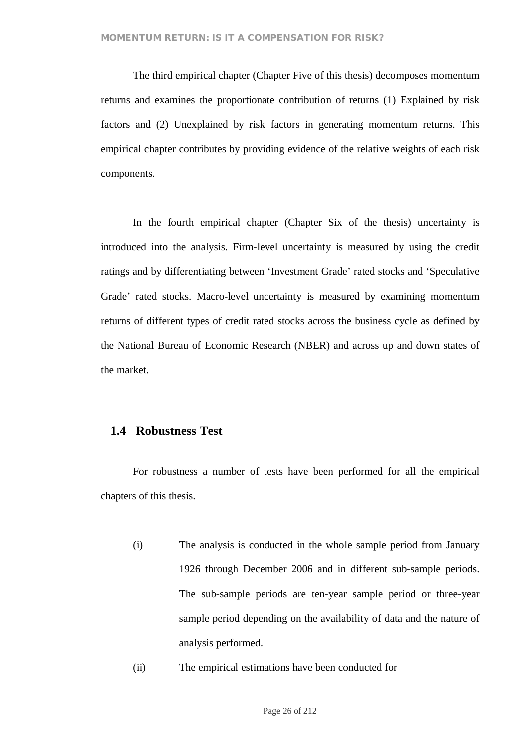The third empirical chapter (Chapter Five of this thesis) decomposes momentum returns and examines the proportionate contribution of returns (1) Explained by risk factors and (2) Unexplained by risk factors in generating momentum returns. This empirical chapter contributes by providing evidence of the relative weights of each risk components.

In the fourth empirical chapter (Chapter Six of the thesis) uncertainty is introduced into the analysis. Firm-level uncertainty is measured by using the credit ratings and by differentiating between 'Investment Grade' rated stocks and 'Speculative Grade' rated stocks. Macro-level uncertainty is measured by examining momentum returns of different types of credit rated stocks across the business cycle as defined by the National Bureau of Economic Research (NBER) and across up and down states of the market.

### **1.4 Robustness Test**

For robustness a number of tests have been performed for all the empirical chapters of this thesis.

- (i) The analysis is conducted in the whole sample period from January 1926 through December 2006 and in different sub-sample periods. The sub-sample periods are ten-year sample period or three-year sample period depending on the availability of data and the nature of analysis performed.
- (ii) The empirical estimations have been conducted for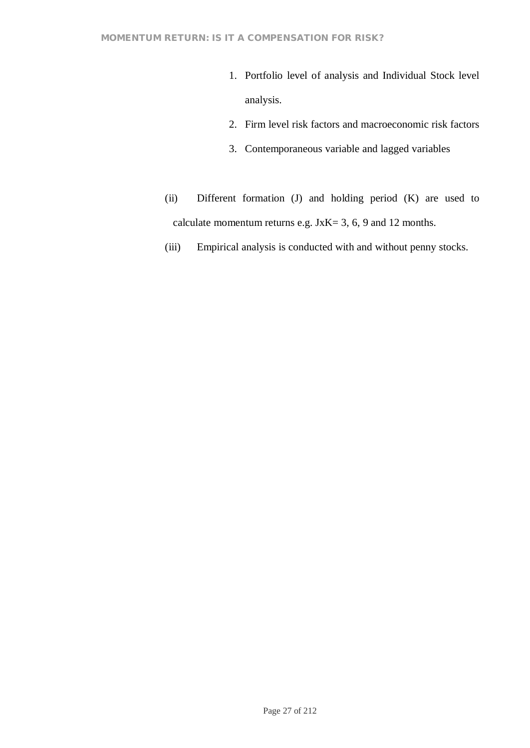- 1. Portfolio level of analysis and Individual Stock level analysis.
- 2. Firm level risk factors and macroeconomic risk factors
- 3. Contemporaneous variable and lagged variables
- (ii) Different formation (J) and holding period (K) are used to calculate momentum returns e.g. JxK= 3, 6, 9 and 12 months.
- (iii) Empirical analysis is conducted with and without penny stocks.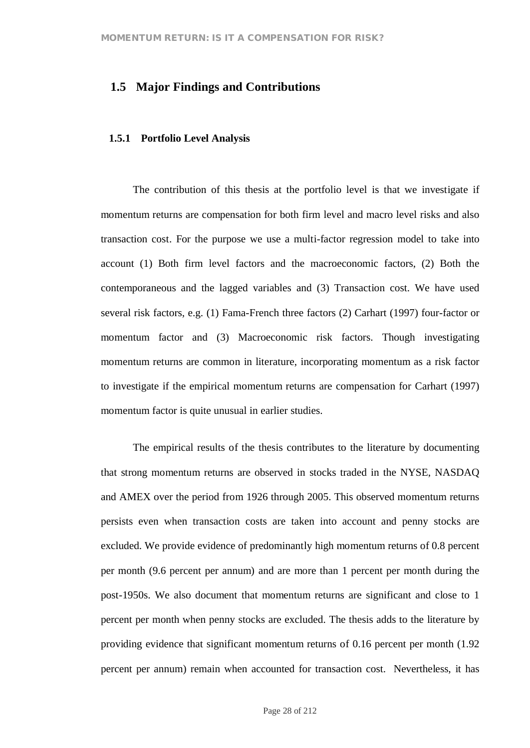## **1.5 Major Findings and Contributions**

#### **1.5.1 Portfolio Level Analysis**

The contribution of this thesis at the portfolio level is that we investigate if momentum returns are compensation for both firm level and macro level risks and also transaction cost. For the purpose we use a multi-factor regression model to take into account (1) Both firm level factors and the macroeconomic factors, (2) Both the contemporaneous and the lagged variables and (3) Transaction cost. We have used several risk factors, e.g. (1) Fama-French three factors (2) Carhart (1997) four-factor or momentum factor and (3) Macroeconomic risk factors. Though investigating momentum returns are common in literature, incorporating momentum as a risk factor to investigate if the empirical momentum returns are compensation for Carhart (1997) momentum factor is quite unusual in earlier studies.

The empirical results of the thesis contributes to the literature by documenting that strong momentum returns are observed in stocks traded in the NYSE, NASDAQ and AMEX over the period from 1926 through 2005. This observed momentum returns persists even when transaction costs are taken into account and penny stocks are excluded. We provide evidence of predominantly high momentum returns of 0.8 percent per month (9.6 percent per annum) and are more than 1 percent per month during the post-1950s. We also document that momentum returns are significant and close to 1 percent per month when penny stocks are excluded. The thesis adds to the literature by providing evidence that significant momentum returns of 0.16 percent per month (1.92 percent per annum) remain when accounted for transaction cost. Nevertheless, it has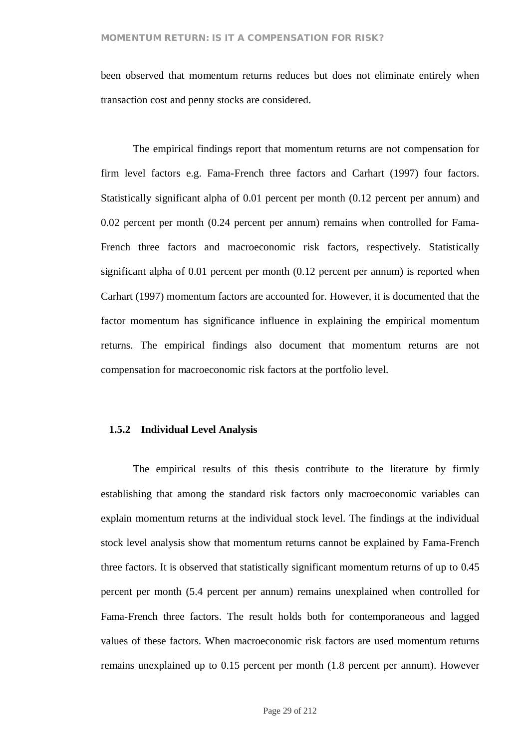been observed that momentum returns reduces but does not eliminate entirely when transaction cost and penny stocks are considered.

The empirical findings report that momentum returns are not compensation for firm level factors e.g. Fama-French three factors and Carhart (1997) four factors. Statistically significant alpha of 0.01 percent per month (0.12 percent per annum) and 0.02 percent per month (0.24 percent per annum) remains when controlled for Fama-French three factors and macroeconomic risk factors, respectively. Statistically significant alpha of 0.01 percent per month (0.12 percent per annum) is reported when Carhart (1997) momentum factors are accounted for. However, it is documented that the factor momentum has significance influence in explaining the empirical momentum returns. The empirical findings also document that momentum returns are not compensation for macroeconomic risk factors at the portfolio level.

#### **1.5.2 Individual Level Analysis**

The empirical results of this thesis contribute to the literature by firmly establishing that among the standard risk factors only macroeconomic variables can explain momentum returns at the individual stock level. The findings at the individual stock level analysis show that momentum returns cannot be explained by Fama-French three factors. It is observed that statistically significant momentum returns of up to 0.45 percent per month (5.4 percent per annum) remains unexplained when controlled for Fama-French three factors. The result holds both for contemporaneous and lagged values of these factors. When macroeconomic risk factors are used momentum returns remains unexplained up to 0.15 percent per month (1.8 percent per annum). However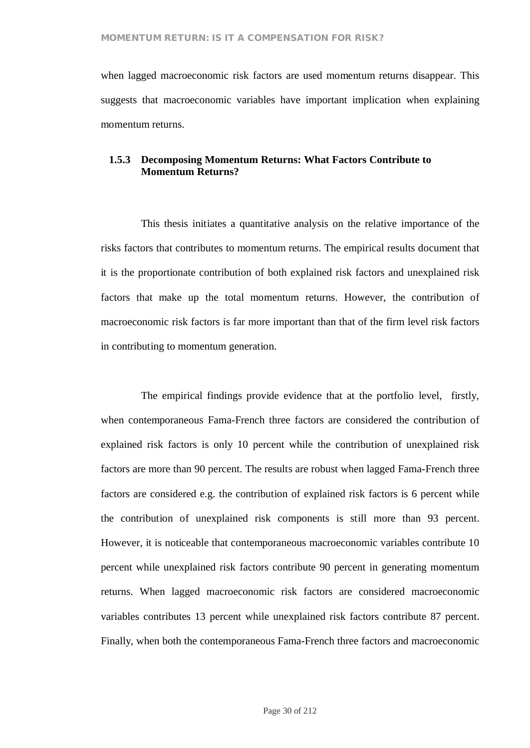when lagged macroeconomic risk factors are used momentum returns disappear. This suggests that macroeconomic variables have important implication when explaining momentum returns.

#### **1.5.3 Decomposing Momentum Returns: What Factors Contribute to Momentum Returns?**

This thesis initiates a quantitative analysis on the relative importance of the risks factors that contributes to momentum returns. The empirical results document that it is the proportionate contribution of both explained risk factors and unexplained risk factors that make up the total momentum returns. However, the contribution of macroeconomic risk factors is far more important than that of the firm level risk factors in contributing to momentum generation.

The empirical findings provide evidence that at the portfolio level, firstly, when contemporaneous Fama-French three factors are considered the contribution of explained risk factors is only 10 percent while the contribution of unexplained risk factors are more than 90 percent. The results are robust when lagged Fama-French three factors are considered e.g. the contribution of explained risk factors is 6 percent while the contribution of unexplained risk components is still more than 93 percent. However, it is noticeable that contemporaneous macroeconomic variables contribute 10 percent while unexplained risk factors contribute 90 percent in generating momentum returns. When lagged macroeconomic risk factors are considered macroeconomic variables contributes 13 percent while unexplained risk factors contribute 87 percent. Finally, when both the contemporaneous Fama-French three factors and macroeconomic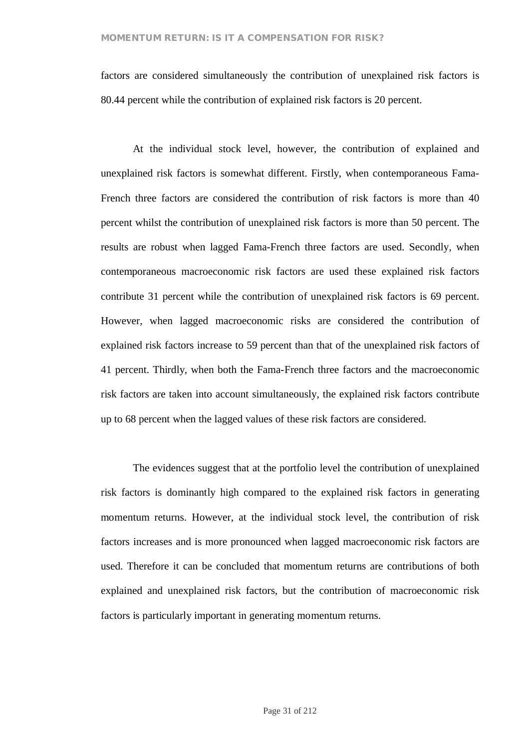factors are considered simultaneously the contribution of unexplained risk factors is 80.44 percent while the contribution of explained risk factors is 20 percent.

At the individual stock level, however, the contribution of explained and unexplained risk factors is somewhat different. Firstly, when contemporaneous Fama-French three factors are considered the contribution of risk factors is more than 40 percent whilst the contribution of unexplained risk factors is more than 50 percent. The results are robust when lagged Fama-French three factors are used. Secondly, when contemporaneous macroeconomic risk factors are used these explained risk factors contribute 31 percent while the contribution of unexplained risk factors is 69 percent. However, when lagged macroeconomic risks are considered the contribution of explained risk factors increase to 59 percent than that of the unexplained risk factors of 41 percent. Thirdly, when both the Fama-French three factors and the macroeconomic risk factors are taken into account simultaneously, the explained risk factors contribute up to 68 percent when the lagged values of these risk factors are considered.

The evidences suggest that at the portfolio level the contribution of unexplained risk factors is dominantly high compared to the explained risk factors in generating momentum returns. However, at the individual stock level, the contribution of risk factors increases and is more pronounced when lagged macroeconomic risk factors are used. Therefore it can be concluded that momentum returns are contributions of both explained and unexplained risk factors, but the contribution of macroeconomic risk factors is particularly important in generating momentum returns.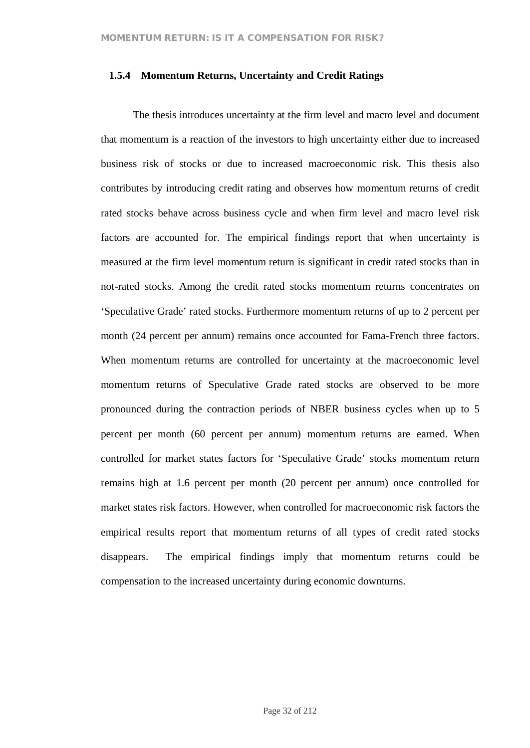#### **1.5.4 Momentum Returns, Uncertainty and Credit Ratings**

The thesis introduces uncertainty at the firm level and macro level and document that momentum is a reaction of the investors to high uncertainty either due to increased business risk of stocks or due to increased macroeconomic risk. This thesis also contributes by introducing credit rating and observes how momentum returns of credit rated stocks behave across business cycle and when firm level and macro level risk factors are accounted for. The empirical findings report that when uncertainty is measured at the firm level momentum return is significant in credit rated stocks than in not-rated stocks. Among the credit rated stocks momentum returns concentrates on 'Speculative Grade' rated stocks. Furthermore momentum returns of up to 2 percent per month (24 percent per annum) remains once accounted for Fama-French three factors. When momentum returns are controlled for uncertainty at the macroeconomic level momentum returns of Speculative Grade rated stocks are observed to be more pronounced during the contraction periods of NBER business cycles when up to 5 percent per month (60 percent per annum) momentum returns are earned. When controlled for market states factors for 'Speculative Grade' stocks momentum return remains high at 1.6 percent per month (20 percent per annum) once controlled for market states risk factors. However, when controlled for macroeconomic risk factors the empirical results report that momentum returns of all types of credit rated stocks disappears. The empirical findings imply that momentum returns could be compensation to the increased uncertainty during economic downturns.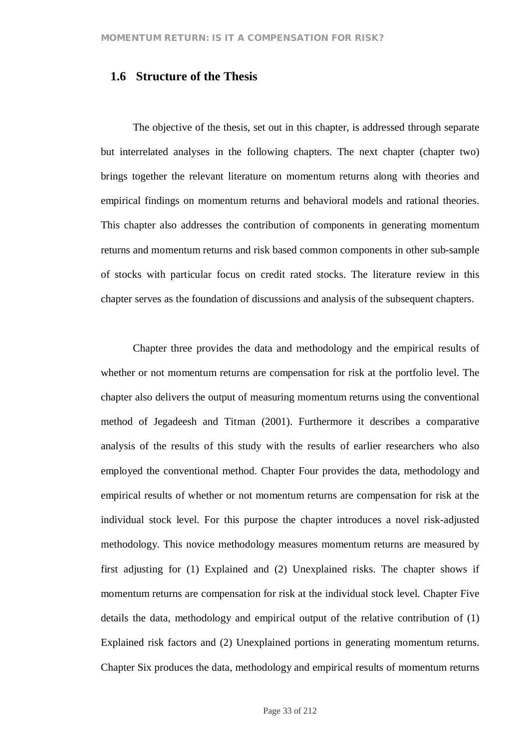# **1.6 Structure of the Thesis**

The objective of the thesis, set out in this chapter, is addressed through separate but interrelated analyses in the following chapters. The next chapter (chapter two) brings together the relevant literature on momentum returns along with theories and empirical findings on momentum returns and behavioral models and rational theories. This chapter also addresses the contribution of components in generating momentum returns and momentum returns and risk based common components in other sub-sample of stocks with particular focus on credit rated stocks. The literature review in this chapter serves as the foundation of discussions and analysis of the subsequent chapters.

Chapter three provides the data and methodology and the empirical results of whether or not momentum returns are compensation for risk at the portfolio level. The chapter also delivers the output of measuring momentum returns using the conventional method of Jegadeesh and Titman (2001). Furthermore it describes a comparative analysis of the results of this study with the results of earlier researchers who also employed the conventional method. Chapter Four provides the data, methodology and empirical results of whether or not momentum returns are compensation for risk at the individual stock level. For this purpose the chapter introduces a novel risk-adjusted methodology. This novice methodology measures momentum returns are measured by first adjusting for (1) Explained and (2) Unexplained risks. The chapter shows if momentum returns are compensation for risk at the individual stock level. Chapter Five details the data, methodology and empirical output of the relative contribution of (1) Explained risk factors and (2) Unexplained portions in generating momentum returns. Chapter Six produces the data, methodology and empirical results of momentum returns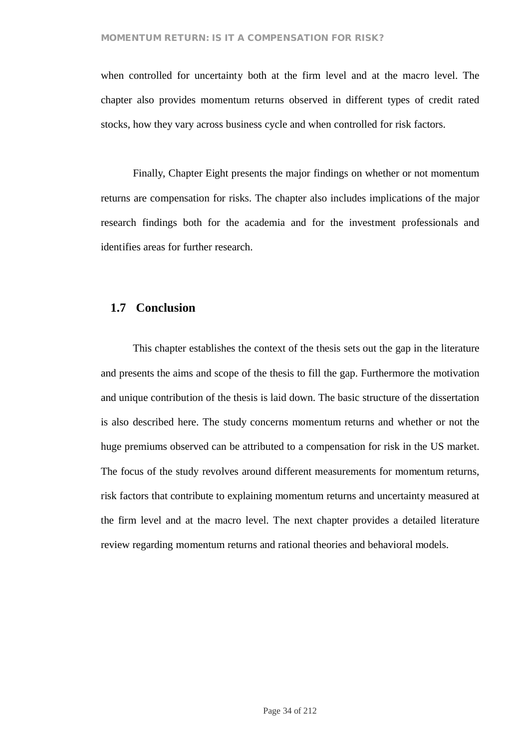when controlled for uncertainty both at the firm level and at the macro level. The chapter also provides momentum returns observed in different types of credit rated stocks, how they vary across business cycle and when controlled for risk factors.

Finally, Chapter Eight presents the major findings on whether or not momentum returns are compensation for risks. The chapter also includes implications of the major research findings both for the academia and for the investment professionals and identifies areas for further research.

## **1.7 Conclusion**

This chapter establishes the context of the thesis sets out the gap in the literature and presents the aims and scope of the thesis to fill the gap. Furthermore the motivation and unique contribution of the thesis is laid down. The basic structure of the dissertation is also described here. The study concerns momentum returns and whether or not the huge premiums observed can be attributed to a compensation for risk in the US market. The focus of the study revolves around different measurements for momentum returns, risk factors that contribute to explaining momentum returns and uncertainty measured at the firm level and at the macro level. The next chapter provides a detailed literature review regarding momentum returns and rational theories and behavioral models.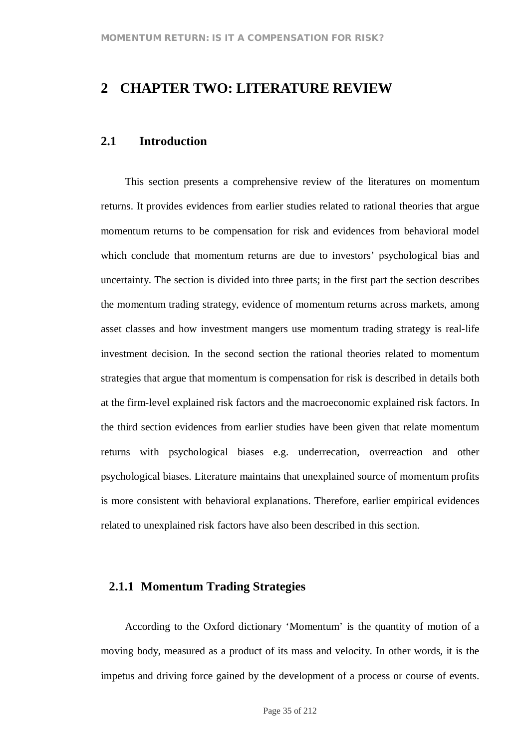# **2 CHAPTER TWO: LITERATURE REVIEW**

## **2.1 Introduction**

This section presents a comprehensive review of the literatures on momentum returns. It provides evidences from earlier studies related to rational theories that argue momentum returns to be compensation for risk and evidences from behavioral model which conclude that momentum returns are due to investors' psychological bias and uncertainty. The section is divided into three parts; in the first part the section describes the momentum trading strategy, evidence of momentum returns across markets, among asset classes and how investment mangers use momentum trading strategy is real-life investment decision. In the second section the rational theories related to momentum strategies that argue that momentum is compensation for risk is described in details both at the firm-level explained risk factors and the macroeconomic explained risk factors. In the third section evidences from earlier studies have been given that relate momentum returns with psychological biases e.g. underrecation, overreaction and other psychological biases. Literature maintains that unexplained source of momentum profits is more consistent with behavioral explanations. Therefore, earlier empirical evidences related to unexplained risk factors have also been described in this section.

#### **2.1.1 Momentum Trading Strategies**

According to the Oxford dictionary 'Momentum' is the quantity of motion of a moving body, measured as a product of its mass and velocity. In other words, it is the impetus and driving force gained by the development of a process or course of events.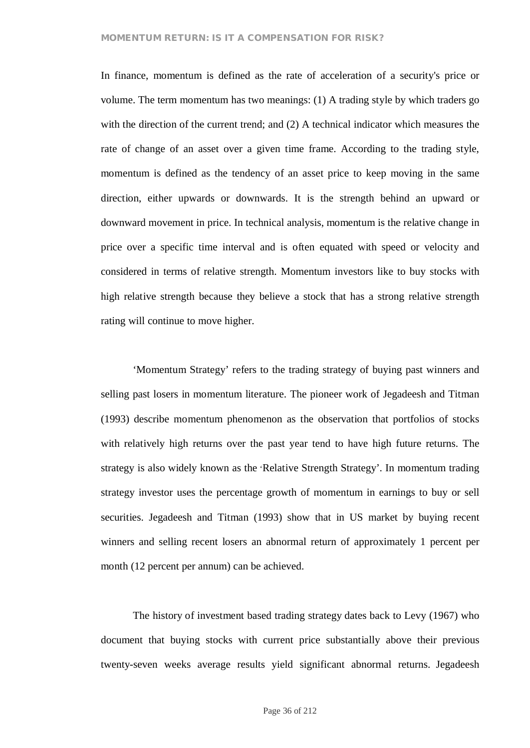In finance, momentum is defined as the rate of acceleration of a security's price or volume. The term momentum has two meanings: (1) A trading style by which traders go with the direction of the current trend; and (2) A technical indicator which measures the rate of change of an asset over a given time frame. According to the trading style, momentum is defined as the tendency of an asset price to keep moving in the same direction, either upwards or downwards. It is the strength behind an upward or downward movement in price. In technical analysis, momentum is the relative change in price over a specific time interval and is often equated with speed or velocity and considered in terms of relative strength. Momentum investors like to buy stocks with high relative strength because they believe a stock that has a strong relative strength rating will continue to move higher.

'Momentum Strategy' refers to the trading strategy of buying past winners and selling past losers in momentum literature. The pioneer work of Jegadeesh and Titman (1993) describe momentum phenomenon as the observation that portfolios of stocks with relatively high returns over the past year tend to have high future returns. The strategy is also widely known as the 'Relative Strength Strategy'. In momentum trading strategy investor uses the percentage growth of momentum in earnings to buy or sell securities. Jegadeesh and Titman (1993) show that in US market by buying recent winners and selling recent losers an abnormal return of approximately 1 percent per month (12 percent per annum) can be achieved.

The history of investment based trading strategy dates back to Levy (1967) who document that buying stocks with current price substantially above their previous twenty-seven weeks average results yield significant abnormal returns. Jegadeesh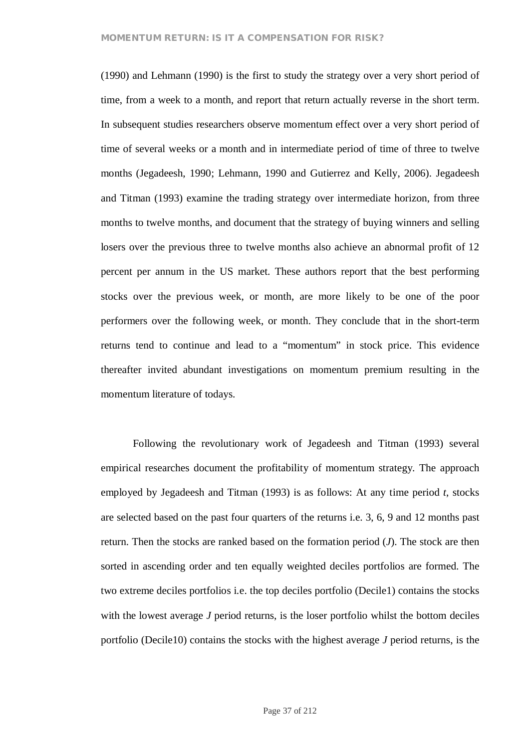(1990) and Lehmann (1990) is the first to study the strategy over a very short period of time, from a week to a month, and report that return actually reverse in the short term. In subsequent studies researchers observe momentum effect over a very short period of time of several weeks or a month and in intermediate period of time of three to twelve months (Jegadeesh, 1990; Lehmann, 1990 and Gutierrez and Kelly, 2006). Jegadeesh and Titman (1993) examine the trading strategy over intermediate horizon, from three months to twelve months, and document that the strategy of buying winners and selling losers over the previous three to twelve months also achieve an abnormal profit of 12 percent per annum in the US market. These authors report that the best performing stocks over the previous week, or month, are more likely to be one of the poor performers over the following week, or month. They conclude that in the short-term returns tend to continue and lead to a "momentum" in stock price. This evidence thereafter invited abundant investigations on momentum premium resulting in the momentum literature of todays.

Following the revolutionary work of Jegadeesh and Titman (1993) several empirical researches document the profitability of momentum strategy. The approach employed by Jegadeesh and Titman (1993) is as follows: At any time period *t*, stocks are selected based on the past four quarters of the returns i.e. 3, 6, 9 and 12 months past return. Then the stocks are ranked based on the formation period (*J*). The stock are then sorted in ascending order and ten equally weighted deciles portfolios are formed. The two extreme deciles portfolios i.e. the top deciles portfolio (Decile1) contains the stocks with the lowest average *J* period returns, is the loser portfolio whilst the bottom deciles portfolio (Decile10) contains the stocks with the highest average *J* period returns, is the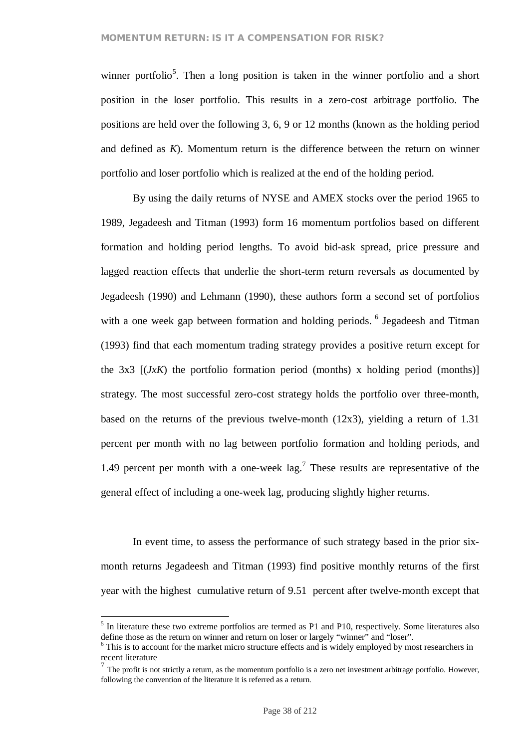winner portfolio<sup>5</sup>. Then a long position is taken in the winner portfolio and a short position in the loser portfolio. This results in a zero-cost arbitrage portfolio. The positions are held over the following 3, 6, 9 or 12 months (known as the holding period and defined as *K*). Momentum return is the difference between the return on winner portfolio and loser portfolio which is realized at the end of the holding period.

By using the daily returns of NYSE and AMEX stocks over the period 1965 to 1989, Jegadeesh and Titman (1993) form 16 momentum portfolios based on different formation and holding period lengths. To avoid bid-ask spread, price pressure and lagged reaction effects that underlie the short-term return reversals as documented by Jegadeesh (1990) and Lehmann (1990), these authors form a second set of portfolios with a one week gap between formation and holding periods. <sup>6</sup> Jegadeesh and Titman (1993) find that each momentum trading strategy provides a positive return except for the  $3x3$   $[(JxK)$  the portfolio formation period (months) x holding period (months)] strategy. The most successful zero-cost strategy holds the portfolio over three-month, based on the returns of the previous twelve-month  $(12x3)$ , yielding a return of 1.31 percent per month with no lag between portfolio formation and holding periods, and 1.49 percent per month with a one-week  $\log$ <sup>7</sup>. These results are representative of the general effect of including a one-week lag, producing slightly higher returns.

In event time, to assess the performance of such strategy based in the prior sixmonth returns Jegadeesh and Titman (1993) find positive monthly returns of the first year with the highest cumulative return of 9.51 percent after twelve-month except that

<sup>&</sup>lt;sup>5</sup> In literature these two extreme portfolios are termed as P1 and P10, respectively. Some literatures also define those as the return on winner and return on loser or largely "winner" and "loser".

<sup>&</sup>lt;sup>6</sup> This is to account for the market micro structure effects and is widely employed by most researchers in recent literature

 $^7$  The profit is not strictly a return, as the momentum portfolio is a zero net investment arbitrage portfolio. However, following the convention of the literature it is referred as a return.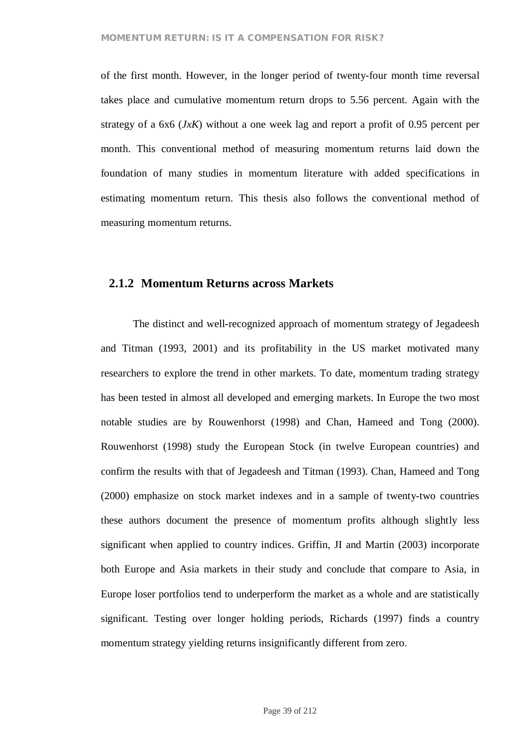of the first month. However, in the longer period of twenty-four month time reversal takes place and cumulative momentum return drops to 5.56 percent. Again with the strategy of a 6x6 (*JxK*) without a one week lag and report a profit of 0.95 percent per month. This conventional method of measuring momentum returns laid down the foundation of many studies in momentum literature with added specifications in estimating momentum return. This thesis also follows the conventional method of measuring momentum returns.

# **2.1.2 Momentum Returns across Markets**

The distinct and well-recognized approach of momentum strategy of Jegadeesh and Titman (1993, 2001) and its profitability in the US market motivated many researchers to explore the trend in other markets. To date, momentum trading strategy has been tested in almost all developed and emerging markets. In Europe the two most notable studies are by Rouwenhorst (1998) and Chan, Hameed and Tong (2000). Rouwenhorst (1998) study the European Stock (in twelve European countries) and confirm the results with that of Jegadeesh and Titman (1993). Chan, Hameed and Tong (2000) emphasize on stock market indexes and in a sample of twenty-two countries these authors document the presence of momentum profits although slightly less significant when applied to country indices. Griffin, JI and Martin (2003) incorporate both Europe and Asia markets in their study and conclude that compare to Asia, in Europe loser portfolios tend to underperform the market as a whole and are statistically significant. Testing over longer holding periods, Richards (1997) finds a country momentum strategy yielding returns insignificantly different from zero.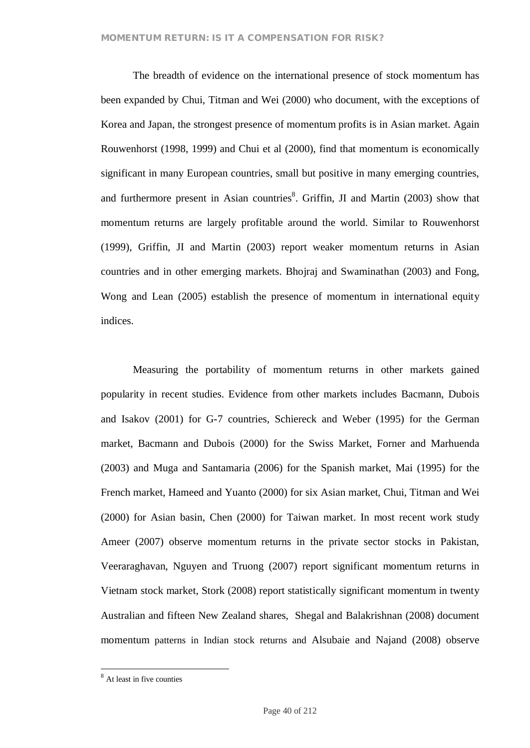The breadth of evidence on the international presence of stock momentum has been expanded by Chui, Titman and Wei (2000) who document, with the exceptions of Korea and Japan, the strongest presence of momentum profits is in Asian market. Again Rouwenhorst (1998, 1999) and Chui et al (2000), find that momentum is economically significant in many European countries, small but positive in many emerging countries, and furthermore present in Asian countries<sup>8</sup>. Griffin, JI and Martin (2003) show that momentum returns are largely profitable around the world. Similar to Rouwenhorst (1999), Griffin, JI and Martin (2003) report weaker momentum returns in Asian countries and in other emerging markets. Bhojraj and Swaminathan (2003) and Fong, Wong and Lean (2005) establish the presence of momentum in international equity indices.

Measuring the portability of momentum returns in other markets gained popularity in recent studies. Evidence from other markets includes Bacmann, Dubois and Isakov (2001) for G-7 countries, Schiereck and Weber (1995) for the German market, Bacmann and Dubois (2000) for the Swiss Market, Forner and Marhuenda (2003) and Muga and Santamaria (2006) for the Spanish market, Mai (1995) for the French market, Hameed and Yuanto (2000) for six Asian market, Chui, Titman and Wei (2000) for Asian basin, Chen (2000) for Taiwan market. In most recent work study Ameer (2007) observe momentum returns in the private sector stocks in Pakistan, Veeraraghavan, Nguyen and Truong (2007) report significant momentum returns in Vietnam stock market, Stork (2008) report statistically significant momentum in twenty Australian and fifteen New Zealand shares, Shegal and Balakrishnan (2008) document momentum patterns in Indian stock returns and Alsubaie and Najand (2008) observe

<sup>8</sup> At least in five counties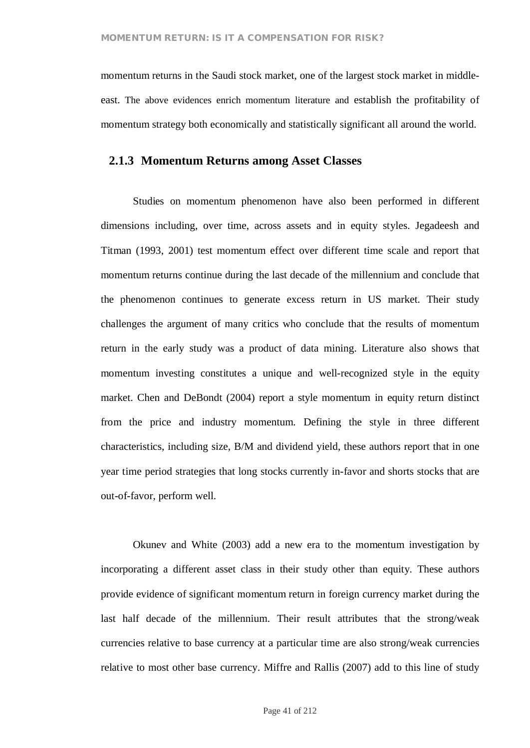momentum returns in the Saudi stock market, one of the largest stock market in middleeast. The above evidences enrich momentum literature and establish the profitability of momentum strategy both economically and statistically significant all around the world.

## **2.1.3 Momentum Returns among Asset Classes**

Studies on momentum phenomenon have also been performed in different dimensions including, over time, across assets and in equity styles. Jegadeesh and Titman (1993, 2001) test momentum effect over different time scale and report that momentum returns continue during the last decade of the millennium and conclude that the phenomenon continues to generate excess return in US market. Their study challenges the argument of many critics who conclude that the results of momentum return in the early study was a product of data mining. Literature also shows that momentum investing constitutes a unique and well-recognized style in the equity market. Chen and DeBondt (2004) report a style momentum in equity return distinct from the price and industry momentum. Defining the style in three different characteristics, including size, B/M and dividend yield, these authors report that in one year time period strategies that long stocks currently in-favor and shorts stocks that are out-of-favor, perform well.

Okunev and White (2003) add a new era to the momentum investigation by incorporating a different asset class in their study other than equity. These authors provide evidence of significant momentum return in foreign currency market during the last half decade of the millennium. Their result attributes that the strong/weak currencies relative to base currency at a particular time are also strong/weak currencies relative to most other base currency. Miffre and Rallis (2007) add to this line of study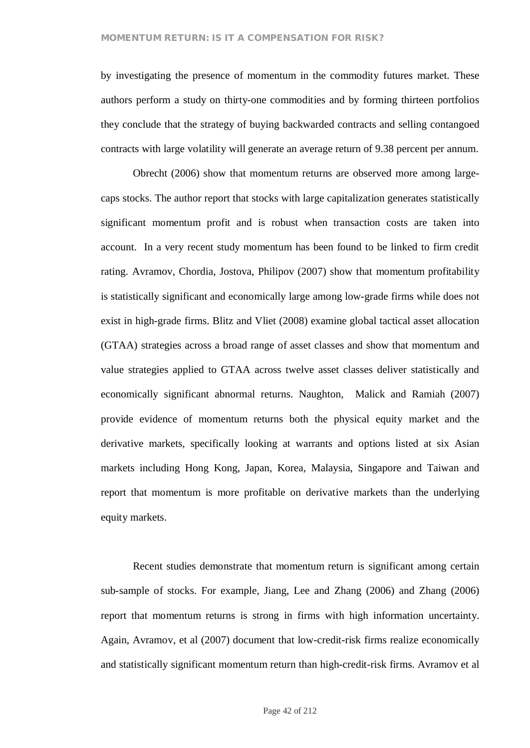by investigating the presence of momentum in the commodity futures market. These authors perform a study on thirty-one commodities and by forming thirteen portfolios they conclude that the strategy of buying backwarded contracts and selling contangoed contracts with large volatility will generate an average return of 9.38 percent per annum.

Obrecht (2006) show that momentum returns are observed more among largecaps stocks. The author report that stocks with large capitalization generates statistically significant momentum profit and is robust when transaction costs are taken into account. In a very recent study momentum has been found to be linked to firm credit rating. Avramov, Chordia, Jostova, Philipov (2007) show that momentum profitability is statistically significant and economically large among low-grade firms while does not exist in high-grade firms. Blitz and Vliet (2008) examine global tactical asset allocation (GTAA) strategies across a broad range of asset classes and show that momentum and value strategies applied to GTAA across twelve asset classes deliver statistically and economically significant abnormal returns. Naughton, Malick and Ramiah (2007) provide evidence of momentum returns both the physical equity market and the derivative markets, specifically looking at warrants and options listed at six Asian markets including Hong Kong, Japan, Korea, Malaysia, Singapore and Taiwan and report that momentum is more profitable on derivative markets than the underlying equity markets.

Recent studies demonstrate that momentum return is significant among certain sub-sample of stocks. For example, Jiang, Lee and Zhang (2006) and Zhang (2006) report that momentum returns is strong in firms with high information uncertainty. Again, Avramov, et al (2007) document that low-credit-risk firms realize economically and statistically significant momentum return than high-credit-risk firms. Avramov et al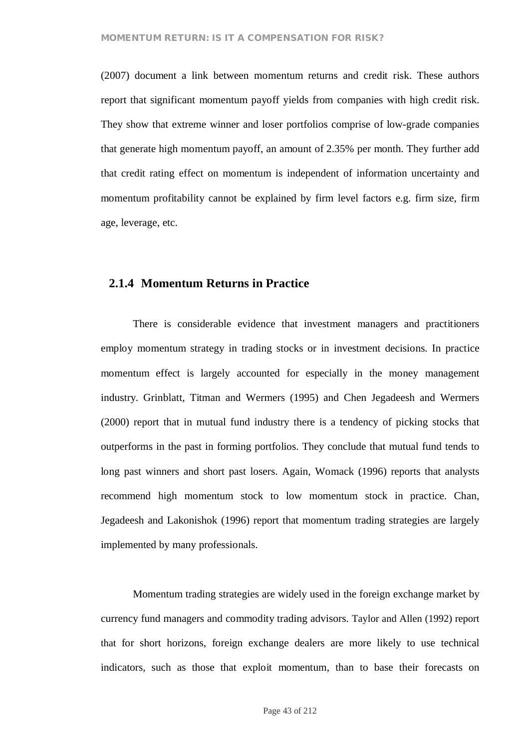(2007) document a link between momentum returns and credit risk. These authors report that significant momentum payoff yields from companies with high credit risk. They show that extreme winner and loser portfolios comprise of low-grade companies that generate high momentum payoff, an amount of 2.35% per month. They further add that credit rating effect on momentum is independent of information uncertainty and momentum profitability cannot be explained by firm level factors e.g. firm size, firm age, leverage, etc.

## **2.1.4 Momentum Returns in Practice**

There is considerable evidence that investment managers and practitioners employ momentum strategy in trading stocks or in investment decisions. In practice momentum effect is largely accounted for especially in the money management industry. Grinblatt, Titman and Wermers (1995) and Chen Jegadeesh and Wermers (2000) report that in mutual fund industry there is a tendency of picking stocks that outperforms in the past in forming portfolios. They conclude that mutual fund tends to long past winners and short past losers. Again, Womack (1996) reports that analysts recommend high momentum stock to low momentum stock in practice. Chan, Jegadeesh and Lakonishok (1996) report that momentum trading strategies are largely implemented by many professionals.

Momentum trading strategies are widely used in the foreign exchange market by currency fund managers and commodity trading advisors. Taylor and Allen (1992) report that for short horizons, foreign exchange dealers are more likely to use technical indicators, such as those that exploit momentum, than to base their forecasts on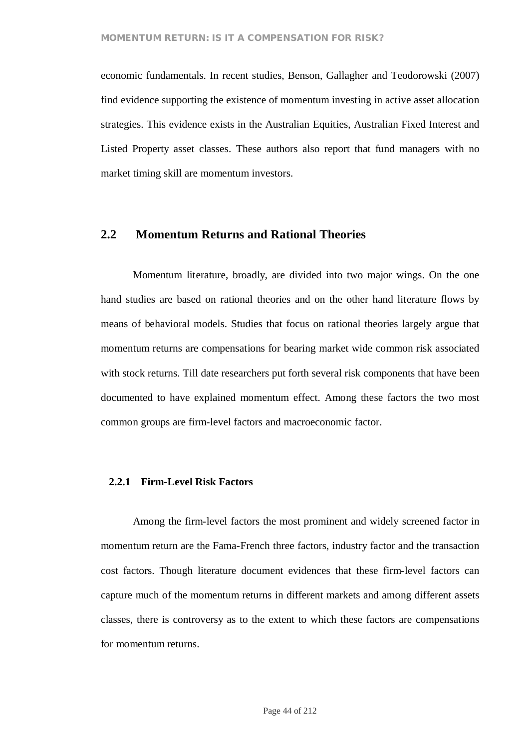economic fundamentals. In recent studies, Benson, Gallagher and Teodorowski (2007) find evidence supporting the existence of momentum investing in active asset allocation strategies. This evidence exists in the Australian Equities, Australian Fixed Interest and Listed Property asset classes. These authors also report that fund managers with no market timing skill are momentum investors.

# **2.2 Momentum Returns and Rational Theories**

Momentum literature, broadly, are divided into two major wings. On the one hand studies are based on rational theories and on the other hand literature flows by means of behavioral models. Studies that focus on rational theories largely argue that momentum returns are compensations for bearing market wide common risk associated with stock returns. Till date researchers put forth several risk components that have been documented to have explained momentum effect. Among these factors the two most common groups are firm-level factors and macroeconomic factor.

#### **2.2.1 Firm-Level Risk Factors**

Among the firm-level factors the most prominent and widely screened factor in momentum return are the Fama-French three factors, industry factor and the transaction cost factors. Though literature document evidences that these firm-level factors can capture much of the momentum returns in different markets and among different assets classes, there is controversy as to the extent to which these factors are compensations for momentum returns.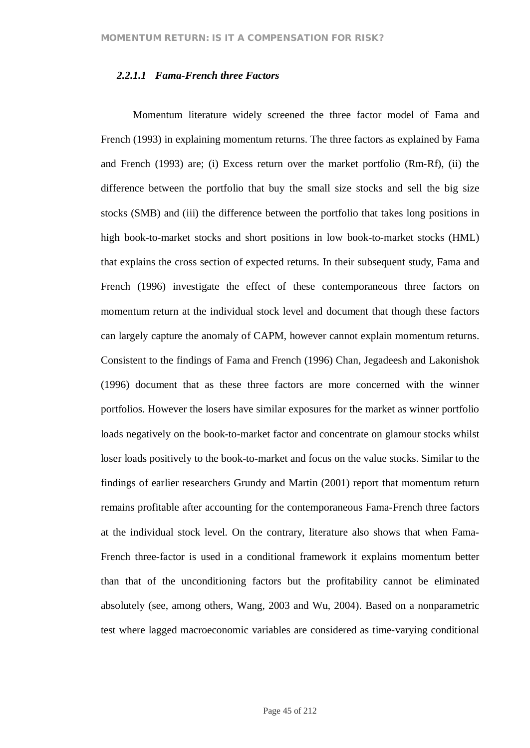#### *2.2.1.1 Fama-French three Factors*

Momentum literature widely screened the three factor model of Fama and French (1993) in explaining momentum returns. The three factors as explained by Fama and French (1993) are; (i) Excess return over the market portfolio (Rm-Rf), (ii) the difference between the portfolio that buy the small size stocks and sell the big size stocks (SMB) and (iii) the difference between the portfolio that takes long positions in high book-to-market stocks and short positions in low book-to-market stocks (HML) that explains the cross section of expected returns. In their subsequent study, Fama and French (1996) investigate the effect of these contemporaneous three factors on momentum return at the individual stock level and document that though these factors can largely capture the anomaly of CAPM, however cannot explain momentum returns. Consistent to the findings of Fama and French (1996) Chan, Jegadeesh and Lakonishok (1996) document that as these three factors are more concerned with the winner portfolios. However the losers have similar exposures for the market as winner portfolio loads negatively on the book-to-market factor and concentrate on glamour stocks whilst loser loads positively to the book-to-market and focus on the value stocks. Similar to the findings of earlier researchers Grundy and Martin (2001) report that momentum return remains profitable after accounting for the contemporaneous Fama-French three factors at the individual stock level. On the contrary, literature also shows that when Fama-French three-factor is used in a conditional framework it explains momentum better than that of the unconditioning factors but the profitability cannot be eliminated absolutely (see, among others, Wang, 2003 and Wu, 2004). Based on a nonparametric test where lagged macroeconomic variables are considered as time-varying conditional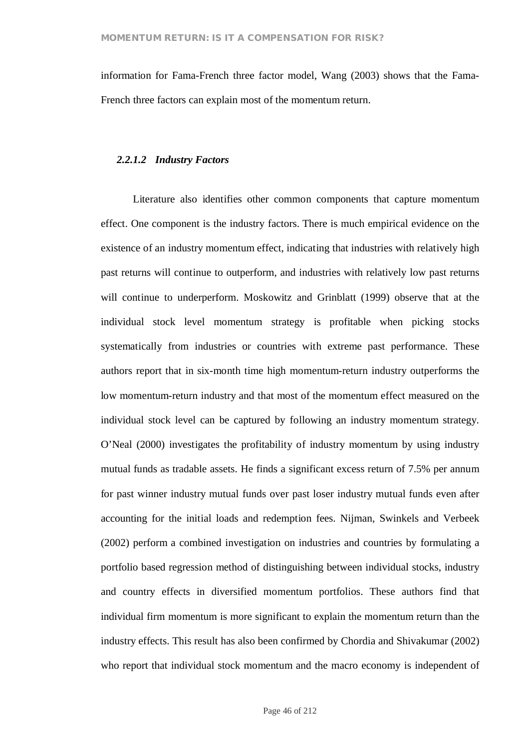information for Fama-French three factor model, Wang (2003) shows that the Fama-French three factors can explain most of the momentum return.

#### *2.2.1.2 Industry Factors*

Literature also identifies other common components that capture momentum effect. One component is the industry factors. There is much empirical evidence on the existence of an industry momentum effect, indicating that industries with relatively high past returns will continue to outperform, and industries with relatively low past returns will continue to underperform. Moskowitz and Grinblatt (1999) observe that at the individual stock level momentum strategy is profitable when picking stocks systematically from industries or countries with extreme past performance. These authors report that in six-month time high momentum-return industry outperforms the low momentum-return industry and that most of the momentum effect measured on the individual stock level can be captured by following an industry momentum strategy. O'Neal (2000) investigates the profitability of industry momentum by using industry mutual funds as tradable assets. He finds a significant excess return of 7.5% per annum for past winner industry mutual funds over past loser industry mutual funds even after accounting for the initial loads and redemption fees. Nijman, Swinkels and Verbeek (2002) perform a combined investigation on industries and countries by formulating a portfolio based regression method of distinguishing between individual stocks, industry and country effects in diversified momentum portfolios. These authors find that individual firm momentum is more significant to explain the momentum return than the industry effects. This result has also been confirmed by Chordia and Shivakumar (2002) who report that individual stock momentum and the macro economy is independent of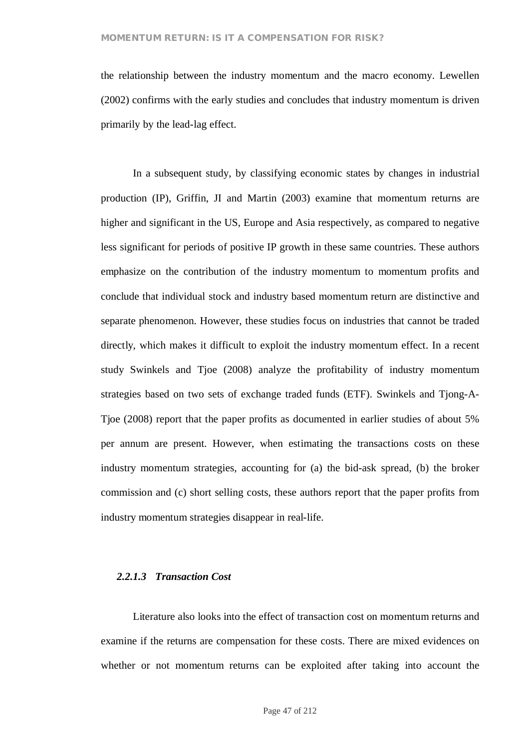the relationship between the industry momentum and the macro economy. Lewellen (2002) confirms with the early studies and concludes that industry momentum is driven primarily by the lead-lag effect.

In a subsequent study, by classifying economic states by changes in industrial production (IP), Griffin, JI and Martin (2003) examine that momentum returns are higher and significant in the US, Europe and Asia respectively, as compared to negative less significant for periods of positive IP growth in these same countries. These authors emphasize on the contribution of the industry momentum to momentum profits and conclude that individual stock and industry based momentum return are distinctive and separate phenomenon. However, these studies focus on industries that cannot be traded directly, which makes it difficult to exploit the industry momentum effect. In a recent study Swinkels and Tjoe (2008) analyze the profitability of industry momentum strategies based on two sets of exchange traded funds (ETF). Swinkels and Tjong-A-Tjoe (2008) report that the paper profits as documented in earlier studies of about 5% per annum are present. However, when estimating the transactions costs on these industry momentum strategies, accounting for (a) the bid-ask spread, (b) the broker commission and (c) short selling costs, these authors report that the paper profits from industry momentum strategies disappear in real-life.

#### *2.2.1.3 Transaction Cost*

Literature also looks into the effect of transaction cost on momentum returns and examine if the returns are compensation for these costs. There are mixed evidences on whether or not momentum returns can be exploited after taking into account the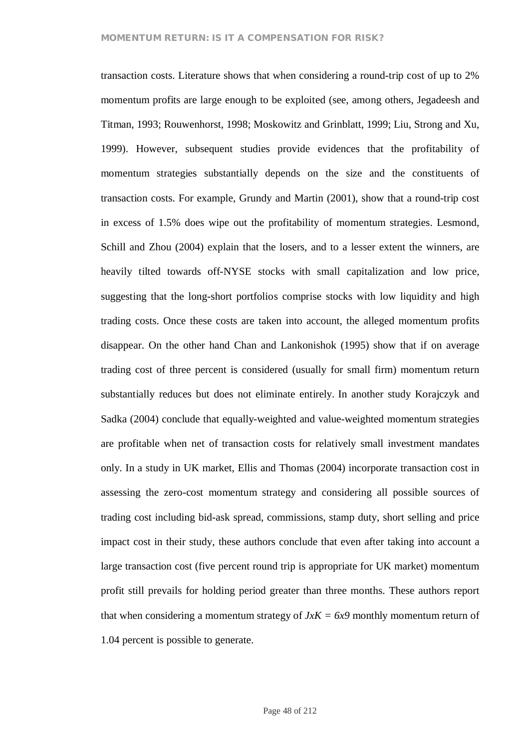transaction costs. Literature shows that when considering a round-trip cost of up to 2% momentum profits are large enough to be exploited (see, among others, Jegadeesh and Titman, 1993; Rouwenhorst, 1998; Moskowitz and Grinblatt, 1999; Liu, Strong and Xu, 1999). However, subsequent studies provide evidences that the profitability of momentum strategies substantially depends on the size and the constituents of transaction costs. For example, Grundy and Martin (2001), show that a round-trip cost in excess of 1.5% does wipe out the profitability of momentum strategies. Lesmond, Schill and Zhou (2004) explain that the losers, and to a lesser extent the winners, are heavily tilted towards off-NYSE stocks with small capitalization and low price, suggesting that the long-short portfolios comprise stocks with low liquidity and high trading costs. Once these costs are taken into account, the alleged momentum profits disappear. On the other hand Chan and Lankonishok (1995) show that if on average trading cost of three percent is considered (usually for small firm) momentum return substantially reduces but does not eliminate entirely. In another study Korajczyk and Sadka (2004) conclude that equally-weighted and value-weighted momentum strategies are profitable when net of transaction costs for relatively small investment mandates only. In a study in UK market, Ellis and Thomas (2004) incorporate transaction cost in assessing the zero-cost momentum strategy and considering all possible sources of trading cost including bid-ask spread, commissions, stamp duty, short selling and price impact cost in their study, these authors conclude that even after taking into account a large transaction cost (five percent round trip is appropriate for UK market) momentum profit still prevails for holding period greater than three months. These authors report that when considering a momentum strategy of  $JxK = 6x9$  monthly momentum return of 1.04 percent is possible to generate.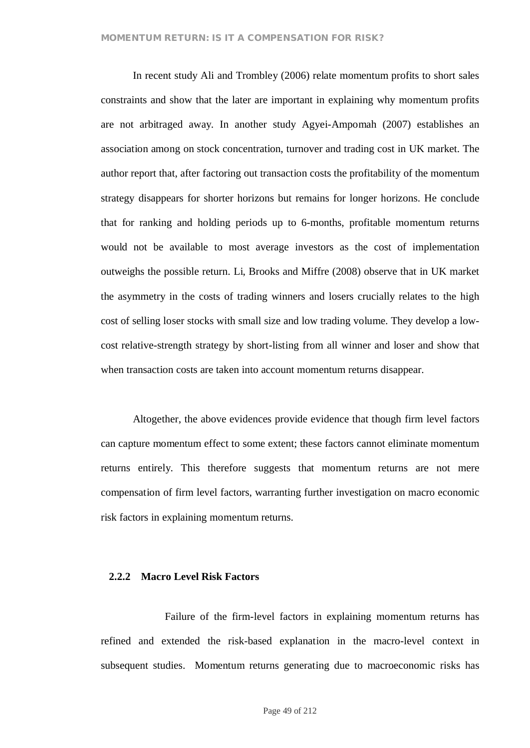In recent study Ali and Trombley (2006) relate momentum profits to short sales constraints and show that the later are important in explaining why momentum profits are not arbitraged away. In another study Agyei-Ampomah (2007) establishes an association among on stock concentration, turnover and trading cost in UK market. The author report that, after factoring out transaction costs the profitability of the momentum strategy disappears for shorter horizons but remains for longer horizons. He conclude that for ranking and holding periods up to 6-months, profitable momentum returns would not be available to most average investors as the cost of implementation outweighs the possible return. Li, Brooks and Miffre (2008) observe that in UK market the asymmetry in the costs of trading winners and losers crucially relates to the high cost of selling loser stocks with small size and low trading volume. They develop a lowcost relative-strength strategy by short-listing from all winner and loser and show that when transaction costs are taken into account momentum returns disappear.

Altogether, the above evidences provide evidence that though firm level factors can capture momentum effect to some extent; these factors cannot eliminate momentum returns entirely. This therefore suggests that momentum returns are not mere compensation of firm level factors, warranting further investigation on macro economic risk factors in explaining momentum returns.

## **2.2.2 Macro Level Risk Factors**

Failure of the firm-level factors in explaining momentum returns has refined and extended the risk-based explanation in the macro-level context in subsequent studies. Momentum returns generating due to macroeconomic risks has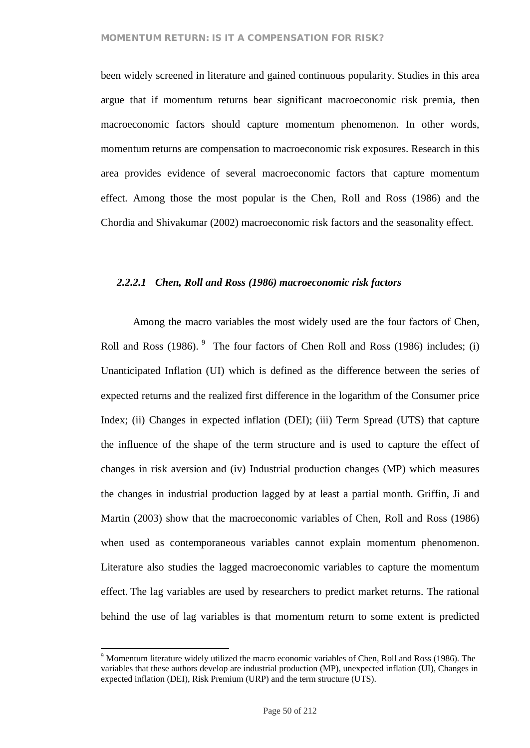been widely screened in literature and gained continuous popularity. Studies in this area argue that if momentum returns bear significant macroeconomic risk premia, then macroeconomic factors should capture momentum phenomenon. In other words, momentum returns are compensation to macroeconomic risk exposures. Research in this area provides evidence of several macroeconomic factors that capture momentum effect. Among those the most popular is the Chen, Roll and Ross (1986) and the Chordia and Shivakumar (2002) macroeconomic risk factors and the seasonality effect.

#### *2.2.2.1 Chen, Roll and Ross (1986) macroeconomic risk factors*

Among the macro variables the most widely used are the four factors of Chen, Roll and Ross  $(1986)$ . <sup>9</sup> The four factors of Chen Roll and Ross  $(1986)$  includes;  $(i)$ Unanticipated Inflation (UI) which is defined as the difference between the series of expected returns and the realized first difference in the logarithm of the Consumer price Index; (ii) Changes in expected inflation (DEI); (iii) Term Spread (UTS) that capture the influence of the shape of the term structure and is used to capture the effect of changes in risk aversion and (iv) Industrial production changes (MP) which measures the changes in industrial production lagged by at least a partial month. Griffin, Ji and Martin (2003) show that the macroeconomic variables of Chen, Roll and Ross (1986) when used as contemporaneous variables cannot explain momentum phenomenon. Literature also studies the lagged macroeconomic variables to capture the momentum effect. The lag variables are used by researchers to predict market returns. The rational behind the use of lag variables is that momentum return to some extent is predicted

<sup>9</sup> Momentum literature widely utilized the macro economic variables of Chen, Roll and Ross (1986). The variables that these authors develop are industrial production (MP), unexpected inflation (UI), Changes in expected inflation (DEI), Risk Premium (URP) and the term structure (UTS).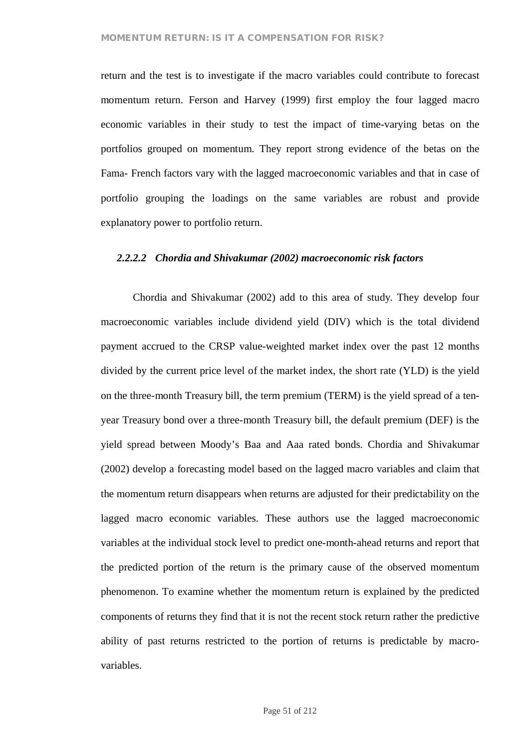return and the test is to investigate if the macro variables could contribute to forecast momentum return. Ferson and Harvey (1999) first employ the four lagged macro economic variables in their study to test the impact of time-varying betas on the portfolios grouped on momentum. They report strong evidence of the betas on the Fama- French factors vary with the lagged macroeconomic variables and that in case of portfolio grouping the loadings on the same variables are robust and provide explanatory power to portfolio return.

# *2.2.2.2 Chordia and Shivakumar (2002) macroeconomic risk factors*

Chordia and Shivakumar (2002) add to this area of study. They develop four macroeconomic variables include dividend yield (DIV) which is the total dividend payment accrued to the CRSP value-weighted market index over the past 12 months divided by the current price level of the market index, the short rate (YLD) is the yield on the three-month Treasury bill, the term premium (TERM) is the yield spread of a tenyear Treasury bond over a three-month Treasury bill, the default premium (DEF) is the yield spread between Moody's Baa and Aaa rated bonds. Chordia and Shivakumar (2002) develop a forecasting model based on the lagged macro variables and claim that the momentum return disappears when returns are adjusted for their predictability on the lagged macro economic variables. These authors use the lagged macroeconomic variables at the individual stock level to predict one-month-ahead returns and report that the predicted portion of the return is the primary cause of the observed momentum phenomenon. To examine whether the momentum return is explained by the predicted components of returns they find that it is not the recent stock return rather the predictive ability of past returns restricted to the portion of returns is predictable by macrovariables.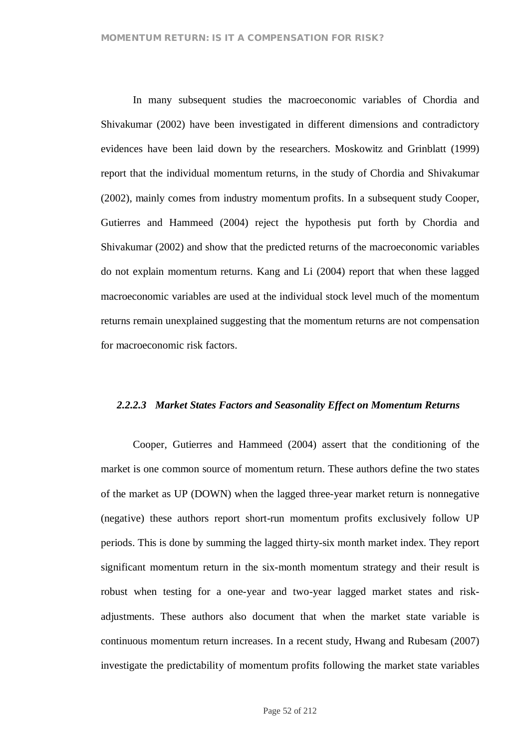In many subsequent studies the macroeconomic variables of Chordia and Shivakumar (2002) have been investigated in different dimensions and contradictory evidences have been laid down by the researchers. Moskowitz and Grinblatt (1999) report that the individual momentum returns, in the study of Chordia and Shivakumar (2002), mainly comes from industry momentum profits. In a subsequent study Cooper, Gutierres and Hammeed (2004) reject the hypothesis put forth by Chordia and Shivakumar (2002) and show that the predicted returns of the macroeconomic variables do not explain momentum returns. Kang and Li (2004) report that when these lagged macroeconomic variables are used at the individual stock level much of the momentum returns remain unexplained suggesting that the momentum returns are not compensation for macroeconomic risk factors.

#### *2.2.2.3 Market States Factors and Seasonality Effect on Momentum Returns*

Cooper, Gutierres and Hammeed (2004) assert that the conditioning of the market is one common source of momentum return. These authors define the two states of the market as UP (DOWN) when the lagged three-year market return is nonnegative (negative) these authors report short-run momentum profits exclusively follow UP periods. This is done by summing the lagged thirty-six month market index. They report significant momentum return in the six-month momentum strategy and their result is robust when testing for a one-year and two-year lagged market states and riskadjustments. These authors also document that when the market state variable is continuous momentum return increases. In a recent study, Hwang and Rubesam (2007) investigate the predictability of momentum profits following the market state variables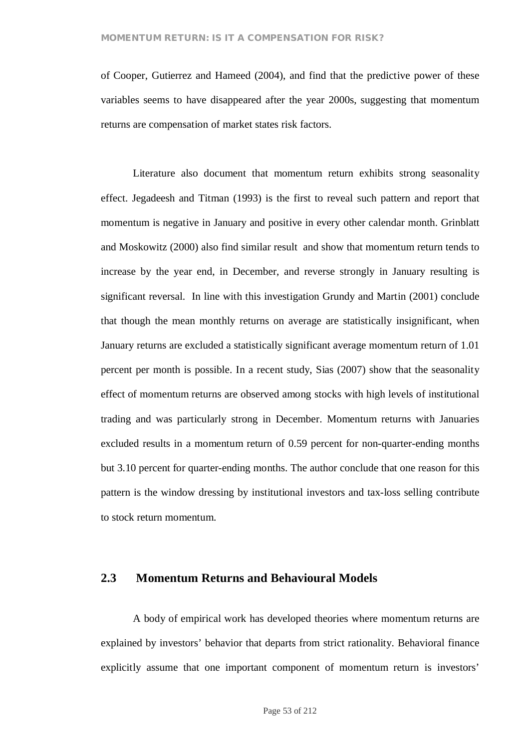of Cooper, Gutierrez and Hameed (2004), and find that the predictive power of these variables seems to have disappeared after the year 2000s, suggesting that momentum returns are compensation of market states risk factors.

Literature also document that momentum return exhibits strong seasonality effect. Jegadeesh and Titman (1993) is the first to reveal such pattern and report that momentum is negative in January and positive in every other calendar month. Grinblatt and Moskowitz (2000) also find similar result and show that momentum return tends to increase by the year end, in December, and reverse strongly in January resulting is significant reversal. In line with this investigation Grundy and Martin (2001) conclude that though the mean monthly returns on average are statistically insignificant, when January returns are excluded a statistically significant average momentum return of 1.01 percent per month is possible. In a recent study, Sias (2007) show that the seasonality effect of momentum returns are observed among stocks with high levels of institutional trading and was particularly strong in December. Momentum returns with Januaries excluded results in a momentum return of 0.59 percent for non-quarter-ending months but 3.10 percent for quarter-ending months. The author conclude that one reason for this pattern is the window dressing by institutional investors and tax-loss selling contribute to stock return momentum.

# **2.3 Momentum Returns and Behavioural Models**

A body of empirical work has developed theories where momentum returns are explained by investors' behavior that departs from strict rationality. Behavioral finance explicitly assume that one important component of momentum return is investors'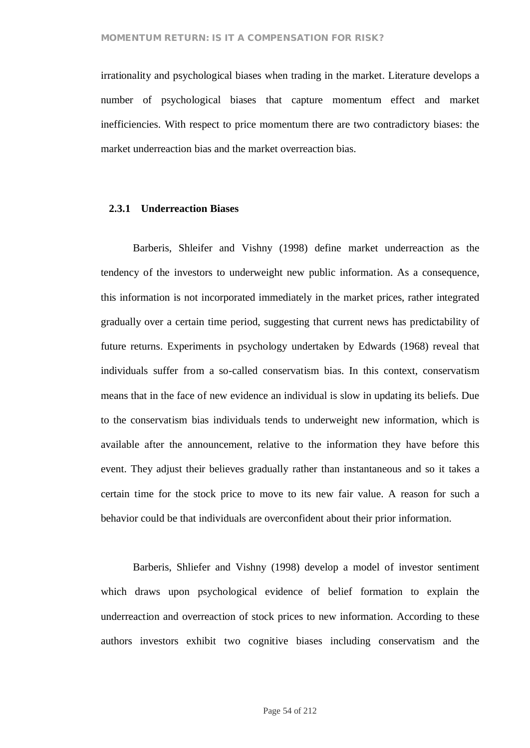irrationality and psychological biases when trading in the market. Literature develops a number of psychological biases that capture momentum effect and market inefficiencies. With respect to price momentum there are two contradictory biases: the market underreaction bias and the market overreaction bias.

## **2.3.1 Underreaction Biases**

Barberis, Shleifer and Vishny (1998) define market underreaction as the tendency of the investors to underweight new public information. As a consequence, this information is not incorporated immediately in the market prices, rather integrated gradually over a certain time period, suggesting that current news has predictability of future returns. Experiments in psychology undertaken by Edwards (1968) reveal that individuals suffer from a so-called conservatism bias. In this context, conservatism means that in the face of new evidence an individual is slow in updating its beliefs. Due to the conservatism bias individuals tends to underweight new information, which is available after the announcement, relative to the information they have before this event. They adjust their believes gradually rather than instantaneous and so it takes a certain time for the stock price to move to its new fair value. A reason for such a behavior could be that individuals are overconfident about their prior information.

Barberis, Shliefer and Vishny (1998) develop a model of investor sentiment which draws upon psychological evidence of belief formation to explain the underreaction and overreaction of stock prices to new information. According to these authors investors exhibit two cognitive biases including conservatism and the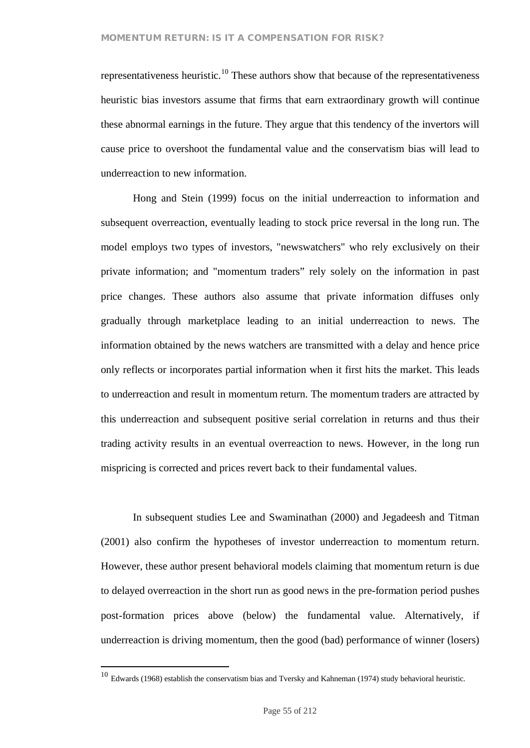representativeness heuristic.<sup>10</sup> These authors show that because of the representativeness heuristic bias investors assume that firms that earn extraordinary growth will continue these abnormal earnings in the future. They argue that this tendency of the invertors will cause price to overshoot the fundamental value and the conservatism bias will lead to underreaction to new information.

Hong and Stein (1999) focus on the initial underreaction to information and subsequent overreaction, eventually leading to stock price reversal in the long run. The model employs two types of investors, "newswatchers" who rely exclusively on their private information; and "momentum traders" rely solely on the information in past price changes. These authors also assume that private information diffuses only gradually through marketplace leading to an initial underreaction to news. The information obtained by the news watchers are transmitted with a delay and hence price only reflects or incorporates partial information when it first hits the market. This leads to underreaction and result in momentum return. The momentum traders are attracted by this underreaction and subsequent positive serial correlation in returns and thus their trading activity results in an eventual overreaction to news. However, in the long run mispricing is corrected and prices revert back to their fundamental values.

In subsequent studies Lee and Swaminathan (2000) and Jegadeesh and Titman (2001) also confirm the hypotheses of investor underreaction to momentum return. However, these author present behavioral models claiming that momentum return is due to delayed overreaction in the short run as good news in the pre-formation period pushes post-formation prices above (below) the fundamental value. Alternatively, if underreaction is driving momentum, then the good (bad) performance of winner (losers)

<sup>10</sup> Edwards (1968) establish the conservatism bias and Tversky and Kahneman (1974) study behavioral heuristic.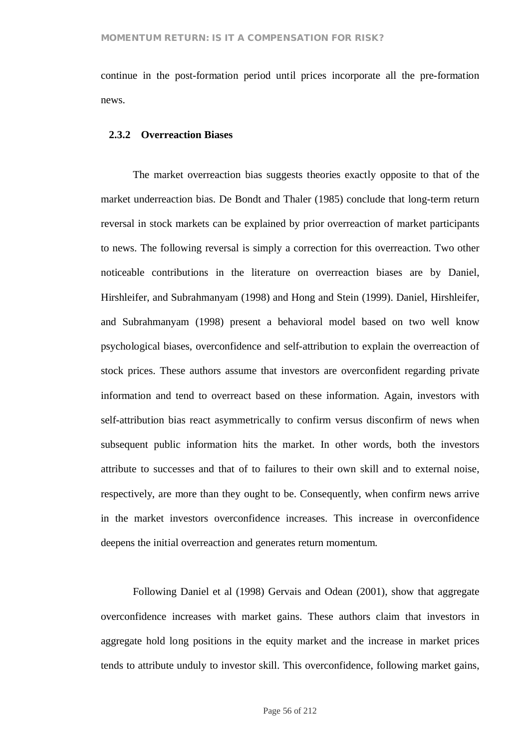continue in the post-formation period until prices incorporate all the pre-formation news.

#### **2.3.2 Overreaction Biases**

The market overreaction bias suggests theories exactly opposite to that of the market underreaction bias. De Bondt and Thaler (1985) conclude that long-term return reversal in stock markets can be explained by prior overreaction of market participants to news. The following reversal is simply a correction for this overreaction. Two other noticeable contributions in the literature on overreaction biases are by Daniel, Hirshleifer, and Subrahmanyam (1998) and Hong and Stein (1999). Daniel, Hirshleifer, and Subrahmanyam (1998) present a behavioral model based on two well know psychological biases, overconfidence and self-attribution to explain the overreaction of stock prices. These authors assume that investors are overconfident regarding private information and tend to overreact based on these information. Again, investors with self-attribution bias react asymmetrically to confirm versus disconfirm of news when subsequent public information hits the market. In other words, both the investors attribute to successes and that of to failures to their own skill and to external noise, respectively, are more than they ought to be. Consequently, when confirm news arrive in the market investors overconfidence increases. This increase in overconfidence deepens the initial overreaction and generates return momentum.

Following Daniel et al (1998) Gervais and Odean (2001), show that aggregate overconfidence increases with market gains. These authors claim that investors in aggregate hold long positions in the equity market and the increase in market prices tends to attribute unduly to investor skill. This overconfidence, following market gains,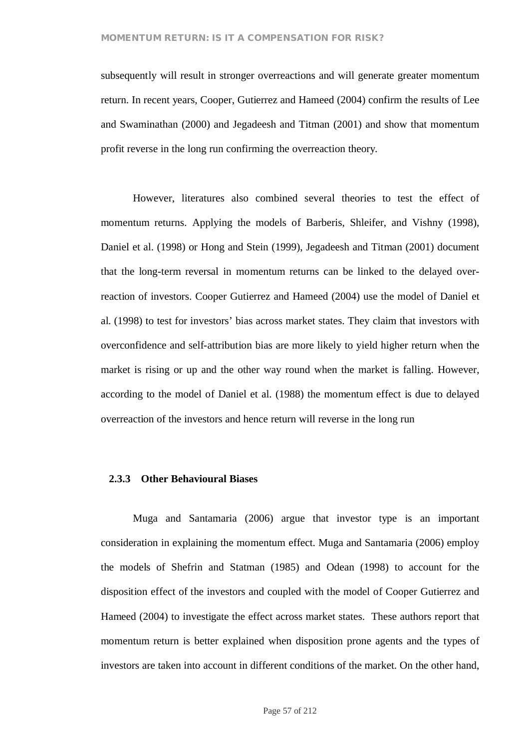subsequently will result in stronger overreactions and will generate greater momentum return. In recent years, Cooper, Gutierrez and Hameed (2004) confirm the results of Lee and Swaminathan (2000) and Jegadeesh and Titman (2001) and show that momentum profit reverse in the long run confirming the overreaction theory.

However, literatures also combined several theories to test the effect of momentum returns. Applying the models of Barberis, Shleifer, and Vishny (1998), Daniel et al. (1998) or Hong and Stein (1999), Jegadeesh and Titman (2001) document that the long-term reversal in momentum returns can be linked to the delayed overreaction of investors. Cooper Gutierrez and Hameed (2004) use the model of Daniel et al. (1998) to test for investors' bias across market states. They claim that investors with overconfidence and self-attribution bias are more likely to yield higher return when the market is rising or up and the other way round when the market is falling. However, according to the model of Daniel et al. (1988) the momentum effect is due to delayed overreaction of the investors and hence return will reverse in the long run

#### **2.3.3 Other Behavioural Biases**

Muga and Santamaria (2006) argue that investor type is an important consideration in explaining the momentum effect. Muga and Santamaria (2006) employ the models of Shefrin and Statman (1985) and Odean (1998) to account for the disposition effect of the investors and coupled with the model of Cooper Gutierrez and Hameed (2004) to investigate the effect across market states. These authors report that momentum return is better explained when disposition prone agents and the types of investors are taken into account in different conditions of the market. On the other hand,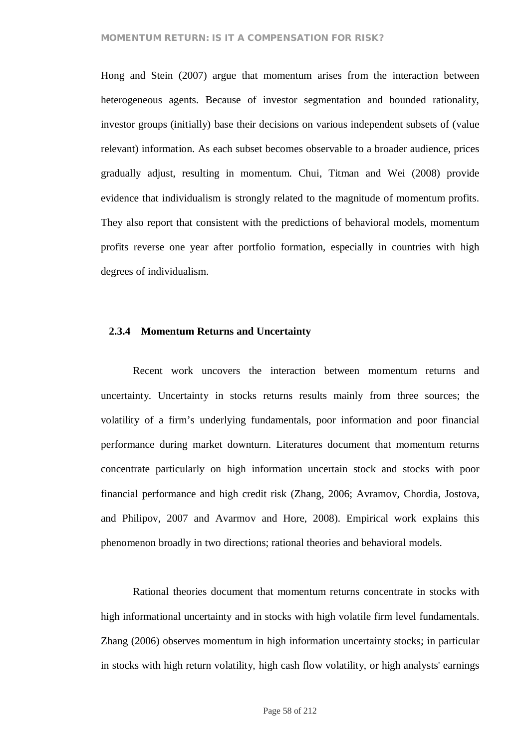Hong and Stein (2007) argue that momentum arises from the interaction between heterogeneous agents. Because of investor segmentation and bounded rationality, investor groups (initially) base their decisions on various independent subsets of (value relevant) information. As each subset becomes observable to a broader audience, prices gradually adjust, resulting in momentum. Chui, Titman and Wei (2008) provide evidence that individualism is strongly related to the magnitude of momentum profits. They also report that consistent with the predictions of behavioral models, momentum profits reverse one year after portfolio formation, especially in countries with high degrees of individualism.

#### **2.3.4 Momentum Returns and Uncertainty**

Recent work uncovers the interaction between momentum returns and uncertainty. Uncertainty in stocks returns results mainly from three sources; the volatility of a firm's underlying fundamentals, poor information and poor financial performance during market downturn. Literatures document that momentum returns concentrate particularly on high information uncertain stock and stocks with poor financial performance and high credit risk (Zhang, 2006; Avramov, Chordia, Jostova, and Philipov, 2007 and Avarmov and Hore, 2008). Empirical work explains this phenomenon broadly in two directions; rational theories and behavioral models.

Rational theories document that momentum returns concentrate in stocks with high informational uncertainty and in stocks with high volatile firm level fundamentals. Zhang (2006) observes momentum in high information uncertainty stocks; in particular in stocks with high return volatility, high cash flow volatility, or high analysts' earnings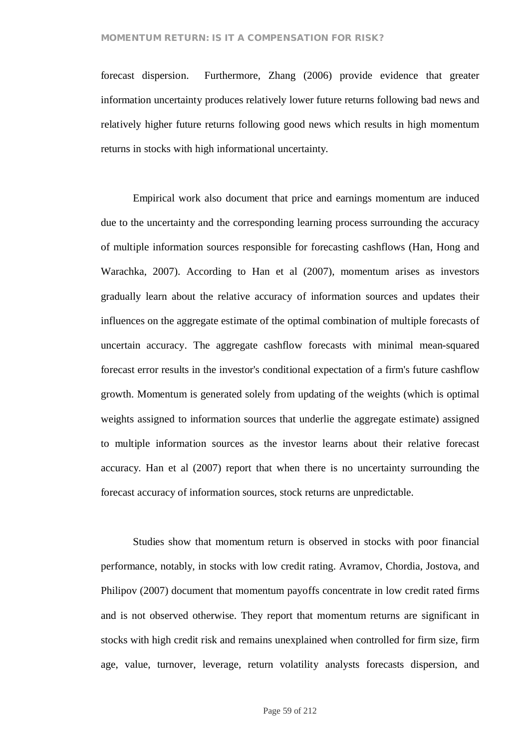forecast dispersion. Furthermore, Zhang (2006) provide evidence that greater information uncertainty produces relatively lower future returns following bad news and relatively higher future returns following good news which results in high momentum returns in stocks with high informational uncertainty.

Empirical work also document that price and earnings momentum are induced due to the uncertainty and the corresponding learning process surrounding the accuracy of multiple information sources responsible for forecasting cashflows (Han, Hong and Warachka, 2007). According to Han et al (2007), momentum arises as investors gradually learn about the relative accuracy of information sources and updates their influences on the aggregate estimate of the optimal combination of multiple forecasts of uncertain accuracy. The aggregate cashflow forecasts with minimal mean-squared forecast error results in the investor's conditional expectation of a firm's future cashflow growth. Momentum is generated solely from updating of the weights (which is optimal weights assigned to information sources that underlie the aggregate estimate) assigned to multiple information sources as the investor learns about their relative forecast accuracy. Han et al (2007) report that when there is no uncertainty surrounding the forecast accuracy of information sources, stock returns are unpredictable.

Studies show that momentum return is observed in stocks with poor financial performance, notably, in stocks with low credit rating. Avramov, Chordia, Jostova, and Philipov (2007) document that momentum payoffs concentrate in low credit rated firms and is not observed otherwise. They report that momentum returns are significant in stocks with high credit risk and remains unexplained when controlled for firm size, firm age, value, turnover, leverage, return volatility analysts forecasts dispersion, and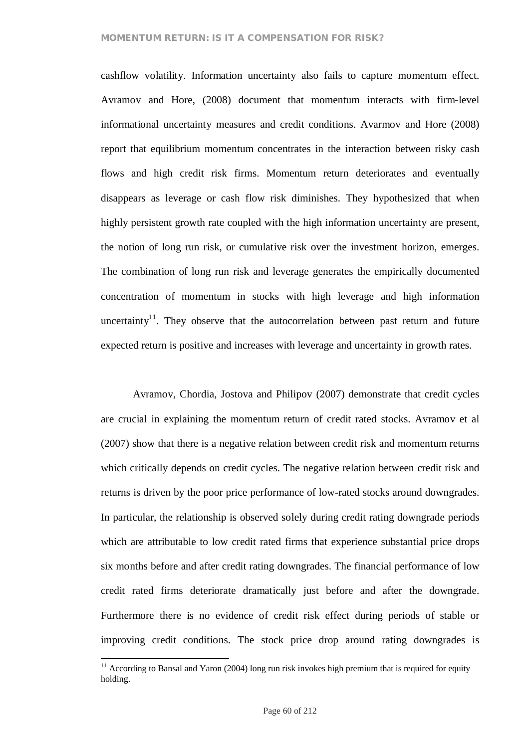cashflow volatility. Information uncertainty also fails to capture momentum effect. Avramov and Hore, (2008) document that momentum interacts with firm-level informational uncertainty measures and credit conditions. Avarmov and Hore (2008) report that equilibrium momentum concentrates in the interaction between risky cash flows and high credit risk firms. Momentum return deteriorates and eventually disappears as leverage or cash flow risk diminishes. They hypothesized that when highly persistent growth rate coupled with the high information uncertainty are present, the notion of long run risk, or cumulative risk over the investment horizon, emerges. The combination of long run risk and leverage generates the empirically documented concentration of momentum in stocks with high leverage and high information uncertainty<sup>11</sup>. They observe that the autocorrelation between past return and future expected return is positive and increases with leverage and uncertainty in growth rates.

Avramov, Chordia, Jostova and Philipov (2007) demonstrate that credit cycles are crucial in explaining the momentum return of credit rated stocks. Avramov et al (2007) show that there is a negative relation between credit risk and momentum returns which critically depends on credit cycles. The negative relation between credit risk and returns is driven by the poor price performance of low-rated stocks around downgrades. In particular, the relationship is observed solely during credit rating downgrade periods which are attributable to low credit rated firms that experience substantial price drops six months before and after credit rating downgrades. The financial performance of low credit rated firms deteriorate dramatically just before and after the downgrade. Furthermore there is no evidence of credit risk effect during periods of stable or improving credit conditions. The stock price drop around rating downgrades is

 $11$  According to Bansal and Yaron (2004) long run risk invokes high premium that is required for equity holding.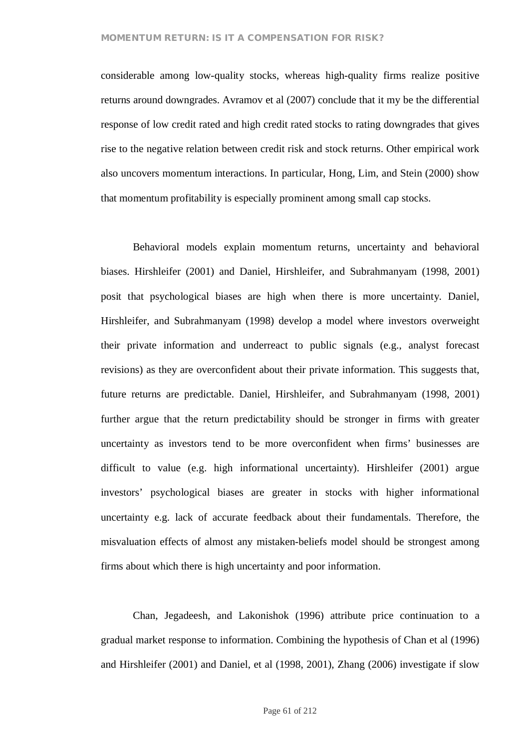considerable among low-quality stocks, whereas high-quality firms realize positive returns around downgrades. Avramov et al (2007) conclude that it my be the differential response of low credit rated and high credit rated stocks to rating downgrades that gives rise to the negative relation between credit risk and stock returns. Other empirical work also uncovers momentum interactions. In particular, Hong, Lim, and Stein (2000) show that momentum profitability is especially prominent among small cap stocks.

Behavioral models explain momentum returns, uncertainty and behavioral biases. Hirshleifer (2001) and Daniel, Hirshleifer, and Subrahmanyam (1998, 2001) posit that psychological biases are high when there is more uncertainty. Daniel, Hirshleifer, and Subrahmanyam (1998) develop a model where investors overweight their private information and underreact to public signals (e.g., analyst forecast revisions) as they are overconfident about their private information. This suggests that, future returns are predictable. Daniel, Hirshleifer, and Subrahmanyam (1998, 2001) further argue that the return predictability should be stronger in firms with greater uncertainty as investors tend to be more overconfident when firms' businesses are difficult to value (e.g. high informational uncertainty). Hirshleifer (2001) argue investors' psychological biases are greater in stocks with higher informational uncertainty e.g. lack of accurate feedback about their fundamentals. Therefore, the misvaluation effects of almost any mistaken-beliefs model should be strongest among firms about which there is high uncertainty and poor information.

Chan, Jegadeesh, and Lakonishok (1996) attribute price continuation to a gradual market response to information. Combining the hypothesis of Chan et al (1996) and Hirshleifer (2001) and Daniel, et al (1998, 2001), Zhang (2006) investigate if slow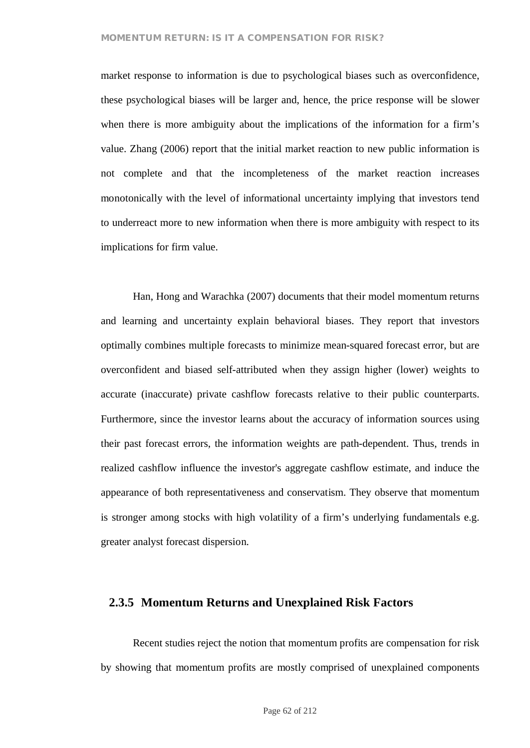market response to information is due to psychological biases such as overconfidence, these psychological biases will be larger and, hence, the price response will be slower when there is more ambiguity about the implications of the information for a firm's value. Zhang (2006) report that the initial market reaction to new public information is not complete and that the incompleteness of the market reaction increases monotonically with the level of informational uncertainty implying that investors tend to underreact more to new information when there is more ambiguity with respect to its implications for firm value.

Han, Hong and Warachka (2007) documents that their model momentum returns and learning and uncertainty explain behavioral biases. They report that investors optimally combines multiple forecasts to minimize mean-squared forecast error, but are overconfident and biased self-attributed when they assign higher (lower) weights to accurate (inaccurate) private cashflow forecasts relative to their public counterparts. Furthermore, since the investor learns about the accuracy of information sources using their past forecast errors, the information weights are path-dependent. Thus, trends in realized cashflow influence the investor's aggregate cashflow estimate, and induce the appearance of both representativeness and conservatism. They observe that momentum is stronger among stocks with high volatility of a firm's underlying fundamentals e.g. greater analyst forecast dispersion.

## **2.3.5 Momentum Returns and Unexplained Risk Factors**

Recent studies reject the notion that momentum profits are compensation for risk by showing that momentum profits are mostly comprised of unexplained components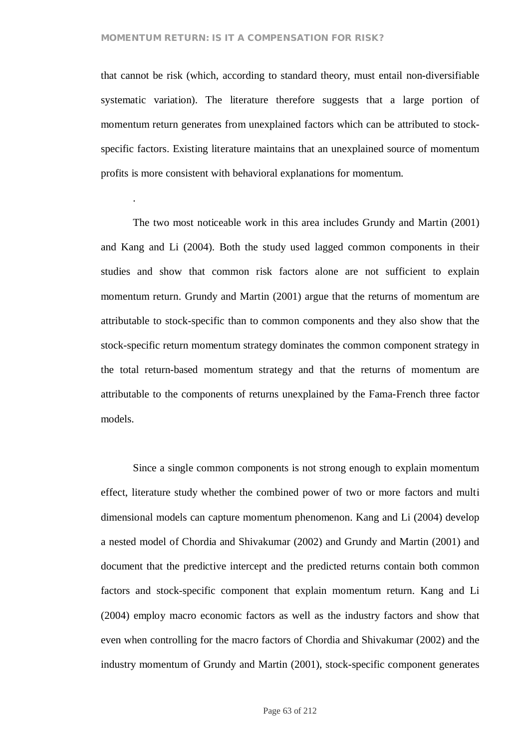.

that cannot be risk (which, according to standard theory, must entail non-diversifiable systematic variation). The literature therefore suggests that a large portion of momentum return generates from unexplained factors which can be attributed to stockspecific factors. Existing literature maintains that an unexplained source of momentum profits is more consistent with behavioral explanations for momentum.

The two most noticeable work in this area includes Grundy and Martin (2001) and Kang and Li (2004). Both the study used lagged common components in their studies and show that common risk factors alone are not sufficient to explain momentum return. Grundy and Martin (2001) argue that the returns of momentum are attributable to stock-specific than to common components and they also show that the stock-specific return momentum strategy dominates the common component strategy in the total return-based momentum strategy and that the returns of momentum are attributable to the components of returns unexplained by the Fama-French three factor models.

Since a single common components is not strong enough to explain momentum effect, literature study whether the combined power of two or more factors and multi dimensional models can capture momentum phenomenon. Kang and Li (2004) develop a nested model of Chordia and Shivakumar (2002) and Grundy and Martin (2001) and document that the predictive intercept and the predicted returns contain both common factors and stock-specific component that explain momentum return. Kang and Li (2004) employ macro economic factors as well as the industry factors and show that even when controlling for the macro factors of Chordia and Shivakumar (2002) and the industry momentum of Grundy and Martin (2001), stock-specific component generates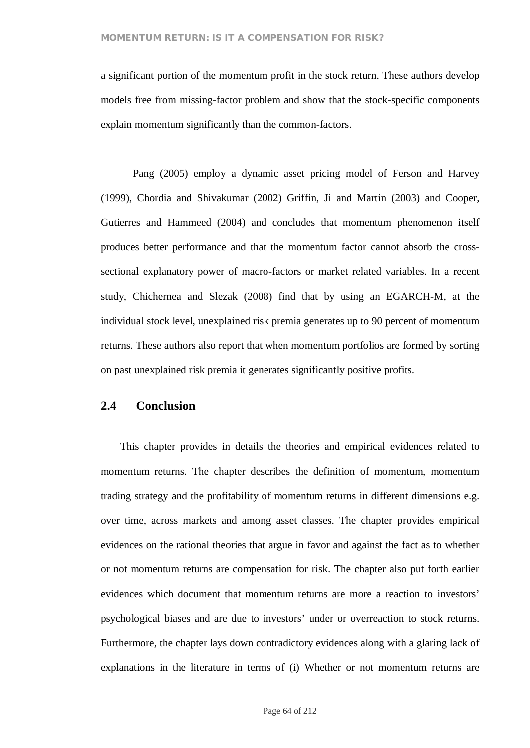a significant portion of the momentum profit in the stock return. These authors develop models free from missing-factor problem and show that the stock-specific components explain momentum significantly than the common-factors.

Pang (2005) employ a dynamic asset pricing model of Ferson and Harvey (1999), Chordia and Shivakumar (2002) Griffin, Ji and Martin (2003) and Cooper, Gutierres and Hammeed (2004) and concludes that momentum phenomenon itself produces better performance and that the momentum factor cannot absorb the crosssectional explanatory power of macro-factors or market related variables. In a recent study, Chichernea and Slezak (2008) find that by using an EGARCH-M, at the individual stock level, unexplained risk premia generates up to 90 percent of momentum returns. These authors also report that when momentum portfolios are formed by sorting on past unexplained risk premia it generates significantly positive profits.

# **2.4 Conclusion**

This chapter provides in details the theories and empirical evidences related to momentum returns. The chapter describes the definition of momentum, momentum trading strategy and the profitability of momentum returns in different dimensions e.g. over time, across markets and among asset classes. The chapter provides empirical evidences on the rational theories that argue in favor and against the fact as to whether or not momentum returns are compensation for risk. The chapter also put forth earlier evidences which document that momentum returns are more a reaction to investors' psychological biases and are due to investors' under or overreaction to stock returns. Furthermore, the chapter lays down contradictory evidences along with a glaring lack of explanations in the literature in terms of (i) Whether or not momentum returns are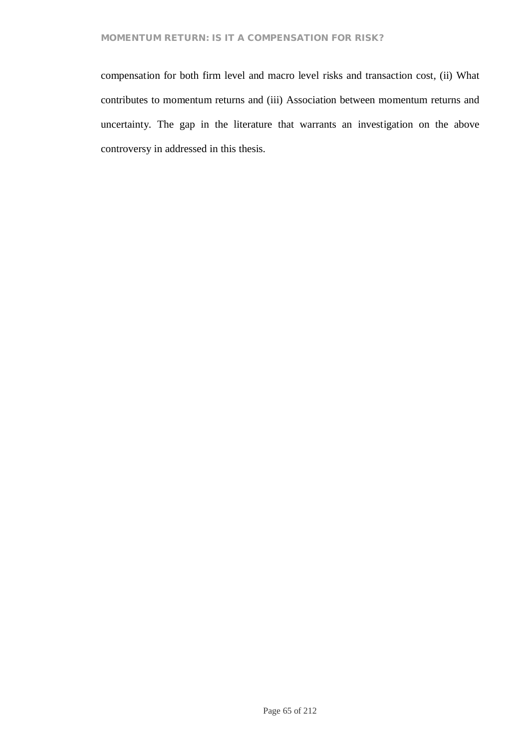compensation for both firm level and macro level risks and transaction cost, (ii) What contributes to momentum returns and (iii) Association between momentum returns and uncertainty. The gap in the literature that warrants an investigation on the above controversy in addressed in this thesis.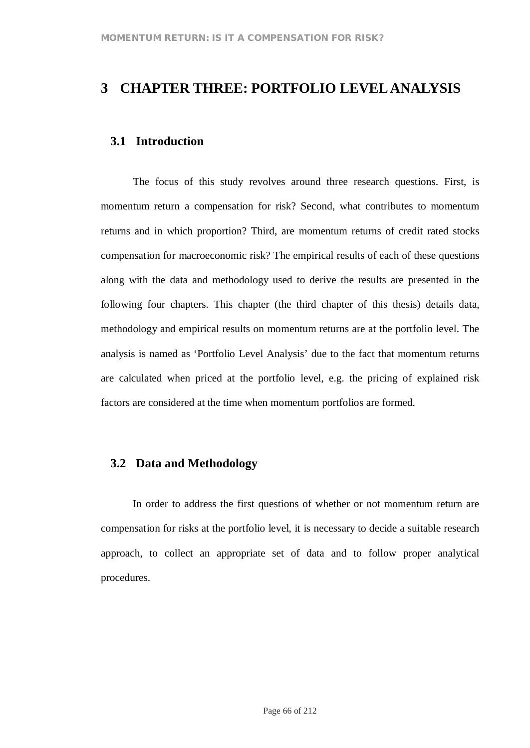# **3 CHAPTER THREE: PORTFOLIO LEVELANALYSIS**

# **3.1 Introduction**

The focus of this study revolves around three research questions. First, is momentum return a compensation for risk? Second, what contributes to momentum returns and in which proportion? Third, are momentum returns of credit rated stocks compensation for macroeconomic risk? The empirical results of each of these questions along with the data and methodology used to derive the results are presented in the following four chapters. This chapter (the third chapter of this thesis) details data, methodology and empirical results on momentum returns are at the portfolio level. The analysis is named as 'Portfolio Level Analysis' due to the fact that momentum returns are calculated when priced at the portfolio level, e.g. the pricing of explained risk factors are considered at the time when momentum portfolios are formed.

# **3.2 Data and Methodology**

In order to address the first questions of whether or not momentum return are compensation for risks at the portfolio level, it is necessary to decide a suitable research approach, to collect an appropriate set of data and to follow proper analytical procedures.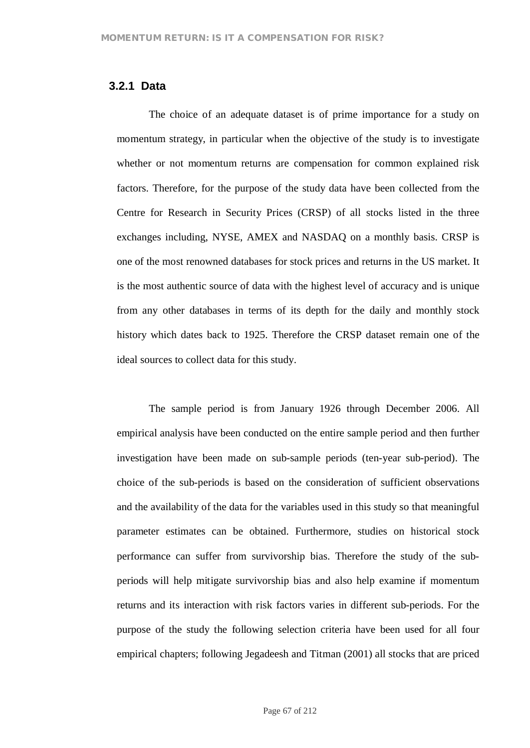# **3.2.1 Data**

The choice of an adequate dataset is of prime importance for a study on momentum strategy, in particular when the objective of the study is to investigate whether or not momentum returns are compensation for common explained risk factors. Therefore, for the purpose of the study data have been collected from the Centre for Research in Security Prices (CRSP) of all stocks listed in the three exchanges including, NYSE, AMEX and NASDAQ on a monthly basis. CRSP is one of the most renowned databases for stock prices and returns in the US market. It is the most authentic source of data with the highest level of accuracy and is unique from any other databases in terms of its depth for the daily and monthly stock history which dates back to 1925. Therefore the CRSP dataset remain one of the ideal sources to collect data for this study.

The sample period is from January 1926 through December 2006. All empirical analysis have been conducted on the entire sample period and then further investigation have been made on sub-sample periods (ten-year sub-period). The choice of the sub-periods is based on the consideration of sufficient observations and the availability of the data for the variables used in this study so that meaningful parameter estimates can be obtained. Furthermore, studies on historical stock performance can suffer from survivorship bias. Therefore the study of the subperiods will help mitigate survivorship bias and also help examine if momentum returns and its interaction with risk factors varies in different sub-periods. For the purpose of the study the following selection criteria have been used for all four empirical chapters; following Jegadeesh and Titman (2001) all stocks that are priced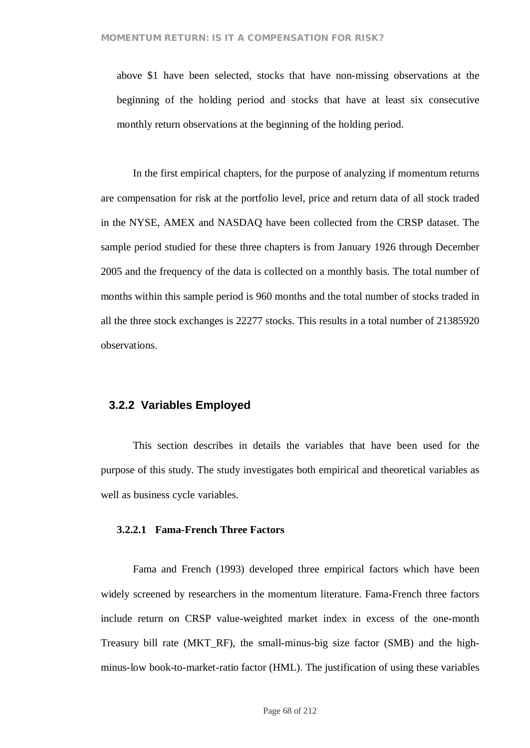above \$1 have been selected, stocks that have non-missing observations at the beginning of the holding period and stocks that have at least six consecutive monthly return observations at the beginning of the holding period.

In the first empirical chapters, for the purpose of analyzing if momentum returns are compensation for risk at the portfolio level, price and return data of all stock traded in the NYSE, AMEX and NASDAQ have been collected from the CRSP dataset. The sample period studied for these three chapters is from January 1926 through December 2005 and the frequency of the data is collected on a monthly basis. The total number of months within this sample period is 960 months and the total number of stocks traded in all the three stock exchanges is 22277 stocks. This results in a total number of 21385920 observations.

## **3.2.2 Variables Employed**

This section describes in details the variables that have been used for the purpose of this study. The study investigates both empirical and theoretical variables as well as business cycle variables.

#### **3.2.2.1 Fama-French Three Factors**

Fama and French (1993) developed three empirical factors which have been widely screened by researchers in the momentum literature. Fama-French three factors include return on CRSP value-weighted market index in excess of the one-month Treasury bill rate (MKT\_RF), the small-minus-big size factor (SMB) and the highminus-low book-to-market-ratio factor (HML). The justification of using these variables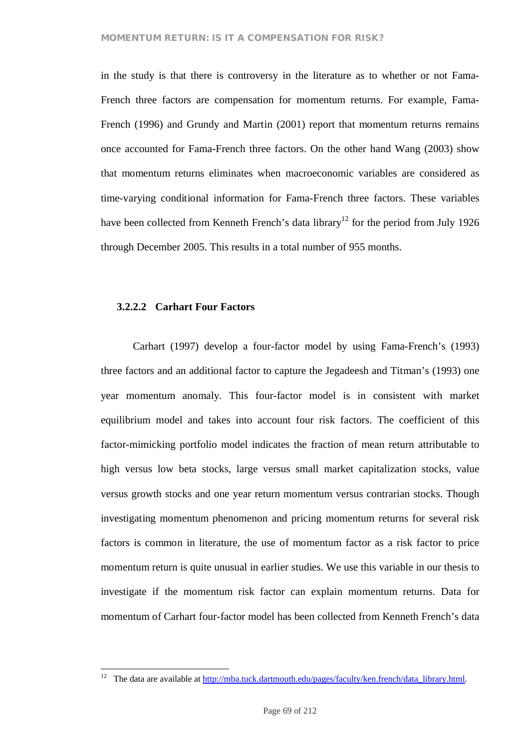in the study is that there is controversy in the literature as to whether or not Fama-French three factors are compensation for momentum returns. For example, Fama-French (1996) and Grundy and Martin (2001) report that momentum returns remains once accounted for Fama-French three factors. On the other hand Wang (2003) show that momentum returns eliminates when macroeconomic variables are considered as time-varying conditional information for Fama-French three factors. These variables have been collected from Kenneth French's data library<sup>12</sup> for the period from July 1926 through December 2005. This results in a total number of 955 months.

#### **3.2.2.2 Carhart Four Factors**

Carhart (1997) develop a four-factor model by using Fama-French's (1993) three factors and an additional factor to capture the Jegadeesh and Titman's (1993) one year momentum anomaly. This four-factor model is in consistent with market equilibrium model and takes into account four risk factors. The coefficient of this factor-mimicking portfolio model indicates the fraction of mean return attributable to high versus low beta stocks, large versus small market capitalization stocks, value versus growth stocks and one year return momentum versus contrarian stocks. Though investigating momentum phenomenon and pricing momentum returns for several risk factors is common in literature, the use of momentum factor as a risk factor to price momentum return is quite unusual in earlier studies. We use this variable in our thesis to investigate if the momentum risk factor can explain momentum returns. Data for momentum of Carhart four-factor model has been collected from Kenneth French's data

<sup>&</sup>lt;sup>12</sup> The data are available at http://mba.tuck.dartmouth.edu/pages/faculty/ken.french/data\_library.html.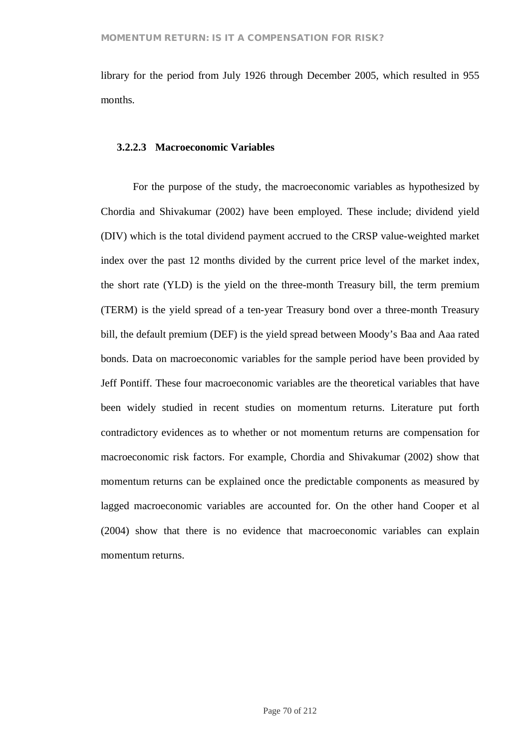library for the period from July 1926 through December 2005, which resulted in 955 months.

#### **3.2.2.3 Macroeconomic Variables**

For the purpose of the study, the macroeconomic variables as hypothesized by Chordia and Shivakumar (2002) have been employed. These include; dividend yield (DIV) which is the total dividend payment accrued to the CRSP value-weighted market index over the past 12 months divided by the current price level of the market index, the short rate (YLD) is the yield on the three-month Treasury bill, the term premium (TERM) is the yield spread of a ten-year Treasury bond over a three-month Treasury bill, the default premium (DEF) is the yield spread between Moody's Baa and Aaa rated bonds. Data on macroeconomic variables for the sample period have been provided by Jeff Pontiff. These four macroeconomic variables are the theoretical variables that have been widely studied in recent studies on momentum returns. Literature put forth contradictory evidences as to whether or not momentum returns are compensation for macroeconomic risk factors. For example, Chordia and Shivakumar (2002) show that momentum returns can be explained once the predictable components as measured by lagged macroeconomic variables are accounted for. On the other hand Cooper et al (2004) show that there is no evidence that macroeconomic variables can explain momentum returns.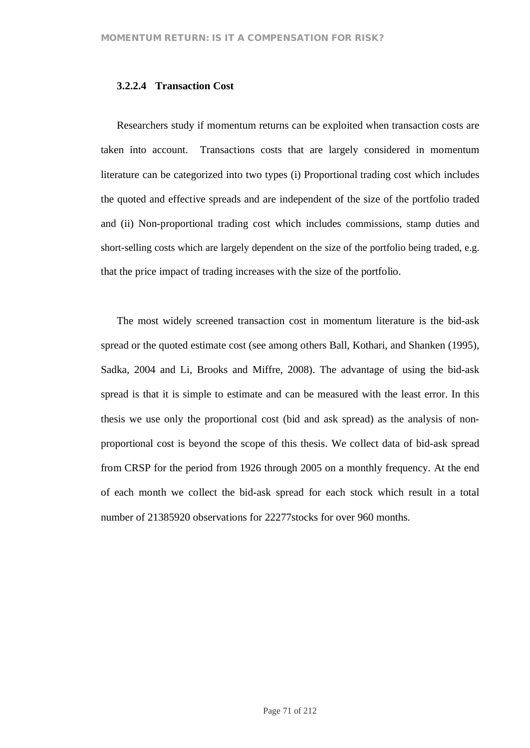### **3.2.2.4 Transaction Cost**

Researchers study if momentum returns can be exploited when transaction costs are taken into account. Transactions costs that are largely considered in momentum literature can be categorized into two types (i) Proportional trading cost which includes the quoted and effective spreads and are independent of the size of the portfolio traded and (ii) Non-proportional trading cost which includes commissions, stamp duties and short-selling costs which are largely dependent on the size of the portfolio being traded, e.g. that the price impact of trading increases with the size of the portfolio.

The most widely screened transaction cost in momentum literature is the bid-ask spread or the quoted estimate cost (see among others Ball, Kothari, and Shanken (1995), Sadka, 2004 and Li, Brooks and Miffre, 2008). The advantage of using the bid-ask spread is that it is simple to estimate and can be measured with the least error. In this thesis we use only the proportional cost (bid and ask spread) as the analysis of nonproportional cost is beyond the scope of this thesis. We collect data of bid-ask spread from CRSP for the period from 1926 through 2005 on a monthly frequency. At the end of each month we collect the bid-ask spread for each stock which result in a total number of 21385920 observations for 22277stocks for over 960 months.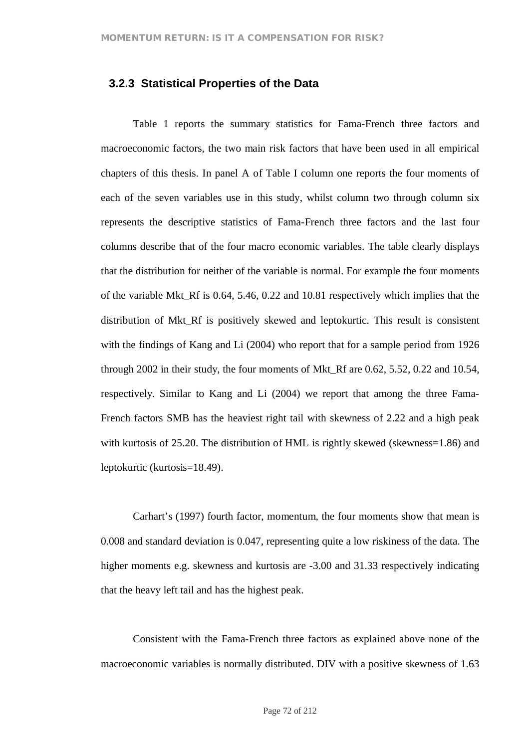## **3.2.3 Statistical Properties of the Data**

Table 1 reports the summary statistics for Fama-French three factors and macroeconomic factors, the two main risk factors that have been used in all empirical chapters of this thesis. In panel A of Table I column one reports the four moments of each of the seven variables use in this study, whilst column two through column six represents the descriptive statistics of Fama-French three factors and the last four columns describe that of the four macro economic variables. The table clearly displays that the distribution for neither of the variable is normal. For example the four moments of the variable Mkt\_Rf is 0.64, 5.46, 0.22 and 10.81 respectively which implies that the distribution of Mkt\_Rf is positively skewed and leptokurtic. This result is consistent with the findings of Kang and Li (2004) who report that for a sample period from 1926 through 2002 in their study, the four moments of Mkt\_Rf are 0.62, 5.52, 0.22 and 10.54, respectively. Similar to Kang and Li (2004) we report that among the three Fama-French factors SMB has the heaviest right tail with skewness of 2.22 and a high peak with kurtosis of 25.20. The distribution of HML is rightly skewed (skewness=1.86) and leptokurtic (kurtosis=18.49).

Carhart's (1997) fourth factor, momentum, the four moments show that mean is 0.008 and standard deviation is 0.047, representing quite a low riskiness of the data. The higher moments e.g. skewness and kurtosis are -3.00 and 31.33 respectively indicating that the heavy left tail and has the highest peak.

Consistent with the Fama-French three factors as explained above none of the macroeconomic variables is normally distributed. DIV with a positive skewness of 1.63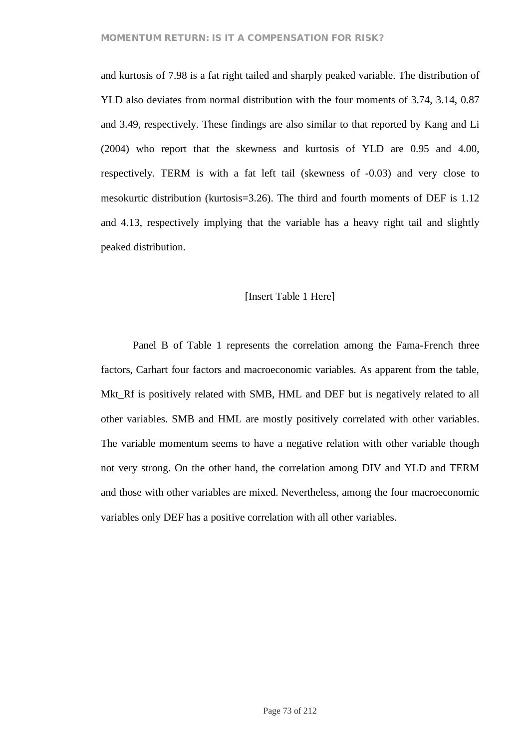and kurtosis of 7.98 is a fat right tailed and sharply peaked variable. The distribution of YLD also deviates from normal distribution with the four moments of 3.74, 3.14, 0.87 and 3.49, respectively. These findings are also similar to that reported by Kang and Li (2004) who report that the skewness and kurtosis of YLD are 0.95 and 4.00, respectively. TERM is with a fat left tail (skewness of -0.03) and very close to mesokurtic distribution (kurtosis=3.26). The third and fourth moments of DEF is 1.12 and 4.13, respectively implying that the variable has a heavy right tail and slightly peaked distribution.

### [Insert Table 1 Here]

Panel B of Table 1 represents the correlation among the Fama-French three factors, Carhart four factors and macroeconomic variables. As apparent from the table, Mkt\_Rf is positively related with SMB, HML and DEF but is negatively related to all other variables. SMB and HML are mostly positively correlated with other variables. The variable momentum seems to have a negative relation with other variable though not very strong. On the other hand, the correlation among DIV and YLD and TERM and those with other variables are mixed. Nevertheless, among the four macroeconomic variables only DEF has a positive correlation with all other variables.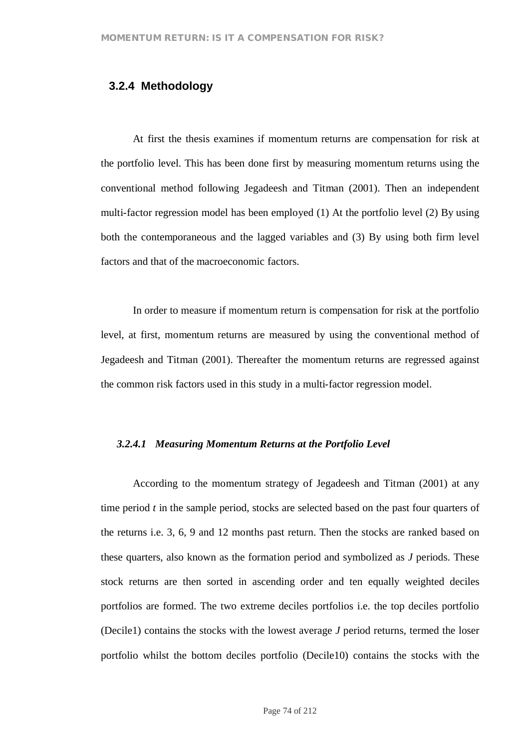## **3.2.4 Methodology**

At first the thesis examines if momentum returns are compensation for risk at the portfolio level. This has been done first by measuring momentum returns using the conventional method following Jegadeesh and Titman (2001). Then an independent multi-factor regression model has been employed (1) At the portfolio level (2) By using both the contemporaneous and the lagged variables and (3) By using both firm level factors and that of the macroeconomic factors.

In order to measure if momentum return is compensation for risk at the portfolio level, at first, momentum returns are measured by using the conventional method of Jegadeesh and Titman (2001). Thereafter the momentum returns are regressed against the common risk factors used in this study in a multi-factor regression model.

#### *3.2.4.1 Measuring Momentum Returns at the Portfolio Level*

According to the momentum strategy of Jegadeesh and Titman (2001) at any time period *t* in the sample period, stocks are selected based on the past four quarters of the returns i.e. 3, 6, 9 and 12 months past return. Then the stocks are ranked based on these quarters, also known as the formation period and symbolized as *J* periods. These stock returns are then sorted in ascending order and ten equally weighted deciles portfolios are formed. The two extreme deciles portfolios i.e. the top deciles portfolio (Decile1) contains the stocks with the lowest average *J* period returns, termed the loser portfolio whilst the bottom deciles portfolio (Decile10) contains the stocks with the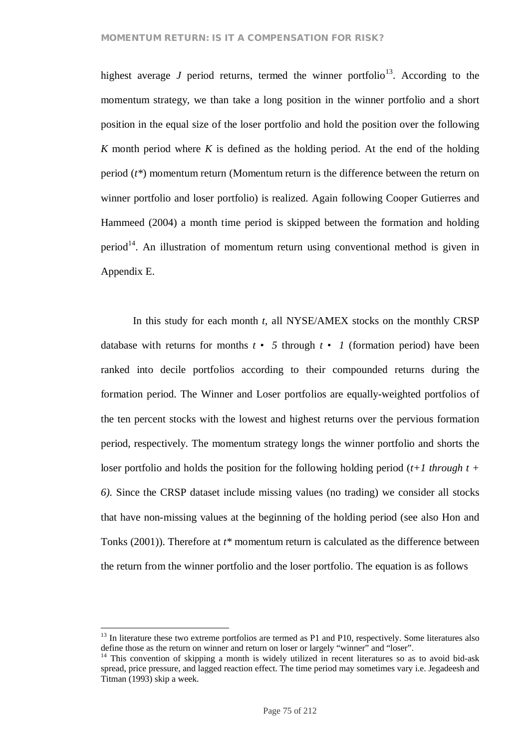highest average *J* period returns, termed the winner portfolio<sup>13</sup>. According to the momentum strategy, we than take a long position in the winner portfolio and a short position in the equal size of the loser portfolio and hold the position over the following *K* month period where *K* is defined as the holding period. At the end of the holding period (*t\**) momentum return (Momentum return is the difference between the return on winner portfolio and loser portfolio) is realized. Again following Cooper Gutierres and Hammeed (2004) a month time period is skipped between the formation and holding period<sup>14</sup>. An illustration of momentum return using conventional method is given in Appendix E.

In this study for each month *t*, all NYSE/AMEX stocks on the monthly CRSP database with returns for months  $t \cdot 5$  through  $t \cdot 1$  (formation period) have been ranked into decile portfolios according to their compounded returns during the formation period. The Winner and Loser portfolios are equally-weighted portfolios of the ten percent stocks with the lowest and highest returns over the pervious formation period, respectively. The momentum strategy longs the winner portfolio and shorts the loser portfolio and holds the position for the following holding period (*t+1 through t + 6).* Since the CRSP dataset include missing values (no trading) we consider all stocks that have non-missing values at the beginning of the holding period (see also Hon and Tonks (2001)). Therefore at *t\** momentum return is calculated as the difference between the return from the winner portfolio and the loser portfolio. The equation is as follows

<sup>&</sup>lt;sup>13</sup> In literature these two extreme portfolios are termed as P1 and P10, respectively. Some literatures also define those as the return on winner and return on loser or largely "winner" and "loser".

<sup>&</sup>lt;sup>14</sup> This convention of skipping a month is widely utilized in recent literatures so as to avoid bid-ask spread, price pressure, and lagged reaction effect. The time period may sometimes vary i.e. Jegadeesh and Titman (1993) skip a week.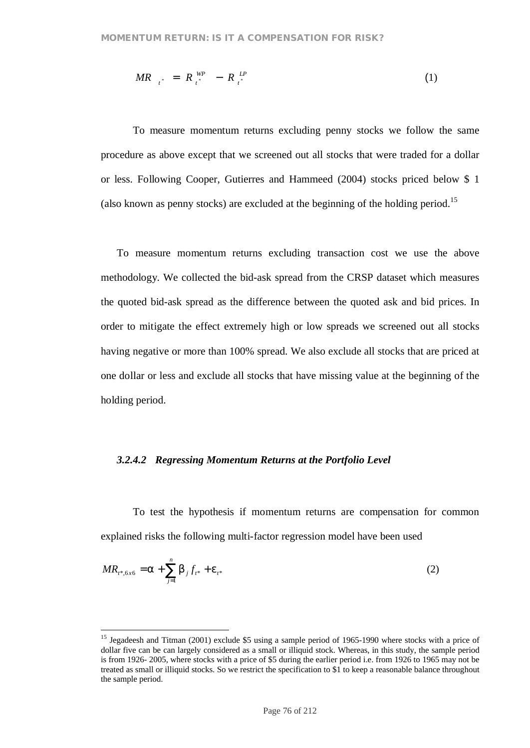$$
MR_{t^*} = R_{t^*}^{WP} - R_{t^*}^{LP} \tag{1}
$$

To measure momentum returns excluding penny stocks we follow the same procedure as above except that we screened out all stocks that were traded for a dollar or less. Following Cooper, Gutierres and Hammeed (2004) stocks priced below \$ 1 (also known as penny stocks) are excluded at the beginning of the holding period.<sup>15</sup>

To measure momentum returns excluding transaction cost we use the above methodology. We collected the bid-ask spread from the CRSP dataset which measures the quoted bid-ask spread as the difference between the quoted ask and bid prices. In order to mitigate the effect extremely high or low spreads we screened out all stocks having negative or more than 100% spread. We also exclude all stocks that are priced at one dollar or less and exclude all stocks that have missing value at the beginning of the holding period.

#### *3.2.4.2 Regressing Momentum Returns at the Portfolio Level*

To test the hypothesis if momentum returns are compensation for common explained risks the following multi-factor regression model have been used

$$
MR_{t^*,6x6} = a + \sum_{j=1}^{n} b_j f_{t^*} + e_{t^*}
$$
 (2)

<sup>&</sup>lt;sup>15</sup> Jegadeesh and Titman (2001) exclude \$5 using a sample period of 1965-1990 where stocks with a price of dollar five can be can largely considered as a small or illiquid stock. Whereas, in this study, the sample period is from 1926- 2005, where stocks with a price of \$5 during the earlier period i.e. from 1926 to 1965 may not be treated as small or illiquid stocks. So we restrict the specification to \$1 to keep a reasonable balance throughout the sample period.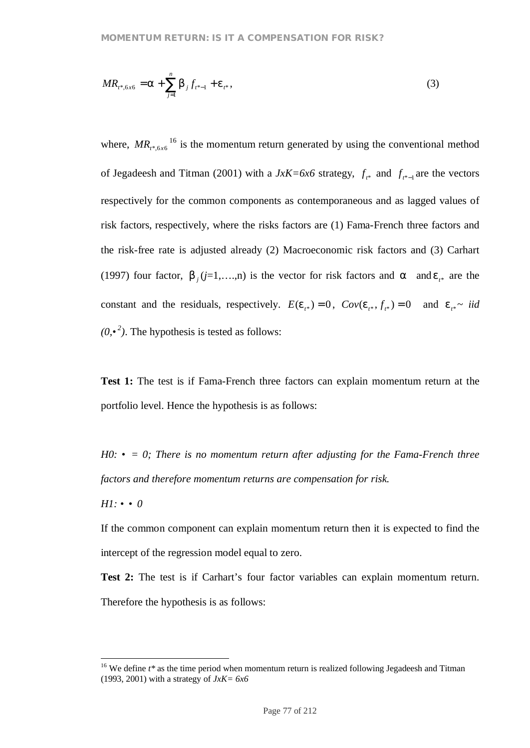$$
MR_{t^*, 6x6} = a + \sum_{j=1}^{n} b_j f_{t^*-1} + e_{t^*},
$$
\n(3)

where,  $MR_{t^*, 6x6}^{16}$  is the momentum return generated by using the conventional method of Jegadeesh and Titman (2001) with a  $JxK=6x6$  strategy,  $f_{t^*}$  and  $f_{t^*-1}$  are the vectors respectively for the common components as contemporaneous and as lagged values of risk factors, respectively, where the risks factors are (1) Fama-French three factors and the risk-free rate is adjusted already (2) Macroeconomic risk factors and (3) Carhart (1997) four factor,  $b_j$  ( $j=1,...,n$ ) is the vector for risk factors and *a* and  $e_{i*}$  are the constant and the residuals, respectively.  $E(e_{i*}) = 0$ ,  $Cov(e_{i*}, f_{i*}) = 0$  and  $e_{i*} \sim \textit{iid}$  $(0, \cdot^2)$ . The hypothesis is tested as follows:

**Test 1:** The test is if Fama-French three factors can explain momentum return at the portfolio level. Hence the hypothesis is as follows:

*H0: • = 0; There is no momentum return after adjusting for the Fama-French three factors and therefore momentum returns are compensation for risk.*

*H1: • • 0*

If the common component can explain momentum return then it is expected to find the intercept of the regression model equal to zero.

**Test 2:** The test is if Carhart's four factor variables can explain momentum return. Therefore the hypothesis is as follows:

<sup>&</sup>lt;sup>16</sup> We define  $t^*$  as the time period when momentum return is realized following Jegadeesh and Titman (1993, 2001) with a strategy of *JxK= 6x6*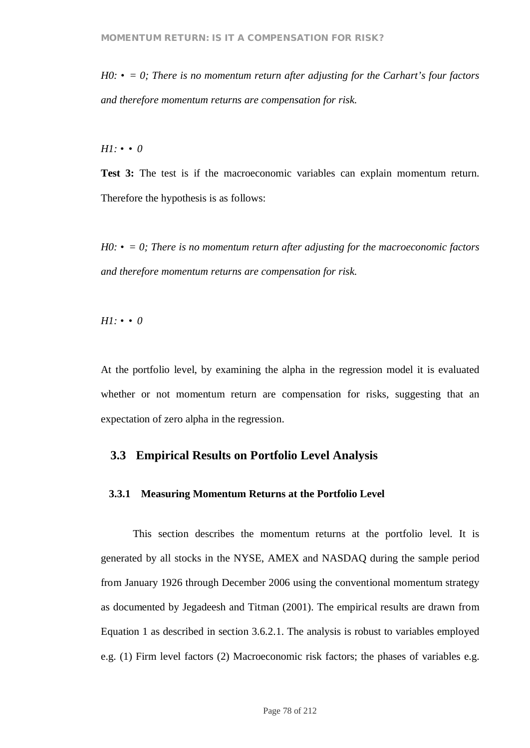$H0: \bullet = 0$ ; There is no momentum return after adjusting for the Carhart's four factors *and therefore momentum returns are compensation for risk.*

*H1: • • 0*

**Test 3:** The test is if the macroeconomic variables can explain momentum return. Therefore the hypothesis is as follows:

*H0: • = 0; There is no momentum return after adjusting for the macroeconomic factors and therefore momentum returns are compensation for risk.*

*H1: • • 0*

At the portfolio level, by examining the alpha in the regression model it is evaluated whether or not momentum return are compensation for risks, suggesting that an expectation of zero alpha in the regression.

### **3.3 Empirical Results on Portfolio Level Analysis**

### **3.3.1 Measuring Momentum Returns at the Portfolio Level**

This section describes the momentum returns at the portfolio level. It is generated by all stocks in the NYSE, AMEX and NASDAQ during the sample period from January 1926 through December 2006 using the conventional momentum strategy as documented by Jegadeesh and Titman (2001). The empirical results are drawn from Equation 1 as described in section 3.6.2.1. The analysis is robust to variables employed e.g. (1) Firm level factors (2) Macroeconomic risk factors; the phases of variables e.g.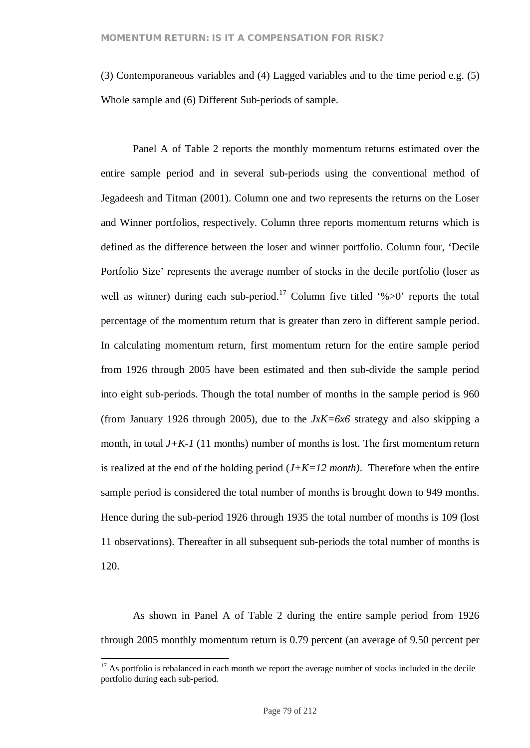(3) Contemporaneous variables and (4) Lagged variables and to the time period e.g. (5) Whole sample and (6) Different Sub-periods of sample.

Panel A of Table 2 reports the monthly momentum returns estimated over the entire sample period and in several sub-periods using the conventional method of Jegadeesh and Titman (2001). Column one and two represents the returns on the Loser and Winner portfolios, respectively. Column three reports momentum returns which is defined as the difference between the loser and winner portfolio. Column four, 'Decile Portfolio Size' represents the average number of stocks in the decile portfolio (loser as well as winner) during each sub-period.<sup>17</sup> Column five titled '% $>0$ ' reports the total percentage of the momentum return that is greater than zero in different sample period. In calculating momentum return, first momentum return for the entire sample period from 1926 through 2005 have been estimated and then sub-divide the sample period into eight sub-periods. Though the total number of months in the sample period is 960 (from January 1926 through 2005), due to the  $JxK=6x6$  strategy and also skipping a month, in total  $J + K - I$  (11 months) number of months is lost. The first momentum return is realized at the end of the holding period  $(J+K=12 \text{ month})$ . Therefore when the entire sample period is considered the total number of months is brought down to 949 months. Hence during the sub-period 1926 through 1935 the total number of months is 109 (lost 11 observations). Thereafter in all subsequent sub-periods the total number of months is 120.

As shown in Panel A of Table 2 during the entire sample period from 1926 through 2005 monthly momentum return is 0.79 percent (an average of 9.50 percent per

 $17$  As portfolio is rebalanced in each month we report the average number of stocks included in the decile portfolio during each sub-period.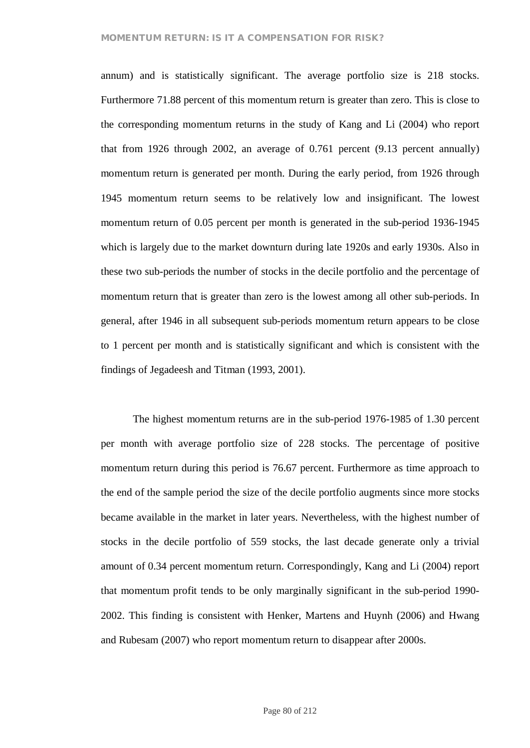### **MOMENTUM RETURN: IS IT A COMPENSATION FOR RISK?**

annum) and is statistically significant. The average portfolio size is 218 stocks. Furthermore 71.88 percent of this momentum return is greater than zero. This is close to the corresponding momentum returns in the study of Kang and Li (2004) who report that from 1926 through 2002, an average of 0.761 percent (9.13 percent annually) momentum return is generated per month. During the early period, from 1926 through 1945 momentum return seems to be relatively low and insignificant. The lowest momentum return of 0.05 percent per month is generated in the sub-period 1936-1945 which is largely due to the market downturn during late 1920s and early 1930s. Also in these two sub-periods the number of stocks in the decile portfolio and the percentage of momentum return that is greater than zero is the lowest among all other sub-periods. In general, after 1946 in all subsequent sub-periods momentum return appears to be close to 1 percent per month and is statistically significant and which is consistent with the findings of Jegadeesh and Titman (1993, 2001).

The highest momentum returns are in the sub-period 1976-1985 of 1.30 percent per month with average portfolio size of 228 stocks. The percentage of positive momentum return during this period is 76.67 percent. Furthermore as time approach to the end of the sample period the size of the decile portfolio augments since more stocks became available in the market in later years. Nevertheless, with the highest number of stocks in the decile portfolio of 559 stocks, the last decade generate only a trivial amount of 0.34 percent momentum return. Correspondingly, Kang and Li (2004) report that momentum profit tends to be only marginally significant in the sub-period 1990- 2002. This finding is consistent with Henker, Martens and Huynh (2006) and Hwang and Rubesam (2007) who report momentum return to disappear after 2000s.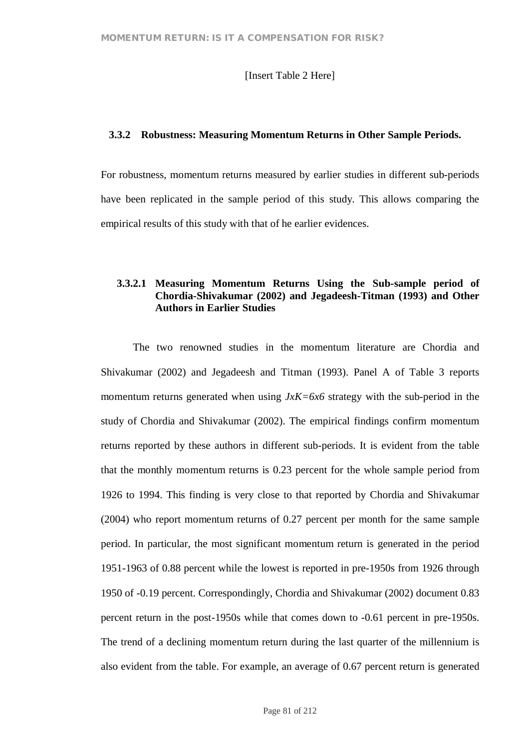### [Insert Table 2 Here]

#### **3.3.2 Robustness: Measuring Momentum Returns in Other Sample Periods.**

For robustness, momentum returns measured by earlier studies in different sub-periods have been replicated in the sample period of this study. This allows comparing the empirical results of this study with that of he earlier evidences.

## **3.3.2.1 Measuring Momentum Returns Using the Sub-sample period of Chordia-Shivakumar (2002) and Jegadeesh-Titman (1993) and Other Authors in Earlier Studies**

The two renowned studies in the momentum literature are Chordia and Shivakumar (2002) and Jegadeesh and Titman (1993). Panel A of Table 3 reports momentum returns generated when using *JxK=6x6* strategy with the sub-period in the study of Chordia and Shivakumar (2002). The empirical findings confirm momentum returns reported by these authors in different sub-periods. It is evident from the table that the monthly momentum returns is 0.23 percent for the whole sample period from 1926 to 1994. This finding is very close to that reported by Chordia and Shivakumar (2004) who report momentum returns of 0.27 percent per month for the same sample period. In particular, the most significant momentum return is generated in the period 1951-1963 of 0.88 percent while the lowest is reported in pre-1950s from 1926 through 1950 of -0.19 percent. Correspondingly, Chordia and Shivakumar (2002) document 0.83 percent return in the post-1950s while that comes down to -0.61 percent in pre-1950s. The trend of a declining momentum return during the last quarter of the millennium is also evident from the table. For example, an average of 0.67 percent return is generated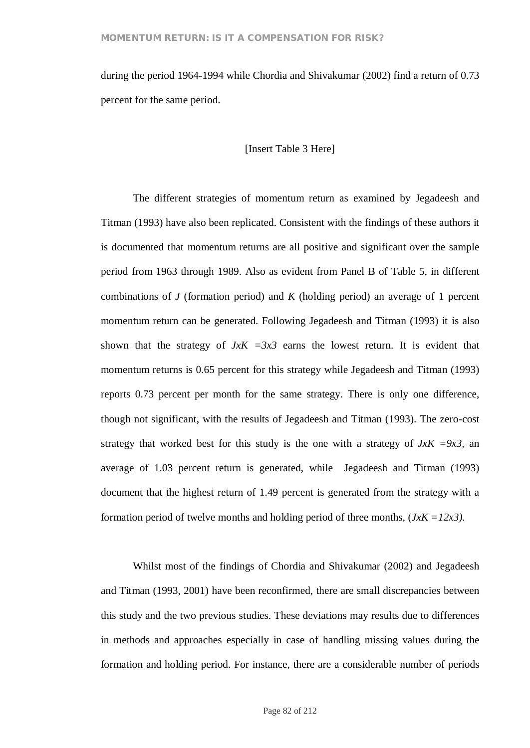during the period 1964-1994 while Chordia and Shivakumar (2002) find a return of 0.73 percent for the same period.

### [Insert Table 3 Here]

The different strategies of momentum return as examined by Jegadeesh and Titman (1993) have also been replicated. Consistent with the findings of these authors it is documented that momentum returns are all positive and significant over the sample period from 1963 through 1989. Also as evident from Panel B of Table 5, in different combinations of *J* (formation period) and *K* (holding period) an average of 1 percent momentum return can be generated. Following Jegadeesh and Titman (1993) it is also shown that the strategy of  $JxK = 3x3$  earns the lowest return. It is evident that momentum returns is 0.65 percent for this strategy while Jegadeesh and Titman (1993) reports 0.73 percent per month for the same strategy. There is only one difference, though not significant, with the results of Jegadeesh and Titman (1993). The zero-cost strategy that worked best for this study is the one with a strategy of  $JxK = 9x3$ , an average of 1.03 percent return is generated, while Jegadeesh and Titman (1993) document that the highest return of 1.49 percent is generated from the strategy with a formation period of twelve months and holding period of three months, (*JxK =12x3).*

Whilst most of the findings of Chordia and Shivakumar (2002) and Jegadeesh and Titman (1993, 2001) have been reconfirmed, there are small discrepancies between this study and the two previous studies. These deviations may results due to differences in methods and approaches especially in case of handling missing values during the formation and holding period. For instance, there are a considerable number of periods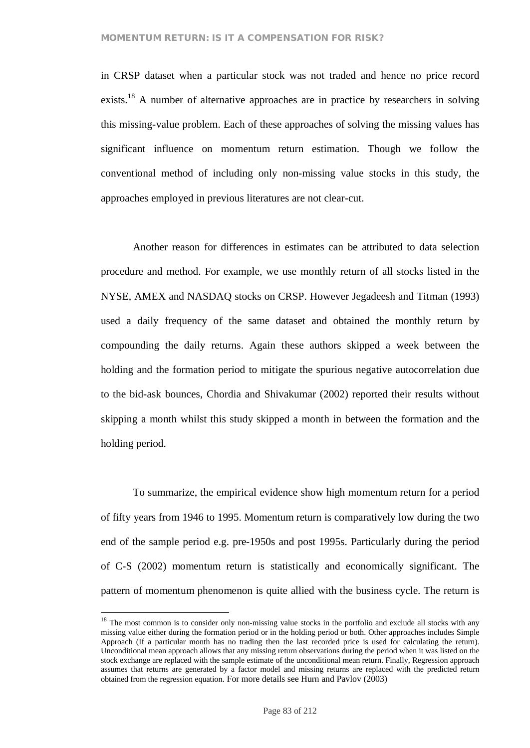in CRSP dataset when a particular stock was not traded and hence no price record exists.<sup>18</sup> A number of alternative approaches are in practice by researchers in solving this missing-value problem. Each of these approaches of solving the missing values has significant influence on momentum return estimation. Though we follow the conventional method of including only non-missing value stocks in this study, the approaches employed in previous literatures are not clear-cut.

Another reason for differences in estimates can be attributed to data selection procedure and method. For example, we use monthly return of all stocks listed in the NYSE, AMEX and NASDAQ stocks on CRSP. However Jegadeesh and Titman (1993) used a daily frequency of the same dataset and obtained the monthly return by compounding the daily returns. Again these authors skipped a week between the holding and the formation period to mitigate the spurious negative autocorrelation due to the bid-ask bounces, Chordia and Shivakumar (2002) reported their results without skipping a month whilst this study skipped a month in between the formation and the holding period.

To summarize, the empirical evidence show high momentum return for a period of fifty years from 1946 to 1995. Momentum return is comparatively low during the two end of the sample period e.g. pre-1950s and post 1995s. Particularly during the period of C-S (2002) momentum return is statistically and economically significant. The pattern of momentum phenomenon is quite allied with the business cycle. The return is

<sup>&</sup>lt;sup>18</sup> The most common is to consider only non-missing value stocks in the portfolio and exclude all stocks with any missing value either during the formation period or in the holding period or both. Other approaches includes Simple Approach (If a particular month has no trading then the last recorded price is used for calculating the return). Unconditional mean approach allows that any missing return observations during the period when it was listed on the stock exchange are replaced with the sample estimate of the unconditional mean return. Finally, Regression approach assumes that returns are generated by a factor model and missing returns are replaced with the predicted return obtained from the regression equation. For more details see Hurn and Pavlov (2003)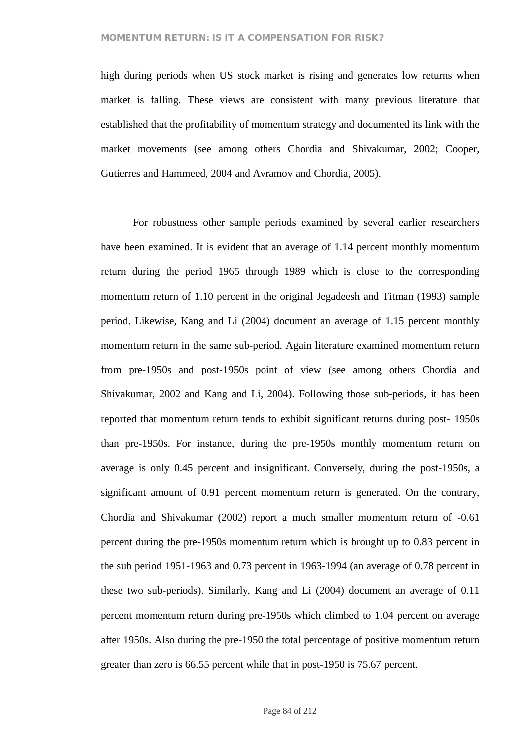#### **MOMENTUM RETURN: IS IT A COMPENSATION FOR RISK?**

high during periods when US stock market is rising and generates low returns when market is falling. These views are consistent with many previous literature that established that the profitability of momentum strategy and documented its link with the market movements (see among others Chordia and Shivakumar, 2002; Cooper, Gutierres and Hammeed, 2004 and Avramov and Chordia, 2005).

For robustness other sample periods examined by several earlier researchers have been examined. It is evident that an average of 1.14 percent monthly momentum return during the period 1965 through 1989 which is close to the corresponding momentum return of 1.10 percent in the original Jegadeesh and Titman (1993) sample period. Likewise, Kang and Li (2004) document an average of 1.15 percent monthly momentum return in the same sub-period. Again literature examined momentum return from pre-1950s and post-1950s point of view (see among others Chordia and Shivakumar, 2002 and Kang and Li, 2004). Following those sub-periods, it has been reported that momentum return tends to exhibit significant returns during post- 1950s than pre-1950s. For instance, during the pre-1950s monthly momentum return on average is only 0.45 percent and insignificant. Conversely, during the post-1950s, a significant amount of 0.91 percent momentum return is generated. On the contrary, Chordia and Shivakumar (2002) report a much smaller momentum return of -0.61 percent during the pre-1950s momentum return which is brought up to 0.83 percent in the sub period 1951-1963 and 0.73 percent in 1963-1994 (an average of 0.78 percent in these two sub-periods). Similarly, Kang and Li (2004) document an average of 0.11 percent momentum return during pre-1950s which climbed to 1.04 percent on average after 1950s. Also during the pre-1950 the total percentage of positive momentum return greater than zero is 66.55 percent while that in post-1950 is 75.67 percent.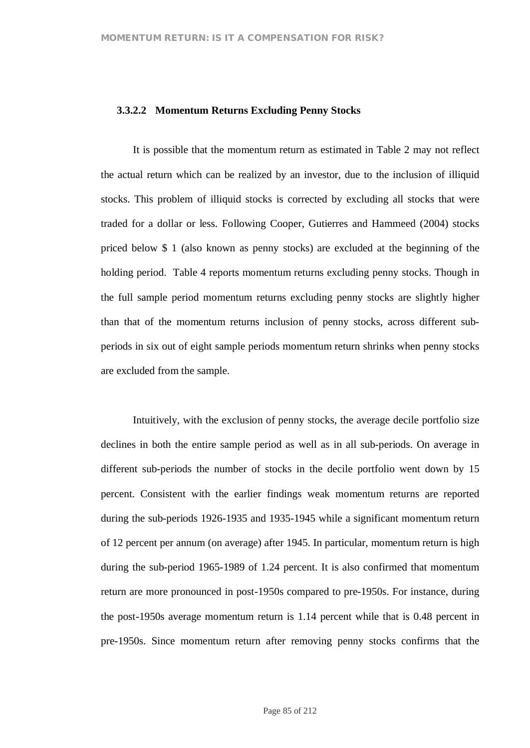### **3.3.2.2 Momentum Returns Excluding Penny Stocks**

It is possible that the momentum return as estimated in Table 2 may not reflect the actual return which can be realized by an investor, due to the inclusion of illiquid stocks. This problem of illiquid stocks is corrected by excluding all stocks that were traded for a dollar or less. Following Cooper, Gutierres and Hammeed (2004) stocks priced below \$ 1 (also known as penny stocks) are excluded at the beginning of the holding period. Table 4 reports momentum returns excluding penny stocks. Though in the full sample period momentum returns excluding penny stocks are slightly higher than that of the momentum returns inclusion of penny stocks, across different subperiods in six out of eight sample periods momentum return shrinks when penny stocks are excluded from the sample.

Intuitively, with the exclusion of penny stocks, the average decile portfolio size declines in both the entire sample period as well as in all sub-periods. On average in different sub-periods the number of stocks in the decile portfolio went down by 15 percent. Consistent with the earlier findings weak momentum returns are reported during the sub-periods 1926-1935 and 1935-1945 while a significant momentum return of 12 percent per annum (on average) after 1945. In particular, momentum return is high during the sub-period 1965-1989 of 1.24 percent. It is also confirmed that momentum return are more pronounced in post-1950s compared to pre-1950s. For instance, during the post-1950s average momentum return is 1.14 percent while that is 0.48 percent in pre-1950s. Since momentum return after removing penny stocks confirms that the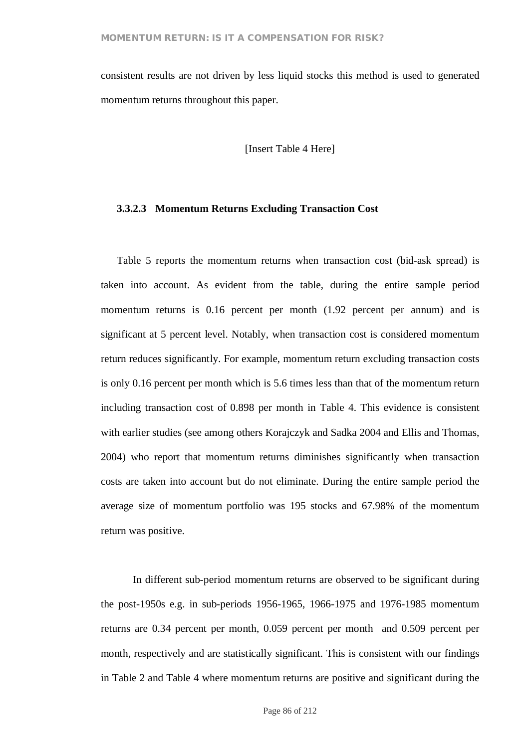consistent results are not driven by less liquid stocks this method is used to generated momentum returns throughout this paper.

[Insert Table 4 Here]

#### **3.3.2.3 Momentum Returns Excluding Transaction Cost**

Table 5 reports the momentum returns when transaction cost (bid-ask spread) is taken into account. As evident from the table, during the entire sample period momentum returns is 0.16 percent per month (1.92 percent per annum) and is significant at 5 percent level. Notably, when transaction cost is considered momentum return reduces significantly. For example, momentum return excluding transaction costs is only 0.16 percent per month which is 5.6 times less than that of the momentum return including transaction cost of 0.898 per month in Table 4. This evidence is consistent with earlier studies (see among others Korajczyk and Sadka 2004 and Ellis and Thomas, 2004) who report that momentum returns diminishes significantly when transaction costs are taken into account but do not eliminate. During the entire sample period the average size of momentum portfolio was 195 stocks and 67.98% of the momentum return was positive.

In different sub-period momentum returns are observed to be significant during the post-1950s e.g. in sub-periods 1956-1965, 1966-1975 and 1976-1985 momentum returns are 0.34 percent per month, 0.059 percent per month and 0.509 percent per month, respectively and are statistically significant. This is consistent with our findings in Table 2 and Table 4 where momentum returns are positive and significant during the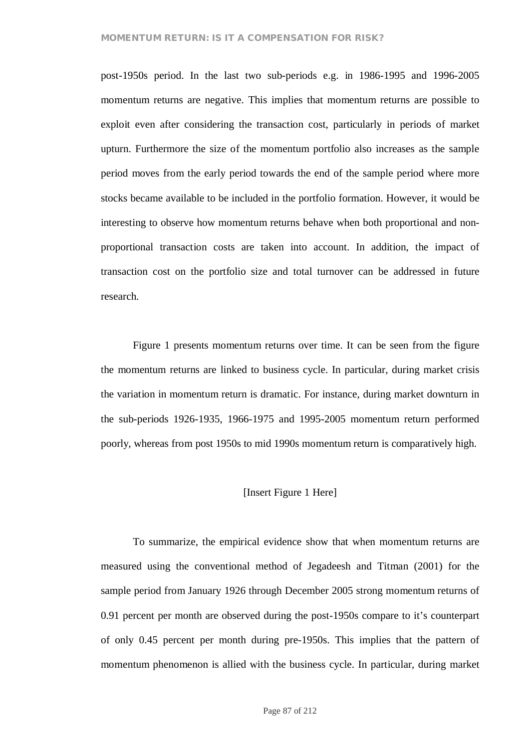#### **MOMENTUM RETURN: IS IT A COMPENSATION FOR RISK?**

post-1950s period. In the last two sub-periods e.g. in 1986-1995 and 1996-2005 momentum returns are negative. This implies that momentum returns are possible to exploit even after considering the transaction cost, particularly in periods of market upturn. Furthermore the size of the momentum portfolio also increases as the sample period moves from the early period towards the end of the sample period where more stocks became available to be included in the portfolio formation. However, it would be interesting to observe how momentum returns behave when both proportional and nonproportional transaction costs are taken into account. In addition, the impact of transaction cost on the portfolio size and total turnover can be addressed in future research.

Figure 1 presents momentum returns over time. It can be seen from the figure the momentum returns are linked to business cycle. In particular, during market crisis the variation in momentum return is dramatic. For instance, during market downturn in the sub-periods 1926-1935, 1966-1975 and 1995-2005 momentum return performed poorly, whereas from post 1950s to mid 1990s momentum return is comparatively high.

### [Insert Figure 1 Here]

To summarize, the empirical evidence show that when momentum returns are measured using the conventional method of Jegadeesh and Titman (2001) for the sample period from January 1926 through December 2005 strong momentum returns of 0.91 percent per month are observed during the post-1950s compare to it's counterpart of only 0.45 percent per month during pre-1950s. This implies that the pattern of momentum phenomenon is allied with the business cycle. In particular, during market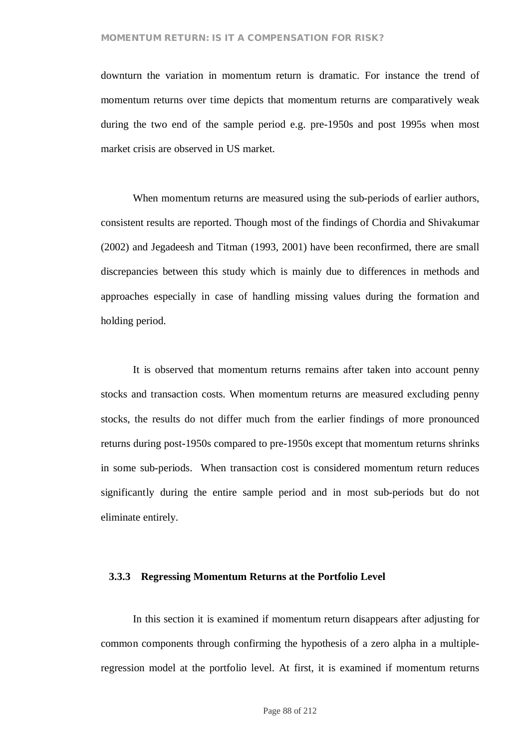#### **MOMENTUM RETURN: IS IT A COMPENSATION FOR RISK?**

downturn the variation in momentum return is dramatic. For instance the trend of momentum returns over time depicts that momentum returns are comparatively weak during the two end of the sample period e.g. pre-1950s and post 1995s when most market crisis are observed in US market.

When momentum returns are measured using the sub-periods of earlier authors, consistent results are reported. Though most of the findings of Chordia and Shivakumar (2002) and Jegadeesh and Titman (1993, 2001) have been reconfirmed, there are small discrepancies between this study which is mainly due to differences in methods and approaches especially in case of handling missing values during the formation and holding period.

It is observed that momentum returns remains after taken into account penny stocks and transaction costs. When momentum returns are measured excluding penny stocks, the results do not differ much from the earlier findings of more pronounced returns during post-1950s compared to pre-1950s except that momentum returns shrinks in some sub-periods. When transaction cost is considered momentum return reduces significantly during the entire sample period and in most sub-periods but do not eliminate entirely.

#### **3.3.3 Regressing Momentum Returns at the Portfolio Level**

In this section it is examined if momentum return disappears after adjusting for common components through confirming the hypothesis of a zero alpha in a multipleregression model at the portfolio level. At first, it is examined if momentum returns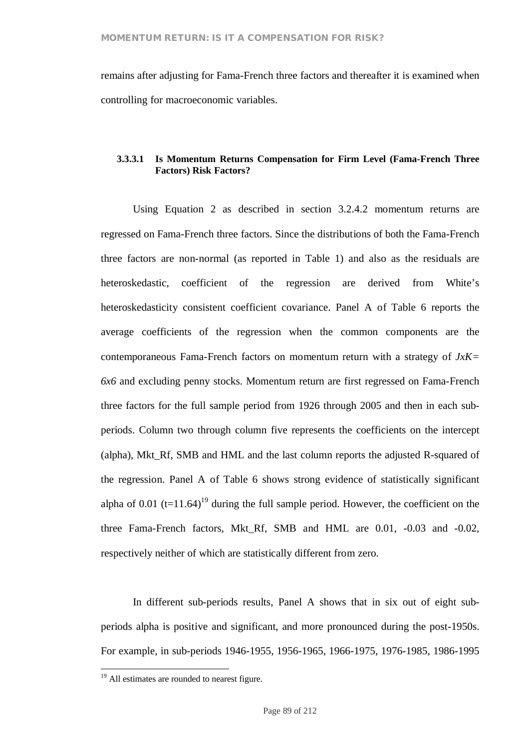remains after adjusting for Fama-French three factors and thereafter it is examined when controlling for macroeconomic variables.

### **3.3.3.1 Is Momentum Returns Compensation for Firm Level (Fama-French Three Factors) Risk Factors?**

Using Equation 2 as described in section 3.2.4.2 momentum returns are regressed on Fama-French three factors. Since the distributions of both the Fama-French three factors are non-normal (as reported in Table 1) and also as the residuals are heteroskedastic, coefficient of the regression are derived from White's heteroskedasticity consistent coefficient covariance. Panel A of Table 6 reports the average coefficients of the regression when the common components are the contemporaneous Fama-French factors on momentum return with a strategy of *JxK= 6x6* and excluding penny stocks. Momentum return are first regressed on Fama-French three factors for the full sample period from 1926 through 2005 and then in each subperiods. Column two through column five represents the coefficients on the intercept (alpha), Mkt\_Rf, SMB and HML and the last column reports the adjusted R-squared of the regression. Panel A of Table 6 shows strong evidence of statistically significant alpha of 0.01 (t=11.64)<sup>19</sup> during the full sample period. However, the coefficient on the three Fama-French factors, Mkt\_Rf, SMB and HML are 0.01, -0.03 and -0.02, respectively neither of which are statistically different from zero.

In different sub-periods results, Panel A shows that in six out of eight subperiods alpha is positive and significant, and more pronounced during the post-1950s. For example, in sub-periods 1946-1955, 1956-1965, 1966-1975, 1976-1985, 1986-1995

<sup>&</sup>lt;sup>19</sup> All estimates are rounded to nearest figure.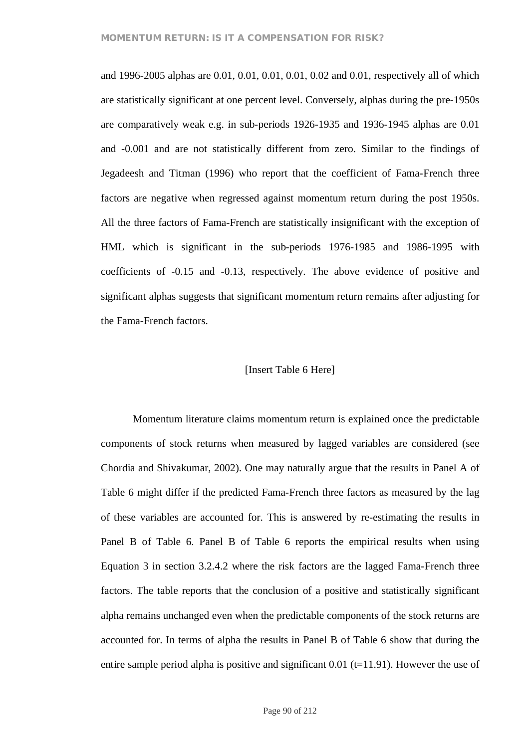and 1996-2005 alphas are 0.01, 0.01, 0.01, 0.01, 0.02 and 0.01, respectively all of which are statistically significant at one percent level. Conversely, alphas during the pre-1950s are comparatively weak e.g. in sub-periods 1926-1935 and 1936-1945 alphas are 0.01 and -0.001 and are not statistically different from zero. Similar to the findings of Jegadeesh and Titman (1996) who report that the coefficient of Fama-French three factors are negative when regressed against momentum return during the post 1950s. All the three factors of Fama-French are statistically insignificant with the exception of HML which is significant in the sub-periods 1976-1985 and 1986-1995 with coefficients of -0.15 and -0.13, respectively. The above evidence of positive and significant alphas suggests that significant momentum return remains after adjusting for the Fama-French factors.

#### [Insert Table 6 Here]

Momentum literature claims momentum return is explained once the predictable components of stock returns when measured by lagged variables are considered (see Chordia and Shivakumar, 2002). One may naturally argue that the results in Panel A of Table 6 might differ if the predicted Fama-French three factors as measured by the lag of these variables are accounted for. This is answered by re-estimating the results in Panel B of Table 6. Panel B of Table 6 reports the empirical results when using Equation 3 in section 3.2.4.2 where the risk factors are the lagged Fama-French three factors. The table reports that the conclusion of a positive and statistically significant alpha remains unchanged even when the predictable components of the stock returns are accounted for. In terms of alpha the results in Panel B of Table 6 show that during the entire sample period alpha is positive and significant  $0.01$  (t=11.91). However the use of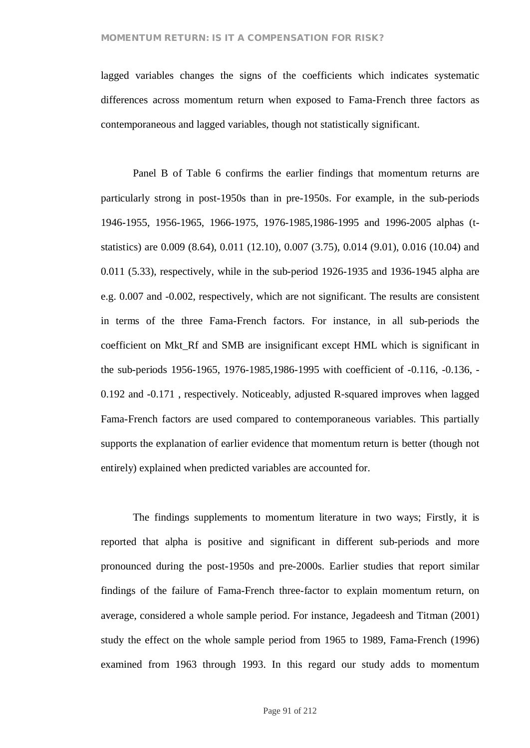lagged variables changes the signs of the coefficients which indicates systematic differences across momentum return when exposed to Fama-French three factors as contemporaneous and lagged variables, though not statistically significant.

Panel B of Table 6 confirms the earlier findings that momentum returns are particularly strong in post-1950s than in pre-1950s. For example, in the sub-periods 1946-1955, 1956-1965, 1966-1975, 1976-1985,1986-1995 and 1996-2005 alphas (tstatistics) are 0.009 (8.64), 0.011 (12.10), 0.007 (3.75), 0.014 (9.01), 0.016 (10.04) and 0.011 (5.33), respectively, while in the sub-period 1926-1935 and 1936-1945 alpha are e.g. 0.007 and -0.002, respectively, which are not significant. The results are consistent in terms of the three Fama-French factors. For instance, in all sub-periods the coefficient on Mkt\_Rf and SMB are insignificant except HML which is significant in the sub-periods 1956-1965, 1976-1985,1986-1995 with coefficient of -0.116, -0.136, - 0.192 and -0.171 , respectively. Noticeably, adjusted R-squared improves when lagged Fama-French factors are used compared to contemporaneous variables. This partially supports the explanation of earlier evidence that momentum return is better (though not entirely) explained when predicted variables are accounted for.

The findings supplements to momentum literature in two ways; Firstly, it is reported that alpha is positive and significant in different sub-periods and more pronounced during the post-1950s and pre-2000s. Earlier studies that report similar findings of the failure of Fama-French three-factor to explain momentum return, on average, considered a whole sample period. For instance, Jegadeesh and Titman (2001) study the effect on the whole sample period from 1965 to 1989, Fama-French (1996) examined from 1963 through 1993. In this regard our study adds to momentum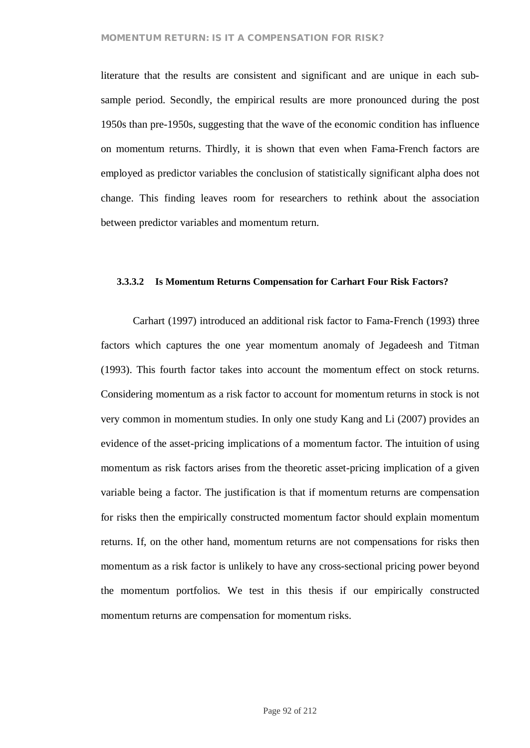### **MOMENTUM RETURN: IS IT A COMPENSATION FOR RISK?**

literature that the results are consistent and significant and are unique in each subsample period. Secondly, the empirical results are more pronounced during the post 1950s than pre-1950s, suggesting that the wave of the economic condition has influence on momentum returns. Thirdly, it is shown that even when Fama-French factors are employed as predictor variables the conclusion of statistically significant alpha does not change. This finding leaves room for researchers to rethink about the association between predictor variables and momentum return.

#### **3.3.3.2 Is Momentum Returns Compensation for Carhart Four Risk Factors?**

Carhart (1997) introduced an additional risk factor to Fama-French (1993) three factors which captures the one year momentum anomaly of Jegadeesh and Titman (1993). This fourth factor takes into account the momentum effect on stock returns. Considering momentum as a risk factor to account for momentum returns in stock is not very common in momentum studies. In only one study Kang and Li (2007) provides an evidence of the asset-pricing implications of a momentum factor. The intuition of using momentum as risk factors arises from the theoretic asset-pricing implication of a given variable being a factor. The justification is that if momentum returns are compensation for risks then the empirically constructed momentum factor should explain momentum returns. If, on the other hand, momentum returns are not compensations for risks then momentum as a risk factor is unlikely to have any cross-sectional pricing power beyond the momentum portfolios. We test in this thesis if our empirically constructed momentum returns are compensation for momentum risks.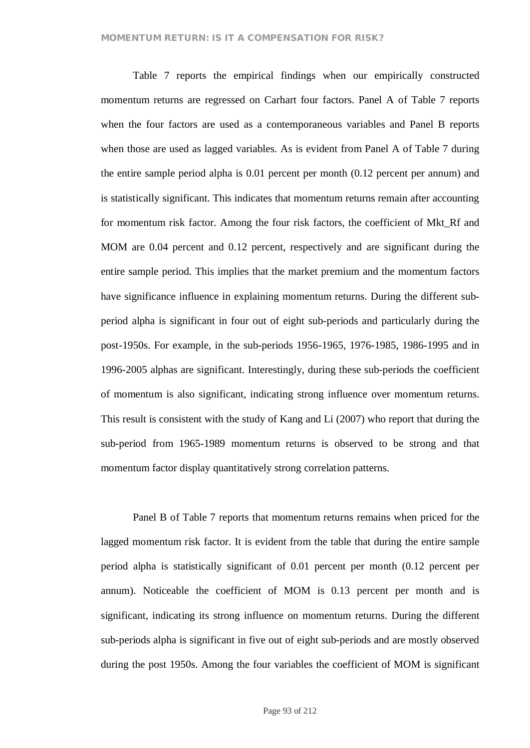Table 7 reports the empirical findings when our empirically constructed momentum returns are regressed on Carhart four factors. Panel A of Table 7 reports when the four factors are used as a contemporaneous variables and Panel B reports when those are used as lagged variables. As is evident from Panel A of Table 7 during the entire sample period alpha is 0.01 percent per month (0.12 percent per annum) and is statistically significant. This indicates that momentum returns remain after accounting for momentum risk factor. Among the four risk factors, the coefficient of Mkt\_Rf and MOM are 0.04 percent and 0.12 percent, respectively and are significant during the entire sample period. This implies that the market premium and the momentum factors have significance influence in explaining momentum returns. During the different subperiod alpha is significant in four out of eight sub-periods and particularly during the post-1950s. For example, in the sub-periods 1956-1965, 1976-1985, 1986-1995 and in 1996-2005 alphas are significant. Interestingly, during these sub-periods the coefficient of momentum is also significant, indicating strong influence over momentum returns. This result is consistent with the study of Kang and Li (2007) who report that during the sub-period from 1965-1989 momentum returns is observed to be strong and that momentum factor display quantitatively strong correlation patterns.

Panel B of Table 7 reports that momentum returns remains when priced for the lagged momentum risk factor. It is evident from the table that during the entire sample period alpha is statistically significant of 0.01 percent per month (0.12 percent per annum). Noticeable the coefficient of MOM is 0.13 percent per month and is significant, indicating its strong influence on momentum returns. During the different sub-periods alpha is significant in five out of eight sub-periods and are mostly observed during the post 1950s. Among the four variables the coefficient of MOM is significant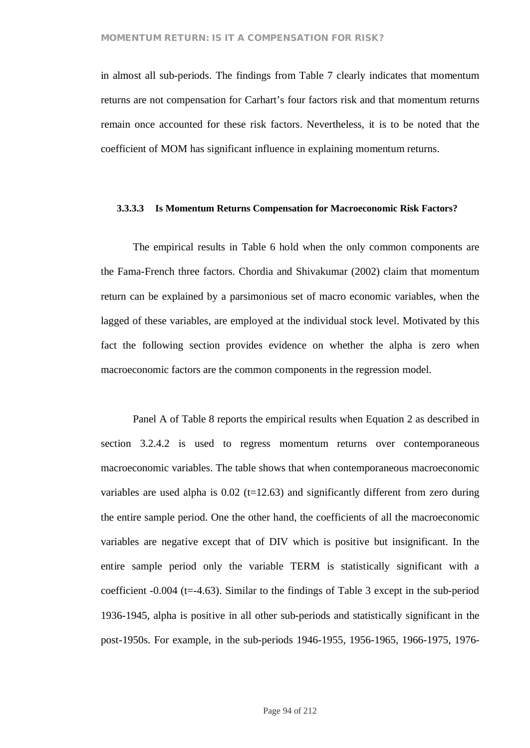in almost all sub-periods. The findings from Table 7 clearly indicates that momentum returns are not compensation for Carhart's four factors risk and that momentum returns remain once accounted for these risk factors. Nevertheless, it is to be noted that the coefficient of MOM has significant influence in explaining momentum returns.

#### **3.3.3.3 Is Momentum Returns Compensation for Macroeconomic Risk Factors?**

The empirical results in Table 6 hold when the only common components are the Fama-French three factors. Chordia and Shivakumar (2002) claim that momentum return can be explained by a parsimonious set of macro economic variables, when the lagged of these variables, are employed at the individual stock level. Motivated by this fact the following section provides evidence on whether the alpha is zero when macroeconomic factors are the common components in the regression model.

Panel A of Table 8 reports the empirical results when Equation 2 as described in section 3.2.4.2 is used to regress momentum returns over contemporaneous macroeconomic variables. The table shows that when contemporaneous macroeconomic variables are used alpha is  $0.02$  (t=12.63) and significantly different from zero during the entire sample period. One the other hand, the coefficients of all the macroeconomic variables are negative except that of DIV which is positive but insignificant. In the entire sample period only the variable TERM is statistically significant with a coefficient -0.004 (t=-4.63). Similar to the findings of Table 3 except in the sub-period 1936-1945, alpha is positive in all other sub-periods and statistically significant in the post-1950s. For example, in the sub-periods 1946-1955, 1956-1965, 1966-1975, 1976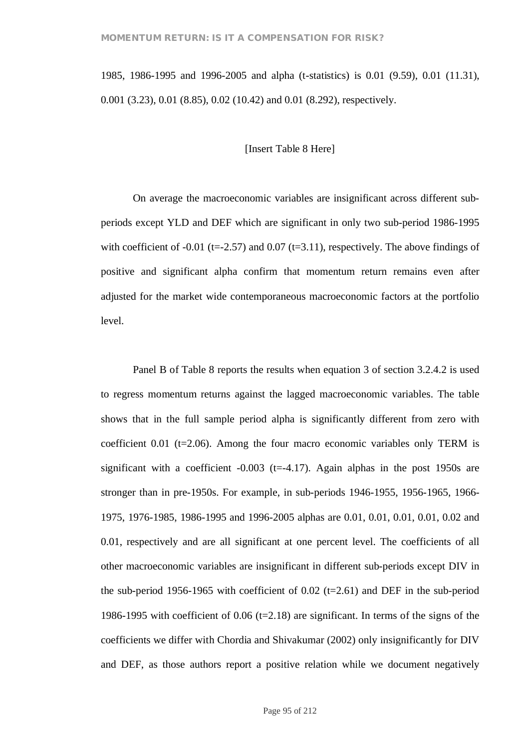1985, 1986-1995 and 1996-2005 and alpha (t-statistics) is 0.01 (9.59), 0.01 (11.31), 0.001 (3.23), 0.01 (8.85), 0.02 (10.42) and 0.01 (8.292), respectively.

### [Insert Table 8 Here]

On average the macroeconomic variables are insignificant across different subperiods except YLD and DEF which are significant in only two sub-period 1986-1995 with coefficient of -0.01 (t=-2.57) and 0.07 (t=3.11), respectively. The above findings of positive and significant alpha confirm that momentum return remains even after adjusted for the market wide contemporaneous macroeconomic factors at the portfolio level.

Panel B of Table 8 reports the results when equation 3 of section 3.2.4.2 is used to regress momentum returns against the lagged macroeconomic variables. The table shows that in the full sample period alpha is significantly different from zero with coefficient 0.01 ( $t=2.06$ ). Among the four macro economic variables only TERM is significant with a coefficient  $-0.003$  (t= $-4.17$ ). Again alphas in the post 1950s are stronger than in pre-1950s. For example, in sub-periods 1946-1955, 1956-1965, 1966- 1975, 1976-1985, 1986-1995 and 1996-2005 alphas are 0.01, 0.01, 0.01, 0.01, 0.02 and 0.01, respectively and are all significant at one percent level. The coefficients of all other macroeconomic variables are insignificant in different sub-periods except DIV in the sub-period 1956-1965 with coefficient of  $0.02$  (t=2.61) and DEF in the sub-period 1986-1995 with coefficient of 0.06 ( $t=2.18$ ) are significant. In terms of the signs of the coefficients we differ with Chordia and Shivakumar (2002) only insignificantly for DIV and DEF, as those authors report a positive relation while we document negatively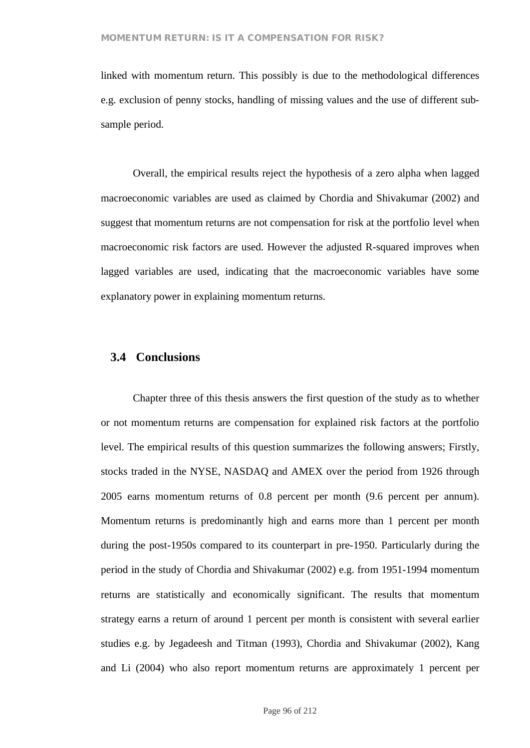linked with momentum return. This possibly is due to the methodological differences e.g. exclusion of penny stocks, handling of missing values and the use of different subsample period.

Overall, the empirical results reject the hypothesis of a zero alpha when lagged macroeconomic variables are used as claimed by Chordia and Shivakumar (2002) and suggest that momentum returns are not compensation for risk at the portfolio level when macroeconomic risk factors are used. However the adjusted R-squared improves when lagged variables are used, indicating that the macroeconomic variables have some explanatory power in explaining momentum returns.

### **3.4 Conclusions**

Chapter three of this thesis answers the first question of the study as to whether or not momentum returns are compensation for explained risk factors at the portfolio level. The empirical results of this question summarizes the following answers; Firstly, stocks traded in the NYSE, NASDAQ and AMEX over the period from 1926 through 2005 earns momentum returns of 0.8 percent per month (9.6 percent per annum). Momentum returns is predominantly high and earns more than 1 percent per month during the post-1950s compared to its counterpart in pre-1950. Particularly during the period in the study of Chordia and Shivakumar (2002) e.g. from 1951-1994 momentum returns are statistically and economically significant. The results that momentum strategy earns a return of around 1 percent per month is consistent with several earlier studies e.g. by Jegadeesh and Titman (1993), Chordia and Shivakumar (2002), Kang and Li (2004) who also report momentum returns are approximately 1 percent per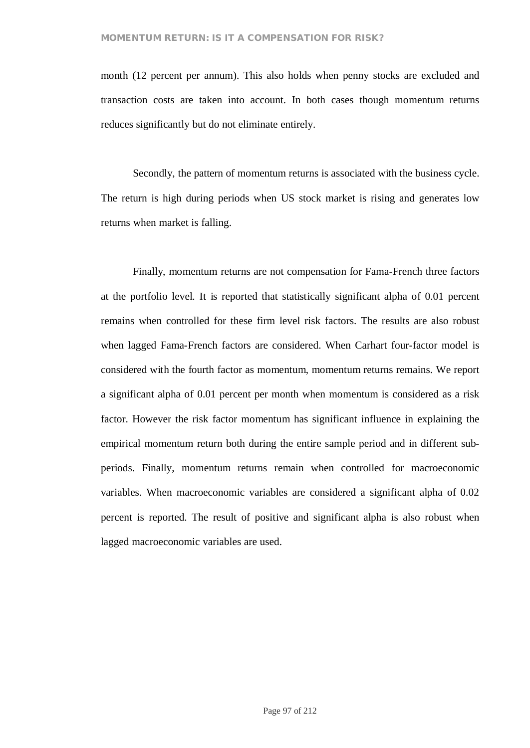month (12 percent per annum). This also holds when penny stocks are excluded and transaction costs are taken into account. In both cases though momentum returns reduces significantly but do not eliminate entirely.

Secondly, the pattern of momentum returns is associated with the business cycle. The return is high during periods when US stock market is rising and generates low returns when market is falling.

Finally, momentum returns are not compensation for Fama-French three factors at the portfolio level. It is reported that statistically significant alpha of 0.01 percent remains when controlled for these firm level risk factors. The results are also robust when lagged Fama-French factors are considered. When Carhart four-factor model is considered with the fourth factor as momentum, momentum returns remains. We report a significant alpha of 0.01 percent per month when momentum is considered as a risk factor. However the risk factor momentum has significant influence in explaining the empirical momentum return both during the entire sample period and in different subperiods. Finally, momentum returns remain when controlled for macroeconomic variables. When macroeconomic variables are considered a significant alpha of 0.02 percent is reported. The result of positive and significant alpha is also robust when lagged macroeconomic variables are used.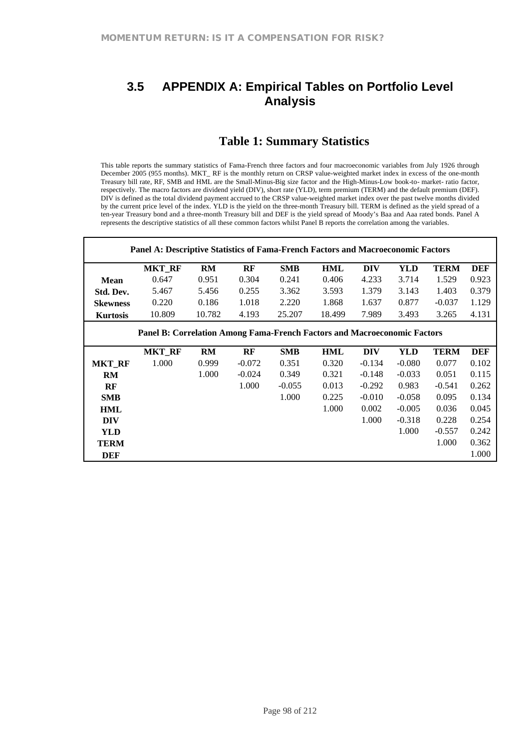# **3.5 APPENDIX A: Empirical Tables on Portfolio Level Analysis**

# **Table 1: Summary Statistics**

This table reports the summary statistics of Fama-French three factors and four macroeconomic variables from July 1926 through December 2005 (955 months). MKT\_ RF is the monthly return on CRSP value-weighted market index in excess of the one-month Treasury bill rate, RF, SMB and HML are the Small-Minus-Big size factor and the High-Minus-Low book-to- market- ratio factor, respectively. The macro factors are dividend yield (DIV), short rate (YLD), term premium (TERM) and the default premium (DEF). DIV is defined as the total dividend payment accrued to the CRSP value-weighted market index over the past twelve months divided by the current price level of the index. YLD is the yield on the three-month Treasury bill. TERM is defined as the yield spread of a ten-year Treasury bond and a three-month Treasury bill and DEF is the yield spread of Moody's Baa and Aaa rated bonds. Panel A represents the descriptive statistics of all these common factors whilst Panel B reports the correlation among the variables.

|                                                                          | Panel A: Descriptive Statistics of Fama-French Factors and Macroeconomic Factors |           |          |            |            |            |            |             |            |  |  |  |
|--------------------------------------------------------------------------|----------------------------------------------------------------------------------|-----------|----------|------------|------------|------------|------------|-------------|------------|--|--|--|
|                                                                          | <b>MKT_RF</b>                                                                    | RM        | RF       | <b>SMB</b> | <b>HML</b> | <b>DIV</b> | <b>YLD</b> | <b>TERM</b> | <b>DEF</b> |  |  |  |
| <b>Mean</b>                                                              | 0.647                                                                            | 0.951     | 0.304    | 0.241      | 0.406      | 4.233      | 3.714      | 1.529       | 0.923      |  |  |  |
| Std. Dev.                                                                | 5.467                                                                            | 5.456     | 0.255    | 3.362      | 3.593      | 1.379      | 3.143      | 1.403       | 0.379      |  |  |  |
| <b>Skewness</b>                                                          | 0.220                                                                            | 0.186     | 1.018    | 2.220      | 1.868      | 1.637      | 0.877      | $-0.037$    | 1.129      |  |  |  |
| <b>Kurtosis</b>                                                          | 10.809                                                                           | 10.782    | 4.193    | 25.207     | 18.499     | 7.989      | 3.493      | 3.265       | 4.131      |  |  |  |
| Panel B: Correlation Among Fama-French Factors and Macroeconomic Factors |                                                                                  |           |          |            |            |            |            |             |            |  |  |  |
|                                                                          | <b>MKT_RF</b>                                                                    | <b>RM</b> | RF       | <b>SMB</b> | <b>HML</b> | <b>DIV</b> | <b>YLD</b> | <b>TERM</b> | <b>DEF</b> |  |  |  |
| <b>MKT_RF</b>                                                            | 1.000                                                                            | 0.999     | $-0.072$ | 0.351      | 0.320      | $-0.134$   | $-0.080$   | 0.077       | 0.102      |  |  |  |
| RM                                                                       |                                                                                  | 1.000     | $-0.024$ | 0.349      | 0.321      | $-0.148$   | $-0.033$   | 0.051       | 0.115      |  |  |  |
| RF                                                                       |                                                                                  |           | 1.000    | $-0.055$   | 0.013      | $-0.292$   | 0.983      | $-0.541$    | 0.262      |  |  |  |
| <b>SMB</b>                                                               |                                                                                  |           |          | 1.000      | 0.225      | $-0.010$   | $-0.058$   | 0.095       | 0.134      |  |  |  |
| <b>HML</b>                                                               |                                                                                  |           |          |            | 1.000      | 0.002      | $-0.005$   | 0.036       | 0.045      |  |  |  |
| <b>DIV</b>                                                               |                                                                                  |           |          |            |            | 1.000      | $-0.318$   | 0.228       | 0.254      |  |  |  |
| <b>YLD</b>                                                               |                                                                                  |           |          |            |            |            | 1.000      | $-0.557$    | 0.242      |  |  |  |
| <b>TERM</b>                                                              |                                                                                  |           |          |            |            |            |            | 1.000       | 0.362      |  |  |  |
| <b>DEF</b>                                                               |                                                                                  |           |          |            |            |            |            |             | 1.000      |  |  |  |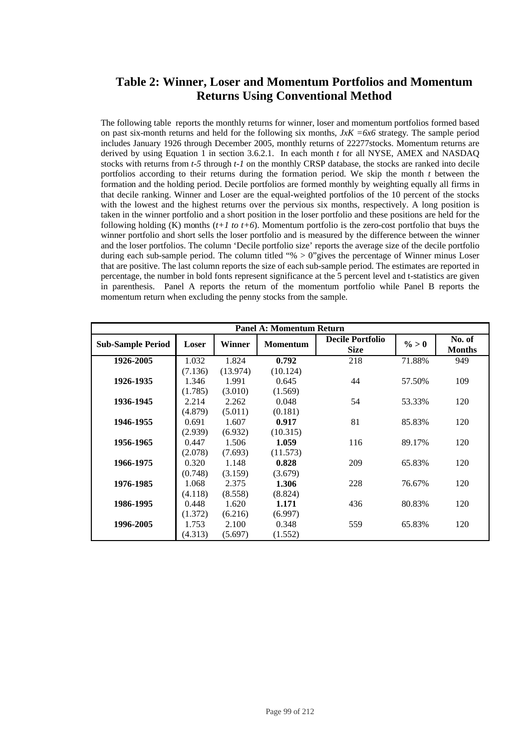# **Table 2: Winner, Loser and Momentum Portfolios and Momentum Returns Using Conventional Method**

The following table reports the monthly returns for winner, loser and momentum portfolios formed based on past six-month returns and held for the following six months,  $JxK = 6x6$  strategy. The sample period includes January 1926 through December 2005, monthly returns of 22277stocks. Momentum returns are derived by using Equation 1 in section 3.6.2.1. In each month *t* for all NYSE, AMEX and NASDAQ stocks with returns from *t-5* through *t-1* on the monthly CRSP database, the stocks are ranked into decile portfolios according to their returns during the formation period. We skip the month *t* between the formation and the holding period. Decile portfolios are formed monthly by weighting equally all firms in that decile ranking. Winner and Loser are the equal-weighted portfolios of the 10 percent of the stocks with the lowest and the highest returns over the pervious six months, respectively. A long position is taken in the winner portfolio and a short position in the loser portfolio and these positions are held for the following holding  $(K)$  months  $(t+1 \text{ to } t+6)$ . Momentum portfolio is the zero-cost portfolio that buys the winner portfolio and short sells the loser portfolio and is measured by the difference between the winner and the loser portfolios. The column 'Decile portfolio size' reports the average size of the decile portfolio during each sub-sample period. The column titled "%  $> 0$ "gives the percentage of Winner minus Loser that are positive. The last column reports the size of each sub-sample period. The estimates are reported in percentage, the number in bold fonts represent significance at the 5 percent level and t-statistics are given in parenthesis. Panel A reports the return of the momentum portfolio while Panel B reports the momentum return when excluding the penny stocks from the sample.

|                          |         |          | <b>Panel A: Momentum Return</b> |                                        |          |                         |
|--------------------------|---------|----------|---------------------------------|----------------------------------------|----------|-------------------------|
| <b>Sub-Sample Period</b> | Loser   | Winner   | <b>Momentum</b>                 | <b>Decile Portfolio</b><br><b>Size</b> | $\% > 0$ | No. of<br><b>Months</b> |
| 1926-2005                | 1.032   | 1.824    | 0.792                           | 218                                    | 71.88%   | 949                     |
|                          | (7.136) | (13.974) | (10.124)                        |                                        |          |                         |
| 1926-1935                | 1.346   | 1.991    | 0.645                           | 44                                     | 57.50%   | 109                     |
|                          | (1.785) | (3.010)  | (1.569)                         |                                        |          |                         |
| 1936-1945                | 2.214   | 2.262    | 0.048                           | 54                                     | 53.33%   | 120                     |
|                          | (4.879) | (5.011)  | (0.181)                         |                                        |          |                         |
| 1946-1955                | 0.691   | 1.607    | 0.917                           | 81                                     | 85.83%   | 120                     |
|                          | (2.939) | (6.932)  | (10.315)                        |                                        |          |                         |
| 1956-1965                | 0.447   | 1.506    | 1.059                           | 116                                    | 89.17%   | 120                     |
|                          | (2.078) | (7.693)  | (11.573)                        |                                        |          |                         |
| 1966-1975                | 0.320   | 1.148    | 0.828                           | 209                                    | 65.83%   | 120                     |
|                          | (0.748) | (3.159)  | (3.679)                         |                                        |          |                         |
| 1976-1985                | 1.068   | 2.375    | 1.306                           | 228                                    | 76.67%   | 120                     |
|                          | (4.118) | (8.558)  | (8.824)                         |                                        |          |                         |
| 1986-1995                | 0.448   | 1.620    | 1.171                           | 436                                    | 80.83%   | 120                     |
|                          | (1.372) | (6.216)  | (6.997)                         |                                        |          |                         |
| 1996-2005                | 1.753   | 2.100    | 0.348                           | 559                                    | 65.83%   | 120                     |
|                          | (4.313) | (5.697)  | (1.552)                         |                                        |          |                         |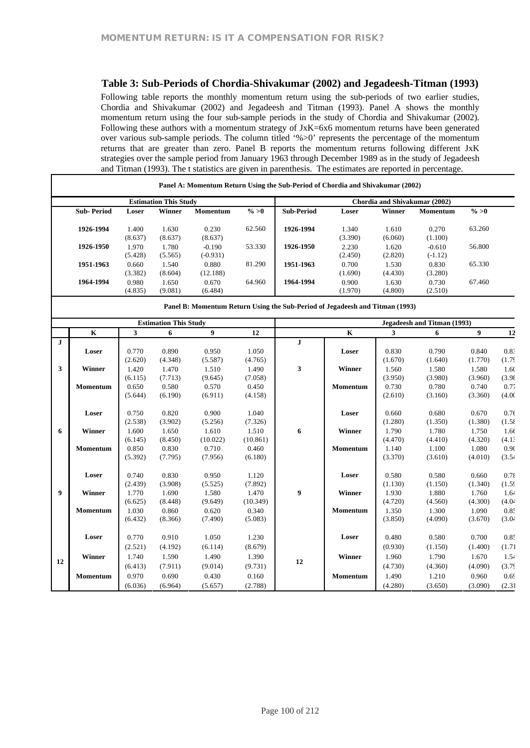### **Table 3: Sub-Periods of Chordia-Shivakumar (2002) and Jegadeesh-Titman (1993)**

Following table reports the monthly momentum return using the sub-periods of two earlier studies, Chordia and Shivakumar (2002) and Jegadeesh and Titman (1993). Panel A shows the monthly momentum return using the four sub-sample periods in the study of Chordia and Shivakumar (2002). Following these authors with a momentum strategy of JxK=6x6 momentum returns have been generated over various sub-sample periods. The column titled '%>0' represents the percentage of the momentum returns that are greater than zero. Panel B reports the momentum returns following different JxK strategies over the sample period from January 1963 through December 1989 as in the study of Jegadeesh and Titman (1993). The t statistics are given in parenthesis. The estimates are reported in percentage.

| <b>Estimation This Study</b> |                  |                  |                        |          |                                                                              | Chordia and Shivakumar (2002) |                  |                       |          |  |
|------------------------------|------------------|------------------|------------------------|----------|------------------------------------------------------------------------------|-------------------------------|------------------|-----------------------|----------|--|
| <b>Sub-Period</b>            | Loser            | Winner           | <b>Momentum</b>        | $\% > 0$ | <b>Sub-Period</b>                                                            | Loser                         | Winner           | <b>Momentum</b>       | $\% > 0$ |  |
| 1926-1994                    | 1.400<br>(8.637) | 1.630<br>(8.637) | 0.230<br>(8.637)       | 62.560   | 1926-1994                                                                    | 1.340<br>(3.390)              | 1.610<br>(6.060) | 0.270<br>(1.100)      | 63.260   |  |
| 1926-1950                    | 1.970<br>(5.428) | 1.780<br>(5.565) | $-0.190$<br>$(-0.931)$ | 53.330   | 1926-1950                                                                    | 2.230<br>(2.450)              | 1.620<br>(2.820) | $-0.610$<br>$(-1.12)$ | 56.800   |  |
| 1951-1963                    | 0.660<br>(3.382) | 1.540<br>(8.604) | 0.880<br>(12.188)      | 81.290   | 1951-1963                                                                    | 0.700<br>(1.690)              | 1.530<br>(4.430) | 0.830<br>(3.280)      | 65.330   |  |
| 1964-1994                    | 0.980<br>(4.835) | 1.650<br>(9.081) | 0.670<br>(6.484)       | 64.960   | 1964-1994                                                                    | 0.900<br>(1.970)              | 1.630<br>(4.800) | 0.730<br>(2.510)      | 67.460   |  |
|                              |                  |                  |                        |          | Panel B: Momentum Return Using the Sub-Period of Jegadeesh and Titman (1993) |                               |                  |                       |          |  |

|         |                 |         | <b>Estimation This Study</b> |                |          | Jegadeesh and Titman (1993) |                 |         |         |         |        |  |
|---------|-----------------|---------|------------------------------|----------------|----------|-----------------------------|-----------------|---------|---------|---------|--------|--|
|         | $\mathbf K$     | 3       | 6                            | 9 <sup>1</sup> | 12       |                             | $\mathbf{K}$    | 3       | 6       | 9       | 12     |  |
| $\bf J$ |                 |         |                              |                |          | $\mathbf J$                 |                 |         |         |         |        |  |
|         | Loser           | 0.770   | 0.890                        | 0.950          | 1.050    |                             | Loser           | 0.830   | 0.790   | 0.840   | 0.83   |  |
|         |                 | (2.620) | (4.348)                      | (5.587)        | (4.765)  |                             |                 | (1.670) | (1.640) | (1.770) | (1.75) |  |
| 3       | Winner          | 1.420   | 1.470                        | 1.510          | 1.490    | 3                           | Winner          | 1.560   | 1.580   | 1.580   | 1.60   |  |
|         |                 | (6.115) | (7.713)                      | (9.645)        | (7.058)  |                             |                 | (3.950) | (3.980) | (3.960) | (3.98) |  |
|         | Momentum        | 0.650   | 0.580                        | 0.570          | 0.450    |                             | Momentum        | 0.730   | 0.780   | 0.740   | 0.77   |  |
|         |                 | (5.644) | (6.190)                      | (6.911)        | (4.158)  |                             |                 | (2.610) | (3.160) | (3.360) | (4.00) |  |
|         | Loser           | 0.750   | 0.820                        | 0.900          | 1.040    |                             | Loser           | 0.660   | 0.680   | 0.670   | 0.76   |  |
|         |                 | (2.538) | (3.902)                      | (5.256)        | (7.326)  |                             |                 | (1.280) | (1.350) | (1.380) | (1.58) |  |
| 6       | <b>Winner</b>   | 1.600   | 1.650                        | 1.610          | 1.510    | 6                           | <b>Winner</b>   | 1.790   | 1.780   | 1.750   | 1.66   |  |
|         |                 | (6.145) | (8.450)                      | (10.022)       | (10.861) |                             |                 | (4.470) | (4.410) | (4.320) | (4.1)  |  |
|         | Momentum        | 0.850   | 0.830                        | 0.710          | 0.460    |                             | Momentum        | 1.140   | 1.100   | 1.080   | 0.90   |  |
|         |                 | (5.392) | (7.795)                      | (7.956)        | (6.180)  |                             |                 | (3.370) | (3.610) | (4.010) | (3.54) |  |
|         | Loser           | 0.740   | 0.830                        | 0.950          | 1.120    |                             | Loser           | 0.580   | 0.580   | 0.660   | 0.78   |  |
|         |                 | (2.439) | (3.908)                      | (5.525)        | (7.892)  |                             |                 | (1.130) | (1.150) | (1.340) | (1.59) |  |
| 9       | Winner          | 1.770   | 1.690                        | 1.580          | 1.470    | 9                           | Winner          | 1.930   | 1.880   | 1.760   | 1.64   |  |
|         |                 | (6.625) | (8.448)                      | (9.649)        | (10.349) |                             |                 | (4.720) | (4.560) | (4.300) | (4.04) |  |
|         | Momentum        | 1.030   | 0.860                        | 0.620          | 0.340    |                             | <b>Momentum</b> | 1.350   | 1.300   | 1.090   | 0.85   |  |
|         |                 | (6.432) | (8.366)                      | (7.490)        | (5.083)  |                             |                 | (3.850) | (4.090) | (3.670) | (3.04) |  |
|         | Loser           | 0.770   | 0.910                        | 1.050          | 1.230    |                             | Loser           | 0.480   | 0.580   | 0.700   | 0.85   |  |
|         |                 | (2.521) | (4.192)                      | (6.114)        | (8.679)  |                             |                 | (0.930) | (1.150) | (1.400) | (1.71) |  |
|         | Winner          | 1.740   | 1.590                        | 1.490          | 1.390    |                             | Winner          | 1.960   | 1.790   | 1.670   | 1.54   |  |
| 12      |                 | (6.413) | (7.911)                      | (9.014)        | (9.731)  | 12                          |                 | (4.730) | (4.360) | (4.090) | (3.75) |  |
|         |                 | 0.970   |                              |                | 0.160    |                             |                 | 1.490   |         |         |        |  |
|         | <b>Momentum</b> |         | 0.690                        | 0.430          |          |                             | <b>Momentum</b> |         | 1.210   | 0.960   | 0.69   |  |
|         |                 | (6.036) | (6.964)                      | (5.657)        | (2.788)  |                             |                 | (4.280) | (3.650) | (3.090) | (2.31) |  |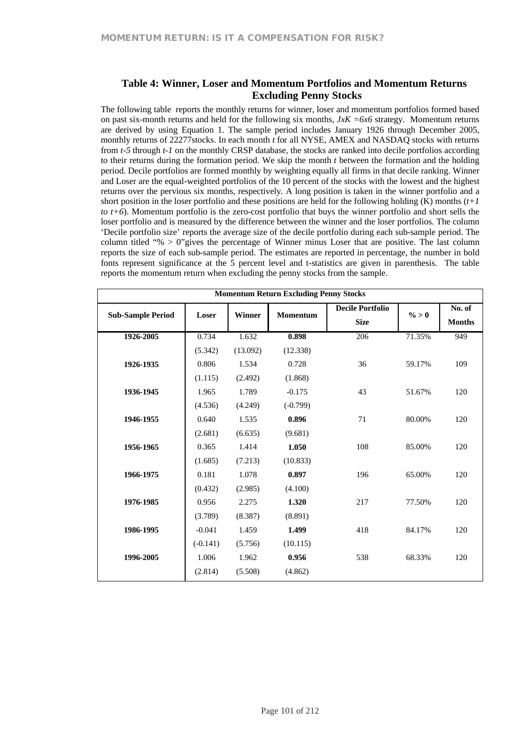### **Table 4: Winner, Loser and Momentum Portfolios and Momentum Returns Excluding Penny Stocks**

The following table reports the monthly returns for winner, loser and momentum portfolios formed based on past six-month returns and held for the following six months,  $JxK = 6x6$  strategy. Momentum returns are derived by using Equation 1. The sample period includes January 1926 through December 2005, monthly returns of 22277stocks. In each month *t* for all NYSE, AMEX and NASDAQ stocks with returns from *t-5* through *t-1* on the monthly CRSP database, the stocks are ranked into decile portfolios according to their returns during the formation period. We skip the month *t* between the formation and the holding period. Decile portfolios are formed monthly by weighting equally all firms in that decile ranking. Winner and Loser are the equal-weighted portfolios of the 10 percent of the stocks with the lowest and the highest returns over the pervious six months, respectively. A long position is taken in the winner portfolio and a short position in the loser portfolio and these positions are held for the following holding  $(K)$  months  $(t+1)$ *to t+6*). Momentum portfolio is the zero-cost portfolio that buys the winner portfolio and short sells the loser portfolio and is measured by the difference between the winner and the loser portfolios. The column 'Decile portfolio size' reports the average size of the decile portfolio during each sub-sample period. The column titled "% > 0"gives the percentage of Winner minus Loser that are positive. The last column reports the size of each sub-sample period. The estimates are reported in percentage, the number in bold fonts represent significance at the 5 percent level and t-statistics are given in parenthesis. The table reports the momentum return when excluding the penny stocks from the sample.

| Loser      | <b>Winner</b> | Momentum   | <b>Decile Portfolio</b> | $\% > 0$                                                     | No. of        |  |  |  |  |  |
|------------|---------------|------------|-------------------------|--------------------------------------------------------------|---------------|--|--|--|--|--|
|            |               |            |                         |                                                              | <b>Months</b> |  |  |  |  |  |
| 0.734      | 1.632         | 0.898      | 206                     | 71.35%                                                       | 949           |  |  |  |  |  |
| (5.342)    | (13.092)      | (12.338)   |                         |                                                              |               |  |  |  |  |  |
| 0.806      | 1.534         | 0.728      | 36                      | 59.17%                                                       | 109           |  |  |  |  |  |
| (1.115)    | (2.492)       | (1.868)    |                         |                                                              |               |  |  |  |  |  |
| 1.965      | 1.789         | $-0.175$   | 43                      | 51.67%                                                       | 120           |  |  |  |  |  |
| (4.536)    | (4.249)       | $(-0.799)$ |                         |                                                              |               |  |  |  |  |  |
| 0.640      | 1.535         | 0.896      | 71                      | 80.00%                                                       | 120           |  |  |  |  |  |
| (2.681)    | (6.635)       | (9.681)    |                         |                                                              |               |  |  |  |  |  |
| 0.365      | 1.414         | 1.050      | 108                     | 85.00%                                                       | 120           |  |  |  |  |  |
| (1.685)    | (7.213)       | (10.833)   |                         |                                                              |               |  |  |  |  |  |
| 0.181      | 1.078         | 0.897      | 196                     | 65.00%                                                       | 120           |  |  |  |  |  |
| (0.432)    | (2.985)       | (4.100)    |                         |                                                              |               |  |  |  |  |  |
| 0.956      | 2.275         | 1.320      | 217                     | 77.50%                                                       | 120           |  |  |  |  |  |
| (3.789)    | (8.387)       | (8.891)    |                         |                                                              |               |  |  |  |  |  |
| $-0.041$   | 1.459         | 1.499      | 418                     | 84.17%                                                       | 120           |  |  |  |  |  |
| $(-0.141)$ | (5.756)       | (10.115)   |                         |                                                              |               |  |  |  |  |  |
| 1.006      | 1.962         | 0.956      | 538                     | 68.33%                                                       | 120           |  |  |  |  |  |
| (2.814)    | (5.508)       | (4.862)    |                         |                                                              |               |  |  |  |  |  |
|            |               |            |                         | <b>Momentum Return Excluding Penny Stocks</b><br><b>Size</b> |               |  |  |  |  |  |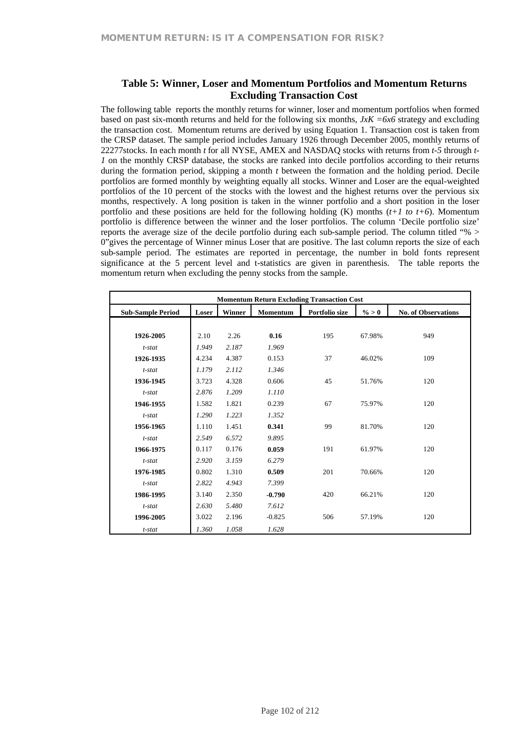## **Table 5: Winner, Loser and Momentum Portfolios and Momentum Returns Excluding Transaction Cost**

The following table reports the monthly returns for winner, loser and momentum portfolios when formed based on past six-month returns and held for the following six months, *JxK =6x6* strategy and excluding the transaction cost. Momentum returns are derived by using Equation 1. Transaction cost is taken from the CRSP dataset. The sample period includes January 1926 through December 2005, monthly returns of 22277stocks. In each month *t* for all NYSE, AMEX and NASDAQ stocks with returns from *t-5* through *t-1* on the monthly CRSP database, the stocks are ranked into decile portfolios according to their returns during the formation period, skipping a month *t* between the formation and the holding period. Decile portfolios are formed monthly by weighting equally all stocks. Winner and Loser are the equal-weighted portfolios of the 10 percent of the stocks with the lowest and the highest returns over the pervious six months, respectively. A long position is taken in the winner portfolio and a short position in the loser portfolio and these positions are held for the following holding  $(K)$  months  $(t+1 \text{ to } t+6)$ . Momentum portfolio is difference between the winner and the loser portfolios. The column 'Decile portfolio size' reports the average size of the decile portfolio during each sub-sample period. The column titled "% > 0"gives the percentage of Winner minus Loser that are positive. The last column reports the size of each sub-sample period. The estimates are reported in percentage, the number in bold fonts represent significance at the 5 percent level and t-statistics are given in parenthesis. The table reports the momentum return when excluding the penny stocks from the sample.

|                          | <b>Momentum Return Excluding Transaction Cost</b> |        |          |                |          |                            |  |  |  |  |  |  |
|--------------------------|---------------------------------------------------|--------|----------|----------------|----------|----------------------------|--|--|--|--|--|--|
| <b>Sub-Sample Period</b> | Loser                                             | Winner | Momentum | Portfolio size | $\% > 0$ | <b>No. of Observations</b> |  |  |  |  |  |  |
|                          |                                                   |        |          |                |          |                            |  |  |  |  |  |  |
| 1926-2005                | 2.10                                              | 2.26   | 0.16     | 195            | 67.98%   | 949                        |  |  |  |  |  |  |
| $t$ -stat                | 1.949                                             | 2.187  | 1.969    |                |          |                            |  |  |  |  |  |  |
| 1926-1935                | 4.234                                             | 4.387  | 0.153    | 37             | 46.02%   | 109                        |  |  |  |  |  |  |
| $t$ -stat                | 1.179                                             | 2.112  | 1.346    |                |          |                            |  |  |  |  |  |  |
| 1936-1945                | 3.723                                             | 4.328  | 0.606    | 45             | 51.76%   | 120                        |  |  |  |  |  |  |
| $t$ -stat                | 2.876                                             | 1.209  | 1.110    |                |          |                            |  |  |  |  |  |  |
| 1946-1955                | 1.582                                             | 1.821  | 0.239    | 67             | 75.97%   | 120                        |  |  |  |  |  |  |
| $t$ -stat                | 1.290                                             | 1.223  | 1.352    |                |          |                            |  |  |  |  |  |  |
| 1956-1965                | 1.110                                             | 1.451  | 0.341    | 99             | 81.70%   | 120                        |  |  |  |  |  |  |
| $t$ -stat                | 2.549                                             | 6.572  | 9.895    |                |          |                            |  |  |  |  |  |  |
| 1966-1975                | 0.117                                             | 0.176  | 0.059    | 191            | 61.97%   | 120                        |  |  |  |  |  |  |
| $t$ -stat                | 2.920                                             | 3.159  | 6.279    |                |          |                            |  |  |  |  |  |  |
| 1976-1985                | 0.802                                             | 1.310  | 0.509    | 201            | 70.66%   | 120                        |  |  |  |  |  |  |
| $t$ -stat                | 2.822                                             | 4.943  | 7.399    |                |          |                            |  |  |  |  |  |  |
| 1986-1995                | 3.140                                             | 2.350  | $-0.790$ | 420            | 66.21%   | 120                        |  |  |  |  |  |  |
| t-stat                   | 2.630                                             | 5.480  | 7.612    |                |          |                            |  |  |  |  |  |  |
| 1996-2005                | 3.022                                             | 2.196  | $-0.825$ | 506            | 57.19%   | 120                        |  |  |  |  |  |  |
| $t$ -stat                | 1.360                                             | 1.058  | 1.628    |                |          |                            |  |  |  |  |  |  |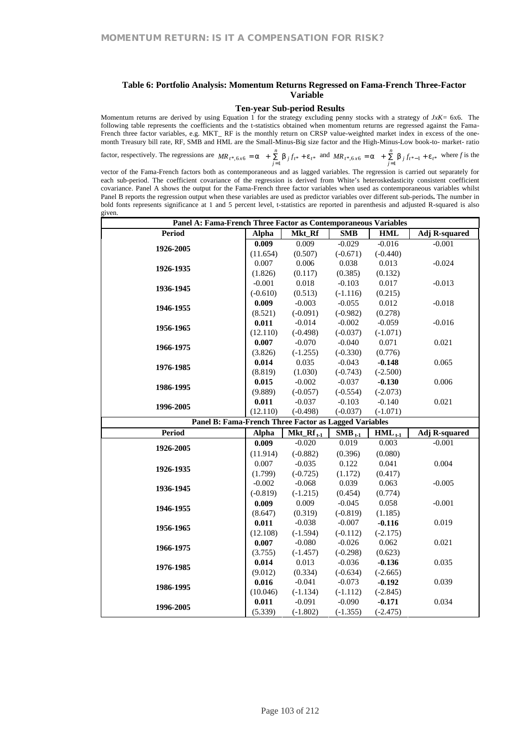#### **Table 6: Portfolio Analysis: Momentum Returns Regressed on Fama-French Three-Factor Variable**

#### **Ten-year Sub-period Results**

Momentum returns are derived by using Equation 1 for the strategy excluding penny stocks with a strategy of *JxK=* 6x6. The following table represents the coefficients and the t-statistics obtained when momentum returns are regressed against the Fama-French three factor variables, e.g. MKT\_ RF is the monthly return on CRSP value-weighted market index in excess of the onemonth Treasury bill rate, RF, SMB and HML are the Small-Minus-Big size factor and the High-Minus-Low book-to- market- ratio

factor, respectively. The regressions are  $MR_{t^*,6x6} = a + \sum_{j=1}^{8} b_j f_{t^*} + e_{t^*}$ *n*  $MR_{t^*, 6x6} = a + \sum_{j=1}^{x} b_j f_{t^*} + e_{t^*}$  and  $MR_{t^*, 6x6} = a + \sum_{j=1}^{x} b_j f_{t^*-1} + e_{t^*}$ *n*  $MR_{t^*, 6x6} = a + \sum_{j=1}^{x} b_j f_{t^*-1} + e_{t^*}$  where *f* is the

vector of the Fama-French factors both as contemporaneous and as lagged variables. The regression is carried out separately for each sub-period. The coefficient covariance of the regression is derived from White's heteroskedasticity consistent coefficient covariance. Panel A shows the output for the Fama-French three factor variables when used as contemporaneous variables whilst Panel B reports the regression output when these variables are used as predictor variables over different sub-periods**.** The number in bold fonts represents significance at 1 and 5 percent level, t-statistics are reported in parenthesis and adjusted R-squared is also given.

|                                                       | Panel A: Fama-French Three Factor as Contemporaneous Variables |                |             |             |                      |  |  |  |  |  |
|-------------------------------------------------------|----------------------------------------------------------------|----------------|-------------|-------------|----------------------|--|--|--|--|--|
| <b>Period</b>                                         | <b>Alpha</b>                                                   | Mkt_Rf         | <b>SMB</b>  | <b>HML</b>  | Adj R-squared        |  |  |  |  |  |
| 1926-2005                                             | 0.009                                                          | 0.009          | $-0.029$    | $-0.016$    | $-0.001$             |  |  |  |  |  |
|                                                       | (11.654)                                                       | (0.507)        | $(-0.671)$  | $(-0.440)$  |                      |  |  |  |  |  |
|                                                       | 0.007                                                          | 0.006          | 0.038       | 0.013       | $-0.024$             |  |  |  |  |  |
| 1926-1935                                             | (1.826)                                                        | (0.117)        | (0.385)     | (0.132)     |                      |  |  |  |  |  |
|                                                       | $-0.001$                                                       | 0.018          | $-0.103$    | 0.017       | $-0.013$             |  |  |  |  |  |
| 1936-1945                                             | $(-0.610)$                                                     | (0.513)        | $(-1.116)$  | (0.215)     |                      |  |  |  |  |  |
| 1946-1955                                             | 0.009                                                          | $-0.003$       | $-0.055$    | 0.012       | $-0.018$             |  |  |  |  |  |
|                                                       | (8.521)                                                        | $(-0.091)$     | $(-0.982)$  | (0.278)     |                      |  |  |  |  |  |
| 1956-1965                                             | 0.011                                                          | $-0.014$       | $-0.002$    | $-0.059$    | $-0.016$             |  |  |  |  |  |
|                                                       | (12.110)                                                       | $(-0.498)$     | $(-0.037)$  | $(-1.071)$  |                      |  |  |  |  |  |
| 1966-1975                                             | 0.007                                                          | $-0.070$       | $-0.040$    | 0.071       | 0.021                |  |  |  |  |  |
|                                                       | (3.826)                                                        | $(-1.255)$     | $(-0.330)$  | (0.776)     |                      |  |  |  |  |  |
| 1976-1985                                             | 0.014                                                          | 0.035          | $-0.043$    | $-0.148$    | 0.065                |  |  |  |  |  |
|                                                       | (8.819)                                                        | (1.030)        | $(-0.743)$  | $(-2.500)$  |                      |  |  |  |  |  |
| 1986-1995                                             | 0.015                                                          | $-0.002$       | $-0.037$    | $-0.130$    | 0.006                |  |  |  |  |  |
|                                                       | (9.889)                                                        | $(-0.057)$     | $(-0.554)$  | $(-2.073)$  |                      |  |  |  |  |  |
| 1996-2005                                             | 0.011                                                          | $-0.037$       | $-0.103$    | $-0.140$    | 0.021                |  |  |  |  |  |
|                                                       | (12.110)                                                       | $(-0.498)$     | $(-0.037)$  | $(-1.071)$  |                      |  |  |  |  |  |
|                                                       |                                                                |                |             |             |                      |  |  |  |  |  |
| Panel B: Fama-French Three Factor as Lagged Variables |                                                                |                |             |             |                      |  |  |  |  |  |
| <b>Period</b>                                         | Alpha                                                          | $Mkt_Rf_{t-1}$ | $SMB_{t-1}$ | $HML_{t-1}$ | <b>Adj R-squared</b> |  |  |  |  |  |
|                                                       | 0.009                                                          | $-0.020$       | 0.019       | 0.003       | $-0.001$             |  |  |  |  |  |
| 1926-2005                                             | (11.914)                                                       | $(-0.882)$     | (0.396)     | (0.080)     |                      |  |  |  |  |  |
|                                                       | 0.007                                                          | $-0.035$       | 0.122       | 0.041       | 0.004                |  |  |  |  |  |
| 1926-1935                                             | (1.799)                                                        | $(-0.725)$     | (1.172)     | (0.417)     |                      |  |  |  |  |  |
|                                                       | $-0.002$                                                       | $-0.068$       | 0.039       | 0.063       | $-0.005$             |  |  |  |  |  |
| 1936-1945                                             | $(-0.819)$                                                     | $(-1.215)$     | (0.454)     | (0.774)     |                      |  |  |  |  |  |
|                                                       | 0.009                                                          | 0.009          | $-0.045$    | 0.058       | $-0.001$             |  |  |  |  |  |
| 1946-1955                                             | (8.647)                                                        | (0.319)        | $(-0.819)$  | (1.185)     |                      |  |  |  |  |  |
|                                                       | 0.011                                                          | $-0.038$       | $-0.007$    | $-0.116$    | 0.019                |  |  |  |  |  |
| 1956-1965                                             | (12.108)                                                       | $(-1.594)$     | $(-0.112)$  | $(-2.175)$  |                      |  |  |  |  |  |
|                                                       | 0.007                                                          | $-0.080$       | $-0.026$    | 0.062       | 0.021                |  |  |  |  |  |
| 1966-1975                                             | (3.755)                                                        | $(-1.457)$     | $(-0.298)$  | (0.623)     |                      |  |  |  |  |  |
|                                                       | 0.014                                                          | 0.013          | $-0.036$    | $-0.136$    | 0.035                |  |  |  |  |  |
| 1976-1985                                             | (9.012)                                                        | (0.334)        | $(-0.634)$  | $(-2.665)$  |                      |  |  |  |  |  |
|                                                       | 0.016                                                          | $-0.041$       | $-0.073$    | $-0.192$    | 0.039                |  |  |  |  |  |
| 1986-1995                                             | (10.046)                                                       | $(-1.134)$     | $(-1.112)$  | $(-2.845)$  |                      |  |  |  |  |  |
| 1996-2005                                             | 0.011                                                          | $-0.091$       | $-0.090$    | $-0.171$    | 0.034                |  |  |  |  |  |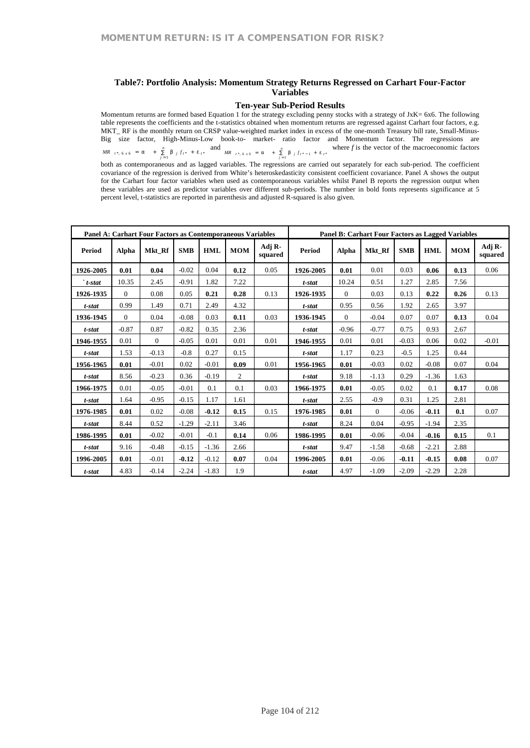#### **Table7: Portfolio Analysis: Momentum Strategy Returns Regressed on Carhart Four-Factor Variables**

#### **Ten-year Sub-Period Results**

Momentum returns are formed based Equation 1 for the strategy excluding penny stocks with a strategy of JxK= 6x6. The following table represents the coefficients and the t-statistics obtained when momentum returns are regressed against Carhart four factors, e.g. MKT\_ RF is the monthly return on CRSP value-weighted market index in excess of the one-month Treasury bill rate, Small-Minus-Big size factor, High-Minus-Low book-to- market- ratio factor and Momentum factor. The regressions are \*, 6 x 6 = a +  $\sum_{j=1}^{n}$  b *j* f<sub>t</sub>\* + e<sub>t</sub>\*  $MR_{t}$ ,  $f *_{t}$ ,  $f *_{t} = a_{t} + \sum_{j=1}^{n} b_{j} f_{t}$ ,  $f *_{t} = a_{t}$ and  $MR_{t^*, 6x6} = a + \sum_{j=1}^{n} b_{j} f_{t^*-1} + e_{t^*}$ *MR*  $t^*$ ,  $6 \times 6 = a + \sum_{j=1}^n b_j f_{t^* - 1} + e_{t^*}$  where *f* is the vector of the macroeconomic factors both as contemporaneous and as lagged variables. The regressions are carried out separately for each sub-period. The coefficient covariance of the regression is derived from White's heteroskedasticity consistent coefficient covariance. Panel A shows the output for the Carhart four factor variables when used as contemporaneous variables whilst Panel B reports the regression output when these variables are used as predictor variables over different sub-periods. The number in bold fonts represents significance at 5 percent level, t-statistics are reported in parenthesis and adjusted R-squared is also given.

| <b>Panel A: Carhart Four Factors as Contemporaneous Variables</b> |          |          |            |         |                |                   | <b>Panel B: Carhart Four Factors as Lagged Variables</b> |          |          |            |            |            |                   |
|-------------------------------------------------------------------|----------|----------|------------|---------|----------------|-------------------|----------------------------------------------------------|----------|----------|------------|------------|------------|-------------------|
| Period                                                            | Alpha    | Mkt Rf   | <b>SMB</b> | HML     | <b>MOM</b>     | Adj R-<br>squared | <b>Period</b>                                            | Alpha    | Mkt Rf   | <b>SMB</b> | <b>HML</b> | <b>MOM</b> | Adj R-<br>squared |
| 1926-2005                                                         | 0.01     | 0.04     | $-0.02$    | 0.04    | 0.12           | 0.05              | 1926-2005                                                | 0.01     | 0.01     | 0.03       | 0.06       | 0.13       | 0.06              |
| $\cdot$ t-stat                                                    | 10.35    | 2.45     | $-0.91$    | 1.82    | 7.22           |                   | t-stat                                                   | 10.24    | 0.51     | 1.27       | 2.85       | 7.56       |                   |
| 1926-1935                                                         | $\Omega$ | 0.08     | 0.05       | 0.21    | 0.28           | 0.13              | 1926-1935                                                | $\Omega$ | 0.03     | 0.13       | 0.22       | 0.26       | 0.13              |
| t-stat                                                            | 0.99     | 1.49     | 0.71       | 2.49    | 4.32           |                   | t-stat                                                   | 0.95     | 0.56     | 1.92       | 2.65       | 3.97       |                   |
| 1936-1945                                                         | $\Omega$ | 0.04     | $-0.08$    | 0.03    | 0.11           | 0.03              | 1936-1945                                                | $\Omega$ | $-0.04$  | 0.07       | 0.07       | 0.13       | 0.04              |
| t-stat                                                            | $-0.87$  | 0.87     | $-0.82$    | 0.35    | 2.36           |                   | t-stat                                                   | $-0.96$  | $-0.77$  | 0.75       | 0.93       | 2.67       |                   |
| 1946-1955                                                         | 0.01     | $\Omega$ | $-0.05$    | 0.01    | 0.01           | 0.01              | 1946-1955                                                | 0.01     | 0.01     | $-0.03$    | 0.06       | 0.02       | $-0.01$           |
| t-stat                                                            | 1.53     | $-0.13$  | $-0.8$     | 0.27    | 0.15           |                   | t-stat                                                   | 1.17     | 0.23     | $-0.5$     | 1.25       | 0.44       |                   |
| 1956-1965                                                         | 0.01     | $-0.01$  | 0.02       | $-0.01$ | 0.09           | 0.01              | 1956-1965                                                | 0.01     | $-0.03$  | 0.02       | $-0.08$    | 0.07       | 0.04              |
| t-stat                                                            | 8.56     | $-0.23$  | 0.36       | $-0.19$ | $\overline{c}$ |                   | t-stat                                                   | 9.18     | $-1.13$  | 0.29       | $-1.36$    | 1.63       |                   |
| 1966-1975                                                         | 0.01     | $-0.05$  | $-0.01$    | 0.1     | 0.1            | 0.03              | 1966-1975                                                | 0.01     | $-0.05$  | 0.02       | 0.1        | 0.17       | 0.08              |
| t-stat                                                            | 1.64     | $-0.95$  | $-0.15$    | 1.17    | 1.61           |                   | t-stat                                                   | 2.55     | $-0.9$   | 0.31       | 1.25       | 2.81       |                   |
| 1976-1985                                                         | 0.01     | 0.02     | $-0.08$    | $-0.12$ | 0.15           | 0.15              | 1976-1985                                                | 0.01     | $\Omega$ | $-0.06$    | $-0.11$    | 0.1        | 0.07              |
| t-stat                                                            | 8.44     | 0.52     | $-1.29$    | $-2.11$ | 3.46           |                   | t-stat                                                   | 8.24     | 0.04     | $-0.95$    | $-1.94$    | 2.35       |                   |
| 1986-1995                                                         | 0.01     | $-0.02$  | $-0.01$    | $-0.1$  | 0.14           | 0.06              | 1986-1995                                                | 0.01     | $-0.06$  | $-0.04$    | $-0.16$    | 0.15       | 0.1               |
| t-stat                                                            | 9.16     | $-0.48$  | $-0.15$    | $-1.36$ | 2.66           |                   | t-stat                                                   | 9.47     | $-1.58$  | $-0.68$    | $-2.21$    | 2.88       |                   |
| 1996-2005                                                         | 0.01     | $-0.01$  | $-0.12$    | $-0.12$ | 0.07           | 0.04              | 1996-2005                                                | 0.01     | $-0.06$  | $-0.11$    | $-0.15$    | 0.08       | 0.07              |
| t-stat                                                            | 4.83     | $-0.14$  | $-2.24$    | $-1.83$ | 1.9            |                   | t-stat                                                   | 4.97     | $-1.09$  | $-2.09$    | $-2.29$    | 2.28       |                   |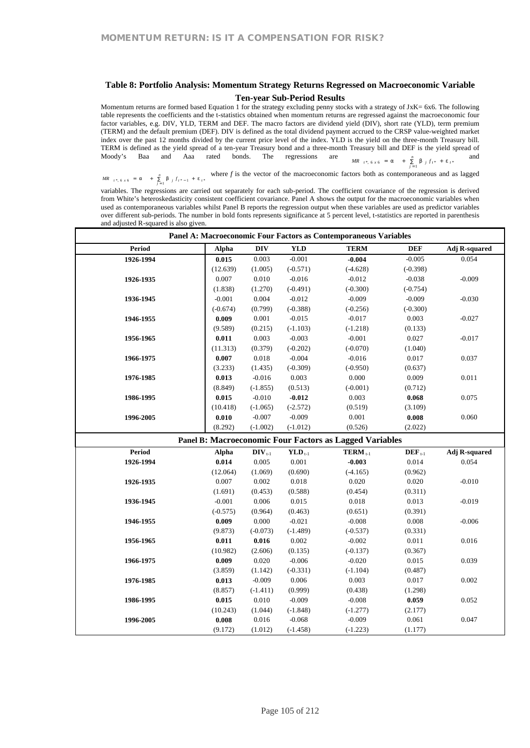#### **Table 8: Portfolio Analysis: Momentum Strategy Returns Regressed on Macroeconomic Variable**

#### **Ten-year Sub-Period Results**

Momentum returns are formed based Equation 1 for the strategy excluding penny stocks with a strategy of JxK= 6x6. The following table represents the coefficients and the t-statistics obtained when momentum returns are regressed against the macroeconomic four factor variables, e.g. DIV, YLD, TERM and DEF. The macro factors are dividend yield (DIV), short rate (YLD), term premium (TERM) and the default premium (DEF). DIV is defined as the total dividend payment accrued to the CRSP value-weighted market index over the past 12 months divided by the current price level of the index. YLD is the yield on the three-month Treasury bill. TERM is defined as the yield spread of a ten-year Treasury bond and a three-month Treasury bill and DEF is the yield spread of Moody's Baa and Aaa rated bonds. The regressions are \*, 6 x 6 = a +  $\sum_{j=1}^{n}$  b *j* f<sub>t</sub>\* + e<sub>t\*</sub>  $MR_{t} *_{t} 6 x 6 = a + \sum_{j=1}^{n} b_{j} f_{t} * + e_{t}$ and

\*, 6 x 6 = a +  $\sum_{j=1}^{n}$  b  $j f_{t^{*}-1}$  + e<sub>t</sub>  $MR_{t} *_{t} 6 x 6 = a + \sum_{j=1}^{t} b_{j} f_{t} *_{t-1} + a$ where *f* is the vector of the macroeconomic factors both as contemporaneous and as lagged

variables. The regressions are carried out separately for each sub-period. The coefficient covariance of the regression is derived from White's heteroskedasticity consistent coefficient covariance. Panel A shows the output for the macroeconomic variables when used as contemporaneous variables whilst Panel B reports the regression output when these variables are used as predictor variables over different sub-periods. The number in bold fonts represents significance at 5 percent level, t-statistics are reported in parenthesis and adjusted R-squared is also given.

|           | Panel A: Macroeconomic Four Factors as Contemporaneous Variables |                      |             |                                                         |             |                      |  |  |  |  |  |  |
|-----------|------------------------------------------------------------------|----------------------|-------------|---------------------------------------------------------|-------------|----------------------|--|--|--|--|--|--|
| Period    | <b>Alpha</b>                                                     | $\mathbf{DIV}$       | <b>YLD</b>  | <b>TERM</b>                                             | <b>DEF</b>  | <b>Adj R-squared</b> |  |  |  |  |  |  |
| 1926-1994 | 0.015                                                            | 0.003                | $-0.001$    | $-0.004$                                                | $-0.005$    | 0.054                |  |  |  |  |  |  |
|           | (12.639)                                                         | (1.005)              | $(-0.571)$  | $(-4.628)$                                              | $(-0.398)$  |                      |  |  |  |  |  |  |
| 1926-1935 | 0.007                                                            | 0.010                | $-0.016$    | $-0.012$                                                | $-0.038$    | $-0.009$             |  |  |  |  |  |  |
|           | (1.838)                                                          | (1.270)              | $(-0.491)$  | $(-0.300)$                                              | $(-0.754)$  |                      |  |  |  |  |  |  |
| 1936-1945 | $-0.001$                                                         | 0.004                | $-0.012$    | $-0.009$                                                | $-0.009$    | $-0.030$             |  |  |  |  |  |  |
|           | $(-0.674)$                                                       | (0.799)              | $(-0.388)$  | $(-0.256)$                                              | $(-0.300)$  |                      |  |  |  |  |  |  |
| 1946-1955 | 0.009                                                            | 0.001                | $-0.015$    | $-0.017$                                                | 0.003       | $-0.027$             |  |  |  |  |  |  |
|           | (9.589)                                                          | (0.215)              | $(-1.103)$  | $(-1.218)$                                              | (0.133)     |                      |  |  |  |  |  |  |
| 1956-1965 | 0.011                                                            | 0.003                | $-0.003$    | $-0.001$                                                | 0.027       | $-0.017$             |  |  |  |  |  |  |
|           | (11.313)                                                         | (0.379)              | $(-0.202)$  | $(-0.070)$                                              | (1.040)     |                      |  |  |  |  |  |  |
| 1966-1975 | 0.007                                                            | 0.018                | $-0.004$    | $-0.016$                                                | 0.017       | 0.037                |  |  |  |  |  |  |
|           | (3.233)                                                          | (1.435)              | $(-0.309)$  | $(-0.950)$                                              | (0.637)     |                      |  |  |  |  |  |  |
| 1976-1985 | 0.013                                                            | $-0.016$             | 0.003       | 0.000                                                   | 0.009       | 0.011                |  |  |  |  |  |  |
|           | (8.849)                                                          | $(-1.855)$           | (0.513)     | $(-0.001)$                                              | (0.712)     |                      |  |  |  |  |  |  |
| 1986-1995 | 0.015                                                            | $-0.010$             | $-0.012$    | 0.003                                                   | 0.068       | 0.075                |  |  |  |  |  |  |
|           | (10.418)                                                         | $(-1.065)$           | $(-2.572)$  | (0.519)                                                 | (3.109)     |                      |  |  |  |  |  |  |
| 1996-2005 | 0.010                                                            | $-0.007$             | $-0.009$    | 0.001                                                   | 0.008       | 0.060                |  |  |  |  |  |  |
|           | (8.292)                                                          | $(-1.002)$           | $(-1.012)$  | (0.526)                                                 | (2.022)     |                      |  |  |  |  |  |  |
|           |                                                                  |                      |             | Panel B: Macroeconomic Four Factors as Lagged Variables |             |                      |  |  |  |  |  |  |
| Period    | Alpha                                                            | $\mathbf{DIV}_{t-1}$ | $YLD_{t-1}$ | $TERM t-1$                                              | $DEF_{t-1}$ | <b>Adj R-squared</b> |  |  |  |  |  |  |
| 1926-1994 | 0.014                                                            | 0.005                | 0.001       | $-0.003$                                                | 0.014       | 0.054                |  |  |  |  |  |  |
|           | (12.064)                                                         | (1.069)              | (0.690)     | $(-4.165)$                                              | (0.962)     |                      |  |  |  |  |  |  |
| 1926-1935 | 0.007                                                            | 0.002                | 0.018       | 0.020                                                   | 0.020       | $-0.010$             |  |  |  |  |  |  |
|           | (1.691)                                                          | (0.453)              | (0.588)     | (0.454)                                                 | (0.311)     |                      |  |  |  |  |  |  |
| 1936-1945 | $-0.001$                                                         | 0.006                | 0.015       | 0.018                                                   | 0.013       | $-0.019$             |  |  |  |  |  |  |
|           | $(-0.575)$                                                       | (0.964)              | (0.463)     | (0.651)                                                 | (0.391)     |                      |  |  |  |  |  |  |
| 1946-1955 | 0.009                                                            | 0.000                | $-0.021$    | $-0.008$                                                | 0.008       | $-0.006$             |  |  |  |  |  |  |
|           | (9.873)                                                          | $(-0.073)$           | $(-1.489)$  | $(-0.537)$                                              | (0.331)     |                      |  |  |  |  |  |  |
| 1956-1965 | 0.011                                                            | 0.016                | 0.002       | $-0.002$                                                | 0.011       | 0.016                |  |  |  |  |  |  |
|           | (10.982)                                                         | (2.606)              | (0.135)     | $(-0.137)$                                              | (0.367)     |                      |  |  |  |  |  |  |
| 1966-1975 | 0.009                                                            | 0.020                | $-0.006$    | $-0.020$                                                | 0.015       | 0.039                |  |  |  |  |  |  |
|           | (3.859)                                                          | (1.142)              | $(-0.331)$  | $(-1.104)$                                              | (0.487)     |                      |  |  |  |  |  |  |
| 1976-1985 | 0.013                                                            | $-0.009$             | 0.006       | 0.003                                                   | 0.017       | 0.002                |  |  |  |  |  |  |
|           | (8.857)                                                          | $(-1.411)$           | (0.999)     | (0.438)                                                 | (1.298)     |                      |  |  |  |  |  |  |
| 1986-1995 | 0.015                                                            | $0.010\,$            | $-0.009$    | $-0.008$                                                | 0.059       | 0.052                |  |  |  |  |  |  |
|           | (10.243)                                                         | (1.044)              | $(-1.848)$  | $(-1.277)$                                              | (2.177)     |                      |  |  |  |  |  |  |
| 1996-2005 | 0.008                                                            | $0.016\,$            | $-0.068$    | $-0.009$                                                | 0.061       | 0.047                |  |  |  |  |  |  |
|           | (9.172)                                                          |                      |             |                                                         |             |                      |  |  |  |  |  |  |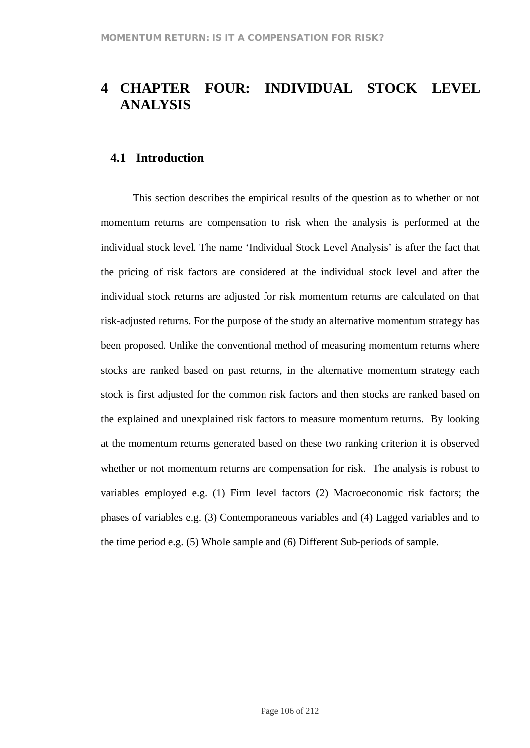# **4 CHAPTER FOUR: INDIVIDUAL STOCK LEVEL ANALYSIS**

### **4.1 Introduction**

This section describes the empirical results of the question as to whether or not momentum returns are compensation to risk when the analysis is performed at the individual stock level. The name 'Individual Stock Level Analysis' is after the fact that the pricing of risk factors are considered at the individual stock level and after the individual stock returns are adjusted for risk momentum returns are calculated on that risk-adjusted returns. For the purpose of the study an alternative momentum strategy has been proposed. Unlike the conventional method of measuring momentum returns where stocks are ranked based on past returns, in the alternative momentum strategy each stock is first adjusted for the common risk factors and then stocks are ranked based on the explained and unexplained risk factors to measure momentum returns. By looking at the momentum returns generated based on these two ranking criterion it is observed whether or not momentum returns are compensation for risk. The analysis is robust to variables employed e.g. (1) Firm level factors (2) Macroeconomic risk factors; the phases of variables e.g. (3) Contemporaneous variables and (4) Lagged variables and to the time period e.g. (5) Whole sample and (6) Different Sub-periods of sample.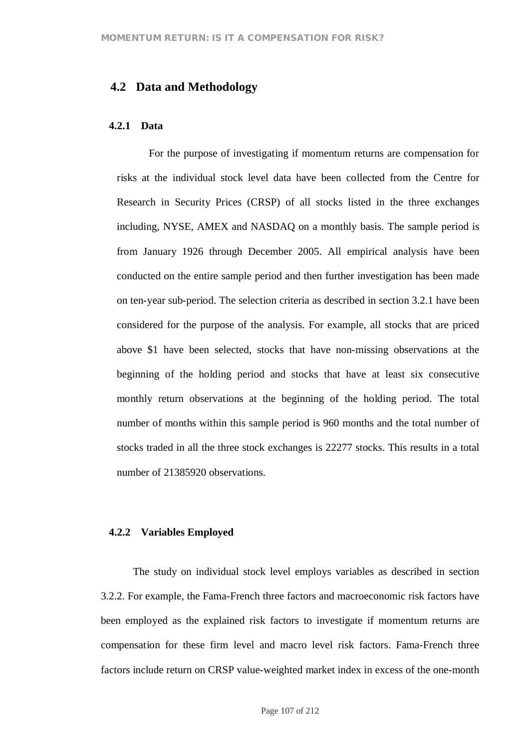### **4.2 Data and Methodology**

#### **4.2.1 Data**

For the purpose of investigating if momentum returns are compensation for risks at the individual stock level data have been collected from the Centre for Research in Security Prices (CRSP) of all stocks listed in the three exchanges including, NYSE, AMEX and NASDAQ on a monthly basis. The sample period is from January 1926 through December 2005. All empirical analysis have been conducted on the entire sample period and then further investigation has been made on ten-year sub-period. The selection criteria as described in section 3.2.1 have been considered for the purpose of the analysis. For example, all stocks that are priced above \$1 have been selected, stocks that have non-missing observations at the beginning of the holding period and stocks that have at least six consecutive monthly return observations at the beginning of the holding period. The total number of months within this sample period is 960 months and the total number of stocks traded in all the three stock exchanges is 22277 stocks. This results in a total number of 21385920 observations.

### **4.2.2 Variables Employed**

The study on individual stock level employs variables as described in section 3.2.2. For example, the Fama-French three factors and macroeconomic risk factors have been employed as the explained risk factors to investigate if momentum returns are compensation for these firm level and macro level risk factors. Fama-French three factors include return on CRSP value-weighted market index in excess of the one-month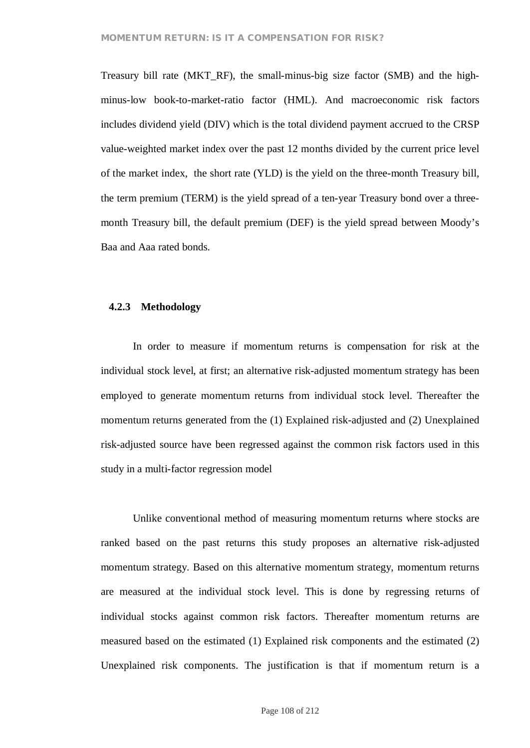Treasury bill rate (MKT\_RF), the small-minus-big size factor (SMB) and the highminus-low book-to-market-ratio factor (HML). And macroeconomic risk factors includes dividend yield (DIV) which is the total dividend payment accrued to the CRSP value-weighted market index over the past 12 months divided by the current price level of the market index, the short rate (YLD) is the yield on the three-month Treasury bill, the term premium (TERM) is the yield spread of a ten-year Treasury bond over a threemonth Treasury bill, the default premium (DEF) is the yield spread between Moody's Baa and Aaa rated bonds.

### **4.2.3 Methodology**

In order to measure if momentum returns is compensation for risk at the individual stock level, at first; an alternative risk-adjusted momentum strategy has been employed to generate momentum returns from individual stock level. Thereafter the momentum returns generated from the (1) Explained risk-adjusted and (2) Unexplained risk-adjusted source have been regressed against the common risk factors used in this study in a multi-factor regression model

Unlike conventional method of measuring momentum returns where stocks are ranked based on the past returns this study proposes an alternative risk-adjusted momentum strategy. Based on this alternative momentum strategy, momentum returns are measured at the individual stock level. This is done by regressing returns of individual stocks against common risk factors. Thereafter momentum returns are measured based on the estimated (1) Explained risk components and the estimated (2) Unexplained risk components. The justification is that if momentum return is a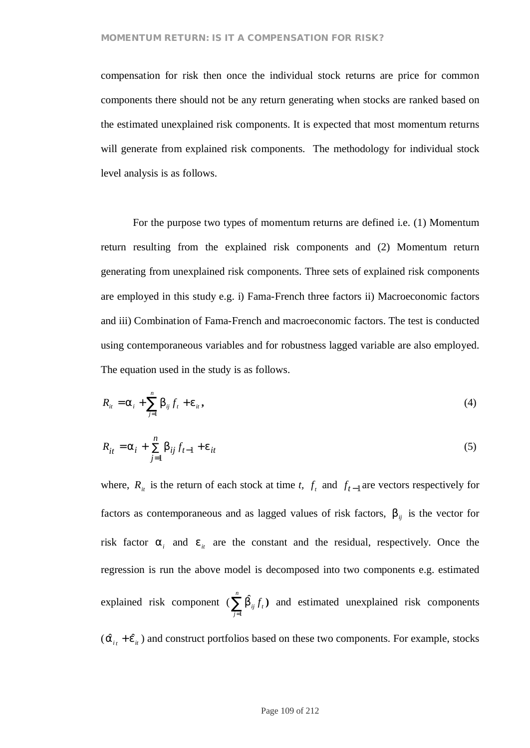### **MOMENTUM RETURN: IS IT A COMPENSATION FOR RISK?**

compensation for risk then once the individual stock returns are price for common components there should not be any return generating when stocks are ranked based on the estimated unexplained risk components. It is expected that most momentum returns will generate from explained risk components. The methodology for individual stock level analysis is as follows.

For the purpose two types of momentum returns are defined i.e. (1) Momentum return resulting from the explained risk components and (2) Momentum return generating from unexplained risk components. Three sets of explained risk components are employed in this study e.g. i) Fama-French three factors ii) Macroeconomic factors and iii) Combination of Fama-French and macroeconomic factors. The test is conducted using contemporaneous variables and for robustness lagged variable are also employed. The equation used in the study is as follows.

$$
R_{it} = a_i + \sum_{j=1}^{n} b_{ij} f_t + e_{it}, \qquad (4)
$$

$$
R_{it} = a_i + \sum_{j=1}^{n} b_{ij} f_{t-1} + e_{it}
$$
 (5)

where,  $R_i$  is the return of each stock at time *t*,  $f_i$  and  $f_{t-1}$  are vectors respectively for factors as contemporaneous and as lagged values of risk factors,  $b_{ii}$  is the vector for risk factor  $a_i$  and  $e_i$  are the constant and the residual, respectively. Once the regression is run the above model is decomposed into two components e.g. estimated explained risk component ( $\sum b_{ij} f_t$ *n*  $\sum_{j=1}^{} \hat{{\mathsf b}}_{ij}^{} f$  $\hat{b}_{ii} f_i$ ) and estimated unexplained risk components  $(\hat{a}_{it} + \hat{e}_{it})$  and construct portfolios based on these two components. For example, stocks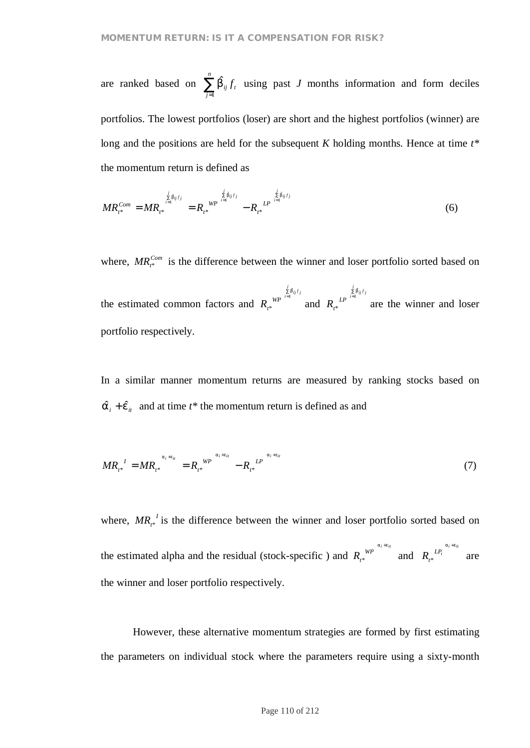are ranked based on  $\sum b_{ij} f_i$ *n*  $\sum_{j=1}$   $\hat{\mathsf{b}}_{ij}$   $f$  $\hat{b}_{ij} f_{t}$  using past *J* months information and form deciles portfolios. The lowest portfolios (loser) are short and the highest portfolios (winner) are long and the positions are held for the subsequent *K* holding months. Hence at time  $t^*$ the momentum return is defined as

$$
MR_{t^*}^{Com} = MR_{t^*}^{\frac{\sum\limits_{j=0}^{j}6_{ij}f_j}{i=1}} = R_{t^*}^{WP}^{1-\frac{\sum\limits_{j=0}^{j}6_{ij}f_j}{i=1}} - R_{t^*}^{LP^{1-\frac{\sum\limits_{j=0}^{j}6_{ij}f_j}{i=1}}}
$$
(6)

where,  $MR_{t*}^{Com}$  is the difference between the winner and loser portfolio sorted based on

the estimated common factors and ∑ = *j*  $R$ <sub>*t*\*</sub></sub>  $\sum_{i=1}^{\not \leq}$   $\hat{b}_{ij}$   $f$ <sub>*j*</sub> \* *b* and ∑ = *j*  $R_{t^*}^{\sum\limits_{i=1}^{\not\leq} \hat{\mathsf{b}}_{ij} f_j}$ \* *b* are the winner and loser portfolio respectively.

In a similar manner momentum returns are measured by ranking stocks based on  $\hat{a}_i + \hat{e}_{i}$  and at time  $t^*$  the momentum return is defined as and

$$
MR_{t*}^{I} = MR_{t*}^{a_i+e_{it}} = R_{t*}^{WP}^{a_i+e_{it}} - R_{t*}^{LP}^{a_i+e_{it}}
$$
\n
$$
(7)
$$

where,  $MR_{t*}^{I}$  is the difference between the winner and loser portfolio sorted based on the estimated alpha and the residual (stock-specific) and  $R_{t*}^{WP}$  $e^{W P}$ <sup>a<sub>i<sup>+e<sub>it</sub></sup></sub> and  $R_t^{LP_t}$ <sup>a<sub>i<sup>+e<sub>it</sub></sub></sup></sup></sup></sub>  $\int_{\alpha}^{L P_t}$  are the winner and loser portfolio respectively.

However, these alternative momentum strategies are formed by first estimating the parameters on individual stock where the parameters require using a sixty-month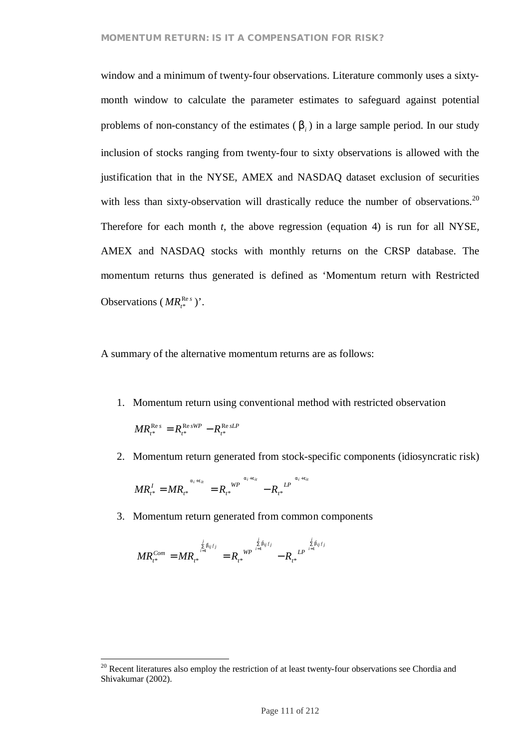### **MOMENTUM RETURN: IS IT A COMPENSATION FOR RISK?**

window and a minimum of twenty-four observations. Literature commonly uses a sixtymonth window to calculate the parameter estimates to safeguard against potential problems of non-constancy of the estimates ( *b<sup>i</sup>* ) in a large sample period. In our study inclusion of stocks ranging from twenty-four to sixty observations is allowed with the justification that in the NYSE, AMEX and NASDAQ dataset exclusion of securities with less than sixty-observation will drastically reduce the number of observations.<sup>20</sup> Therefore for each month *t*, the above regression (equation 4) is run for all NYSE, AMEX and NASDAQ stocks with monthly returns on the CRSP database. The momentum returns thus generated is defined as 'Momentum return with Restricted Observations ( $MR_{t^*}^{\text{Re }s}$  $*^{\text{Res}}$ )'.

A summary of the alternative momentum returns are as follows:

1. Momentum return using conventional method with restricted observation

*sLP t sWP*  $MR_{t^*}^{\text{Re } s} = R_{t^*}^{\text{Re } sWP} - R_{t^*}^{\text{Re}}$ \* Re \*  $R_{t^*}^{\text{Re }s} = R_{t^*}^{\text{Re }sWP} -$ 

2. Momentum return generated from stock-specific components (idiosyncratic risk)

*j*

$$
MR_{t^*}^I = MR_{t^*}^{a_i+e_{it}} = R_{t^*}^{WP}^{a_i+e_{it}} - R_{t^*}^{LP}^{a_i+e_{it}}
$$

3. Momentum return generated from common components

$$
MR_{t^*}^{Com} = MR_{t^*}^{\frac{j}{\sum\limits_{i=1}^{i} b_{ij}f_j}} = R_{t^*}^{WP}^{W^{\frac{j}{\sum\limits_{i=1}^{i} b_{ij}f_j}}}-R_{t^*}^{LP^{\frac{j}{\sum\limits_{i=1}^{i} b_{ij}f}}
$$

 $20$  Recent literatures also employ the restriction of at least twenty-four observations see Chordia and Shivakumar (2002).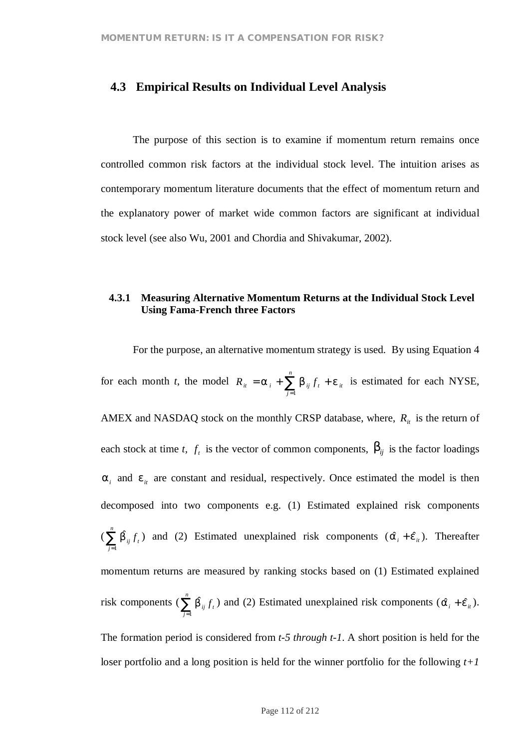# **4.3 Empirical Results on Individual Level Analysis**

The purpose of this section is to examine if momentum return remains once controlled common risk factors at the individual stock level. The intuition arises as contemporary momentum literature documents that the effect of momentum return and the explanatory power of market wide common factors are significant at individual stock level (see also Wu, 2001 and Chordia and Shivakumar, 2002).

# **4.3.1 Measuring Alternative Momentum Returns at the Individual Stock Level Using Fama-French three Factors**

For the purpose, an alternative momentum strategy is used. By using Equation 4 for each month *t*, the model  $R_{it} = a_i + \sum_{i=1}^{n} b_{ij} f_t + e_{it}$  $R_{ii} = a_i + \sum_{j=1}^n b_{ij} f_i + e_j$ is estimated for each NYSE, AMEX and NASDAQ stock on the monthly CRSP database, where,  $R_i$  is the return of each stock at time *t*,  $f_t$  is the vector of common components,  $b_{ij}$  is the factor loadings  $a_i$  and  $e_i$  are constant and residual, respectively. Once estimated the model is then decomposed into two components e.g. (1) Estimated explained risk components  $(\sum \hat{\mathsf{b}}_{_{ij}} f_{_{t}}$ *n*  $\sum_{j=1}$   $\hat{\mathsf{b}}_{_{ij}}$   $f$  $\hat{b}_{ij} f_i$ ) and (2) Estimated unexplained risk components  $(\hat{a}_i + \hat{e}_{i}^T)$ . Thereafter momentum returns are measured by ranking stocks based on (1) Estimated explained risk components ( $\sum \hat{b}_{ij} f_i$ *n*  $\sum_{j=1}$   $\hat{\mathsf{b}}_{ij}$   $f$  $\hat{b}_{ij} f_t$ ) and (2) Estimated unexplained risk components ( $\hat{a}_i + \hat{e}_{it}$ ).

The formation period is considered from *t-5 through t-1*. A short position is held for the loser portfolio and a long position is held for the winner portfolio for the following *t+1*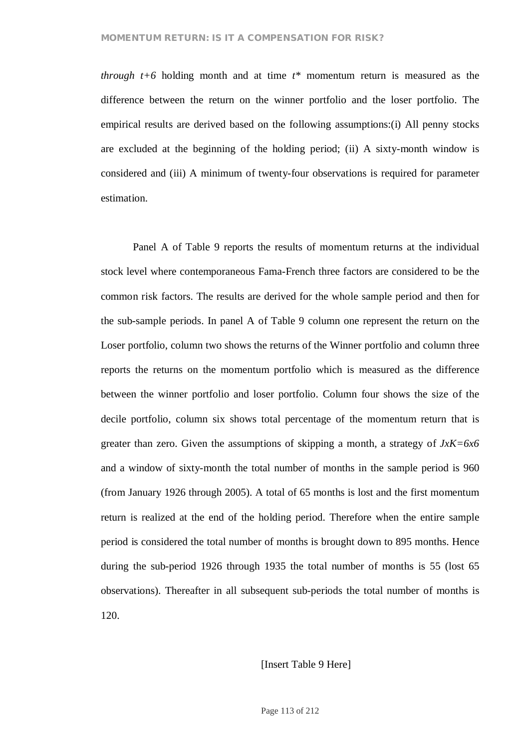### **MOMENTUM RETURN: IS IT A COMPENSATION FOR RISK?**

*through t+6* holding month and at time *t\** momentum return is measured as the difference between the return on the winner portfolio and the loser portfolio. The empirical results are derived based on the following assumptions:(i) All penny stocks are excluded at the beginning of the holding period; (ii) A sixty-month window is considered and (iii) A minimum of twenty-four observations is required for parameter estimation.

Panel A of Table 9 reports the results of momentum returns at the individual stock level where contemporaneous Fama-French three factors are considered to be the common risk factors. The results are derived for the whole sample period and then for the sub-sample periods. In panel A of Table 9 column one represent the return on the Loser portfolio, column two shows the returns of the Winner portfolio and column three reports the returns on the momentum portfolio which is measured as the difference between the winner portfolio and loser portfolio. Column four shows the size of the decile portfolio, column six shows total percentage of the momentum return that is greater than zero. Given the assumptions of skipping a month, a strategy of *JxK=6x6* and a window of sixty-month the total number of months in the sample period is 960 (from January 1926 through 2005). A total of 65 months is lost and the first momentum return is realized at the end of the holding period. Therefore when the entire sample period is considered the total number of months is brought down to 895 months. Hence during the sub-period 1926 through 1935 the total number of months is 55 (lost 65 observations). Thereafter in all subsequent sub-periods the total number of months is 120.

### [Insert Table 9 Here]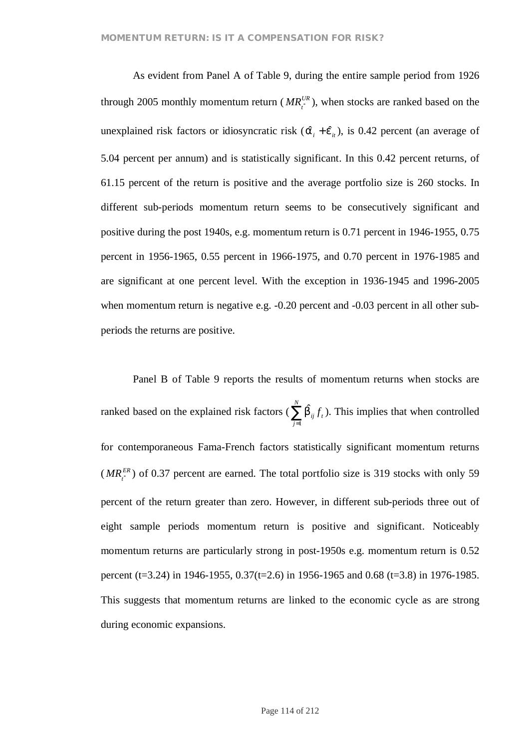As evident from Panel A of Table 9, during the entire sample period from 1926 through 2005 monthly momentum return ( $MR_i^{UR}$ ), when stocks are ranked based on the unexplained risk factors or idiosyncratic risk  $(\hat{a}_{i} + \hat{e}_{i})$ , is 0.42 percent (an average of 5.04 percent per annum) and is statistically significant. In this 0.42 percent returns, of 61.15 percent of the return is positive and the average portfolio size is 260 stocks. In different sub-periods momentum return seems to be consecutively significant and positive during the post 1940s, e.g. momentum return is 0.71 percent in 1946-1955, 0.75 percent in 1956-1965, 0.55 percent in 1966-1975, and 0.70 percent in 1976-1985 and are significant at one percent level. With the exception in 1936-1945 and 1996-2005 when momentum return is negative e.g.  $-0.20$  percent and  $-0.03$  percent in all other subperiods the returns are positive.

Panel B of Table 9 reports the results of momentum returns when stocks are ranked based on the explained risk factors ( $\sum_i \mathsf{b}_{ij} f_i$ *N*  $\sum_{j=1}$   $\hat{\mathsf{b}}_{ij}$   $f$  $\hat{b}_{ii} f_{t}$ ). This implies that when controlled for contemporaneous Fama-French factors statistically significant momentum returns  $(MR<sub>t</sub><sup>ER</sup>)$  of 0.37 percent are earned. The total portfolio size is 319 stocks with only 59 percent of the return greater than zero. However, in different sub-periods three out of eight sample periods momentum return is positive and significant. Noticeably momentum returns are particularly strong in post-1950s e.g. momentum return is 0.52 percent (t=3.24) in 1946-1955, 0.37(t=2.6) in 1956-1965 and 0.68 (t=3.8) in 1976-1985. This suggests that momentum returns are linked to the economic cycle as are strong during economic expansions.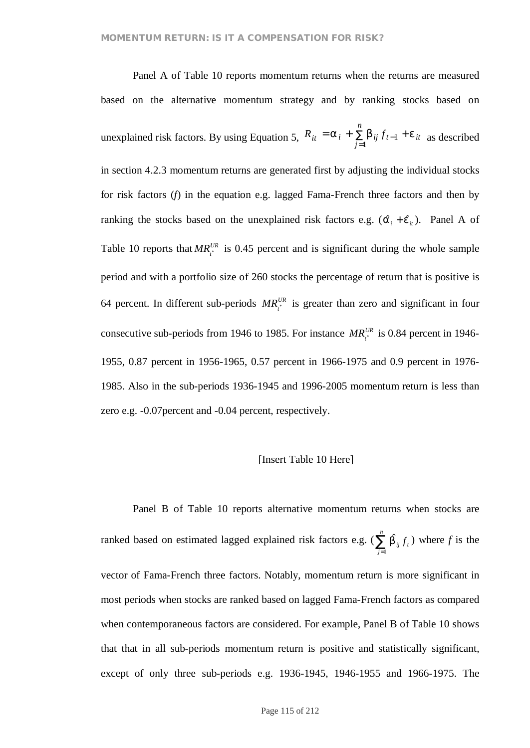Panel A of Table 10 reports momentum returns when the returns are measured based on the alternative momentum strategy and by ranking stocks based on unexplained risk factors. By using Equation 5,  $K_{it} = d_i + \sum_j D_{ij} J_{t-1} + e_{it}$ *n*  $R_{it} = a_i + \sum_{j=1} b_{ij} f_{t-1} + e_j$ 1  $\int_{1}^{\mathbf{D}} i j f_{t-1} + e^{i t}$  as described in section 4.2.3 momentum returns are generated first by adjusting the individual stocks for risk factors (*f*) in the equation e.g. lagged Fama-French three factors and then by ranking the stocks based on the unexplained risk factors e.g.  $(\hat{a}_i + \hat{e}_i)$ . Panel A of Table 10 reports that  $MR_i^{UR}$  is 0.45 percent and is significant during the whole sample period and with a portfolio size of 260 stocks the percentage of return that is positive is 64 percent. In different sub-periods  $MR_i^{UR}$  is greater than zero and significant in four consecutive sub-periods from 1946 to 1985. For instance  $MR_{t}^{UR}$  is 0.84 percent in 1946-1955, 0.87 percent in 1956-1965, 0.57 percent in 1966-1975 and 0.9 percent in 1976- 1985. Also in the sub-periods 1936-1945 and 1996-2005 momentum return is less than zero e.g. -0.07percent and -0.04 percent, respectively.

### [Insert Table 10 Here]

Panel B of Table 10 reports alternative momentum returns when stocks are ranked based on estimated lagged explained risk factors e.g. ( $\sum \hat{b}_{ij} f_i$ *n*  $\sum_{j=1}$   $\hat{\mathsf{b}}_{ij}$   $f$  $\hat{b}_{ii} f_t$ ) where *f* is the vector of Fama-French three factors. Notably, momentum return is more significant in most periods when stocks are ranked based on lagged Fama-French factors as compared when contemporaneous factors are considered. For example, Panel B of Table 10 shows that that in all sub-periods momentum return is positive and statistically significant, except of only three sub-periods e.g. 1936-1945, 1946-1955 and 1966-1975. The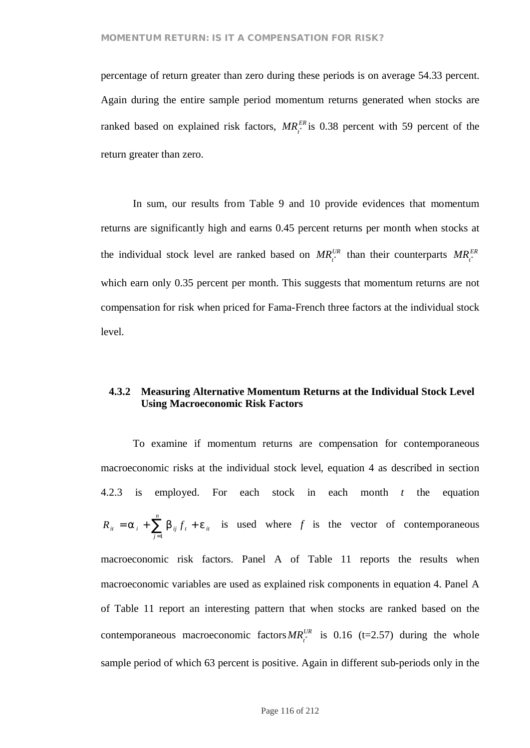percentage of return greater than zero during these periods is on average 54.33 percent. Again during the entire sample period momentum returns generated when stocks are ranked based on explained risk factors,  $MR_i^{ER}$  is 0.38 percent with 59 percent of the return greater than zero.

In sum, our results from Table 9 and 10 provide evidences that momentum returns are significantly high and earns 0.45 percent returns per month when stocks at the individual stock level are ranked based on  $MR_i^{UR}$  than their counterparts  $MR_i^{ER}$ which earn only 0.35 percent per month. This suggests that momentum returns are not compensation for risk when priced for Fama-French three factors at the individual stock level.

### **4.3.2 Measuring Alternative Momentum Returns at the Individual Stock Level Using Macroeconomic Risk Factors**

To examine if momentum returns are compensation for contemporaneous macroeconomic risks at the individual stock level, equation 4 as described in section 4.2.3 is employed. For each stock in each month *t* the equation *t it n*  $R_{it} = a_i + \sum_{j=1}^n b_{ij} f_i + e_j$ is used where *f* is the vector of contemporaneous macroeconomic risk factors. Panel A of Table 11 reports the results when macroeconomic variables are used as explained risk components in equation 4. Panel A of Table 11 report an interesting pattern that when stocks are ranked based on the contemporaneous macroeconomic factors  $MR_t^{UR}$  is 0.16 (t=2.57) during the whole sample period of which 63 percent is positive. Again in different sub-periods only in the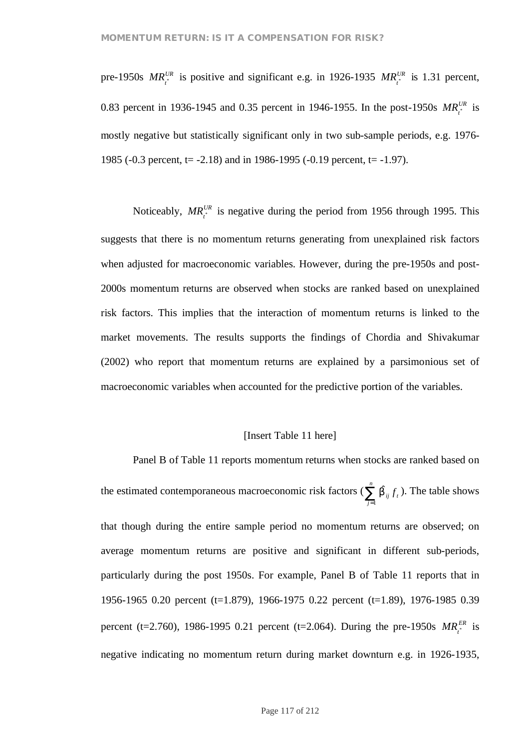pre-1950s  $MR_t^{UR}$  is positive and significant e.g. in 1926-1935  $MR_t^{UR}$  is 1.31 percent, 0.83 percent in 1936-1945 and 0.35 percent in 1946-1955. In the post-1950s  $MR_i^{UR}$  is mostly negative but statistically significant only in two sub-sample periods, e.g. 1976- 1985 (-0.3 percent, t=  $-2.18$ ) and in 1986-1995 (-0.19 percent, t=  $-1.97$ ).

Noticeably,  $MR_i^{UR}$  is negative during the period from 1956 through 1995. This suggests that there is no momentum returns generating from unexplained risk factors when adjusted for macroeconomic variables. However, during the pre-1950s and post-2000s momentum returns are observed when stocks are ranked based on unexplained risk factors. This implies that the interaction of momentum returns is linked to the market movements. The results supports the findings of Chordia and Shivakumar (2002) who report that momentum returns are explained by a parsimonious set of macroeconomic variables when accounted for the predictive portion of the variables.

### [Insert Table 11 here]

Panel B of Table 11 reports momentum returns when stocks are ranked based on the estimated contemporaneous macroeconomic risk factors ( $\sum \hat{p}_{ij} f_i$ *n*  $\sum_{j=1}$   $\hat{\mathsf{b}}_{\hspace{0.5pt} ij}^{\hspace{0.5pt} \fbox{}} f$  $\hat{b}_{ii} f_t$ ). The table shows that though during the entire sample period no momentum returns are observed; on average momentum returns are positive and significant in different sub-periods, particularly during the post 1950s. For example, Panel B of Table 11 reports that in 1956-1965 0.20 percent (t=1.879), 1966-1975 0.22 percent (t=1.89), 1976-1985 0.39 percent (t=2.760), 1986-1995 0.21 percent (t=2.064). During the pre-1950s  $MR_t^{ER}$  is negative indicating no momentum return during market downturn e.g. in 1926-1935,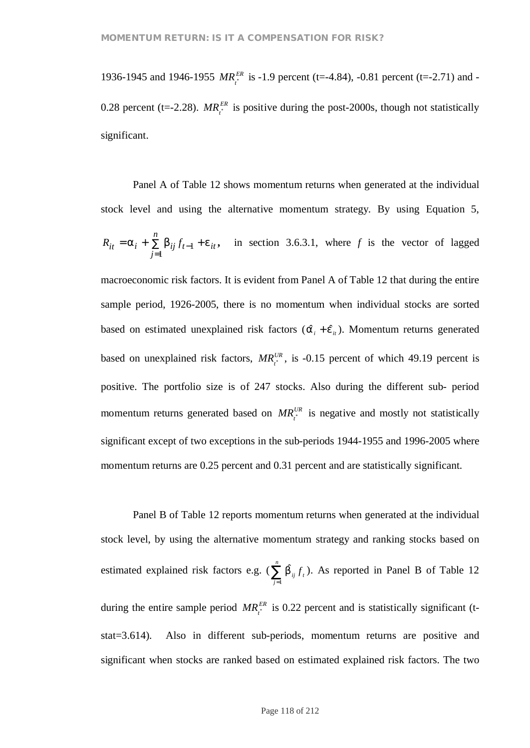1936-1945 and 1946-1955  $MR_i^{ER}$  is -1.9 percent (t=-4.84), -0.81 percent (t=-2.71) and -0.28 percent (t=-2.28).  $MR_i^{ER}$  is positive during the post-2000s, though not statistically significant.

Panel A of Table 12 shows momentum returns when generated at the individual stock level and using the alternative momentum strategy. By using Equation 5,  $_{t-1}$  +  $_{t}$   $_{it}$ *n*  $R_{it} = a_i + \sum_{j=1} b_{ij} f_{t-1} + e_j$ 1 1 **,** in section 3.6.3.1, where *f* is the vector of lagged

macroeconomic risk factors. It is evident from Panel A of Table 12 that during the entire sample period, 1926-2005, there is no momentum when individual stocks are sorted based on estimated unexplained risk factors  $(\hat{a}_i + \hat{e}_{i})$ . Momentum returns generated based on unexplained risk factors,  $MR_i^{UR}$ , is -0.15 percent of which 49.19 percent is positive. The portfolio size is of 247 stocks. Also during the different sub- period momentum returns generated based on  $MR_i^{UR}$  is negative and mostly not statistically significant except of two exceptions in the sub-periods 1944-1955 and 1996-2005 where momentum returns are 0.25 percent and 0.31 percent and are statistically significant.

Panel B of Table 12 reports momentum returns when generated at the individual stock level, by using the alternative momentum strategy and ranking stocks based on estimated explained risk factors e.g. ( $\sum \hat{b}_{ij} f_i$ *n*  $\sum_{j=1}$   $\hat{\mathsf{b}}_{ij}$   $f$  $\hat{b}_{ii} f_i$ ). As reported in Panel B of Table 12 during the entire sample period  $MR_i^{ER}$  is 0.22 percent and is statistically significant (tstat=3.614). Also in different sub-periods, momentum returns are positive and significant when stocks are ranked based on estimated explained risk factors. The two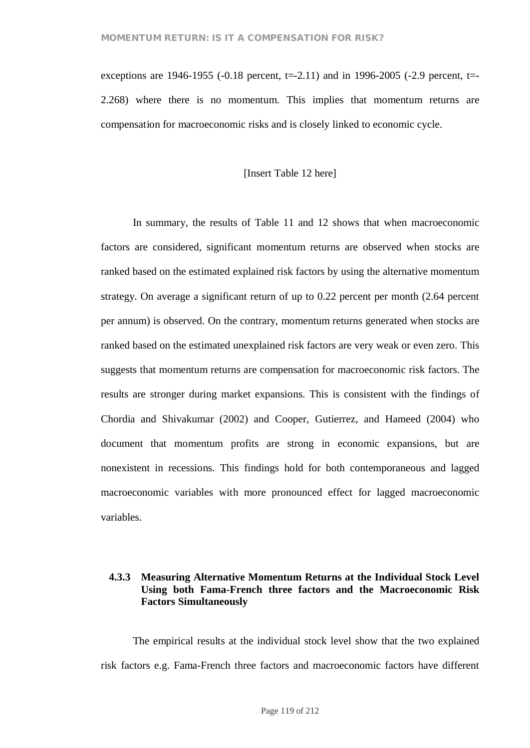exceptions are 1946-1955 (-0.18 percent, t=-2.11) and in 1996-2005 (-2.9 percent, t=-2.268) where there is no momentum. This implies that momentum returns are compensation for macroeconomic risks and is closely linked to economic cycle.

### [Insert Table 12 here]

In summary, the results of Table 11 and 12 shows that when macroeconomic factors are considered, significant momentum returns are observed when stocks are ranked based on the estimated explained risk factors by using the alternative momentum strategy. On average a significant return of up to 0.22 percent per month (2.64 percent per annum) is observed. On the contrary, momentum returns generated when stocks are ranked based on the estimated unexplained risk factors are very weak or even zero. This suggests that momentum returns are compensation for macroeconomic risk factors. The results are stronger during market expansions. This is consistent with the findings of Chordia and Shivakumar (2002) and Cooper, Gutierrez, and Hameed (2004) who document that momentum profits are strong in economic expansions, but are nonexistent in recessions. This findings hold for both contemporaneous and lagged macroeconomic variables with more pronounced effect for lagged macroeconomic variables.

## **4.3.3 Measuring Alternative Momentum Returns at the Individual Stock Level Using both Fama-French three factors and the Macroeconomic Risk Factors Simultaneously**

The empirical results at the individual stock level show that the two explained risk factors e.g. Fama-French three factors and macroeconomic factors have different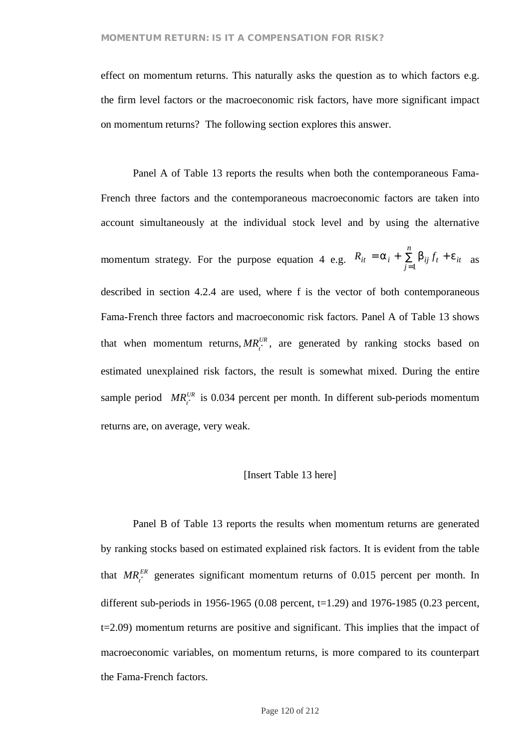effect on momentum returns. This naturally asks the question as to which factors e.g. the firm level factors or the macroeconomic risk factors, have more significant impact on momentum returns? The following section explores this answer.

Panel A of Table 13 reports the results when both the contemporaneous Fama-French three factors and the contemporaneous macroeconomic factors are taken into account simultaneously at the individual stock level and by using the alternative momentum strategy. For the purpose equation 4 e.g.  $K_{it} = d_i + \sum_j D_{ij} f_i + e_{it}$ *n*  $R_{it} = a_i + \sum_{j=1}^{n} b_{ij} f_t + e_{it}$  as described in section 4.2.4 are used, where f is the vector of both contemporaneous Fama-French three factors and macroeconomic risk factors. Panel A of Table 13 shows that when momentum returns,  $MR_i^{UR}$ , are generated by ranking stocks based on estimated unexplained risk factors, the result is somewhat mixed. During the entire sample period  $MR_i^{UR}$  is 0.034 percent per month. In different sub-periods momentum returns are, on average, very weak.

### [Insert Table 13 here]

Panel B of Table 13 reports the results when momentum returns are generated by ranking stocks based on estimated explained risk factors. It is evident from the table that  $MR_i^{ER}$  generates significant momentum returns of 0.015 percent per month. In different sub-periods in 1956-1965 (0.08 percent,  $t=1.29$ ) and 1976-1985 (0.23 percent, t=2.09) momentum returns are positive and significant. This implies that the impact of macroeconomic variables, on momentum returns, is more compared to its counterpart the Fama-French factors.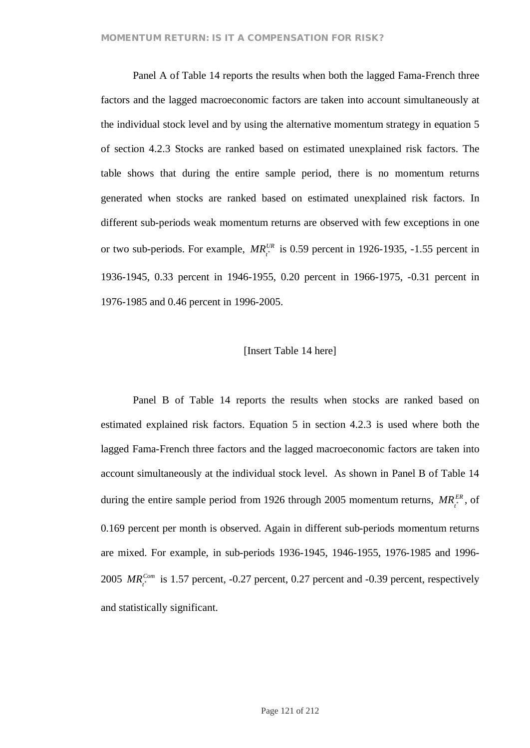Panel A of Table 14 reports the results when both the lagged Fama-French three factors and the lagged macroeconomic factors are taken into account simultaneously at the individual stock level and by using the alternative momentum strategy in equation 5 of section 4.2.3 Stocks are ranked based on estimated unexplained risk factors. The table shows that during the entire sample period, there is no momentum returns generated when stocks are ranked based on estimated unexplained risk factors. In different sub-periods weak momentum returns are observed with few exceptions in one or two sub-periods. For example,  $MR_i^{UR}$  is 0.59 percent in 1926-1935, -1.55 percent in 1936-1945, 0.33 percent in 1946-1955, 0.20 percent in 1966-1975, -0.31 percent in 1976-1985 and 0.46 percent in 1996-2005.

### [Insert Table 14 here]

Panel B of Table 14 reports the results when stocks are ranked based on estimated explained risk factors. Equation 5 in section 4.2.3 is used where both the lagged Fama-French three factors and the lagged macroeconomic factors are taken into account simultaneously at the individual stock level. As shown in Panel B of Table 14 during the entire sample period from 1926 through 2005 momentum returns,  $MR_i^{ER}$ , of 0.169 percent per month is observed. Again in different sub-periods momentum returns are mixed. For example, in sub-periods 1936-1945, 1946-1955, 1976-1985 and 1996- 2005  $MR_i^{Com}$  is 1.57 percent, -0.27 percent, 0.27 percent and -0.39 percent, respectively and statistically significant.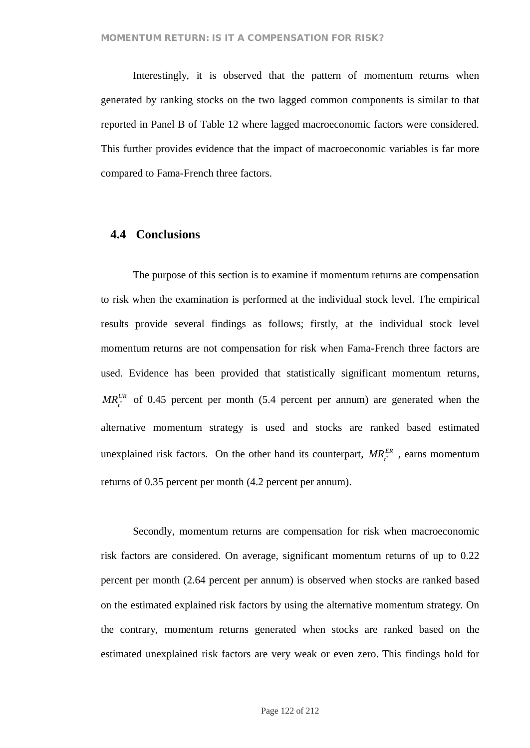Interestingly, it is observed that the pattern of momentum returns when generated by ranking stocks on the two lagged common components is similar to that reported in Panel B of Table 12 where lagged macroeconomic factors were considered. This further provides evidence that the impact of macroeconomic variables is far more compared to Fama-French three factors.

### **4.4 Conclusions**

The purpose of this section is to examine if momentum returns are compensation to risk when the examination is performed at the individual stock level. The empirical results provide several findings as follows; firstly, at the individual stock level momentum returns are not compensation for risk when Fama-French three factors are used. Evidence has been provided that statistically significant momentum returns,  $MR_{i}^{UR}$  of 0.45 percent per month (5.4 percent per annum) are generated when the alternative momentum strategy is used and stocks are ranked based estimated unexplained risk factors. On the other hand its counterpart,  $MR_{i}^{ER}$ , earns momentum returns of 0.35 percent per month (4.2 percent per annum).

Secondly, momentum returns are compensation for risk when macroeconomic risk factors are considered. On average, significant momentum returns of up to 0.22 percent per month (2.64 percent per annum) is observed when stocks are ranked based on the estimated explained risk factors by using the alternative momentum strategy. On the contrary, momentum returns generated when stocks are ranked based on the estimated unexplained risk factors are very weak or even zero. This findings hold for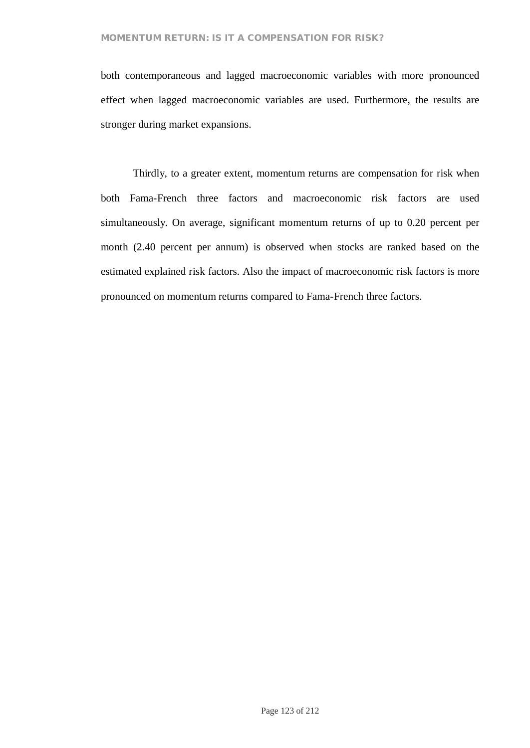both contemporaneous and lagged macroeconomic variables with more pronounced effect when lagged macroeconomic variables are used. Furthermore, the results are stronger during market expansions.

Thirdly, to a greater extent, momentum returns are compensation for risk when both Fama-French three factors and macroeconomic risk factors are used simultaneously. On average, significant momentum returns of up to 0.20 percent per month (2.40 percent per annum) is observed when stocks are ranked based on the estimated explained risk factors. Also the impact of macroeconomic risk factors is more pronounced on momentum returns compared to Fama-French three factors.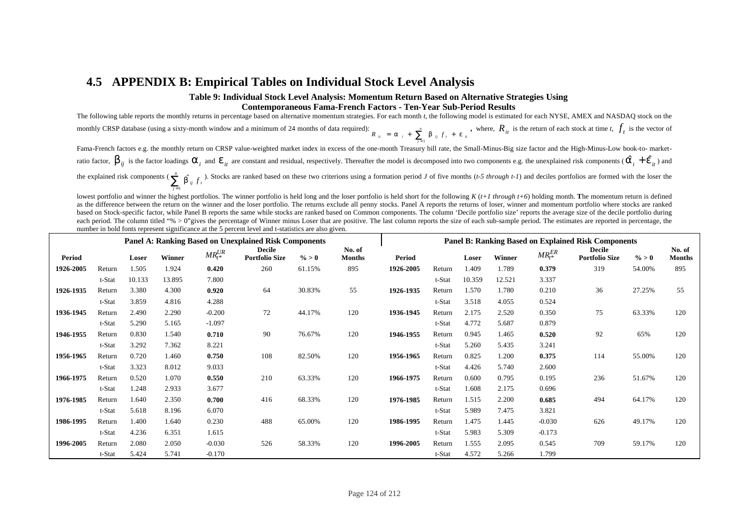# **4.5 APPENDIX B: Empirical Tables on Individual Stock Level Analysis**

#### **Table 9: Individual Stock Level Analysis: Momentum Return Based on Alternative Strategies Using Contemporaneous Fama-French Factors - Ten-Year Sub-Period Results**

The following table reports the monthly returns in percentage based on alternative momentum strategies. For each month *t*, the following model is estimated for each NYSE, AMEX and NASDAQ stock on the monthly CRSP database (using a sixty-month window and a minimum of 24 months of data required):<br>  $R_{ii} = a_{i} + \sum_{i=1}^{n} b_{ij} f_i + e_{ii}$ *n*  $R_{ii}$  =  $a_{i}$  +  $\sum_{j=1}$   $b_{ij}$   $f_{i}$  +  $e_{i}$ , where,  $R_{it}$  is the return of each stock at time *t*,  $f_t$  is the vector of Fama-French factors e.g. the monthly return on CRSP value-weighted market index in excess of the one-month Treasury bill rate, the Small-Minus-Big size factor and the High-Minus-Low book-to- market-

ratio factor,  $b_{ij}$  is the factor loadings  $a_i$  and  $e_{it}$  are constant and residual, respectively. Thereafter the model is decomposed into two components e.g. the unexplained risk components ( $\hat{a}_i + \hat{e}_{it}$ ) and the explained risk components ( $\sum_{i,j}^{n} \hat{b}_{i,j} f_i$ *n*  $\sum_{j=1}^{n}$  **b**<sup>*i*</sup> *j f*<sub>*i*</sub> *f*<sub>*i*</sub><sup>*f*</sup> *f*<sup>*i*</sup> Stocks are ranked based on these two criterions using a formation period *J* of five months (*t-5 through t-1*) and deciles portfolios are formed with the loser th

lowest portfolio and winner the highest portfolios. The winner portfolio is held long and the loser portfolio is held short for the following  $K(t+1)$  through  $t+6$ ) holding month. The momentum return is defined as the difference between the return on the winner and the loser portfolio. The returns exclude all penny stocks. Panel A reports the returns of loser, winner and momentum portfolio where stocks are ranked based on Stock-specific factor, while Panel B reports the same while stocks are ranked based on Common components. The column 'Decile portfolio size' reports the average size of the decile portfolio during each period. The column titled "% > 0"gives the percentage of Winner minus Loser that are positive. The last column reports the size of each sub-sample period. The estimates are reported in percentage, the number in bold fonts represent significance at the 5 percent level and t-statistics are also given.

|               |        |        |               |                 | <b>Panel A: Ranking Based on Unexplained Risk Components</b> |          | <b>Panel B: Ranking Based on Explained Risk Components</b> |           |        |        |        |                |                                        |          |                         |
|---------------|--------|--------|---------------|-----------------|--------------------------------------------------------------|----------|------------------------------------------------------------|-----------|--------|--------|--------|----------------|----------------------------------------|----------|-------------------------|
| <b>Period</b> |        | Loser  | <b>Winner</b> | $MR_{t^*}^{UR}$ | <b>Decile</b><br><b>Portfolio Size</b>                       | $\% > 0$ | No. of<br><b>Months</b>                                    | Period    |        | Loser  | Winner | $MR_{t*}^{ER}$ | <b>Decile</b><br><b>Portfolio Size</b> | $\% > 0$ | No. of<br><b>Months</b> |
| 1926-2005     | Return | 1.505  | 1.924         | 0.420           | 260                                                          | 61.15%   | 895                                                        | 1926-2005 | Return | 1.409  | 1.789  | 0.379          | 319                                    | 54.00%   | 895                     |
|               | t-Stat | 10.133 | 13.895        | 7.800           |                                                              |          |                                                            |           | t-Stat | 10.359 | 12.521 | 3.337          |                                        |          |                         |
| 1926-1935     | Return | 3.380  | 4.300         | 0.920           | 64                                                           | 30.83%   | 55                                                         | 1926-1935 | Return | 1.570  | 1.780  | 0.210          | 36                                     | 27.25%   | 55                      |
|               | t-Stat | 3.859  | 4.816         | 4.288           |                                                              |          |                                                            |           | t-Stat | 3.518  | 4.055  | 0.524          |                                        |          |                         |
| 1936-1945     | Return | 2.490  | 2.290         | $-0.200$        | 72                                                           | 44.17%   | 120                                                        | 1936-1945 | Return | 2.175  | 2.520  | 0.350          | 75                                     | 63.33%   | 120                     |
|               | t-Stat | 5.290  | 5.165         | $-1.097$        |                                                              |          |                                                            |           | t-Stat | 4.772  | 5.687  | 0.879          |                                        |          |                         |
| 1946-1955     | Return | 0.830  | 1.540         | 0.710           | 90                                                           | 76.67%   | 120                                                        | 1946-1955 | Return | 0.945  | 1.465  | 0.520          | 92                                     | 65%      | 120                     |
|               | t-Stat | 3.292  | 7.362         | 8.221           |                                                              |          |                                                            |           | t-Stat | 5.260  | 5.435  | 3.241          |                                        |          |                         |
| 1956-1965     | Return | 0.720  | 1.460         | 0.750           | 108                                                          | 82.50%   | 120                                                        | 1956-1965 | Return | 0.825  | 1.200  | 0.375          | 114                                    | 55.00%   | 120                     |
|               | t-Stat | 3.323  | 8.012         | 9.033           |                                                              |          |                                                            |           | t-Stat | 4.426  | 5.740  | 2.600          |                                        |          |                         |
| 1966-1975     | Return | 0.520  | 1.070         | 0.550           | 210                                                          | 63.33%   | 120                                                        | 1966-1975 | Return | 0.600  | 0.795  | 0.195          | 236                                    | 51.67%   | 120                     |
|               | t-Stat | 1.248  | 2.933         | 3.677           |                                                              |          |                                                            |           | t-Stat | 1.608  | 2.175  | 0.696          |                                        |          |                         |
| 1976-1985     | Return | 1.640  | 2.350         | 0.700           | 416                                                          | 68.33%   | 120                                                        | 1976-1985 | Return | 1.515  | 2.200  | 0.685          | 494                                    | 64.17%   | 120                     |
|               | t-Stat | 5.618  | 8.196         | 6.070           |                                                              |          |                                                            |           | t-Stat | 5.989  | 7.475  | 3.821          |                                        |          |                         |
| 1986-1995     | Return | 1.400  | 1.640         | 0.230           | 488                                                          | 65.00%   | 120                                                        | 1986-1995 | Return | 1.475  | 1.445  | $-0.030$       | 626                                    | 49.17%   | 120                     |
|               | t-Stat | 4.236  | 6.351         | 1.615           |                                                              |          |                                                            |           | t-Stat | 5.983  | 5.309  | $-0.173$       |                                        |          |                         |
| 1996-2005     | Return | 2.080  | 2.050         | $-0.030$        | 526                                                          | 58.33%   | 120                                                        | 1996-2005 | Return | 1.555  | 2.095  | 0.545          | 709                                    | 59.17%   | 120                     |
|               | t-Stat | 5.424  | 5.741         | $-0.170$        |                                                              |          |                                                            |           | t-Stat | 4.572  | 5.266  | 1.799          |                                        |          |                         |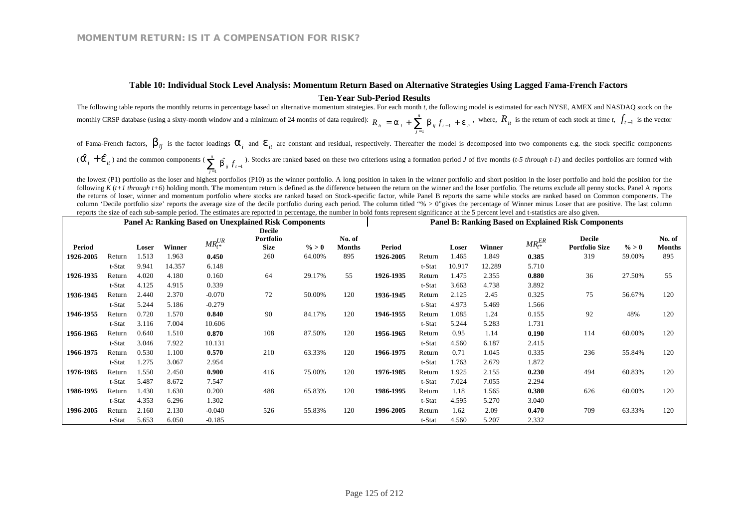# **Table 10: Individual Stock Level Analysis: Momentum Return Based on Alternative Strategies Using Lagged Fama-French Factors**

**Ten-Year Sub-Period Results**

The following table reports the monthly returns in percentage based on alternative momentum strategies. For each month *t*, the following model is estimated for each NYSE, AMEX and NASDAQ stock on the monthly CRSP database (using a sixty-month window and a minimum of 24 months of data required):  $R_{it} = a_i + \sum_{i=1}^{n} b_{ij} f_{t-1} + e_{it}$ *n*  $R_{ii} = a_i + \sum_{j=1}^n b_{ij} f_{t-1} + e_j$ **,** where,  $R_{it}$  is the return of each stock at time *t*,  $f_{t-1}$  is the vector

of Fama-French factors,  $b_{ij}$  is the factor loadings  $a_i$  and  $e_{it}$  are constant and residual, respectively. Thereafter the model is decomposed into two components e.g. the stock specific components

 $\left(\hat{a}_{i} + \hat{e}_{it}\right)$  and the common components  $\left(\sum_{j=1}^{n} b_{ij} f_{t-1}\right)$  $\sum_{j=1}^{n} \hat{b}_{ij} f_{t-j}$  $\sum_{j=1}^{n}$  **b**<sub>ij</sub>  $f_{t-1}$ . Stocks are ranked based on these two criterions using a formation period *J* of five months (*t-5 through t-1*) and deciles portfolios are formed with

the lowest (P1) portfolio as the loser and highest portfolios (P10) as the winner portfolio. A long position in taken in the winner portfolio and short position in the loser portfolio and hold the position for the following  $K(t+1)$  through  $t+6$ ) holding month. The momentum return is defined as the difference between the return on the winner and the loser portfolio. The returns exclude all penny stocks. Panel A reports the returns of loser, winner and momentum portfolio where stocks are ranked based on Stock-specific factor, while Panel B reports the same while stocks are ranked based on Common components. The column 'Decile portfolio size' reports the average size of the decile portfolio during each period. The column titled "% > 0"gives the percentage of Winner minus Loser that are positive. The last column reports the size of each sub-sample period. The estimates are reported in percentage, the number in bold fonts represent significance at the 5 percent level and t-statistics are also given.

|           |        |       |        |             | <b>Panel A: Ranking Based on Unexplained Risk Components</b> |          | <b>Panel B: Ranking Based on Explained Risk Components</b> |               |        |        |        |                 |                                        |          |                         |
|-----------|--------|-------|--------|-------------|--------------------------------------------------------------|----------|------------------------------------------------------------|---------------|--------|--------|--------|-----------------|----------------------------------------|----------|-------------------------|
|           |        |       |        |             | <b>Decile</b>                                                |          |                                                            |               |        |        |        |                 |                                        |          |                         |
| Period    |        | Loser | Winner | $MR_t^{UR}$ | <b>Portfolio</b><br><b>Size</b>                              | $\% > 0$ | No. of<br><b>Months</b>                                    | <b>Period</b> |        | Loser  | Winner | $MR_{t^*}^{ER}$ | <b>Decile</b><br><b>Portfolio Size</b> | $\% > 0$ | No. of<br><b>Months</b> |
| 1926-2005 | Return | 1.513 | 1.963  | 0.450       | 260                                                          | 64.00%   | 895                                                        | 1926-2005     | Return | 1.465  | 1.849  | 0.385           | 319                                    | 59.00%   | 895                     |
|           | t-Stat | 9.941 | 14.357 | 6.148       |                                                              |          |                                                            |               | t-Stat | 10.917 | 12.289 | 5.710           |                                        |          |                         |
| 1926-1935 | Return | 4.020 | 4.180  | 0.160       | 64                                                           | 29.17%   | 55                                                         | 1926-1935     | Return | 1.475  | 2.355  | 0.880           | 36                                     | 27.50%   | 55                      |
|           | t-Stat | 4.125 | 4.915  | 0.339       |                                                              |          |                                                            |               | t-Stat | 3.663  | 4.738  | 3.892           |                                        |          |                         |
| 1936-1945 | Return | 2.440 | 2.370  | $-0.070$    | 72                                                           | 50.00%   | 120                                                        | 1936-1945     | Return | 2.125  | 2.45   | 0.325           | 75                                     | 56.67%   | 120                     |
|           | t-Stat | 5.244 | 5.186  | $-0.279$    |                                                              |          |                                                            |               | t-Stat | 4.973  | 5.469  | 1.566           |                                        |          |                         |
| 1946-1955 | Return | 0.720 | 1.570  | 0.840       | 90                                                           | 84.17%   | 120                                                        | 1946-1955     | Return | 1.085  | 1.24   | 0.155           | 92                                     | 48%      | 120                     |
|           | t-Stat | 3.116 | 7.004  | 10.606      |                                                              |          |                                                            |               | t-Stat | 5.244  | 5.283  | 1.731           |                                        |          |                         |
| 1956-1965 | Return | 0.640 | 1.510  | 0.870       | 108                                                          | 87.50%   | 120                                                        | 1956-1965     | Return | 0.95   | 1.14   | 0.190           | 114                                    | 60.00%   | 120                     |
|           | t-Stat | 3.046 | 7.922  | 10.131      |                                                              |          |                                                            |               | t-Stat | 4.560  | 6.187  | 2.415           |                                        |          |                         |
| 1966-1975 | Return | 0.530 | 1.100  | 0.570       | 210                                                          | 63.33%   | 120                                                        | 1966-1975     | Return | 0.71   | 1.045  | 0.335           | 236                                    | 55.84%   | 120                     |
|           | t-Stat | 1.275 | 3.067  | 2.954       |                                                              |          |                                                            |               | t-Stat | 1.763  | 2.679  | 1.872           |                                        |          |                         |
| 1976-1985 | Return | 1.550 | 2.450  | 0.900       | 416                                                          | 75.00%   | 120                                                        | 1976-1985     | Return | 1.925  | 2.155  | 0.230           | 494                                    | 60.83%   | 120                     |
|           | t-Stat | 5.487 | 8.672  | 7.547       |                                                              |          |                                                            |               | t-Stat | 7.024  | 7.055  | 2.294           |                                        |          |                         |
| 1986-1995 | Return | 1.430 | 1.630  | 0.200       | 488                                                          | 65.83%   | 120                                                        | 1986-1995     | Return | 1.18   | 1.565  | 0.380           | 626                                    | 60.00%   | 120                     |
|           | t-Stat | 4.353 | 6.296  | 1.302       |                                                              |          |                                                            |               | t-Stat | 4.595  | 5.270  | 3.040           |                                        |          |                         |
| 1996-2005 | Return | 2.160 | 2.130  | $-0.040$    | 526                                                          | 55.83%   | 120                                                        | 1996-2005     | Return | 1.62   | 2.09   | 0.470           | 709                                    | 63.33%   | 120                     |
|           | t-Stat | 5.653 | 6.050  | $-0.185$    |                                                              |          |                                                            |               | t-Stat | 4.560  | 5.207  | 2.332           |                                        |          |                         |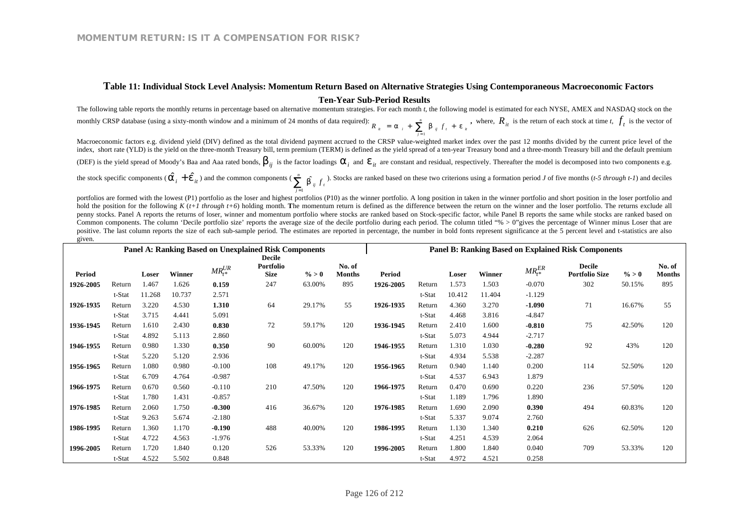#### **Table 11: Individual Stock Level Analysis: Momentum Return Based on Alternative Strategies Using Contemporaneous Macroeconomic Factors**

#### **Ten-Year Sub-Period Results**

The following table reports the monthly returns in percentage based on alternative momentum strategies. For each month *t*, the following model is estimated for each NYSE, AMEX and NASDAQ stock on the monthly CRSP database (using a sixty-month window and a minimum of 24 months of data required):  $R_{ii} = a_{i} + \sum_{i=1}^{n} b_{ij} f_{i} + e_{ii}$ *n*  $R_{ii}$  =  $a_{i}$  +  $\sum_{j=1}$   $b_{ij}$   $f_{i}$  +  $e$ , where,  $R_{it}$  is the return of each stock at time *t*,  $f_t$  is the vector of

Macroeconomic factors e.g. dividend yield (DIV) defined as the total dividend payment accrued to the CRSP value-weighted market index over the past 12 months divided by the current price level of the index, short rate (YLD) is the yield on the three-month Treasury bill, term premium (TERM) is defined as the yield spread of a ten-year Treasury bond and a three-month Treasury bill and the default premium

(DEF) is the yield spread of Moody's Baa and Aaa rated bonds,  $b_{ij}$  is the factor loadings  $a_i$  and  $e_{it}$  are constant and residual, respectively. Thereafter the model is decomposed into two components e.g.

the stock specific components ( $\hat{a}_i + \hat{e}_{it}$ ) and the common components ( $\sum_{i=1}^{n} \hat{b}_{ij} f_t$ *n*  $\sum_{j=1}^{n}$  *b*<sup>*i*</sup> *j f*<sub>*t*</sub><sup>*f*</sup>. Stocks are ranked based on these two criterions using a formation period *J* of five months (*t-5 through t-1*) and deciles

portfolios are formed with the lowest (P1) portfolio as the loser and highest portfolios (P10) as the winner portfolio. A long position in taken in the winner portfolio and short position in the loser portfolio and hold the position for the following *K* ( $t+1$  through  $t+6$ ) holding month. The momentum return is defined as the difference between the return on the winner and the loser portfolio. The returns exclude all penny stocks. Panel A reports the returns of loser, winner and momentum portfolio where stocks are ranked based on Stock-specific factor, while Panel B reports the same while stocks are ranked based on Common components. The column 'Decile portfolio size' reports the average size of the decile portfolio during each period. The column titled "% > 0"gives the percentage of Winner minus Loser that are positive. The last column reports the size of each sub-sample period. The estimates are reported in percentage, the number in bold fonts represent significance at the 5 percent level and t-statistics are also given.

|               |        |        |        |             | <b>Panel A: Ranking Based on Unexplained Risk Components</b> |          | <b>Panel B: Ranking Based on Explained Risk Components</b> |           |        |        |        |                 |                       |          |               |
|---------------|--------|--------|--------|-------------|--------------------------------------------------------------|----------|------------------------------------------------------------|-----------|--------|--------|--------|-----------------|-----------------------|----------|---------------|
|               |        |        |        |             | <b>Decile</b>                                                |          |                                                            |           |        |        |        |                 |                       |          |               |
|               |        |        |        | $MR_t^{UR}$ | Portfolio                                                    |          | No. of                                                     |           |        |        |        | $MR_{t^*}^{ER}$ | Decile                |          | No. of        |
| <b>Period</b> |        | Loser  | Winner |             | <b>Size</b>                                                  | $\% > 0$ | <b>Months</b>                                              | Period    |        | Loser  | Winner |                 | <b>Portfolio Size</b> | $\% > 0$ | <b>Months</b> |
| 1926-2005     | Return | 1.467  | 1.626  | 0.159       | 247                                                          | 63.00%   | 895                                                        | 1926-2005 | Return | 1.573  | 1.503  | $-0.070$        | 302                   | 50.15%   | 895           |
|               | t-Stat | 11.268 | 10.737 | 2.571       |                                                              |          |                                                            |           | t-Stat | 10.412 | 11.404 | $-1.129$        |                       |          |               |
| 1926-1935     | Return | 3.220  | 4.530  | 1.310       | 64                                                           | 29.17%   | 55                                                         | 1926-1935 | Return | 4.360  | 3.270  | $-1.090$        | 71                    | 16.67%   | 55            |
|               | t-Stat | 3.715  | 4.441  | 5.091       |                                                              |          |                                                            |           | t-Stat | 4.468  | 3.816  | $-4.847$        |                       |          |               |
| 1936-1945     | Return | 1.610  | 2.430  | 0.830       | 72                                                           | 59.17%   | 120                                                        | 1936-1945 | Return | 2.410  | 1.600  | $-0.810$        | 75                    | 42.50%   | 120           |
|               | t-Stat | 4.892  | 5.113  | 2.860       |                                                              |          |                                                            |           | t-Stat | 5.073  | 4.944  | $-2.717$        |                       |          |               |
| 1946-1955     | Return | 0.980  | 1.330  | 0.350       | 90                                                           | 60.00%   | 120                                                        | 1946-1955 | Return | 1.310  | 1.030  | $-0.280$        | 92                    | 43%      | 120           |
|               | t-Stat | 5.220  | 5.120  | 2.936       |                                                              |          |                                                            |           | t-Stat | 4.934  | 5.538  | $-2.287$        |                       |          |               |
| 1956-1965     | Return | 1.080  | 0.980  | $-0.100$    | 108                                                          | 49.17%   | 120                                                        | 1956-1965 | Return | 0.940  | 1.140  | 0.200           | 114                   | 52.50%   | 120           |
|               | t-Stat | 6.709  | 4.764  | $-0.987$    |                                                              |          |                                                            |           | t-Stat | 4.537  | 6.943  | 1.879           |                       |          |               |
| 1966-1975     | Return | 0.670  | 0.560  | $-0.110$    | 210                                                          | 47.50%   | 120                                                        | 1966-1975 | Return | 0.470  | 0.690  | 0.220           | 236                   | 57.50%   | 120           |
|               | t-Stat | 1.780  | 1.431  | $-0.857$    |                                                              |          |                                                            |           | t-Stat | 1.189  | 1.796  | 1.890           |                       |          |               |
| 1976-1985     | Return | 2.060  | 1.750  | $-0.300$    | 416                                                          | 36.67%   | 120                                                        | 1976-1985 | Return | 1.690  | 2.090  | 0.390           | 494                   | 60.83%   | 120           |
|               | t-Stat | 9.263  | 5.674  | $-2.180$    |                                                              |          |                                                            |           | t-Stat | 5.337  | 9.074  | 2.760           |                       |          |               |
| 1986-1995     | Return | 1.360  | 1.170  | $-0.190$    | 488                                                          | 40.00%   | 120                                                        | 1986-1995 | Return | 1.130  | 1.340  | 0.210           | 626                   | 62.50%   | 120           |
|               | t-Stat | 4.722  | 4.563  | $-1.976$    |                                                              |          |                                                            |           | t-Stat | 4.251  | 4.539  | 2.064           |                       |          |               |
| 1996-2005     | Return | 1.720  | 1.840  | 0.120       | 526                                                          | 53.33%   | 120                                                        | 1996-2005 | Return | 1.800  | 1.840  | 0.040           | 709                   | 53.33%   | 120           |
|               | t-Stat | 4.522  | 5.502  | 0.848       |                                                              |          |                                                            |           | t-Stat | 4.972  | 4.521  | 0.258           |                       |          |               |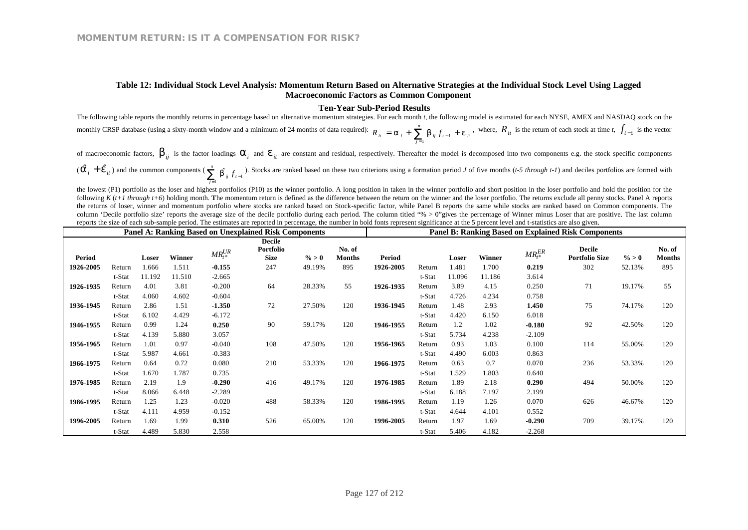#### **Table 12: Individual Stock Level Analysis: Momentum Return Based on Alternative Strategies at the Individual Stock Level Using Lagged Macroeconomic Factors as Common Component**

#### **Ten-Year Sub-Period Results**

The following table reports the monthly returns in percentage based on alternative momentum strategies. For each month *t*, the following model is estimated for each NYSE, AMEX and NASDAQ stock on the monthly CRSP database (using a sixty-month window and a minimum of 24 months of data required):  $R_{it} = a_i + \sum_{i=1}^{n} b_{ij} f_{t-1} + e_{it}$ *n*  $R_{ii} = a_i + \sum_{j=1}^n b_{ij} f_{t-1} + e_j$ **,** where,  $R_{it}$  is the return of each stock at time *t*,  $f_{t-1}$  is the vector

of macroeconomic factors,  $b_{ij}$  is the factor loadings  $a_i$  and  $e_{it}$  are constant and residual, respectively. Thereafter the model is decomposed into two components e.g. the stock specific components  $\left(\hat{a}_{i} + \hat{e}_{it}\right)$  and the common components  $\left(\sum_{j=1}^{n} b_{ij} f_{t-1}\right)$  $\sum_{j=1}^{n} \hat{b_{ij}} f_{t-j}$  $\sum_{j=1}^{n}$  **b**<sub>ij</sub>  $f_{t-1}$ ). Stocks are ranked based on these two criterions using a formation period *J* of five months (*t-5 through t-1*) and deciles portfolios are formed with

the lowest (P1) portfolio as the loser and highest portfolios (P10) as the winner portfolio. A long position in taken in the winner portfolio and short position in the loser portfolio and hold the position for the following  $K(t+1)$  through  $t+6$ ) holding month. The momentum return is defined as the difference between the return on the winner and the loser portfolio. The returns exclude all penny stocks. Panel A reports the returns of loser, winner and momentum portfolio where stocks are ranked based on Stock-specific factor, while Panel B reports the same while stocks are ranked based on Common components. The column 'Decile portfolio size' reports the average size of the decile portfolio during each period. The column titled "% > 0"gives the percentage of Winner minus Loser that are positive. The last column reports the size of each sub-sample period. The estimates are reported in percentage, the number in bold fonts represent significance at the 5 percent level and t-statistics are also given.

|               |        |        |        |             | <b>Panel A: Ranking Based on Unexplained Risk Components</b> |          | <b>Panel B: Ranking Based on Explained Risk Components</b> |           |        |        |        |                 |                                        |          |                         |
|---------------|--------|--------|--------|-------------|--------------------------------------------------------------|----------|------------------------------------------------------------|-----------|--------|--------|--------|-----------------|----------------------------------------|----------|-------------------------|
| <b>Period</b> |        | Loser  | Winner | $MR_t^{UR}$ | <b>Decile</b><br>Portfolio<br><b>Size</b>                    | $\% > 0$ | No. of<br><b>Months</b>                                    | Period    |        | Loser  | Winner | $MR_{t^*}^{ER}$ | <b>Decile</b><br><b>Portfolio Size</b> | $\% > 0$ | No. of<br><b>Months</b> |
| 1926-2005     | Return | 1.666  | 1.511  | $-0.155$    | 247                                                          | 49.19%   | 895                                                        | 1926-2005 | Return | 1.481  | 1.700  | 0.219           | 302                                    | 52.13%   | 895                     |
|               | t-Stat | 11.192 | 11.510 | $-2.665$    |                                                              |          |                                                            |           | t-Stat | 11.096 | 11.186 | 3.614           |                                        |          |                         |
| 1926-1935     | Return | 4.01   | 3.81   | $-0.200$    | 64                                                           | 28.33%   | 55                                                         | 1926-1935 | Return | 3.89   | 4.15   | 0.250           | 71                                     | 19.17%   | 55                      |
|               | t-Stat | 4.060  | 4.602  | $-0.604$    |                                                              |          |                                                            |           | t-Stat | 4.726  | 4.234  | 0.758           |                                        |          |                         |
| 1936-1945     | Return | 2.86   | 1.51   | $-1.350$    | 72                                                           | 27.50%   | 120                                                        | 1936-1945 | Return | 1.48   | 2.93   | 1.450           | 75                                     | 74.17%   | 120                     |
|               | t-Stat | 6.102  | 4.429  | $-6.172$    |                                                              |          |                                                            |           | t-Stat | 4.420  | 6.150  | 6.018           |                                        |          |                         |
| 1946-1955     | Return | 0.99   | 1.24   | 0.250       | 90                                                           | 59.17%   | 120                                                        | 1946-1955 | Return | 1.2    | 1.02   | $-0.180$        | 92                                     | 42.50%   | 120                     |
|               | t-Stat | 4.139  | 5.880  | 3.057       |                                                              |          |                                                            |           | t-Stat | 5.734  | 4.238  | $-2.109$        |                                        |          |                         |
| 1956-1965     | Return | 1.01   | 0.97   | $-0.040$    | 108                                                          | 47.50%   | 120                                                        | 1956-1965 | Return | 0.93   | 1.03   | 0.100           | 114                                    | 55.00%   | 120                     |
|               | t-Stat | 5.987  | 4.661  | $-0.383$    |                                                              |          |                                                            |           | t-Stat | 4.490  | 6.003  | 0.863           |                                        |          |                         |
| 1966-1975     | Return | 0.64   | 0.72   | 0.080       | 210                                                          | 53.33%   | 120                                                        | 1966-1975 | Return | 0.63   | 0.7    | 0.070           | 236                                    | 53.33%   | 120                     |
|               | t-Stat | 1.670  | 1.787  | 0.735       |                                                              |          |                                                            |           | t-Stat | 1.529  | 1.803  | 0.640           |                                        |          |                         |
| 1976-1985     | Return | 2.19   | 1.9    | $-0.290$    | 416                                                          | 49.17%   | 120                                                        | 1976-1985 | Return | 1.89   | 2.18   | 0.290           | 494                                    | 50.00%   | 120                     |
|               | t-Stat | 8.066  | 6.448  | $-2.289$    |                                                              |          |                                                            |           | t-Stat | 6.188  | 7.197  | 2.199           |                                        |          |                         |
| 1986-1995     | Return | 1.25   | 1.23   | $-0.020$    | 488                                                          | 58.33%   | 120                                                        | 1986-1995 | Return | 1.19   | 1.26   | 0.070           | 626                                    | 46.67%   | 120                     |
|               | t-Stat | 4.111  | 4.959  | $-0.152$    |                                                              |          |                                                            |           | t-Stat | 4.644  | 4.101  | 0.552           |                                        |          |                         |
| 1996-2005     | Return | 1.69   | 1.99   | 0.310       | 526                                                          | 65.00%   | 120                                                        | 1996-2005 | Return | 1.97   | 1.69   | $-0.290$        | 709                                    | 39.17%   | 120                     |
|               | t-Stat | 4.489  | 5.830  | 2.558       |                                                              |          |                                                            |           | t-Stat | 5.406  | 4.182  | $-2.268$        |                                        |          |                         |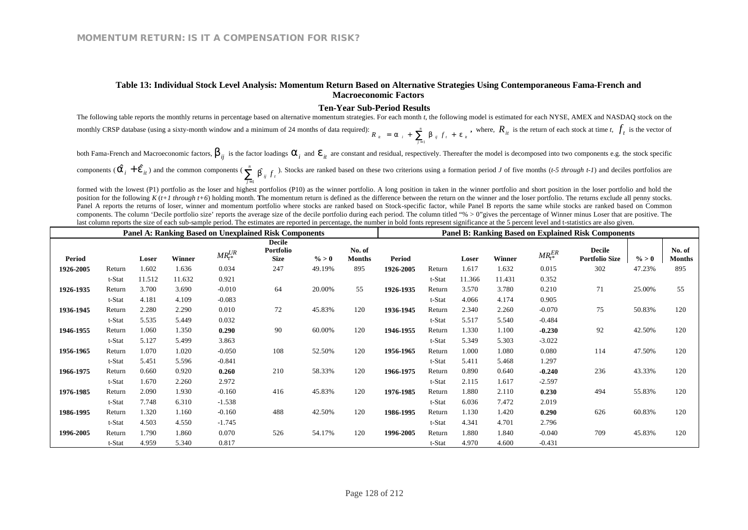#### **Table 13: Individual Stock Level Analysis: Momentum Return Based on Alternative Strategies Using Contemporaneous Fama-French and Macroeconomic Factors**

#### **Ten-Year Sub-Period Results**

The following table reports the monthly returns in percentage based on alternative momentum strategies. For each month *t*, the following model is estimated for each NYSE, AMEX and NASDAQ stock on the monthly CRSP database (using a sixty-month window and a minimum of 24 months of data required):  $R_{ii} = a_{i} + \sum_{i=1}^{n} b_{ij} f_{i} + e_{ii}$ *n*  $R_{ii}$  =  $a_{i}$  +  $\sum_{j=1}$   $b_{ij}$   $f_{i}$  +  $e$ , where,  $R_{it}$  is the return of each stock at time *t*,  $f_{t}$  is the vector of

both Fama-French and Macroeconomic factors,  $b_{ij}$  is the factor loadings  $a_i$  and  $e_{it}$  are constant and residual, respectively. Thereafter the model is decomposed into two components e.g. the stock specific components ( $\hat{a}_i + \hat{e}_{i}$ ) and the common components ( $\sum_{i=1}^{n} \hat{b}_{ij} f_i$ *n*  $\sum_{j=1}^{n}$  *b*<sup>*i<sub>j</sub>*  $f_i$ . Stocks are ranked based on these two criterions using a formation period *J* of five months (*t-5 through t-1*) and deciles portfolios are</sup>

formed with the lowest (P1) portfolio as the loser and highest portfolios (P10) as the winner portfolio. A long position in taken in the winner portfolio and short position in the loser portfolio and hold the position for the following  $K(t+1)$  through  $t+6$ ) holding month. The momentum return is defined as the difference between the return on the winner and the loser portfolio. The returns exclude all penny stocks. Panel A reports the returns of loser, winner and momentum portfolio where stocks are ranked based on Stock-specific factor, while Panel B reports the same while stocks are ranked based on Common components. The column 'Decile portfolio size' reports the average size of the decile portfolio during each period. The column titled "% > 0"gives the percentage of Winner minus Loser that are positive. The last column reports the size of each sub-sample period. The estimates are reported in percentage, the number in bold fonts represent significance at the 5 percent level and t-statistics are also given.

|           |        |        |        | <b>Panel A: Ranking Based on Unexplained Risk Components</b> |                                           | <b>Panel B: Ranking Based on Explained Risk Components</b> |                         |               |        |        |        |                |                                        |          |                         |
|-----------|--------|--------|--------|--------------------------------------------------------------|-------------------------------------------|------------------------------------------------------------|-------------------------|---------------|--------|--------|--------|----------------|----------------------------------------|----------|-------------------------|
| Period    |        | Loser  | Winner | $MR_t^{UR}$                                                  | <b>Decile</b><br><b>Portfolio</b><br>Size | $\% > 0$                                                   | No. of<br><b>Months</b> | <b>Period</b> |        | Loser  | Winner | $MR_{t*}^{ER}$ | <b>Decile</b><br><b>Portfolio Size</b> | $\% > 0$ | No. of<br><b>Months</b> |
| 1926-2005 | Return | 1.602  | 1.636  | 0.034                                                        | 247                                       | 49.19%                                                     | 895                     | 1926-2005     | Return | 1.617  | 1.632  | 0.015          | 302                                    | 47.23%   | 895                     |
|           | t-Stat | 11.512 | 11.632 | 0.921                                                        |                                           |                                                            |                         |               | t-Stat | 11.366 | 11.431 | 0.352          |                                        |          |                         |
| 1926-1935 | Return | 3.700  | 3.690  | $-0.010$                                                     | 64                                        | 20.00%                                                     | 55                      | 1926-1935     | Return | 3.570  | 3.780  | 0.210          | 71                                     | 25.00%   | 55                      |
|           | t-Stat | 4.181  | 4.109  | $-0.083$                                                     |                                           |                                                            |                         |               | t-Stat | 4.066  | 4.174  | 0.905          |                                        |          |                         |
| 1936-1945 | Return | 2.280  | 2.290  | 0.010                                                        | 72                                        | 45.83%                                                     | 120                     | 1936-1945     | Return | 2.340  | 2.260  | $-0.070$       | 75                                     | 50.83%   | 120                     |
|           | t-Stat | 5.535  | 5.449  | 0.032                                                        |                                           |                                                            |                         |               | t-Stat | 5.517  | 5.540  | $-0.484$       |                                        |          |                         |
| 1946-1955 | Return | 1.060  | 1.350  | 0.290                                                        | 90                                        | 60.00%                                                     | 120                     | 1946-1955     | Return | 1.330  | 1.100  | $-0.230$       | 92                                     | 42.50%   | 120                     |
|           | t-Stat | 5.127  | 5.499  | 3.863                                                        |                                           |                                                            |                         |               | t-Stat | 5.349  | 5.303  | $-3.022$       |                                        |          |                         |
| 1956-1965 | Return | 1.070  | 1.020  | $-0.050$                                                     | 108                                       | 52.50%                                                     | 120                     | 1956-1965     | Return | 1.000  | 1.080  | 0.080          | 114                                    | 47.50%   | 120                     |
|           | t-Stat | 5.451  | 5.596  | $-0.841$                                                     |                                           |                                                            |                         |               | t-Stat | 5.411  | 5.468  | 1.297          |                                        |          |                         |
| 1966-1975 | Return | 0.660  | 0.920  | 0.260                                                        | 210                                       | 58.33%                                                     | 120                     | 1966-1975     | Return | 0.890  | 0.640  | $-0.240$       | 236                                    | 43.33%   | 120                     |
|           | t-Stat | 1.670  | 2.260  | 2.972                                                        |                                           |                                                            |                         |               | t-Stat | 2.115  | 1.617  | $-2.597$       |                                        |          |                         |
| 1976-1985 | Return | 2.090  | 1.930  | $-0.160$                                                     | 416                                       | 45.83%                                                     | 120                     | 1976-1985     | Return | 1.880  | 2.110  | 0.230          | 494                                    | 55.83%   | 120                     |
|           | t-Stat | 7.748  | 6.310  | $-1.538$                                                     |                                           |                                                            |                         |               | t-Stat | 6.036  | 7.472  | 2.019          |                                        |          |                         |
| 1986-1995 | Return | 1.320  | 1.160  | $-0.160$                                                     | 488                                       | 42.50%                                                     | 120                     | 1986-1995     | Return | 1.130  | 1.420  | 0.290          | 626                                    | 60.83%   | 120                     |
|           | t-Stat | 4.503  | 4.550  | $-1.745$                                                     |                                           |                                                            |                         |               | t-Stat | 4.341  | 4.701  | 2.796          |                                        |          |                         |
| 1996-2005 | Return | 1.790  | 1.860  | 0.070                                                        | 526                                       | 54.17%                                                     | 120                     | 1996-2005     | Return | 1.880  | 1.840  | $-0.040$       | 709                                    | 45.83%   | 120                     |
|           | t-Stat | 4.959  | 5.340  | 0.817                                                        |                                           |                                                            |                         |               | t-Stat | 4.970  | 4.600  | $-0.431$       |                                        |          |                         |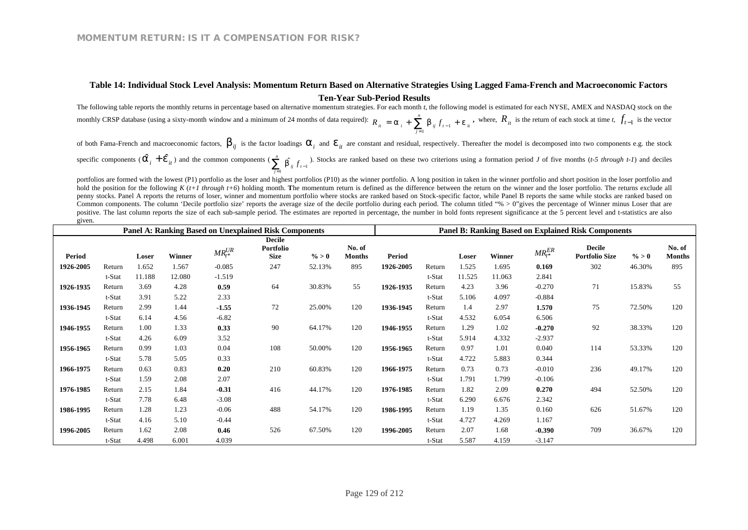### **Table 14: Individual Stock Level Analysis: Momentum Return Based on Alternative Strategies Using Lagged Fama-French and Macroeconomic Factors Ten-Year Sub-Period Results**

The following table reports the monthly returns in percentage based on alternative momentum strategies. For each month *t*, the following model is estimated for each NYSE, AMEX and NASDAQ stock on the monthly CRSP database (using a sixty-month window and a minimum of 24 months of data required):  $R_{it} = a_i + \sum_{i=1}^{n} b_{ij} f_{t-1} + e_{it}$ *n*  $R_{ii} = a_i + \sum_{j=1}^n b_{ij} f_{t-1} + e_j$ **,** where,  $R_{it}$  is the return of each stock at time *t*,  $f_{t-1}$  is the vector

of both Fama-French and macroeconomic factors,  $b_{ij}$  is the factor loadings  $a_i$  and  $e_{it}$  are constant and residual, respectively. Thereafter the model is decomposed into two components e.g. the stock specific components  $(\hat{a}_i + \hat{e}_{it})$  and the common components  $(\sum_{j=1}^{n} \hat{b}_{ij} f_{t-1})$  $\sum_{j=1}^{n} \hat{b}_{ij} f_{t-j}$  $\sum_{j=1}^{n}$  **b**<sub>ij</sub>  $f_{t-1}$ . Stocks are ranked based on these two criterions using a formation period *J* of five months (*t-5 through t-1*) and deciles

portfolios are formed with the lowest (P1) portfolio as the loser and highest portfolios (P10) as the winner portfolio. A long position in taken in the winner portfolio and short position in the loser portfolio and hold the position for the following *K* (*t+1 through t+6*) holding month. The momentum return is defined as the difference between the return on the winner and the loser portfolio. The returns exclude all penny stocks. Panel A reports the returns of loser, winner and momentum portfolio where stocks are ranked based on Stock-specific factor, while Panel B reports the same while stocks are ranked based on Common components. The column 'Decile portfolio size' reports the average size of the decile portfolio during each period. The column titled "% > 0"gives the percentage of Winner minus Loser that are positive. The last column reports the size of each sub-sample period. The estimates are reported in percentage, the number in bold fonts represent significance at the 5 percent level and t-statistics are also given.

|               |        |        |               |             | <b>Panel A: Ranking Based on Unexplained Risk Components</b> |          | <b>Panel B: Ranking Based on Explained Risk Components</b> |           |        |        |        |                 |                                        |          |                         |
|---------------|--------|--------|---------------|-------------|--------------------------------------------------------------|----------|------------------------------------------------------------|-----------|--------|--------|--------|-----------------|----------------------------------------|----------|-------------------------|
| <b>Period</b> |        | Loser  | <b>Winner</b> | $MR_t^{UR}$ | <b>Decile</b><br>Portfolio<br><b>Size</b>                    | $\% > 0$ | No. of<br><b>Months</b>                                    | Period    |        | Loser  | Winner | $MR_{t^*}^{ER}$ | <b>Decile</b><br><b>Portfolio Size</b> | $\% > 0$ | No. of<br><b>Months</b> |
| 1926-2005     | Return | 1.652  | 1.567         | $-0.085$    | 247                                                          | 52.13%   | 895                                                        | 1926-2005 | Return | 1.525  | 1.695  | 0.169           | 302                                    | 46.30%   | 895                     |
|               | t-Stat | 11.188 | 12.080        | $-1.519$    |                                                              |          |                                                            |           | t-Stat | 11.525 | 11.063 | 2.841           |                                        |          |                         |
| 1926-1935     | Return | 3.69   | 4.28          | 0.59        | 64                                                           | 30.83%   | 55                                                         | 1926-1935 | Return | 4.23   | 3.96   | $-0.270$        | 71                                     | 15.83%   | 55                      |
|               | t-Stat | 3.91   | 5.22          | 2.33        |                                                              |          |                                                            |           | t-Stat | 5.106  | 4.097  | $-0.884$        |                                        |          |                         |
| 1936-1945     | Return | 2.99   | 1.44          | $-1.55$     | 72                                                           | 25.00%   | 120                                                        | 1936-1945 | Return | 1.4    | 2.97   | 1.570           | 75                                     | 72.50%   | 120                     |
|               | t-Stat | 6.14   | 4.56          | $-6.82$     |                                                              |          |                                                            |           | t-Stat | 4.532  | 6.054  | 6.506           |                                        |          |                         |
| 1946-1955     | Return | 1.00   | 1.33          | 0.33        | 90                                                           | 64.17%   | 120                                                        | 1946-1955 | Return | 1.29   | 1.02   | $-0.270$        | 92                                     | 38.33%   | 120                     |
|               | t-Stat | 4.26   | 6.09          | 3.52        |                                                              |          |                                                            |           | t-Stat | 5.914  | 4.332  | $-2.937$        |                                        |          |                         |
| 1956-1965     | Return | 0.99   | 1.03          | 0.04        | 108                                                          | 50.00%   | 120                                                        | 1956-1965 | Return | 0.97   | 1.01   | 0.040           | 114                                    | 53.33%   | 120                     |
|               | t-Stat | 5.78   | 5.05          | 0.33        |                                                              |          |                                                            |           | t-Stat | 4.722  | 5.883  | 0.344           |                                        |          |                         |
| 1966-1975     | Return | 0.63   | 0.83          | 0.20        | 210                                                          | 60.83%   | 120                                                        | 1966-1975 | Return | 0.73   | 0.73   | $-0.010$        | 236                                    | 49.17%   | 120                     |
|               | t-Stat | 1.59   | 2.08          | 2.07        |                                                              |          |                                                            |           | t-Stat | 1.791  | 1.799  | $-0.106$        |                                        |          |                         |
| 1976-1985     | Return | 2.15   | 1.84          | $-0.31$     | 416                                                          | 44.17%   | 120                                                        | 1976-1985 | Return | 1.82   | 2.09   | 0.270           | 494                                    | 52.50%   | 120                     |
|               | t-Stat | 7.78   | 6.48          | $-3.08$     |                                                              |          |                                                            |           | t-Stat | 6.290  | 6.676  | 2.342           |                                        |          |                         |
| 1986-1995     | Return | 1.28   | 1.23          | $-0.06$     | 488                                                          | 54.17%   | 120                                                        | 1986-1995 | Return | 1.19   | 1.35   | 0.160           | 626                                    | 51.67%   | 120                     |
|               | t-Stat | 4.16   | 5.10          | $-0.44$     |                                                              |          |                                                            |           | t-Stat | 4.727  | 4.269  | 1.167           |                                        |          |                         |
| 1996-2005     | Return | 1.62   | 2.08          | 0.46        | 526                                                          | 67.50%   | 120                                                        | 1996-2005 | Return | 2.07   | 1.68   | $-0.390$        | 709                                    | 36.67%   | 120                     |
|               | t-Stat | 4.498  | 6.001         | 4.039       |                                                              |          |                                                            |           | t-Stat | 5.587  | 4.159  | $-3.147$        |                                        |          |                         |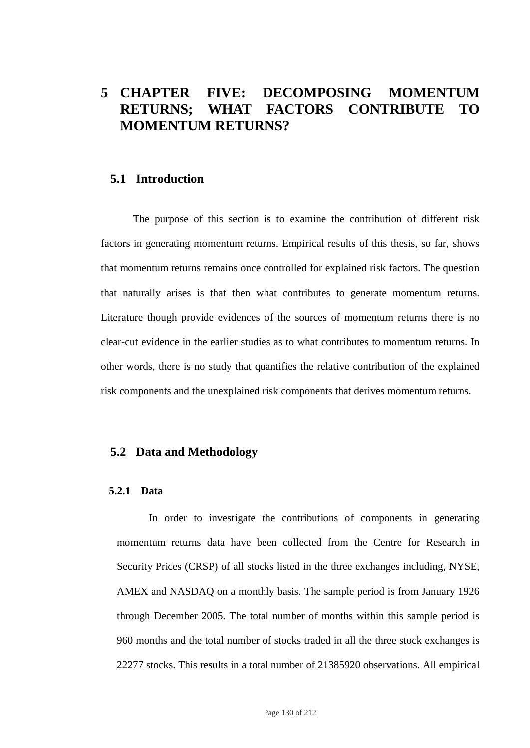# **5 CHAPTER FIVE: DECOMPOSING MOMENTUM RETURNS; WHAT FACTORS CONTRIBUTE TO MOMENTUM RETURNS?**

# **5.1 Introduction**

The purpose of this section is to examine the contribution of different risk factors in generating momentum returns. Empirical results of this thesis, so far, shows that momentum returns remains once controlled for explained risk factors. The question that naturally arises is that then what contributes to generate momentum returns. Literature though provide evidences of the sources of momentum returns there is no clear-cut evidence in the earlier studies as to what contributes to momentum returns. In other words, there is no study that quantifies the relative contribution of the explained risk components and the unexplained risk components that derives momentum returns.

## **5.2 Data and Methodology**

### **5.2.1 Data**

In order to investigate the contributions of components in generating momentum returns data have been collected from the Centre for Research in Security Prices (CRSP) of all stocks listed in the three exchanges including, NYSE, AMEX and NASDAQ on a monthly basis. The sample period is from January 1926 through December 2005. The total number of months within this sample period is 960 months and the total number of stocks traded in all the three stock exchanges is 22277 stocks. This results in a total number of 21385920 observations. All empirical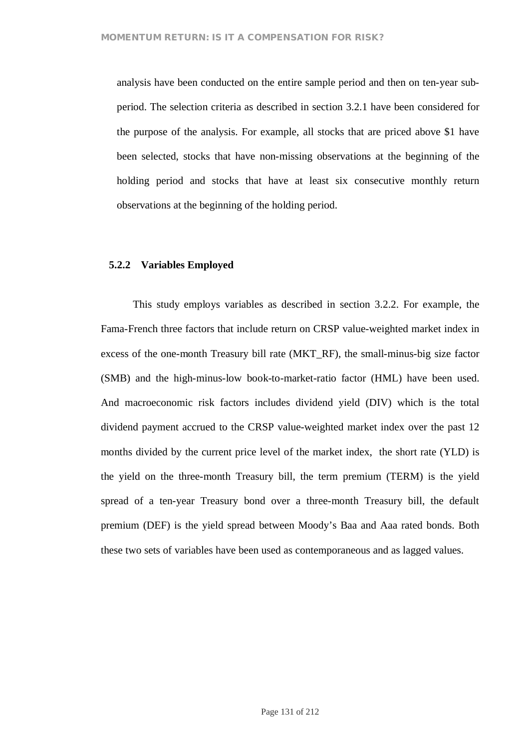analysis have been conducted on the entire sample period and then on ten-year subperiod. The selection criteria as described in section 3.2.1 have been considered for the purpose of the analysis. For example, all stocks that are priced above \$1 have been selected, stocks that have non-missing observations at the beginning of the holding period and stocks that have at least six consecutive monthly return observations at the beginning of the holding period.

### **5.2.2 Variables Employed**

This study employs variables as described in section 3.2.2. For example, the Fama-French three factors that include return on CRSP value-weighted market index in excess of the one-month Treasury bill rate (MKT\_RF), the small-minus-big size factor (SMB) and the high-minus-low book-to-market-ratio factor (HML) have been used. And macroeconomic risk factors includes dividend yield (DIV) which is the total dividend payment accrued to the CRSP value-weighted market index over the past 12 months divided by the current price level of the market index, the short rate (YLD) is the yield on the three-month Treasury bill, the term premium (TERM) is the yield spread of a ten-year Treasury bond over a three-month Treasury bill, the default premium (DEF) is the yield spread between Moody's Baa and Aaa rated bonds. Both these two sets of variables have been used as contemporaneous and as lagged values.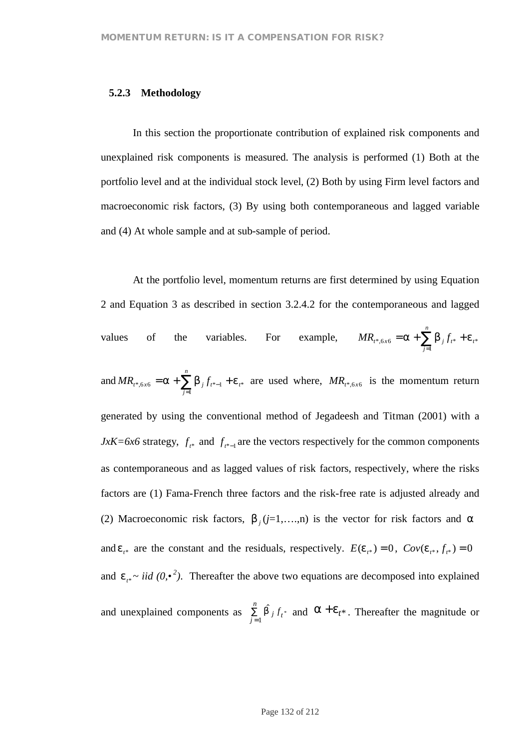### **5.2.3 Methodology**

In this section the proportionate contribution of explained risk components and unexplained risk components is measured. The analysis is performed (1) Both at the portfolio level and at the individual stock level, (2) Both by using Firm level factors and macroeconomic risk factors, (3) By using both contemporaneous and lagged variable and (4) At whole sample and at sub-sample of period.

At the portfolio level, momentum returns are first determined by using Equation 2 and Equation 3 as described in section 3.2.4.2 for the contemporaneous and lagged values of the variables. For example,  $MR_{r^*,6x6} = a + \sum_{j} b_{j} f_{r^*} + e_{r^*}$ 1 \*,6x6 –  $\alpha$   $\sum_{j} b_{j} J_{t^{*}}$   $\cdots$ *n*  $MR_{t^*, 6x6} = a + \sum_{j=1}^{\infty} b_j f_{t^*} + e^{j}$ and  $MR_{t^*, 6x6} = a + \sum b_j f_{t^*-1} + e_{t^*}$ 1 \*,6*x*6 –  $\alpha$   $\sum_{j} b_{j} f_{t^{*}-1}$   $\sum_{t} c_{t}$ *n*  $MR_{t^*, 6x6} = a + \sum_{j=1}^{\infty} b_j f_{t^*-1} + e^{j\theta}$  $A_{-1} + e_{t^*}$  are used where,  $MR_{t^*,6x6}$  is the momentum return generated by using the conventional method of Jegadeesh and Titman (2001) with a *JxK=6x6* strategy,  $f_{t^*}$  and  $f_{t^*-1}$  are the vectors respectively for the common components as contemporaneous and as lagged values of risk factors, respectively, where the risks factors are (1) Fama-French three factors and the risk-free rate is adjusted already and (2) Macroeconomic risk factors,  $b_j$  ( $j=1,...,n$ ) is the vector for risk factors and *a* and  $e_{i^*}$  are the constant and the residuals, respectively.  $E(e_{i^*}) = 0$ ,  $Cov(e_{i^*}, f_{i^*}) = 0$ and  $e_{i*} \sim \text{iid } (0, \cdot^2)$ . Thereafter the above two equations are decomposed into explained and unexplained components as  $\sum_{j=1}^{\infty}$ *n*  $\sum_{j=1}$  **b**  $\int f_t$  $\int_{1}^{\hat{b}} f_t^*$  and  $\hat{a} + e_t^*$ . Thereafter the magnitude or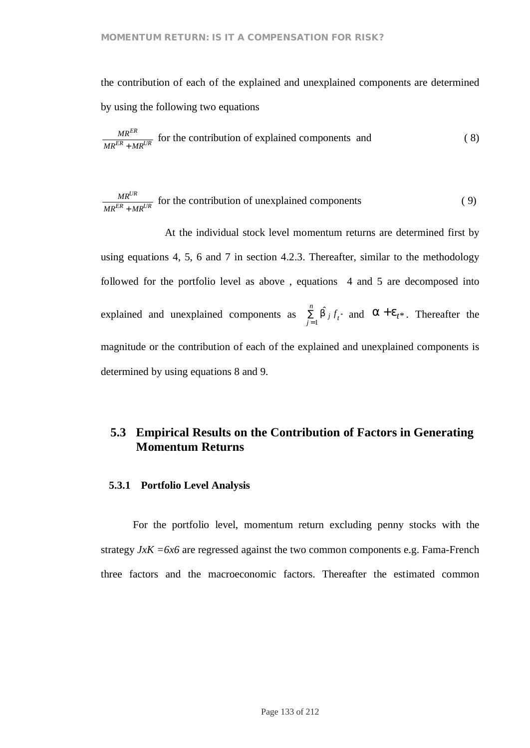the contribution of each of the explained and unexplained components are determined by using the following two equations

$$
\frac{MR^{ER}}{MR^{ER} + MR^{UR}}
$$
 for the contribution of explained components and (8)

$$
\frac{MR^{UR}}{MR^{ER} + MR^{UR}}
$$
 for the contribution of unexplained components (9)

At the individual stock level momentum returns are determined first by using equations 4, 5, 6 and 7 in section 4.2.3. Thereafter, similar to the methodology followed for the portfolio level as above , equations 4 and 5 are decomposed into explained and unexplained components as  $\sum_{j=1}^{\infty}$ *n*  $\sum_{j=1}$  **b**  $\int f_t$  $\int_{1}^{\hat{b}} f_t^*$  and  $\hat{a} + e_t^*$ . Thereafter the magnitude or the contribution of each of the explained and unexplained components is determined by using equations 8 and 9.

# **5.3 Empirical Results on the Contribution of Factors in Generating Momentum Returns**

### **5.3.1 Portfolio Level Analysis**

For the portfolio level, momentum return excluding penny stocks with the strategy *JxK =6x6* are regressed against the two common components e.g. Fama-French three factors and the macroeconomic factors. Thereafter the estimated common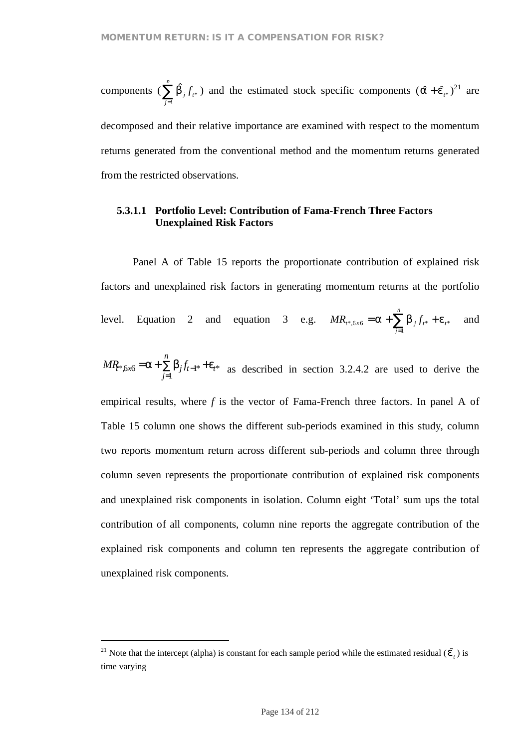components ( $\sum_{j=1}^{n}$ *j j t f* 1  $\hat{b}_j f_{t*}$ ) and the estimated stock specific components  $(\hat{a} + \hat{e}_{t*})^{21}$  are decomposed and their relative importance are examined with respect to the momentum returns generated from the conventional method and the momentum returns generated from the restricted observations.

# **5.3.1.1 Portfolio Level: Contribution of Fama-French Three Factors Unexplained Risk Factors**

Panel A of Table 15 reports the proportionate contribution of explained risk factors and unexplained risk factors in generating momentum returns at the portfolio level. Equation 2 and equation 3 e.g.  $MR_{t^*,6x6} = a + \sum_{j} b_{j} f_{t^*} + e_{t^*}$ 1 \*,6*x*6 –  $\alpha$   $\sum$   $\beta$  *j J*<sub>*t*\*</sub>  $\beta$   $\beta$ *n*  $MR_{t^*, 6x6} = a + \sum_{j=1}^{\infty} b_j f_{t^*} + e^{j}$ and

$$
MR_{\ast,6x6} = a + \sum_{j=1}^{n} b_j f_{t-1} + e_{t^*}
$$
 as described in section 3.2.4.2 are used to derive the

empirical results, where *f* is the vector of Fama-French three factors. In panel A of Table 15 column one shows the different sub-periods examined in this study, column two reports momentum return across different sub-periods and column three through column seven represents the proportionate contribution of explained risk components and unexplained risk components in isolation. Column eight 'Total' sum ups the total contribution of all components, column nine reports the aggregate contribution of the explained risk components and column ten represents the aggregate contribution of unexplained risk components.

<sup>&</sup>lt;sup>21</sup> Note that the intercept (alpha) is constant for each sample period while the estimated residual  $(\hat{e}_t)$  is time varying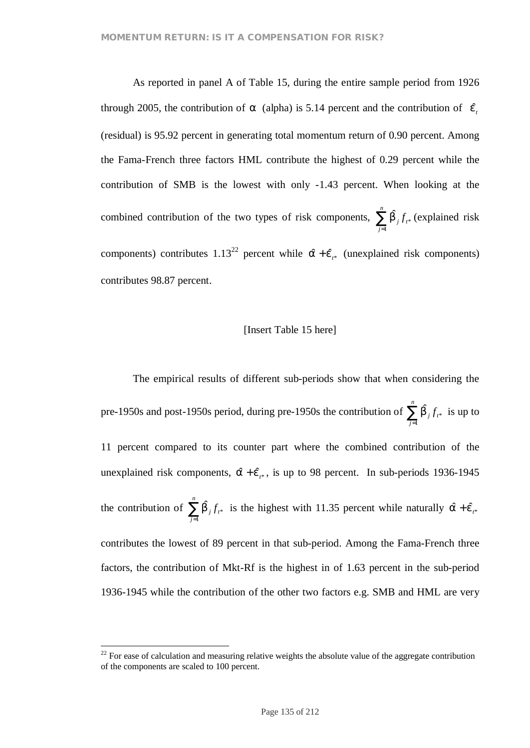As reported in panel A of Table 15, during the entire sample period from 1926 through 2005, the contribution of *a* (alpha) is 5.14 percent and the contribution of  $\hat{e}$ <sub>i</sub> (residual) is 95.92 percent in generating total momentum return of 0.90 percent. Among the Fama-French three factors HML contribute the highest of 0.29 percent while the contribution of SMB is the lowest with only -1.43 percent. When looking at the combined contribution of the two types of risk components,  $\sum_{j=1}^{n}$ *j j t f* 1  $\hat{b}_{j} f_{t^{*}}$  (explained risk components) contributes  $1.13^{22}$  percent while  $\hat{a} + \hat{e}_{i*}$  (unexplained risk components) contributes 98.87 percent.

### [Insert Table 15 here]

The empirical results of different sub-periods show that when considering the pre-1950s and post-1950s period, during pre-1950s the contribution of  $\sum_{j=1}^{n}$ *j j t f* 1  $\hat{b}_{j} f_{t^{*}}$  is up to 11 percent compared to its counter part where the combined contribution of the unexplained risk components,  $\hat{a} + \hat{e}_{i*}$ , is up to 98 percent. In sub-periods 1936-1945 the contribution of  $\sum_{j=1}^{n}$ *j j t f* 1  $\hat{b}_{j} f_{t^*}$  is the highest with 11.35 percent while naturally  $\hat{a} + \hat{e}_{t^*}$ contributes the lowest of 89 percent in that sub-period. Among the Fama-French three factors, the contribution of Mkt-Rf is the highest in of 1.63 percent in the sub-period 1936-1945 while the contribution of the other two factors e.g. SMB and HML are very

 $22$  For ease of calculation and measuring relative weights the absolute value of the aggregate contribution of the components are scaled to 100 percent.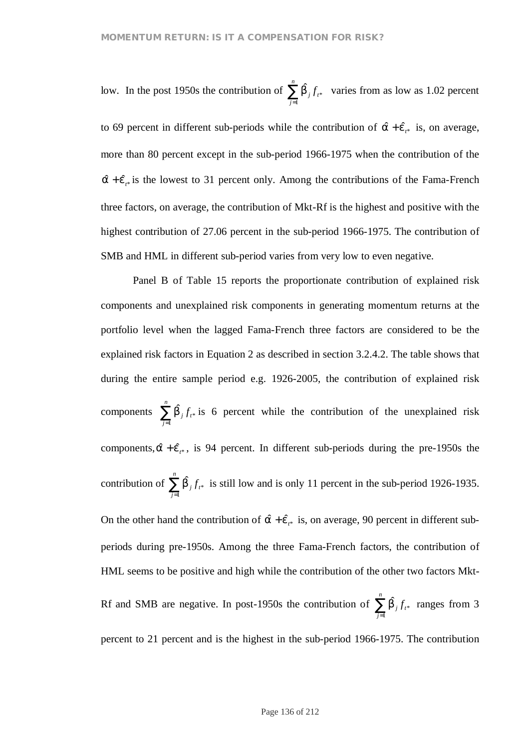low. In the post 1950s the contribution of  $\sum_{j=1}^{n}$ *j j t f* 1  $\hat{b}_j f_{t^*}$  varies from as low as 1.02 percent to 69 percent in different sub-periods while the contribution of  $\hat{a} + \hat{e}_{i*}$  is, on average, more than 80 percent except in the sub-period 1966-1975 when the contribution of the  $\hat{a} + \hat{e}_{i*}$  is the lowest to 31 percent only. Among the contributions of the Fama-French three factors, on average, the contribution of Mkt-Rf is the highest and positive with the highest contribution of 27.06 percent in the sub-period 1966-1975. The contribution of SMB and HML in different sub-period varies from very low to even negative.

Panel B of Table 15 reports the proportionate contribution of explained risk components and unexplained risk components in generating momentum returns at the portfolio level when the lagged Fama-French three factors are considered to be the explained risk factors in Equation 2 as described in section 3.2.4.2. The table shows that during the entire sample period e.g. 1926-2005, the contribution of explained risk components  $\sum_{j=1}^{n}$ *j j t f* 1  $\hat{b}_{j} f_{i*}$  is 6 percent while the contribution of the unexplained risk components,  $\hat{a} + \hat{e}_{i*}$ , is 94 percent. In different sub-periods during the pre-1950s the contribution of  $\sum_{j=1}^{n}$ *j j t f* 1  $\hat{b}_{j} f_{i*}$  is still low and is only 11 percent in the sub-period 1926-1935. On the other hand the contribution of  $\hat{a} + \hat{e}_{t*}$  is, on average, 90 percent in different subperiods during pre-1950s. Among the three Fama-French factors, the contribution of HML seems to be positive and high while the contribution of the other two factors Mkt-Rf and SMB are negative. In post-1950s the contribution of  $\sum_{j=1}^{n}$ *j j t f* 1  $\hat{b}_{j} f_{t*}$  ranges from 3 percent to 21 percent and is the highest in the sub-period 1966-1975. The contribution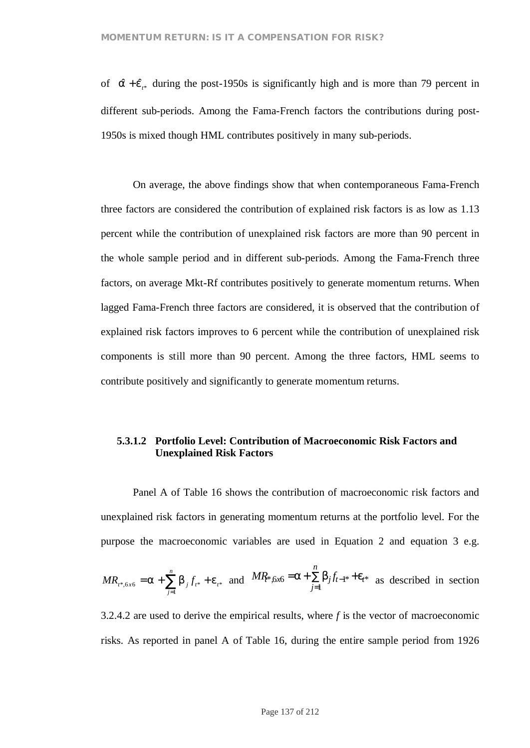of  $\hat{a} + \hat{e}_{i*}$  during the post-1950s is significantly high and is more than 79 percent in different sub-periods. Among the Fama-French factors the contributions during post-1950s is mixed though HML contributes positively in many sub-periods.

On average, the above findings show that when contemporaneous Fama-French three factors are considered the contribution of explained risk factors is as low as 1.13 percent while the contribution of unexplained risk factors are more than 90 percent in the whole sample period and in different sub-periods. Among the Fama-French three factors, on average Mkt-Rf contributes positively to generate momentum returns. When lagged Fama-French three factors are considered, it is observed that the contribution of explained risk factors improves to 6 percent while the contribution of unexplained risk components is still more than 90 percent. Among the three factors, HML seems to contribute positively and significantly to generate momentum returns.

# **5.3.1.2 Portfolio Level: Contribution of Macroeconomic Risk Factors and Unexplained Risk Factors**

Panel A of Table 16 shows the contribution of macroeconomic risk factors and unexplained risk factors in generating momentum returns at the portfolio level. For the purpose the macroeconomic variables are used in Equation 2 and equation 3 e.g.

$$
MR_{t^*,6x6} = a + \sum_{j=1}^{n} b_j f_{t^*} + e_{t^*} \text{ and } MR_{t^*6x6} = a + \sum_{j=1}^{n} b_j f_{t-1^*} + e_{t^*} \text{ as described in section}
$$

3.2.4.2 are used to derive the empirical results, where *f* is the vector of macroeconomic risks. As reported in panel A of Table 16, during the entire sample period from 1926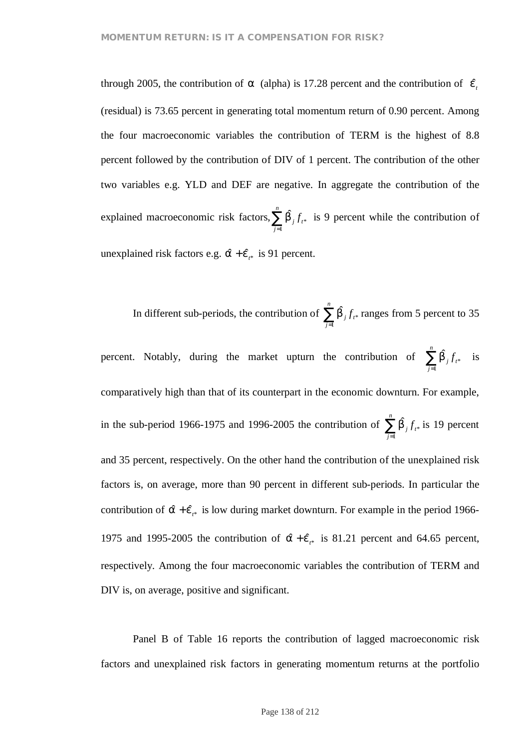through 2005, the contribution of *a* (alpha) is 17.28 percent and the contribution of  $\hat{e}^i$ (residual) is 73.65 percent in generating total momentum return of 0.90 percent. Among the four macroeconomic variables the contribution of TERM is the highest of 8.8 percent followed by the contribution of DIV of 1 percent. The contribution of the other two variables e.g. YLD and DEF are negative. In aggregate the contribution of the explained macroeconomic risk factors,  $\sum_{j=1}^{n}$ *j j t f* 1  $\hat{b}_{j} f_{i*}$  is 9 percent while the contribution of unexplained risk factors e.g.  $\hat{a} + \hat{e}_{i*}$  is 91 percent.

In different sub-periods, the contribution of  $\sum_{j=1}^{n}$ *j j t f* 1  $\hat{b}_j f_{t*}$  ranges from 5 percent to 35

percent. Notably, during the market upturn the contribution of  $\sum_{j=1}^{n}$ *j j t f* 1  $\hat{b}_{j} f_{t^*}$  is comparatively high than that of its counterpart in the economic downturn. For example, in the sub-period 1966-1975 and 1996-2005 the contribution of  $\sum_{j=1}^{n}$ *j j t f* 1  $\hat{b}_{j} f_{i*}$  is 19 percent and 35 percent, respectively. On the other hand the contribution of the unexplained risk factors is, on average, more than 90 percent in different sub-periods. In particular the contribution of  $\hat{a} + \hat{e}_{i*}$  is low during market downturn. For example in the period 1966-1975 and 1995-2005 the contribution of  $\hat{a} + \hat{e}_{i*}$  is 81.21 percent and 64.65 percent, respectively. Among the four macroeconomic variables the contribution of TERM and DIV is, on average, positive and significant.

Panel B of Table 16 reports the contribution of lagged macroeconomic risk factors and unexplained risk factors in generating momentum returns at the portfolio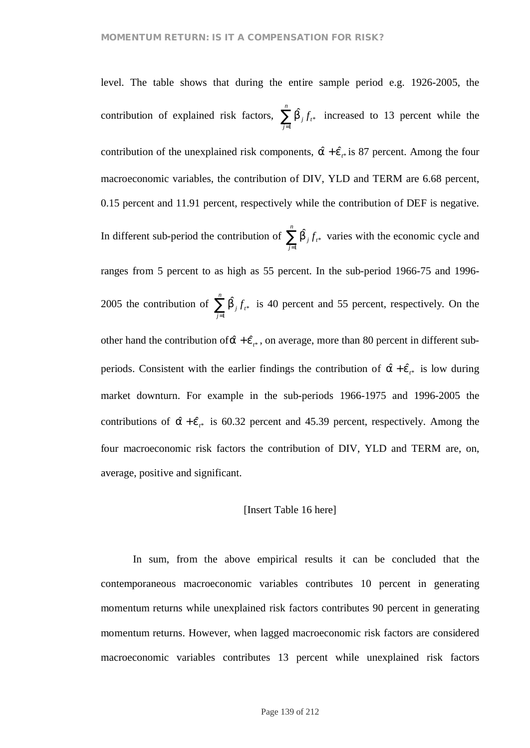level. The table shows that during the entire sample period e.g. 1926-2005, the contribution of explained risk factors,  $\sum_{j=1}^{n}$ *j j t f* 1  $\hat{b}_j f_{t^*}$  increased to 13 percent while the contribution of the unexplained risk components,  $\hat{a} + \hat{e}_{i*}$  is 87 percent. Among the four macroeconomic variables, the contribution of DIV, YLD and TERM are 6.68 percent, 0.15 percent and 11.91 percent, respectively while the contribution of DEF is negative. In different sub-period the contribution of  $\sum_{j=1}^{n}$ *j j t f* 1  $\hat{b}_j f_{t^*}$  varies with the economic cycle and ranges from 5 percent to as high as 55 percent. In the sub-period 1966-75 and 1996- 2005 the contribution of  $\sum_{j=1}^{n}$ *j j t f* 1  $\hat{D}_j f_{t^*}$  is 40 percent and 55 percent, respectively. On the other hand the contribution of  $\hat{a} + \hat{e}_{i*}$ , on average, more than 80 percent in different subperiods. Consistent with the earlier findings the contribution of  $\hat{a} + \hat{e}_{i*}$  is low during market downturn. For example in the sub-periods 1966-1975 and 1996-2005 the contributions of  $\hat{a} + \hat{e}_{i*}$  is 60.32 percent and 45.39 percent, respectively. Among the four macroeconomic risk factors the contribution of DIV, YLD and TERM are, on, average, positive and significant.

### [Insert Table 16 here]

In sum, from the above empirical results it can be concluded that the contemporaneous macroeconomic variables contributes 10 percent in generating momentum returns while unexplained risk factors contributes 90 percent in generating momentum returns. However, when lagged macroeconomic risk factors are considered macroeconomic variables contributes 13 percent while unexplained risk factors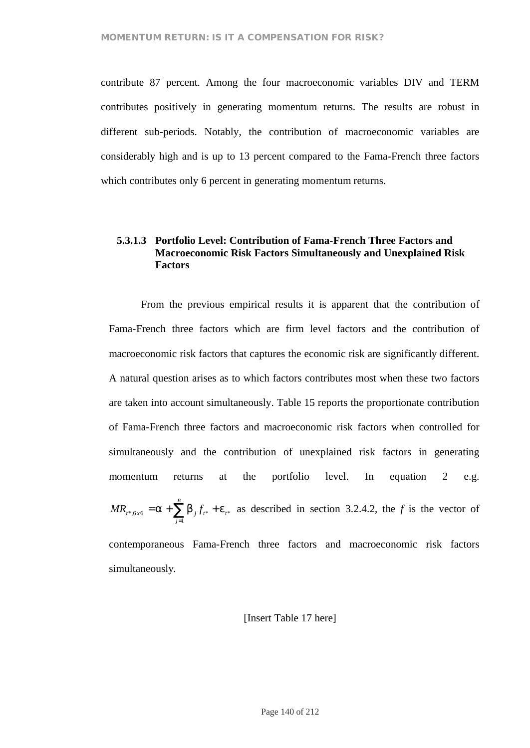contribute 87 percent. Among the four macroeconomic variables DIV and TERM contributes positively in generating momentum returns. The results are robust in different sub-periods. Notably, the contribution of macroeconomic variables are considerably high and is up to 13 percent compared to the Fama-French three factors which contributes only 6 percent in generating momentum returns.

# **5.3.1.3 Portfolio Level: Contribution of Fama-French Three Factors and Macroeconomic Risk Factors Simultaneously and Unexplained Risk Factors**

From the previous empirical results it is apparent that the contribution of Fama-French three factors which are firm level factors and the contribution of macroeconomic risk factors that captures the economic risk are significantly different. A natural question arises as to which factors contributes most when these two factors are taken into account simultaneously. Table 15 reports the proportionate contribution of Fama-French three factors and macroeconomic risk factors when controlled for simultaneously and the contribution of unexplained risk factors in generating momentum returns at the portfolio level. In equation 2 e.g. \* 1 \*,6*x*6 –  $\alpha$   $\sum_{j} b_{j} f_{t}$   $\beta$   $\sum_{t}$ *n*  $MR_{t^*, 6x6} = a + \sum_{j=1}^{\infty} b_j f_{t^*} + e^{j}$ as described in section 3.2.4.2, the *f* is the vector of

contemporaneous Fama-French three factors and macroeconomic risk factors simultaneously.

[Insert Table 17 here]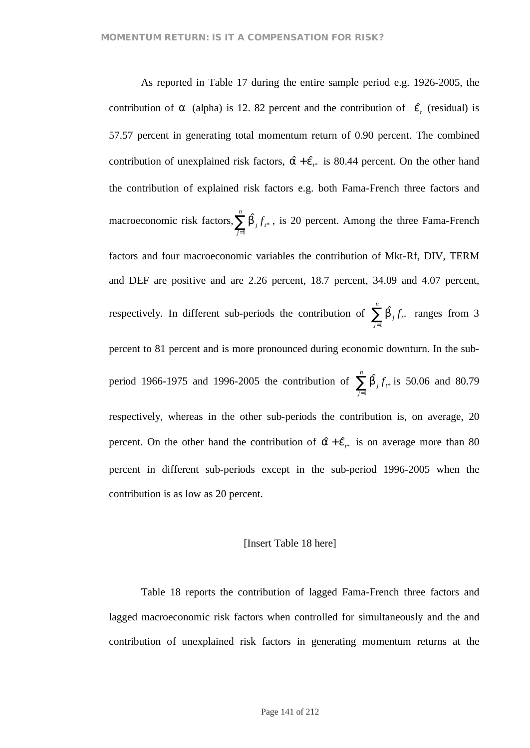As reported in Table 17 during the entire sample period e.g. 1926-2005, the contribution of *a* (alpha) is 12. 82 percent and the contribution of  $\hat{e}$ <sub>c</sub> (residual) is 57.57 percent in generating total momentum return of 0.90 percent. The combined contribution of unexplained risk factors,  $\hat{a} + \hat{e}_{i*}$  is 80.44 percent. On the other hand the contribution of explained risk factors e.g. both Fama-French three factors and macroeconomic risk factors,  $\sum_{j=1}^{n}$ *j j t f* 1  $\hat{D}_j f_{t^*}$ , is 20 percent. Among the three Fama-French factors and four macroeconomic variables the contribution of Mkt-Rf, DIV, TERM and DEF are positive and are 2.26 percent, 18.7 percent, 34.09 and 4.07 percent, respectively. In different sub-periods the contribution of  $\sum_{j=1}^{n}$ *j j t f* 1  $\hat{b}_{j} f_{t^{*}}$  ranges from 3 percent to 81 percent and is more pronounced during economic downturn. In the subperiod 1966-1975 and 1996-2005 the contribution of  $\sum_{j=1}^{n}$ *j j t f* 1  $\hat{b}_j f_{t^*}$  is 50.06 and 80.79 respectively, whereas in the other sub-periods the contribution is, on average, 20 percent. On the other hand the contribution of  $\hat{a} + \hat{e}_{t*}$  is on average more than 80 percent in different sub-periods except in the sub-period 1996-2005 when the contribution is as low as 20 percent.

### [Insert Table 18 here]

Table 18 reports the contribution of lagged Fama-French three factors and lagged macroeconomic risk factors when controlled for simultaneously and the and contribution of unexplained risk factors in generating momentum returns at the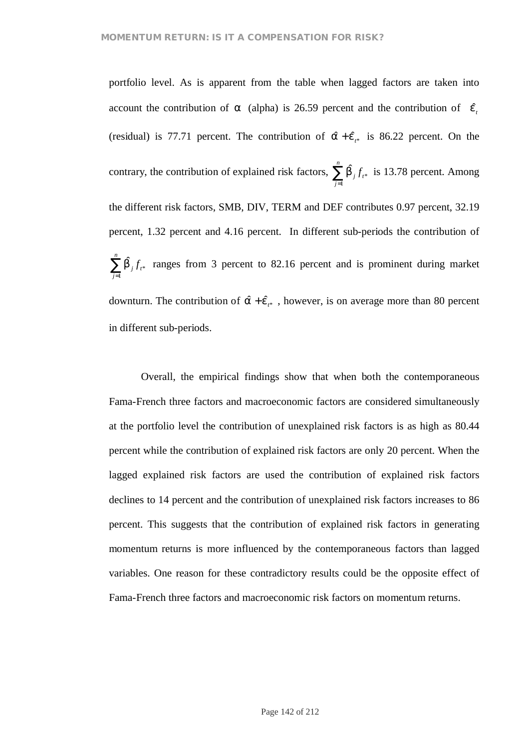portfolio level. As is apparent from the table when lagged factors are taken into account the contribution of *a* (alpha) is 26.59 percent and the contribution of  $\hat{e}$ <sub>i</sub> (residual) is 77.71 percent. The contribution of  $\hat{a} + \hat{e}_{i*}$  is 86.22 percent. On the contrary, the contribution of explained risk factors,  $\sum_{j=1}^{n}$ *j j t f* 1  $\hat{b}_{j} f_{t*}$  is 13.78 percent. Among the different risk factors, SMB, DIV, TERM and DEF contributes 0.97 percent, 32.19 percent, 1.32 percent and 4.16 percent. In different sub-periods the contribution of  $\sum_{j=1}^n$ *j j t f* 1  $\hat{b}_j f_{t^*}$  ranges from 3 percent to 82.16 percent and is prominent during market downturn. The contribution of  $\hat{a} + \hat{e}_{i*}$ , however, is on average more than 80 percent in different sub-periods.

Overall, the empirical findings show that when both the contemporaneous Fama-French three factors and macroeconomic factors are considered simultaneously at the portfolio level the contribution of unexplained risk factors is as high as 80.44 percent while the contribution of explained risk factors are only 20 percent. When the lagged explained risk factors are used the contribution of explained risk factors declines to 14 percent and the contribution of unexplained risk factors increases to 86 percent. This suggests that the contribution of explained risk factors in generating momentum returns is more influenced by the contemporaneous factors than lagged variables. One reason for these contradictory results could be the opposite effect of Fama-French three factors and macroeconomic risk factors on momentum returns.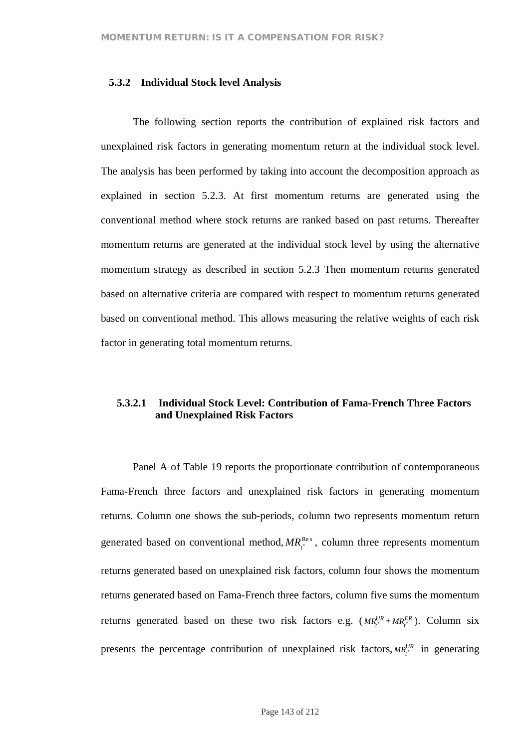### **5.3.2 Individual Stock level Analysis**

The following section reports the contribution of explained risk factors and unexplained risk factors in generating momentum return at the individual stock level. The analysis has been performed by taking into account the decomposition approach as explained in section 5.2.3. At first momentum returns are generated using the conventional method where stock returns are ranked based on past returns. Thereafter momentum returns are generated at the individual stock level by using the alternative momentum strategy as described in section 5.2.3 Then momentum returns generated based on alternative criteria are compared with respect to momentum returns generated based on conventional method. This allows measuring the relative weights of each risk factor in generating total momentum returns.

# **5.3.2.1 Individual Stock Level: Contribution of Fama-French Three Factors and Unexplained Risk Factors**

Panel A of Table 19 reports the proportionate contribution of contemporaneous Fama-French three factors and unexplained risk factors in generating momentum returns. Column one shows the sub-periods, column two represents momentum return generated based on conventional method,  $MR_i^{\text{Res}}$ , column three represents momentum returns generated based on unexplained risk factors, column four shows the momentum returns generated based on Fama-French three factors, column five sums the momentum returns generated based on these two risk factors e.g.  $(MR_i^{UR} + MR_i^{ER})$ . Column six presents the percentage contribution of unexplained risk factors,  $MR_t^{UR}$  in generating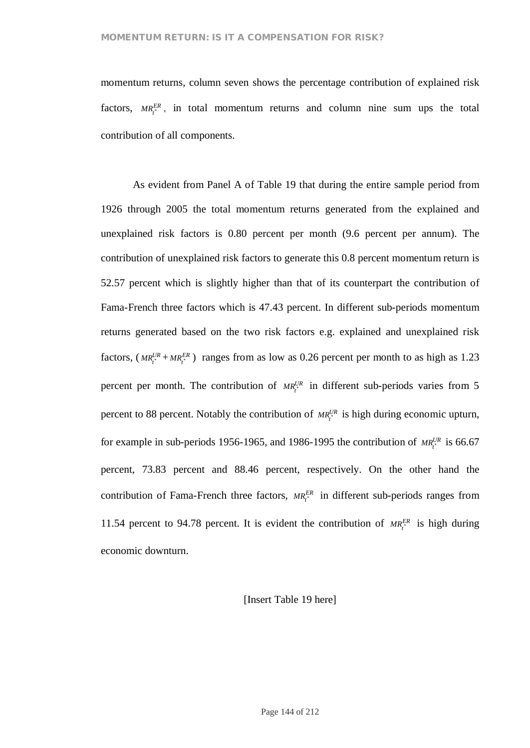momentum returns, column seven shows the percentage contribution of explained risk factors,  $MR_i^{ER}$ , in total momentum returns and column nine sum ups the total contribution of all components.

As evident from Panel A of Table 19 that during the entire sample period from 1926 through 2005 the total momentum returns generated from the explained and unexplained risk factors is 0.80 percent per month (9.6 percent per annum). The contribution of unexplained risk factors to generate this 0.8 percent momentum return is 52.57 percent which is slightly higher than that of its counterpart the contribution of Fama-French three factors which is 47.43 percent. In different sub-periods momentum returns generated based on the two risk factors e.g. explained and unexplained risk factors,  $(MR_i^{UR} + MR_i^{ER})$  ranges from as low as 0.26 percent per month to as high as 1.23 percent per month. The contribution of  $MR_i^{UR}$  in different sub-periods varies from 5 percent to 88 percent. Notably the contribution of  $MR_i^{UR}$  is high during economic upturn, for example in sub-periods 1956-1965, and 1986-1995 the contribution of  $MR_t^{UR}$  is 66.67 percent, 73.83 percent and 88.46 percent, respectively. On the other hand the contribution of Fama-French three factors,  $MR_i^{ER}$  in different sub-periods ranges from 11.54 percent to 94.78 percent. It is evident the contribution of  $MR_t^{ER}$  is high during economic downturn.

[Insert Table 19 here]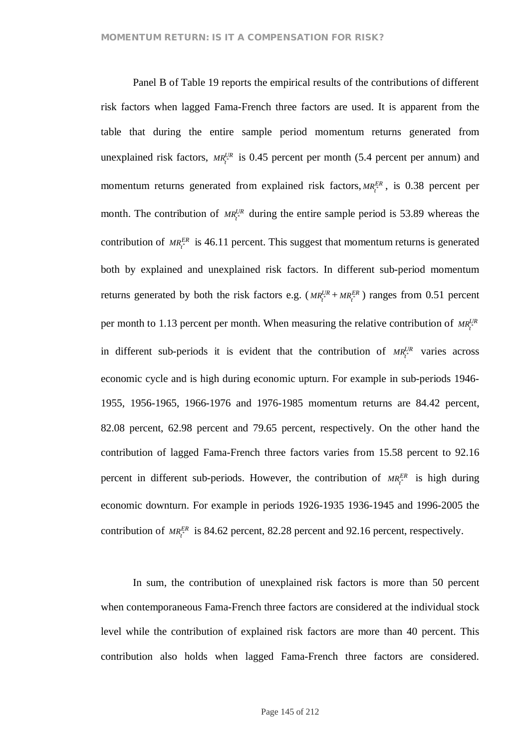Panel B of Table 19 reports the empirical results of the contributions of different risk factors when lagged Fama-French three factors are used. It is apparent from the table that during the entire sample period momentum returns generated from unexplained risk factors,  $MR_t^{UR}$  is 0.45 percent per month (5.4 percent per annum) and momentum returns generated from explained risk factors,  $MR_t^{ER}$ , is 0.38 percent per month. The contribution of  $MR_t^{UR}$  during the entire sample period is 53.89 whereas the contribution of  $MR_t^{ER}$  is 46.11 percent. This suggest that momentum returns is generated both by explained and unexplained risk factors. In different sub-period momentum returns generated by both the risk factors e.g.  $(MR_i^{UR} + MR_i^{ER})$  ranges from 0.51 percent per month to 1.13 percent per month. When measuring the relative contribution of  $MR_t^{UR}$ in different sub-periods it is evident that the contribution of  $MR_t^{UR}$  varies across economic cycle and is high during economic upturn. For example in sub-periods 1946- 1955, 1956-1965, 1966-1976 and 1976-1985 momentum returns are 84.42 percent, 82.08 percent, 62.98 percent and 79.65 percent, respectively. On the other hand the contribution of lagged Fama-French three factors varies from 15.58 percent to 92.16 percent in different sub-periods. However, the contribution of  $MR_i^{ER}$  is high during economic downturn. For example in periods 1926-1935 1936-1945 and 1996-2005 the contribution of  $MR_i^{ER}$  is 84.62 percent, 82.28 percent and 92.16 percent, respectively.

In sum, the contribution of unexplained risk factors is more than 50 percent when contemporaneous Fama-French three factors are considered at the individual stock level while the contribution of explained risk factors are more than 40 percent. This contribution also holds when lagged Fama-French three factors are considered.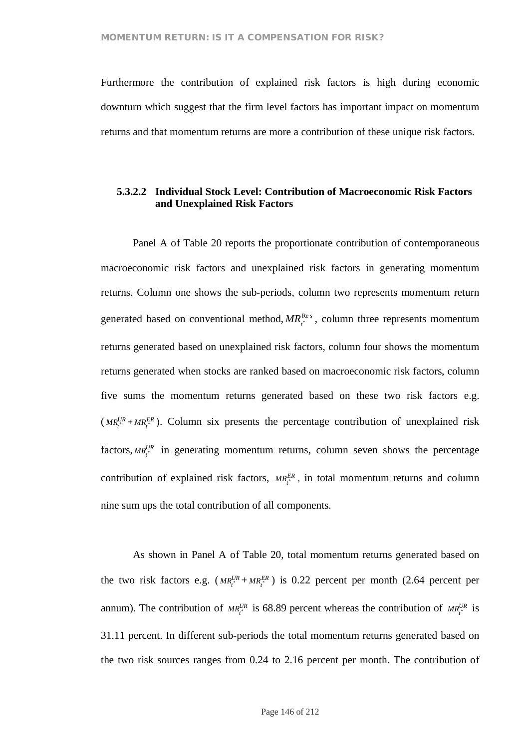Furthermore the contribution of explained risk factors is high during economic downturn which suggest that the firm level factors has important impact on momentum returns and that momentum returns are more a contribution of these unique risk factors.

## **5.3.2.2 Individual Stock Level: Contribution of Macroeconomic Risk Factors and Unexplained Risk Factors**

Panel A of Table 20 reports the proportionate contribution of contemporaneous macroeconomic risk factors and unexplained risk factors in generating momentum returns. Column one shows the sub-periods, column two represents momentum return generated based on conventional method,  $MR_i^{\text{Res}}$ , column three represents momentum returns generated based on unexplained risk factors, column four shows the momentum returns generated when stocks are ranked based on macroeconomic risk factors, column five sums the momentum returns generated based on these two risk factors e.g.  $(MR_t^{UR} + MR_t^{ER})$ . Column six presents the percentage contribution of unexplained risk factors,  $MR_t^{UR}$  in generating momentum returns, column seven shows the percentage contribution of explained risk factors,  $MR_i^{ER}$ , in total momentum returns and column nine sum ups the total contribution of all components.

As shown in Panel A of Table 20, total momentum returns generated based on the two risk factors e.g.  $(MR_i^{UR} + MR_i^{ER})$  is 0.22 percent per month (2.64 percent per annum). The contribution of  $MR_t^{UR}$  is 68.89 percent whereas the contribution of  $MR_t^{UR}$  is 31.11 percent. In different sub-periods the total momentum returns generated based on the two risk sources ranges from 0.24 to 2.16 percent per month. The contribution of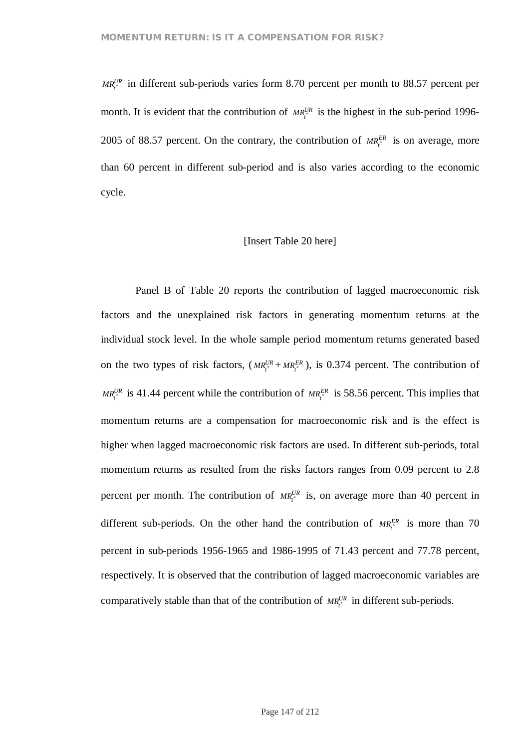$MR_i^{UR}$  in different sub-periods varies form 8.70 percent per month to 88.57 percent per month. It is evident that the contribution of  $MR_i^{UR}$  is the highest in the sub-period 1996-2005 of 88.57 percent. On the contrary, the contribution of  $MR_t^{ER}$  is on average, more than 60 percent in different sub-period and is also varies according to the economic cycle.

## [Insert Table 20 here]

Panel B of Table 20 reports the contribution of lagged macroeconomic risk factors and the unexplained risk factors in generating momentum returns at the individual stock level. In the whole sample period momentum returns generated based on the two types of risk factors,  $(MR_i^{UR} + MR_i^{ER})$ , is 0.374 percent. The contribution of  $MR_i^{UR}$  is 41.44 percent while the contribution of  $MR_i^{ER}$  is 58.56 percent. This implies that momentum returns are a compensation for macroeconomic risk and is the effect is higher when lagged macroeconomic risk factors are used. In different sub-periods, total momentum returns as resulted from the risks factors ranges from 0.09 percent to 2.8 percent per month. The contribution of  $MR_i^{UR}$  is, on average more than 40 percent in different sub-periods. On the other hand the contribution of  $MR_i^{ER}$  is more than 70 percent in sub-periods 1956-1965 and 1986-1995 of 71.43 percent and 77.78 percent, respectively. It is observed that the contribution of lagged macroeconomic variables are comparatively stable than that of the contribution of  $MR_i^{UR}$  in different sub-periods.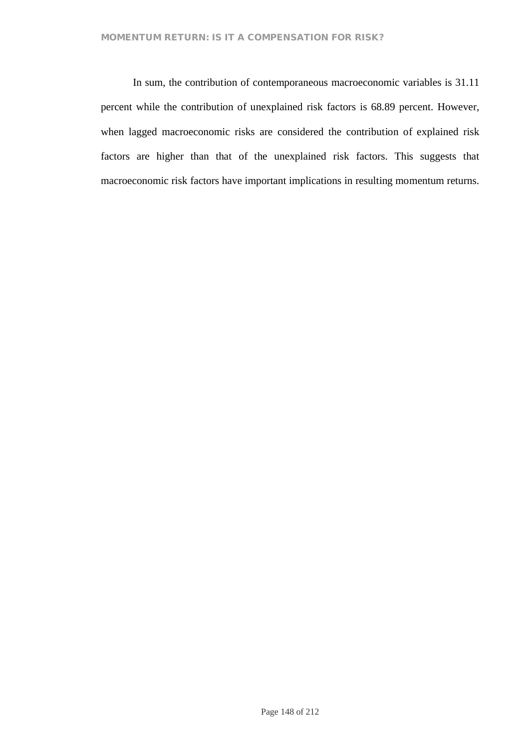In sum, the contribution of contemporaneous macroeconomic variables is 31.11 percent while the contribution of unexplained risk factors is 68.89 percent. However, when lagged macroeconomic risks are considered the contribution of explained risk factors are higher than that of the unexplained risk factors. This suggests that macroeconomic risk factors have important implications in resulting momentum returns.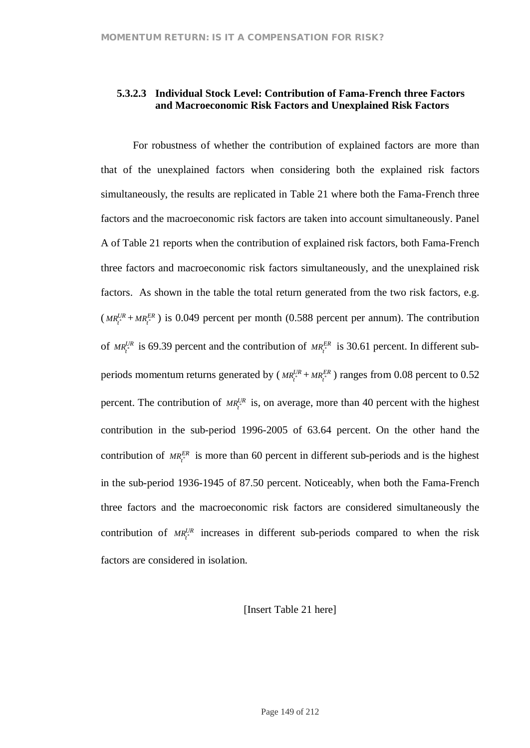## **5.3.2.3 Individual Stock Level: Contribution of Fama-French three Factors and Macroeconomic Risk Factors and Unexplained Risk Factors**

For robustness of whether the contribution of explained factors are more than that of the unexplained factors when considering both the explained risk factors simultaneously, the results are replicated in Table 21 where both the Fama-French three factors and the macroeconomic risk factors are taken into account simultaneously. Panel A of Table 21 reports when the contribution of explained risk factors, both Fama-French three factors and macroeconomic risk factors simultaneously, and the unexplained risk factors. As shown in the table the total return generated from the two risk factors, e.g.  $(MR_t^{UR} + MR_t^{ER})$  is 0.049 percent per month (0.588 percent per annum). The contribution of  $MR_t^{UR}$  is 69.39 percent and the contribution of  $MR_t^{ER}$  is 30.61 percent. In different subperiods momentum returns generated by  $(MR_i^{UR} + MR_i^{ER})$  ranges from 0.08 percent to 0.52 percent. The contribution of  $MR_t^{UR}$  is, on average, more than 40 percent with the highest contribution in the sub-period 1996-2005 of 63.64 percent. On the other hand the contribution of  $MR_f^{ER}$  is more than 60 percent in different sub-periods and is the highest in the sub-period 1936-1945 of 87.50 percent. Noticeably, when both the Fama-French three factors and the macroeconomic risk factors are considered simultaneously the contribution of  $MR_i^{UR}$  increases in different sub-periods compared to when the risk factors are considered in isolation.

[Insert Table 21 here]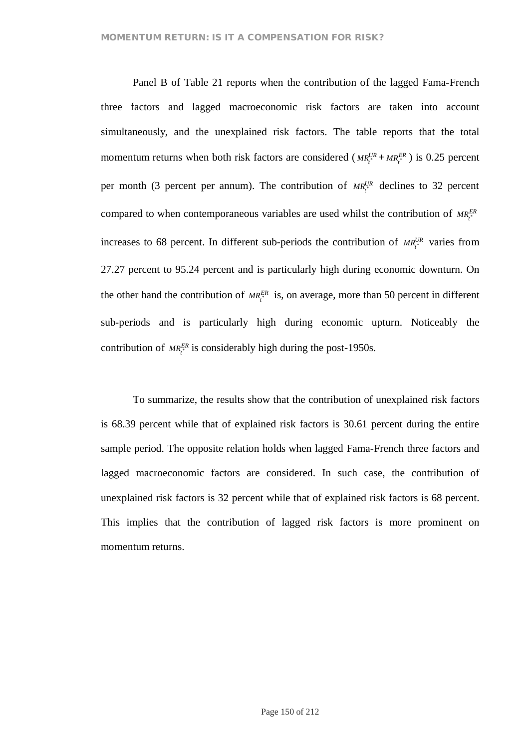Panel B of Table 21 reports when the contribution of the lagged Fama-French three factors and lagged macroeconomic risk factors are taken into account simultaneously, and the unexplained risk factors. The table reports that the total momentum returns when both risk factors are considered ( $MR_t^{UR} + MR_t^{ER}$ ) is 0.25 percent per month (3 percent per annum). The contribution of  $MR_t^{UR}$  declines to 32 percent compared to when contemporaneous variables are used whilst the contribution of  $MR_t^{ER}$ increases to 68 percent. In different sub-periods the contribution of  $MR_t^{UR}$  varies from 27.27 percent to 95.24 percent and is particularly high during economic downturn. On the other hand the contribution of  $MR_t^{ER}$  is, on average, more than 50 percent in different sub-periods and is particularly high during economic upturn. Noticeably the contribution of  $MR_t^{ER}$  is considerably high during the post-1950s.

To summarize, the results show that the contribution of unexplained risk factors is 68.39 percent while that of explained risk factors is 30.61 percent during the entire sample period. The opposite relation holds when lagged Fama-French three factors and lagged macroeconomic factors are considered. In such case, the contribution of unexplained risk factors is 32 percent while that of explained risk factors is 68 percent. This implies that the contribution of lagged risk factors is more prominent on momentum returns.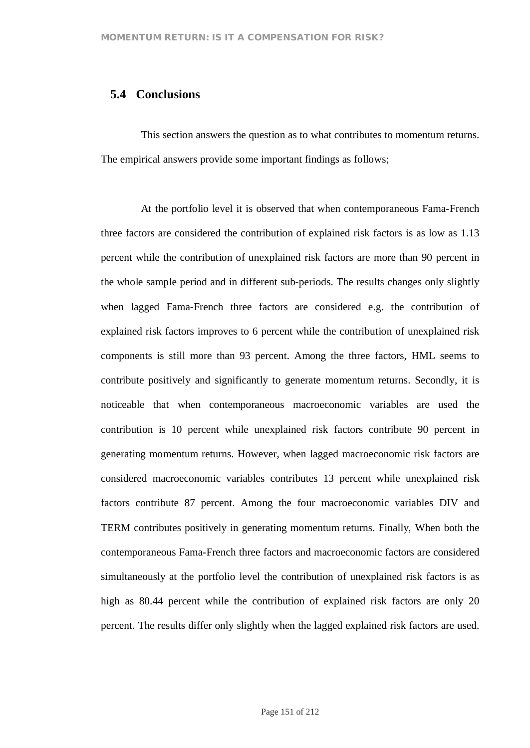## **5.4 Conclusions**

This section answers the question as to what contributes to momentum returns. The empirical answers provide some important findings as follows;

At the portfolio level it is observed that when contemporaneous Fama-French three factors are considered the contribution of explained risk factors is as low as 1.13 percent while the contribution of unexplained risk factors are more than 90 percent in the whole sample period and in different sub-periods. The results changes only slightly when lagged Fama-French three factors are considered e.g. the contribution of explained risk factors improves to 6 percent while the contribution of unexplained risk components is still more than 93 percent. Among the three factors, HML seems to contribute positively and significantly to generate momentum returns. Secondly, it is noticeable that when contemporaneous macroeconomic variables are used the contribution is 10 percent while unexplained risk factors contribute 90 percent in generating momentum returns. However, when lagged macroeconomic risk factors are considered macroeconomic variables contributes 13 percent while unexplained risk factors contribute 87 percent. Among the four macroeconomic variables DIV and TERM contributes positively in generating momentum returns. Finally, When both the contemporaneous Fama-French three factors and macroeconomic factors are considered simultaneously at the portfolio level the contribution of unexplained risk factors is as high as 80.44 percent while the contribution of explained risk factors are only 20 percent. The results differ only slightly when the lagged explained risk factors are used.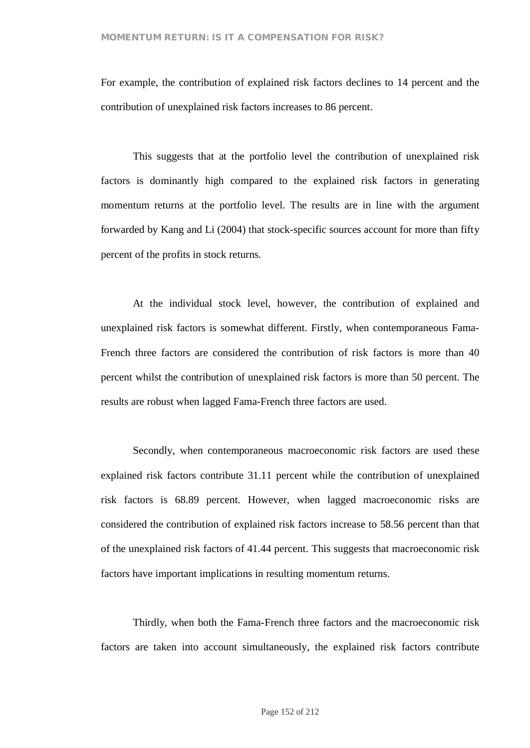For example, the contribution of explained risk factors declines to 14 percent and the contribution of unexplained risk factors increases to 86 percent.

This suggests that at the portfolio level the contribution of unexplained risk factors is dominantly high compared to the explained risk factors in generating momentum returns at the portfolio level. The results are in line with the argument forwarded by Kang and Li (2004) that stock-specific sources account for more than fifty percent of the profits in stock returns.

At the individual stock level, however, the contribution of explained and unexplained risk factors is somewhat different. Firstly, when contemporaneous Fama-French three factors are considered the contribution of risk factors is more than 40 percent whilst the contribution of unexplained risk factors is more than 50 percent. The results are robust when lagged Fama-French three factors are used.

Secondly, when contemporaneous macroeconomic risk factors are used these explained risk factors contribute 31.11 percent while the contribution of unexplained risk factors is 68.89 percent. However, when lagged macroeconomic risks are considered the contribution of explained risk factors increase to 58.56 percent than that of the unexplained risk factors of 41.44 percent. This suggests that macroeconomic risk factors have important implications in resulting momentum returns.

Thirdly, when both the Fama-French three factors and the macroeconomic risk factors are taken into account simultaneously, the explained risk factors contribute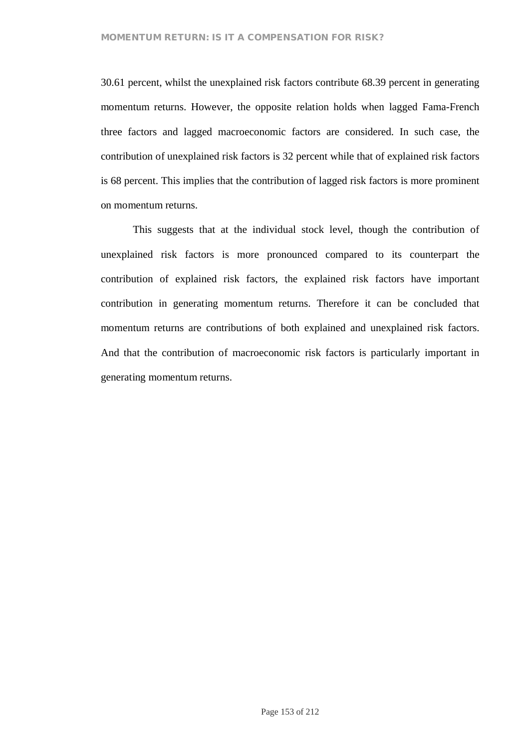30.61 percent, whilst the unexplained risk factors contribute 68.39 percent in generating momentum returns. However, the opposite relation holds when lagged Fama-French three factors and lagged macroeconomic factors are considered. In such case, the contribution of unexplained risk factors is 32 percent while that of explained risk factors is 68 percent. This implies that the contribution of lagged risk factors is more prominent on momentum returns.

This suggests that at the individual stock level, though the contribution of unexplained risk factors is more pronounced compared to its counterpart the contribution of explained risk factors, the explained risk factors have important contribution in generating momentum returns. Therefore it can be concluded that momentum returns are contributions of both explained and unexplained risk factors. And that the contribution of macroeconomic risk factors is particularly important in generating momentum returns.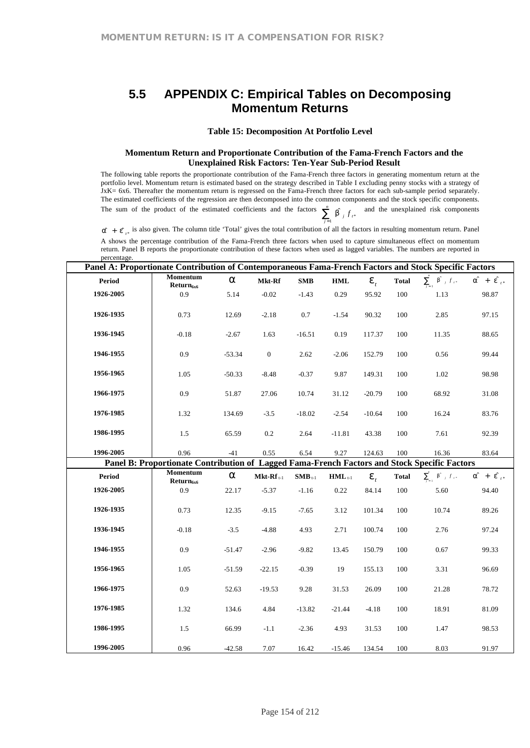# **5.5 APPENDIX C: Empirical Tables on Decomposing Momentum Returns**

#### **Table 15: Decomposition At Portfolio Level**

#### **Momentum Return and Proportionate Contribution of the Fama-French Factors and the Unexplained Risk Factors: Ten-Year Sub-Period Result**

The following table reports the proportionate contribution of the Fama-French three factors in generating momentum return at the portfolio level. Momentum return is estimated based on the strategy described in Table I excluding penny stocks with a strategy of JxK= 6x6. Thereafter the momentum return is regressed on the Fama-French three factors for each sub-sample period separately. The estimated coefficients of the regression are then decomposed into the common components and the stock specific components. The sum of the product of the estimated coefficients and the factors  $\sum_{j=1}^{n}$  $\sum_{j=1}^{n}$  *b*  $\int f_{t^*}$  and the unexplained risk components

 $\hat{a} + \hat{e}_{t*}$  is also given. The column title 'Total' gives the total contribution of all the factors in resulting momentum return. Panel

A shows the percentage contribution of the Fama-French three factors when used to capture simultaneous effect on momentum return. Panel B reports the proportionate contribution of these factors when used as lagged variables. The numbers are reported in percentage.

| Panel A: Proportionate Contribution of Contemporaneous Fama-French Factors and Stock Specific Factors |                                                                                              |          |                |                             |                      |          |              |                                       |                                 |  |  |  |  |
|-------------------------------------------------------------------------------------------------------|----------------------------------------------------------------------------------------------|----------|----------------|-----------------------------|----------------------|----------|--------------|---------------------------------------|---------------------------------|--|--|--|--|
| <b>Period</b>                                                                                         | Momentum<br>Return <sub>6x6</sub>                                                            | a        | Mkt-Rf         | SMB                         | $\mathbf{HML}$       | $e_t$    | <b>Total</b> | $\sum_{i=1}^n b_{i}^{\uparrow} f_{i}$ | $a^{\hat{}} + e^{\hat{}}_{t^*}$ |  |  |  |  |
| 1926-2005                                                                                             | 0.9                                                                                          | 5.14     | $-0.02$        | $-1.43$                     | 0.29                 | 95.92    | 100          | 1.13                                  | 98.87                           |  |  |  |  |
| 1926-1935                                                                                             | 0.73                                                                                         | 12.69    | $-2.18$        | $0.7\,$                     | $-1.54$              | 90.32    | 100          | 2.85                                  | 97.15                           |  |  |  |  |
| 1936-1945                                                                                             | $-0.18$                                                                                      | $-2.67$  | 1.63           | $-16.51$                    | 0.19                 | 117.37   | 100          | 11.35                                 | 88.65                           |  |  |  |  |
| 1946-1955                                                                                             | 0.9                                                                                          | $-53.34$ | $\mathbf{0}$   | 2.62                        | $-2.06$              | 152.79   | 100          | 0.56                                  | 99.44                           |  |  |  |  |
| 1956-1965                                                                                             | 1.05                                                                                         | $-50.33$ | $-8.48$        | $-0.37$                     | 9.87                 | 149.31   | 100          | 1.02                                  | 98.98                           |  |  |  |  |
| 1966-1975                                                                                             | 0.9                                                                                          | 51.87    | 27.06          | 10.74                       | 31.12                | $-20.79$ | 100          | 68.92                                 | 31.08                           |  |  |  |  |
| 1976-1985                                                                                             | 1.32                                                                                         | 134.69   | $-3.5$         | $-18.02$                    | $-2.54$              | $-10.64$ | 100          | 16.24                                 | 83.76                           |  |  |  |  |
| 1986-1995                                                                                             | 1.5                                                                                          | 65.59    | 0.2            | 2.64                        | $-11.81$             | 43.38    | 100          | 7.61                                  | 92.39                           |  |  |  |  |
| 1996-2005                                                                                             | 0.96                                                                                         | $-41$    | 0.55           | 6.54                        | 9.27                 | 124.63   | 100          | 16.36                                 | 83.64                           |  |  |  |  |
|                                                                                                       | Panel B: Proportionate Contribution of Lagged Fama-French Factors and Stock Specific Factors |          |                |                             |                      |          |              |                                       |                                 |  |  |  |  |
| <b>Period</b>                                                                                         | Momentum<br>$Return_{6x6}$                                                                   | a        | $Mkt-Rf_{t-1}$ | $\textbf{SMB}_{\text{t-1}}$ | $HML$ <sub>t-1</sub> | $e_{t}$  | <b>Total</b> | $\sum_{i=1}^n$ b $f_{i+1}$            | $a^{\hat{}} + e^{\hat{}}_{t^*}$ |  |  |  |  |
| 1926-2005                                                                                             | 0.9                                                                                          | 22.17    | $-5.37$        | $-1.16$                     | 0.22                 | 84.14    | 100          | 5.60                                  | 94.40                           |  |  |  |  |
| 1926-1935                                                                                             | 0.73                                                                                         | 12.35    | $-9.15$        | $-7.65$                     | 3.12                 | 101.34   | 100          | 10.74                                 | 89.26                           |  |  |  |  |
| 1936-1945                                                                                             | $-0.18$                                                                                      | $-3.5$   | $-4.88$        | 4.93                        | 2.71                 | 100.74   | 100          | 2.76                                  | 97.24                           |  |  |  |  |
| 1946-1955                                                                                             | 0.9                                                                                          | $-51.47$ | $-2.96$        | $-9.82$                     | 13.45                | 150.79   | 100          | 0.67                                  | 99.33                           |  |  |  |  |
| 1956-1965                                                                                             | 1.05                                                                                         | $-51.59$ | $-22.15$       | $-0.39$                     | 19                   | 155.13   | 100          | 3.31                                  | 96.69                           |  |  |  |  |
| 1966-1975                                                                                             | 0.9                                                                                          | 52.63    | $-19.53$       | 9.28                        | 31.53                | 26.09    | 100          | 21.28                                 | 78.72                           |  |  |  |  |
| 1976-1985                                                                                             | 1.32                                                                                         | 134.6    | 4.84           | $-13.82$                    | $-21.44$             | $-4.18$  | 100          | 18.91                                 | 81.09                           |  |  |  |  |
| 1986-1995                                                                                             | 1.5                                                                                          | 66.99    | $-1.1$         | $-2.36$                     | 4.93                 | 31.53    | 100          | 1.47                                  | 98.53                           |  |  |  |  |
| 1996-2005                                                                                             | 0.96                                                                                         | $-42.58$ | 7.07           | 16.42                       | $-15.46$             | 134.54   | 100          | 8.03                                  | 91.97                           |  |  |  |  |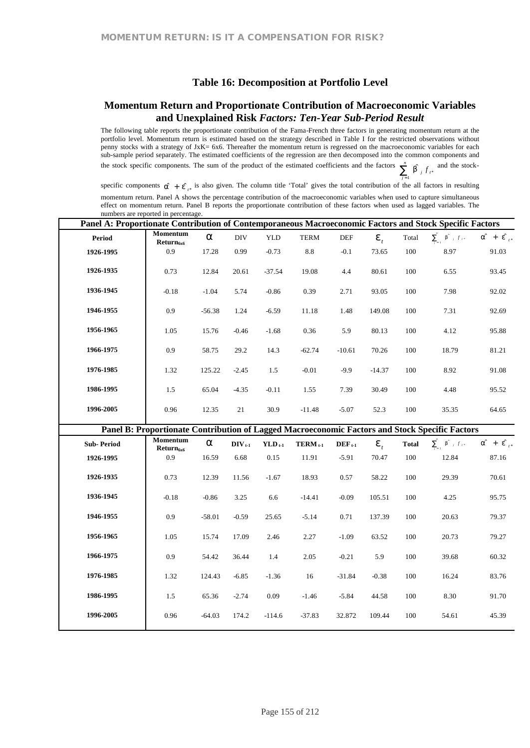## **Table 16: Decomposition at Portfolio Level**

## **Momentum Return and Proportionate Contribution of Macroeconomic Variables and Unexplained Risk** *Factors: Ten-Year Sub-Period Result*

The following table reports the proportionate contribution of the Fama-French three factors in generating momentum return at the portfolio level. Momentum return is estimated based on the strategy described in Table I for the restricted observations without penny stocks with a strategy of JxK= 6x6. Thereafter the momentum return is regressed on the macroeconomic variables for each sub-sample period separately. The estimated coefficients of the regression are then decomposed into the common components and the stock specific components. The sum of the product of the estimated coefficients and the factors  $\sum_{j=1}^{n}$  $\sum_{j=1}^{n}$  *b*<sup>2</sup> *j*  $f_{t*}$  and the stock-

specific components  $\hat{a} + \hat{e}_{t*}$  is also given. The column title 'Total' gives the total contribution of the all factors in resulting momentum return. Panel A shows the percentage contribution of the macroeconomic variables when used to capture simultaneous effect on momentum return. Panel B reports the proportionate contribution of these factors when used as lagged variables. The numbers are reported in percentage.

| Panel A: Proportionate Contribution of Contemporaneous Macroeconomic Factors and Stock Specific Factors |                                                                                                                   |          |                 |             |              |             |          |              |                                                                                 |                                 |
|---------------------------------------------------------------------------------------------------------|-------------------------------------------------------------------------------------------------------------------|----------|-----------------|-------------|--------------|-------------|----------|--------------|---------------------------------------------------------------------------------|---------------------------------|
| Period                                                                                                  | Momentum<br>Return <sub>6x6</sub>                                                                                 | a        | <b>DIV</b>      | <b>YLD</b>  | <b>TERM</b>  | DEF         | $e_{i}$  | Total        | $\sum_{i=1}^n$ b $f_{i*}$                                                       | $a^{\hat{}} + e^{\hat{}}_{t^*}$ |
| 1926-1995                                                                                               | 0.9                                                                                                               | 17.28    | 0.99            | $-0.73$     | 8.8          | $-0.1$      | 73.65    | 100          | 8.97                                                                            | 91.03                           |
| 1926-1935                                                                                               | 0.73                                                                                                              | 12.84    | 20.61           | $-37.54$    | 19.08        | 4.4         | 80.61    | 100          | 6.55                                                                            | 93.45                           |
| 1936-1945                                                                                               | $-0.18$                                                                                                           | $-1.04$  | 5.74            | $-0.86$     | 0.39         | 2.71        | 93.05    | 100          | 7.98                                                                            | 92.02                           |
| 1946-1955                                                                                               | 0.9                                                                                                               | $-56.38$ | 1.24            | $-6.59$     | 11.18        | 1.48        | 149.08   | 100          | 7.31                                                                            | 92.69                           |
| 1956-1965                                                                                               | 1.05                                                                                                              | 15.76    | $-0.46$         | $-1.68$     | 0.36         | 5.9         | 80.13    | 100          | 4.12                                                                            | 95.88                           |
| 1966-1975                                                                                               | 0.9                                                                                                               | 58.75    | 29.2            | 14.3        | $-62.74$     | $-10.61$    | 70.26    | 100          | 18.79                                                                           | 81.21                           |
| 1976-1985                                                                                               | 1.32                                                                                                              | 125.22   | $-2.45$         | 1.5         | $-0.01$      | $-9.9$      | $-14.37$ | 100          | 8.92                                                                            | 91.08                           |
| 1986-1995                                                                                               | 1.5                                                                                                               | 65.04    | $-4.35$         | $-0.11$     | 1.55         | 7.39        | 30.49    | 100          | 4.48                                                                            | 95.52                           |
| 1996-2005                                                                                               | 0.96                                                                                                              | 12.35    | 21              | 30.9        | $-11.48$     | $-5.07$     | 52.3     | 100          | 35.35                                                                           | 64.65                           |
|                                                                                                         |                                                                                                                   |          |                 |             |              |             |          |              |                                                                                 |                                 |
|                                                                                                         |                                                                                                                   |          |                 |             |              |             |          |              |                                                                                 |                                 |
| <b>Sub-Period</b>                                                                                       | Panel B: Proportionate Contribution of Lagged Macroeconomic Factors and Stock Specific Factors<br><b>Momentum</b> | a        | $\bf DIV_{t-1}$ | $YLD_{t-1}$ | $TERM_{t-1}$ | $DEF_{t-1}$ | $e_{i}$  | <b>Total</b> | $\sum_{i=1}^n \left\  \hat{\mathbf{b}}^{\dagger} \right\ _f f_{\mathcal{A}^+}.$ | $a^{\hat{}} + e^{\hat{}}_{t^*}$ |
| 1926-1995                                                                                               | Return <sub>6x6</sub><br>0.9                                                                                      | 16.59    | 6.68            | 0.15        | 11.91        | $-5.91$     | 70.47    | 100          | 12.84                                                                           | 87.16                           |
| 1926-1935                                                                                               | 0.73                                                                                                              | 12.39    | 11.56           | $-1.67$     | 18.93        | 0.57        | 58.22    | 100          | 29.39                                                                           | 70.61                           |
| 1936-1945                                                                                               | $-0.18$                                                                                                           | $-0.86$  | 3.25            | 6.6         | $-14.41$     | $-0.09$     | 105.51   | 100          | 4.25                                                                            | 95.75                           |
| 1946-1955                                                                                               | 0.9                                                                                                               | $-58.01$ | $-0.59$         | 25.65       | $-5.14$      | 0.71        | 137.39   | 100          | 20.63                                                                           | 79.37                           |
| 1956-1965                                                                                               | 1.05                                                                                                              | 15.74    | 17.09           | 2.46        | 2.27         | $-1.09$     | 63.52    | 100          | 20.73                                                                           | 79.27                           |
| 1966-1975                                                                                               | 0.9                                                                                                               | 54.42    | 36.44           | 1.4         | 2.05         | $-0.21$     | 5.9      | 100          | 39.68                                                                           | 60.32                           |
| 1976-1985                                                                                               | 1.32                                                                                                              | 124.43   | $-6.85$         | $-1.36$     | 16           | $-31.84$    | $-0.38$  | 100          | 16.24                                                                           | 83.76                           |
| 1986-1995                                                                                               | 1.5                                                                                                               | 65.36    | $-2.74$         | 0.09        | $-1.46$      | $-5.84$     | 44.58    | 100          | 8.30                                                                            | 91.70                           |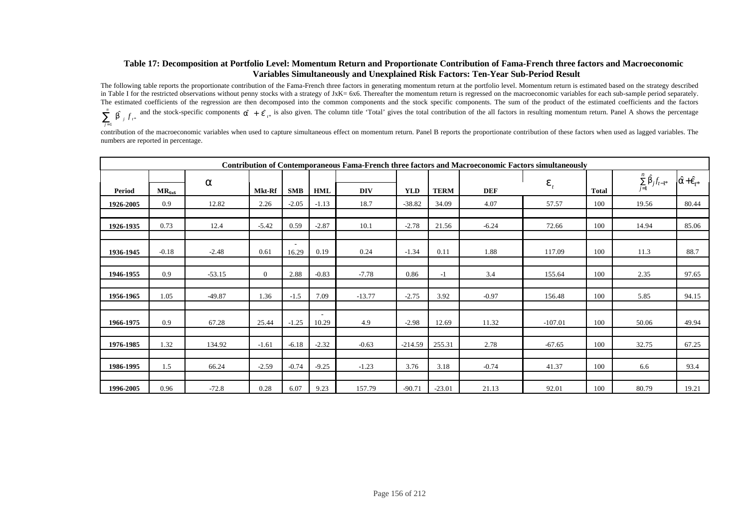#### **Table 17: Decomposition at Portfolio Level: Momentum Return and Proportionate Contribution of Fama-French three factors and Macroeconomic Variables Simultaneously and Unexplained Risk Factors: Ten-Year Sub-Period Result**

The following table reports the proportionate contribution of the Fama-French three factors in generating momentum return at the portfolio level. Momentum return is estimated based on the strategy described in Table I for the restricted observations without penny stocks with a strategy of JxK= 6x6. Thereafter the momentum return is regressed on the macroeconomic variables for each sub-sample period separately. The estimated coefficients of the regression are then decomposed into the common components and the stock specific components. The sum of the product of the estimated coefficients and the factors ∑= *n*  $\sum_{j=1}^{n}$  b  $\int f_{i^*}$  and the stock-specific components  $\hat{a} + \hat{e}_{i^*}$  is also given. The column title 'Total' gives the total contribution of the all factors in resulting momentum return. Panel A shows the percent

contribution of the macroeconomic variables when used to capture simultaneous effect on momentum return. Panel B reports the proportionate contribution of these factors when used as lagged variables. The numbers are reported in percentage.

|           | <b>Contribution of Contemporaneous Fama-French three factors and Macroeconomic Factors simultaneously</b> |              |                |                                   |            |            |            |             |            |                                                    |                         |       |       |  |
|-----------|-----------------------------------------------------------------------------------------------------------|--------------|----------------|-----------------------------------|------------|------------|------------|-------------|------------|----------------------------------------------------|-------------------------|-------|-------|--|
|           |                                                                                                           | a<br>$e_{t}$ |                |                                   |            |            |            |             |            | $\sum\limits_{j=1}^n \hat{\mathsf{b}}_j f_{t-1^*}$ | $\hat{a}+\hat{e}_{t^*}$ |       |       |  |
| Period    | $MR_{6x6}$                                                                                                |              | Mkt-Rf         | <b>SMB</b>                        | <b>HML</b> | <b>DIV</b> | <b>YLD</b> | <b>TERM</b> | <b>DEF</b> |                                                    | <b>Total</b>            |       |       |  |
| 1926-2005 | 0.9                                                                                                       | 12.82        | 2.26           | $-2.05$                           | $-1.13$    | 18.7       | $-38.82$   | 34.09       | 4.07       | 57.57                                              | 100                     | 19.56 | 80.44 |  |
|           |                                                                                                           |              |                |                                   |            |            |            |             |            |                                                    |                         |       |       |  |
| 1926-1935 | 0.73                                                                                                      | 12.4         | $-5.42$        | 0.59                              | $-2.87$    | 10.1       | $-2.78$    | 21.56       | $-6.24$    | 72.66                                              | 100                     | 14.94 | 85.06 |  |
|           |                                                                                                           |              |                |                                   |            |            |            |             |            |                                                    |                         |       |       |  |
| 1936-1945 | $-0.18$                                                                                                   | $-2.48$      | 0.61           | $\overline{\phantom{a}}$<br>16.29 | 0.19       | 0.24       | $-1.34$    | 0.11        | 1.88       | 117.09                                             | 100                     | 11.3  | 88.7  |  |
|           |                                                                                                           |              |                |                                   |            |            |            |             |            |                                                    |                         |       |       |  |
| 1946-1955 | 0.9                                                                                                       | $-53.15$     | $\overline{0}$ | 2.88                              | $-0.83$    | $-7.78$    | 0.86       | $-1$        | 3.4        | 155.64                                             | 100                     | 2.35  | 97.65 |  |
|           |                                                                                                           |              |                |                                   |            |            |            |             |            |                                                    |                         |       |       |  |
| 1956-1965 | 1.05                                                                                                      | $-49.87$     | 1.36           | $-1.5$                            | 7.09       | $-13.77$   | $-2.75$    | 3.92        | $-0.97$    | 156.48                                             | 100                     | 5.85  | 94.15 |  |
|           |                                                                                                           |              |                |                                   |            |            |            |             |            |                                                    |                         |       |       |  |
| 1966-1975 | 0.9                                                                                                       | 67.28        | 25.44          | $-1.25$                           | 10.29      | 4.9        | $-2.98$    | 12.69       | 11.32      | $-107.01$                                          | 100                     | 50.06 | 49.94 |  |
|           |                                                                                                           |              |                |                                   |            |            |            |             |            |                                                    |                         |       |       |  |
| 1976-1985 | 1.32                                                                                                      | 134.92       | $-1.61$        | $-6.18$                           | $-2.32$    | $-0.63$    | $-214.59$  | 255.31      | 2.78       | $-67.65$                                           | 100                     | 32.75 | 67.25 |  |
|           |                                                                                                           |              |                |                                   |            |            |            |             |            |                                                    |                         |       |       |  |
| 1986-1995 | 1.5                                                                                                       | 66.24        | $-2.59$        | $-0.74$                           | $-9.25$    | $-1.23$    | 3.76       | 3.18        | $-0.74$    | 41.37                                              | 100                     | 6.6   | 93.4  |  |
|           |                                                                                                           |              |                |                                   |            |            |            |             |            |                                                    |                         |       |       |  |
| 1996-2005 | 0.96                                                                                                      | $-72.8$      | 0.28           | 6.07                              | 9.23       | 157.79     | $-90.71$   | $-23.01$    | 21.13      | 92.01                                              | 100                     | 80.79 | 19.21 |  |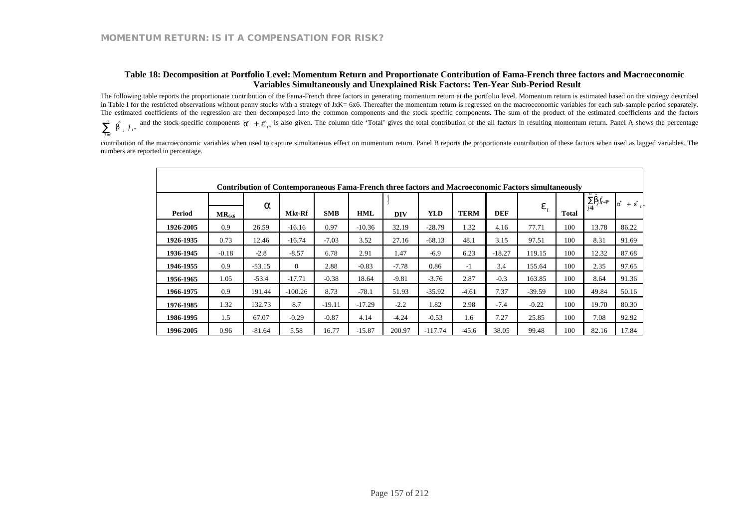#### **Table 18: Decomposition at Portfolio Level: Momentum Return and Proportionate Contribution of Fama-French three factors and Macroeconomic Variables Simultaneously and Unexplained Risk Factors: Ten-Year Sub-Period Result**

The following table reports the proportionate contribution of the Fama-French three factors in generating momentum return at the portfolio level. Momentum return is estimated based on the strategy described in Table I for the restricted observations without penny stocks with a strategy of JxK= 6x6. Thereafter the momentum return is regressed on the macroeconomic variables for each sub-sample period separately. The estimated coefficients of the regression are then decomposed into the common components and the stock specific components. The sum of the product of the estimated coefficients and the factors ∑= *n*  $\sum_{j=1}^{n}$  b  $\int f_{i^*}$  and the stock-specific components  $\hat{a} + \hat{e}_{i^*}$  is also given. The column title 'Total' gives the total contribution of the all factors in resulting momentum return. Panel A shows the percent

contribution of the macroeconomic variables when used to capture simultaneous effect on momentum return. Panel B reports the proportionate contribution of these factors when used as lagged variables. The numbers are reported in percentage.

|           | <b>Contribution of Contemporaneous Fama-French three factors and Macroeconomic Factors simultaneously</b> |          |           |            |          |            |            |             |            |                  |       |                              |                                     |  |  |
|-----------|-----------------------------------------------------------------------------------------------------------|----------|-----------|------------|----------|------------|------------|-------------|------------|------------------|-------|------------------------------|-------------------------------------|--|--|
| Period    | $MR_{6x6}$                                                                                                | a        | Mkt-Rf    | <b>SMB</b> | HML      | <b>DIV</b> | <b>YLD</b> | <b>TERM</b> | <b>DEF</b> | $\mathbf{e}_{i}$ | Total | $\sum_{i}$<br>$\overline{r}$ | la <sup>2</sup><br>$+ e^{\hat{}} t$ |  |  |
| 1926-2005 | 0.9                                                                                                       | 26.59    | $-16.16$  | 0.97       | $-10.36$ | 32.19      | $-28.79$   | 1.32        | 4.16       | 77.71            | 100   | 13.78                        | 86.22                               |  |  |
| 1926-1935 | 0.73                                                                                                      | 12.46    | $-16.74$  | $-7.03$    | 3.52     | 27.16      | $-68.13$   | 48.1        | 3.15       | 97.51            | 100   | 8.31                         | 91.69                               |  |  |
| 1936-1945 | $-0.18$                                                                                                   | $-2.8$   | $-8.57$   | 6.78       | 2.91     | 1.47       | $-6.9$     | 6.23        | $-18.27$   | 119.15           | 100   | 12.32                        | 87.68                               |  |  |
| 1946-1955 | 0.9                                                                                                       | $-53.15$ | $\Omega$  | 2.88       | $-0.83$  | $-7.78$    | 0.86       | -1          | 3.4        | 155.64           | 100   | 2.35                         | 97.65                               |  |  |
| 1956-1965 | 1.05                                                                                                      | $-53.4$  | $-17.71$  | $-0.38$    | 18.64    | $-9.81$    | $-3.76$    | 2.87        | $-0.3$     | 163.85           | 100   | 8.64                         | 91.36                               |  |  |
| 1966-1975 | 0.9                                                                                                       | 191.44   | $-100.26$ | 8.73       | $-78.1$  | 51.93      | $-35.92$   | $-4.61$     | 7.37       | $-39.59$         | 100   | 49.84                        | 50.16                               |  |  |
| 1976-1985 | 1.32                                                                                                      | 132.73   | 8.7       | $-19.11$   | $-17.29$ | $-2.2$     | 1.82       | 2.98        | $-7.4$     | $-0.22$          | 100   | 19.70                        | 80.30                               |  |  |
| 1986-1995 | 1.5                                                                                                       | 67.07    | $-0.29$   | $-0.87$    | 4.14     | $-4.24$    | $-0.53$    | 1.6         | 7.27       | 25.85            | 100   | 7.08                         | 92.92                               |  |  |
| 1996-2005 | 0.96                                                                                                      | $-81.64$ | 5.58      | 16.77      | $-15.87$ | 200.97     | $-117.74$  | $-45.6$     | 38.05      | 99.48            | 100   | 82.16                        | 17.84                               |  |  |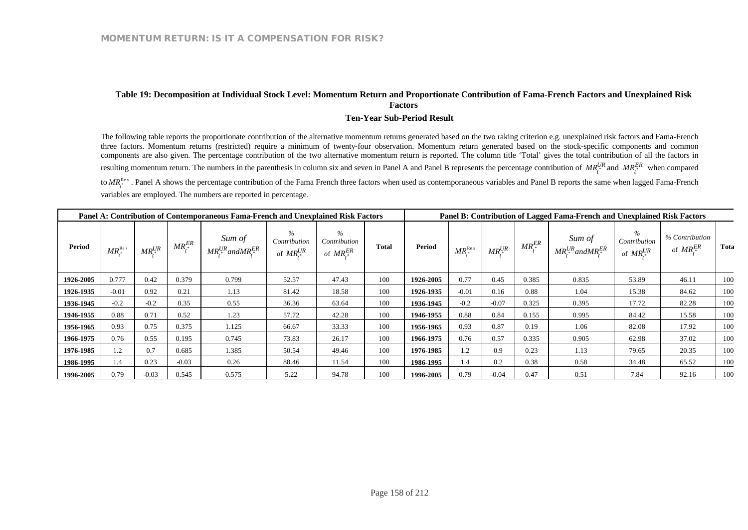## **Table 19: Decomposition at Individual Stock Level: Momentum Return and Proportionate Contribution of Fama-French Factors and Unexplained Risk Factors**

#### **Ten-Year Sub-Period Result**

The following table reports the proportionate contribution of the alternative momentum returns generated based on the two raking criterion e.g. unexplained risk factors and Fama-French three factors. Momentum returns (restricted) require a minimum of twenty-four observation. Momentum return generated based on the stock-specific components and common components are also given. The percentage contribution of the two alternative momentum return is reported. The column title 'Total' gives the total contribution of all the factors in resulting momentum return. The numbers in the parenthesis in column six and seven in Panel A and Panel B represents the percentage contribution of  $MR_t^{UR}$  and  $MR_t^{ER}$  when compared to *MR*<sup>Res</sup>. Panel A shows the percentage contribution of the Fama French three factors when used as contemporaneous variables and Panel B reports the same when lagged Fama-French variables are employed. The numbers are reported in percentage.

| Panel A: Contribution of Contemporaneous Fama-French and Unexplained Risk Factors |                           |               |             |                                                       |                                          |                                          |              | Panel B: Contribution of Lagged Fama-French and Unexplained Risk Factors |                                          |               |                 |                                                   |                                          |                                  |      |  |
|-----------------------------------------------------------------------------------|---------------------------|---------------|-------------|-------------------------------------------------------|------------------------------------------|------------------------------------------|--------------|--------------------------------------------------------------------------|------------------------------------------|---------------|-----------------|---------------------------------------------------|------------------------------------------|----------------------------------|------|--|
| <b>Period</b>                                                                     | $MR^{\text{Re }s}_{\ast}$ | $MR^{UR}_{*}$ | $MR_t^{ER}$ | Sum of<br>$MR^{UR}_{\cdot *}$ and $MR^{ER}_{\cdot *}$ | $\%$<br>Contribution<br>of $MR^{UR}_{*}$ | $\%$<br>Contribution<br>of $MR^{ER}_{*}$ | <b>Total</b> | <b>Period</b>                                                            | $\mathit{MR}_*^{\mathop{\mathrm{Re}} s}$ | $MR^{UR}_{*}$ | $MR^{ER}_{t^*}$ | Sum of<br>$MR^{UR}_{\cdot}$ and $MR^{ER}_{\cdot}$ | $\%$<br>Contribution<br>of $MR^{UR}_{*}$ | % Contribution<br>of $MR_*^{ER}$ | Tota |  |
| 1926-2005                                                                         | 0.777                     | 0.42          | 0.379       | 0.799                                                 | 52.57                                    | 47.43                                    | 100          | 1926-2005                                                                | 0.77                                     | 0.45          | 0.385           | 0.835                                             | 53.89                                    | 46.11                            | 100  |  |
| 1926-1935                                                                         | $-0.01$                   | 0.92          | 0.21        | 1.13                                                  | 81.42                                    | 18.58                                    | 100          | 1926-1935                                                                | $-0.01$                                  | 0.16          | 0.88            | 1.04                                              | 15.38                                    | 84.62                            | 100  |  |
| 1936-1945                                                                         | $-0.2$                    | $-0.2$        | 0.35        | 0.55                                                  | 36.36                                    | 63.64                                    | 100          | 1936-1945                                                                | $-0.2$                                   | $-0.07$       | 0.325           | 0.395                                             | 17.72                                    | 82.28                            | 100  |  |
| 1946-1955                                                                         | 0.88                      | 0.71          | 0.52        | 1.23                                                  | 57.72                                    | 42.28                                    | 100          | 1946-1955                                                                | 0.88                                     | 0.84          | 0.155           | 0.995                                             | 84.42                                    | 15.58                            | 100  |  |
| 1956-1965                                                                         | 0.93                      | 0.75          | 0.375       | 1.125                                                 | 66.67                                    | 33.33                                    | 100          | 1956-1965                                                                | 0.93                                     | 0.87          | 0.19            | 1.06                                              | 82.08                                    | 17.92                            | 100  |  |
| 1966-1975                                                                         | 0.76                      | 0.55          | 0.195       | 0.745                                                 | 73.83                                    | 26.17                                    | 100          | 1966-1975                                                                | 0.76                                     | 0.57          | 0.335           | 0.905                                             | 62.98                                    | 37.02                            | 100  |  |
| 1976-1985                                                                         | 1.2                       | 0.7           | 0.685       | 1.385                                                 | 50.54                                    | 49.46                                    | 100          | 1976-1985                                                                | 1.2                                      | 0.9           | 0.23            | 1.13                                              | 79.65                                    | 20.35                            | 100  |  |
| 1986-1995                                                                         | 1.4                       | 0.23          | $-0.03$     | 0.26                                                  | 88.46                                    | 11.54                                    | 100          | 1986-1995                                                                | 1.4                                      | 0.2           | 0.38            | 0.58                                              | 34.48                                    | 65.52                            | 100  |  |
| 1996-2005                                                                         | 0.79                      | $-0.03$       | 0.545       | 0.575                                                 | 5.22                                     | 94.78                                    | 100          | 1996-2005                                                                | 0.79                                     | $-0.04$       | 0.47            | 0.51                                              | 7.84                                     | 92.16                            | 100  |  |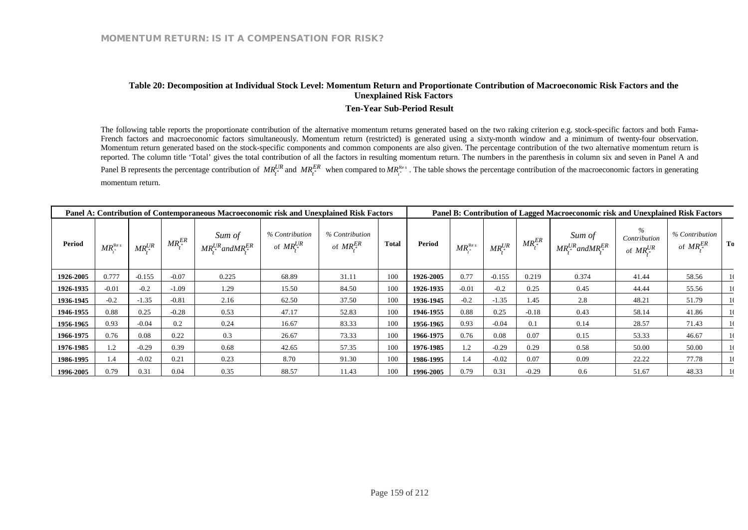## **Table 20: Decomposition at Individual Stock Level: Momentum Return and Proportionate Contribution of Macroeconomic Risk Factors and the Unexplained Risk Factors**

#### **Ten-Year Sub-Period Result**

The following table reports the proportionate contribution of the alternative momentum returns generated based on the two raking criterion e.g. stock-specific factors and both Fama-French factors and macroeconomic factors simultaneously. Momentum return (restricted) is generated using a sixty-month window and a minimum of twenty-four observation. Momentum return generated based on the stock-specific components and common components are also given. The percentage contribution of the two alternative momentum return is reported. The column title 'Total' gives the total contribution of all the factors in resulting momentum return. The numbers in the parenthesis in column six and seven in Panel A and Panel B represents the percentage contribution of  $MR_i^{UR}$  and  $MR_i^{ER}$  when compared to  $MR_i^{Res}$ . The table shows the percentage contribution of the macroeconomic factors in generating momentum return.

| Panel A: Contribution of Contemporaneous Macroeconomic risk and Unexplained Risk Factors |                           |                   |             |                                                     |                                    |                                  |              | Panel B: Contribution of Lagged Macroeconomic risk and Unexplained Risk Factors |                            |               |             |                                                   |                                          |                                  |               |  |
|------------------------------------------------------------------------------------------|---------------------------|-------------------|-------------|-----------------------------------------------------|------------------------------------|----------------------------------|--------------|---------------------------------------------------------------------------------|----------------------------|---------------|-------------|---------------------------------------------------|------------------------------------------|----------------------------------|---------------|--|
| <b>Period</b>                                                                            | $MR^{\text{Re }s}_{\ast}$ | $MR^{UR}_{\cdot}$ | $MR_*^{ER}$ | Sum of<br>$MR^{UR}_{\cdot *}$ and $MR^{ER}_{\cdot}$ | % Contribution<br>of $MR^{UR}_{*}$ | % Contribution<br>of $MR_*^{ER}$ | <b>Total</b> | Period                                                                          | $MR^{\text{Re }s}_{\cdot}$ | $MR^{UR}_{*}$ | $MR_*^{ER}$ | Sum of<br>$MR^{UR}_{\cdot}$ and $MR^{ER}_{\cdot}$ | $\%$<br>Contribution<br>of $MR^{UR}_{*}$ | % Contribution<br>of $MR_*^{ER}$ | To            |  |
| 1926-2005                                                                                | 0.777                     | $-0.155$          | $-0.07$     | 0.225                                               | 68.89                              | 31.11                            | 100          | 1926-2005                                                                       | 0.77                       | $-0.155$      | 0.219       | 0.374                                             | 41.44                                    | 58.56                            | -10           |  |
| 1926-1935                                                                                | $-0.01$                   | $-0.2$            | $-1.09$     | 1.29                                                | 15.50                              | 84.50                            | 100          | 1926-1935                                                                       | $-0.01$                    | $-0.2$        | 0.25        | 0.45                                              | 44.44                                    | 55.56                            | -10           |  |
| 1936-1945                                                                                | $-0.2$                    | $-1.35$           | $-0.81$     | 2.16                                                | 62.50                              | 37.50                            | 100          | 1936-1945                                                                       | $-0.2$                     | $-1.35$       | 1.45        | 2.8                                               | 48.21                                    | 51.79                            | -10           |  |
| 1946-1955                                                                                | 0.88                      | 0.25              | $-0.28$     | 0.53                                                | 47.17                              | 52.83                            | 100          | 1946-1955                                                                       | 0.88                       | 0.25          | $-0.18$     | 0.43                                              | 58.14                                    | 41.86                            | -10           |  |
| 1956-1965                                                                                | 0.93                      | $-0.04$           | 0.2         | 0.24                                                | 16.67                              | 83.33                            | 100          | 1956-1965                                                                       | 0.93                       | $-0.04$       | 0.1         | 0.14                                              | 28.57                                    | 71.43                            | -10           |  |
| 1966-1975                                                                                | 0.76                      | 0.08              | 0.22        | 0.3                                                 | 26.67                              | 73.33                            | 100          | 1966-1975                                                                       | 0.76                       | 0.08          | 0.07        | 0.15                                              | 53.33                                    | 46.67                            | 10            |  |
| 1976-1985                                                                                | 1.2                       | $-0.29$           | 0.39        | 0.68                                                | 42.65                              | 57.35                            | 100          | 1976-1985                                                                       | 1.2                        | $-0.29$       | 0.29        | 0.58                                              | 50.00                                    | 50.00                            | $\frac{1}{2}$ |  |
| 1986-1995                                                                                | 1.4                       | $-0.02$           | 0.21        | 0.23                                                | 8.70                               | 91.30                            | 100          | 1986-1995                                                                       | 1.4                        | $-0.02$       | 0.07        | 0.09                                              | 22.22                                    | 77.78                            | -10           |  |
| 1996-2005                                                                                | 0.79                      | 0.31              | 0.04        | 0.35                                                | 88.57                              | 11.43                            | 100          | 1996-2005                                                                       | 0.79                       | 0.31          | $-0.29$     | 0.6                                               | 51.67                                    | 48.33                            | -10           |  |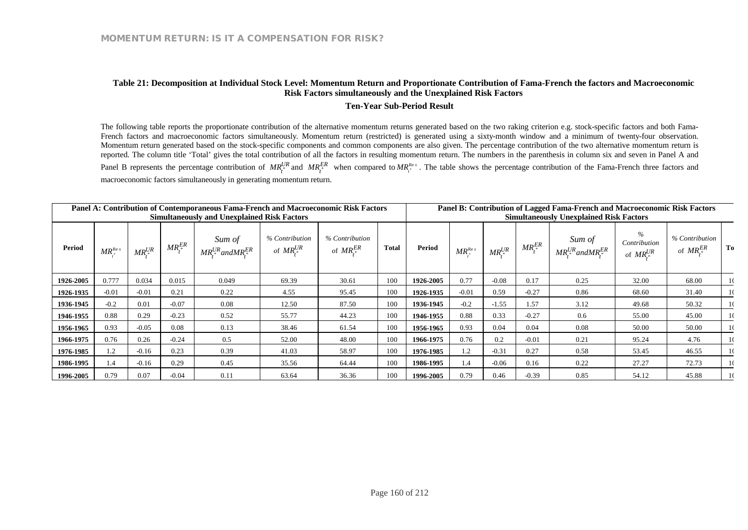## **Table 21: Decomposition at Individual Stock Level: Momentum Return and Proportionate Contribution of Fama-French the factors and Macroeconomic Risk Factors simultaneously and the Unexplained Risk Factors**

#### **Ten-Year Sub-Period Result**

The following table reports the proportionate contribution of the alternative momentum returns generated based on the two raking criterion e.g. stock-specific factors and both Fama-French factors and macroeconomic factors simultaneously. Momentum return (restricted) is generated using a sixty-month window and a minimum of twenty-four observation. Momentum return generated based on the stock-specific components and common components are also given. The percentage contribution of the two alternative momentum return is reported. The column title 'Total' gives the total contribution of all the factors in resulting momentum return. The numbers in the parenthesis in column six and seven in Panel A and Panel B represents the percentage contribution of  $MR_i^{UR}$  and  $MR_i^{ER}$  when compared to  $MR_i^{Res}$ . The table shows the percentage contribution of the Fama-French three factors and macroeconomic factors simultaneously in generating momentum return.

| Panel A: Contribution of Contemporaneous Fama-French and Macroeconomic Risk Factors<br><b>Simultaneously and Unexplained Risk Factors</b> |                            |               |             |                                                   |                                    |                                  |       | Panel B: Contribution of Lagged Fama-French and Macroeconomic Risk Factors<br><b>Simultaneously Unexplained Risk Factors</b> |                      |               |                   |                                           |                                          |                                  |     |  |
|-------------------------------------------------------------------------------------------------------------------------------------------|----------------------------|---------------|-------------|---------------------------------------------------|------------------------------------|----------------------------------|-------|------------------------------------------------------------------------------------------------------------------------------|----------------------|---------------|-------------------|-------------------------------------------|------------------------------------------|----------------------------------|-----|--|
| <b>Period</b>                                                                                                                             | $MR^{\text{Re } s}_{\ast}$ | $MR^{UR}_{*}$ | $MR_*^{ER}$ | Sum of<br>$MR^{UR}_{\cdot}$ and $MR^{ER}_{\cdot}$ | % Contribution<br>of $MR^{UR}_{*}$ | % Contribution<br>of $MR_*^{ER}$ | Total | <b>Period</b>                                                                                                                | $MR_*^{\text{Re }s}$ | $MR^{UR}_{*}$ | $MR^{ER}_{\cdot}$ | Sum of<br>$MR^{UR}_{*}$ and $MR^{ER}_{*}$ | $\%$<br>Contribution<br>of $MR^{UR}_{*}$ | % Contribution<br>of $MR_*^{ER}$ | To  |  |
| 1926-2005                                                                                                                                 | 0.777                      | 0.034         | 0.015       | 0.049                                             | 69.39                              | 30.61                            | 100   | 1926-2005                                                                                                                    | 0.77                 | $-0.08$       | 0.17              | 0.25                                      | 32.00                                    | 68.00                            | -10 |  |
| 1926-1935                                                                                                                                 | $-0.01$                    | $-0.01$       | 0.21        | 0.22                                              | 4.55                               | 95.45                            | 100   | 1926-1935                                                                                                                    | $-0.01$              | 0.59          | $-0.27$           | 0.86                                      | 68.60                                    | 31.40                            | -10 |  |
| 1936-1945                                                                                                                                 | $-0.2$                     | 0.01          | $-0.07$     | 0.08                                              | 12.50                              | 87.50                            | 100   | 1936-1945                                                                                                                    | $-0.2$               | $-1.55$       | 1.57              | 3.12                                      | 49.68                                    | 50.32                            | -10 |  |
| 1946-1955                                                                                                                                 | 0.88                       | 0.29          | $-0.23$     | 0.52                                              | 55.77                              | 44.23                            | 100   | 1946-1955                                                                                                                    | 0.88                 | 0.33          | $-0.27$           | 0.6                                       | 55.00                                    | 45.00                            | -10 |  |
| 1956-1965                                                                                                                                 | 0.93                       | $-0.05$       | 0.08        | 0.13                                              | 38.46                              | 61.54                            | 100   | 1956-1965                                                                                                                    | 0.93                 | 0.04          | 0.04              | 0.08                                      | 50.00                                    | 50.00                            | -10 |  |
| 1966-1975                                                                                                                                 | 0.76                       | 0.26          | $-0.24$     | 0.5                                               | 52.00                              | 48.00                            | 100   | 1966-1975                                                                                                                    | 0.76                 | 0.2           | $-0.01$           | 0.21                                      | 95.24                                    | 4.76                             | -10 |  |
| 1976-1985                                                                                                                                 | 1.2                        | $-0.16$       | 0.23        | 0.39                                              | 41.03                              | 58.97                            | 100   | 1976-1985                                                                                                                    | 1.2                  | $-0.31$       | 0.27              | 0.58                                      | 53.45                                    | 46.55                            | -10 |  |
| 1986-1995                                                                                                                                 | 1.4                        | $-0.16$       | 0.29        | 0.45                                              | 35.56                              | 64.44                            | 100   | 1986-1995                                                                                                                    | $\overline{1.4}$     | $-0.06$       | 0.16              | 0.22                                      | 27.27                                    | 72.73                            | -10 |  |
| 1996-2005                                                                                                                                 | 0.79                       | 0.07          | $-0.04$     | 0.11                                              | 63.64                              | 36.36                            | 100   | 1996-2005                                                                                                                    | 0.79                 | 0.46          | $-0.39$           | 0.85                                      | 54.12                                    | 45.88                            | -10 |  |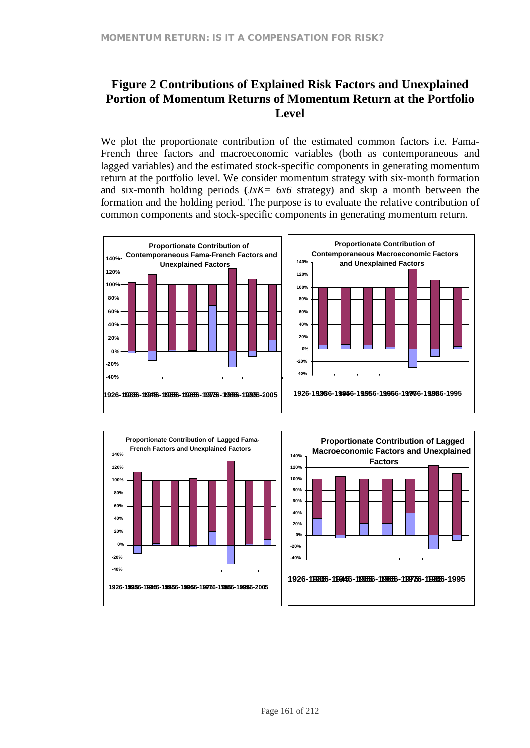## **Figure 2 Contributions of Explained Risk Factors and Unexplained Portion of Momentum Returns of Momentum Return at the Portfolio Level**

We plot the proportionate contribution of the estimated common factors *i.e.* Fama-French three factors and macroeconomic variables (both as contemporaneous and lagged variables) and the estimated stock-specific components in generating momentum return at the portfolio level. We consider momentum strategy with six-month formation and six-month holding periods **(***JxK= 6x6* strategy) and skip a month between the formation and the holding period. The purpose is to evaluate the relative contribution of common components and stock-specific components in generating momentum return.





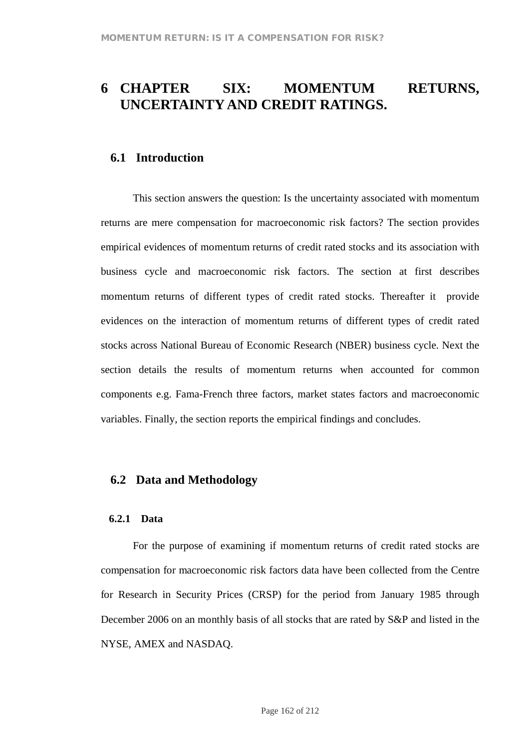# **6 CHAPTER SIX: MOMENTUM RETURNS, UNCERTAINTYAND CREDIT RATINGS.**

## **6.1 Introduction**

This section answers the question: Is the uncertainty associated with momentum returns are mere compensation for macroeconomic risk factors? The section provides empirical evidences of momentum returns of credit rated stocks and its association with business cycle and macroeconomic risk factors. The section at first describes momentum returns of different types of credit rated stocks. Thereafter it provide evidences on the interaction of momentum returns of different types of credit rated stocks across National Bureau of Economic Research (NBER) business cycle. Next the section details the results of momentum returns when accounted for common components e.g. Fama-French three factors, market states factors and macroeconomic variables. Finally, the section reports the empirical findings and concludes.

## **6.2 Data and Methodology**

#### **6.2.1 Data**

For the purpose of examining if momentum returns of credit rated stocks are compensation for macroeconomic risk factors data have been collected from the Centre for Research in Security Prices (CRSP) for the period from January 1985 through December 2006 on an monthly basis of all stocks that are rated by S&P and listed in the NYSE, AMEX and NASDAQ.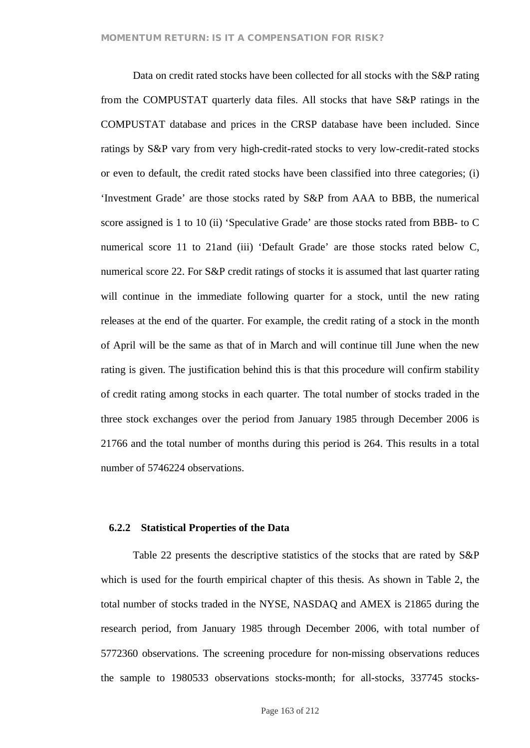Data on credit rated stocks have been collected for all stocks with the S&P rating from the COMPUSTAT quarterly data files. All stocks that have S&P ratings in the COMPUSTAT database and prices in the CRSP database have been included. Since ratings by S&P vary from very high-credit-rated stocks to very low-credit-rated stocks or even to default, the credit rated stocks have been classified into three categories; (i) 'Investment Grade' are those stocks rated by S&P from AAA to BBB, the numerical score assigned is 1 to 10 (ii) 'Speculative Grade' are those stocks rated from BBB- to C numerical score 11 to 21and (iii) 'Default Grade' are those stocks rated below C, numerical score 22. For S&P credit ratings of stocks it is assumed that last quarter rating will continue in the immediate following quarter for a stock, until the new rating releases at the end of the quarter. For example, the credit rating of a stock in the month of April will be the same as that of in March and will continue till June when the new rating is given. The justification behind this is that this procedure will confirm stability of credit rating among stocks in each quarter. The total number of stocks traded in the three stock exchanges over the period from January 1985 through December 2006 is 21766 and the total number of months during this period is 264. This results in a total number of 5746224 observations.

## **6.2.2 Statistical Properties of the Data**

Table 22 presents the descriptive statistics of the stocks that are rated by S&P which is used for the fourth empirical chapter of this thesis. As shown in Table 2, the total number of stocks traded in the NYSE, NASDAQ and AMEX is 21865 during the research period, from January 1985 through December 2006, with total number of 5772360 observations. The screening procedure for non-missing observations reduces the sample to 1980533 observations stocks-month; for all-stocks, 337745 stocks-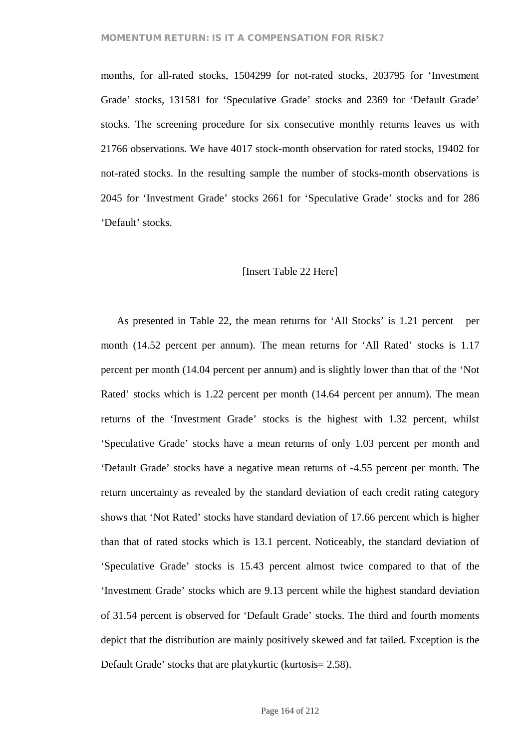## **MOMENTUM RETURN: IS IT A COMPENSATION FOR RISK?**

months, for all-rated stocks, 1504299 for not-rated stocks, 203795 for 'Investment Grade' stocks, 131581 for 'Speculative Grade' stocks and 2369 for 'Default Grade' stocks. The screening procedure for six consecutive monthly returns leaves us with 21766 observations. We have 4017 stock-month observation for rated stocks, 19402 for not-rated stocks. In the resulting sample the number of stocks-month observations is 2045 for 'Investment Grade' stocks 2661 for 'Speculative Grade' stocks and for 286 'Default' stocks.

#### [Insert Table 22 Here]

As presented in Table 22, the mean returns for 'All Stocks' is 1.21 percent per month (14.52 percent per annum). The mean returns for 'All Rated' stocks is 1.17 percent per month (14.04 percent per annum) and is slightly lower than that of the 'Not Rated' stocks which is 1.22 percent per month (14.64 percent per annum). The mean returns of the 'Investment Grade' stocks is the highest with 1.32 percent, whilst 'Speculative Grade' stocks have a mean returns of only 1.03 percent per month and 'Default Grade' stocks have a negative mean returns of -4.55 percent per month. The return uncertainty as revealed by the standard deviation of each credit rating category shows that 'Not Rated' stocks have standard deviation of 17.66 percent which is higher than that of rated stocks which is 13.1 percent. Noticeably, the standard deviation of 'Speculative Grade' stocks is 15.43 percent almost twice compared to that of the 'Investment Grade' stocks which are 9.13 percent while the highest standard deviation of 31.54 percent is observed for 'Default Grade' stocks. The third and fourth moments depict that the distribution are mainly positively skewed and fat tailed. Exception is the Default Grade' stocks that are platykurtic (kurtosis = 2.58).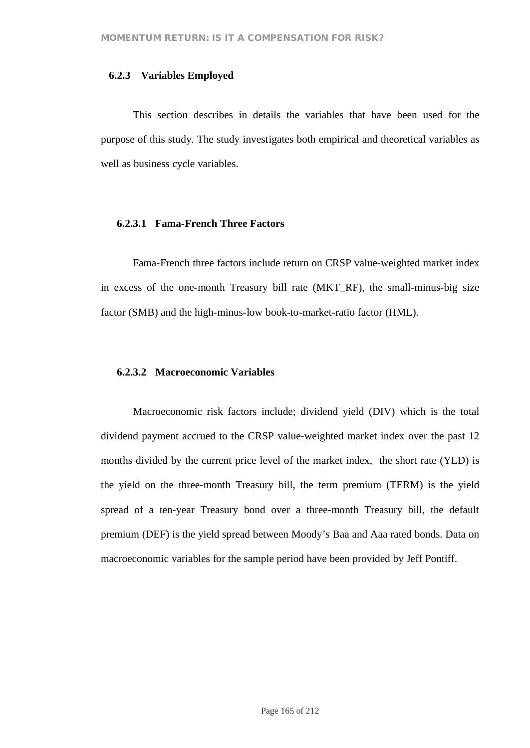## **6.2.3 Variables Employed**

This section describes in details the variables that have been used for the purpose of this study. The study investigates both empirical and theoretical variables as well as business cycle variables.

## **6.2.3.1 Fama-French Three Factors**

Fama-French three factors include return on CRSP value-weighted market index in excess of the one-month Treasury bill rate (MKT\_RF), the small-minus-big size factor (SMB) and the high-minus-low book-to-market-ratio factor (HML).

## **6.2.3.2 Macroeconomic Variables**

Macroeconomic risk factors include; dividend yield (DIV) which is the total dividend payment accrued to the CRSP value-weighted market index over the past 12 months divided by the current price level of the market index, the short rate (YLD) is the yield on the three-month Treasury bill, the term premium (TERM) is the yield spread of a ten-year Treasury bond over a three-month Treasury bill, the default premium (DEF) is the yield spread between Moody's Baa and Aaa rated bonds. Data on macroeconomic variables for the sample period have been provided by Jeff Pontiff.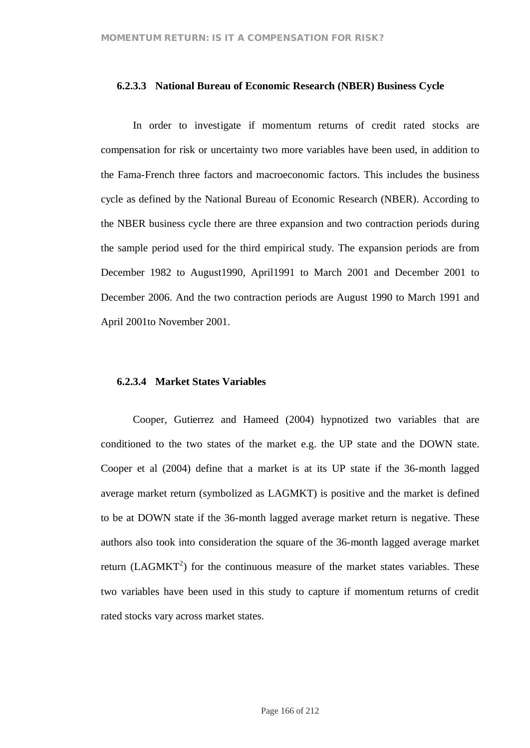### **6.2.3.3 National Bureau of Economic Research (NBER) Business Cycle**

In order to investigate if momentum returns of credit rated stocks are compensation for risk or uncertainty two more variables have been used, in addition to the Fama-French three factors and macroeconomic factors. This includes the business cycle as defined by the National Bureau of Economic Research (NBER). According to the NBER business cycle there are three expansion and two contraction periods during the sample period used for the third empirical study. The expansion periods are from December 1982 to August1990, April1991 to March 2001 and December 2001 to December 2006. And the two contraction periods are August 1990 to March 1991 and April 2001to November 2001.

## **6.2.3.4 Market States Variables**

Cooper, Gutierrez and Hameed (2004) hypnotized two variables that are conditioned to the two states of the market e.g. the UP state and the DOWN state. Cooper et al (2004) define that a market is at its UP state if the 36-month lagged average market return (symbolized as LAGMKT) is positive and the market is defined to be at DOWN state if the 36-month lagged average market return is negative. These authors also took into consideration the square of the 36-month lagged average market return (LAGMKT<sup>2</sup>) for the continuous measure of the market states variables. These two variables have been used in this study to capture if momentum returns of credit rated stocks vary across market states.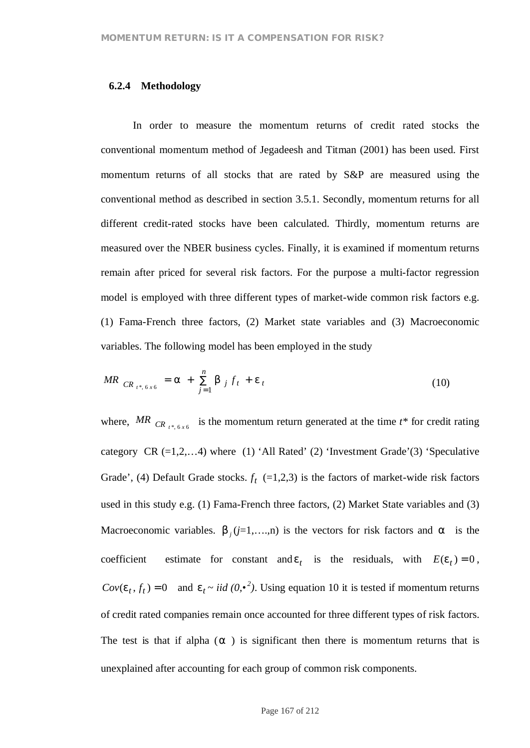## **6.2.4 Methodology**

In order to measure the momentum returns of credit rated stocks the conventional momentum method of Jegadeesh and Titman (2001) has been used. First momentum returns of all stocks that are rated by S&P are measured using the conventional method as described in section 3.5.1. Secondly, momentum returns for all different credit-rated stocks have been calculated. Thirdly, momentum returns are measured over the NBER business cycles. Finally, it is examined if momentum returns remain after priced for several risk factors. For the purpose a multi-factor regression model is employed with three different types of market-wide common risk factors e.g. (1) Fama-French three factors, (2) Market state variables and (3) Macroeconomic variables. The following model has been employed in the study

$$
MR_{CR_{t^*, 6x6}} = a + \sum_{j=1}^{n} b_{j} f_{t} + e_{t}
$$
 (10)

where, MR  $_{CR_{t^*, 6x6}}$  is the momentum return generated at the time  $t^*$  for credit rating category  $CR$  (=1,2,...4) where (1) 'All Rated' (2) 'Investment Grade'(3) 'Speculative Grade', (4) Default Grade stocks.  $f_t$  (=1,2,3) is the factors of market-wide risk factors used in this study e.g. (1) Fama-French three factors, (2) Market State variables and (3) Macroeconomic variables.  $b_j$  ( $j=1,...,n$ ) is the vectors for risk factors and *a* is the coefficient estimate for constant and  $e_t$  is the residuals, with  $E(e_t) = 0$ ,  $Cov(e_t, f_t) = 0$  and  $e_t \sim iid(0, \cdot^2)$ . Using equation 10 it is tested if momentum returns of credit rated companies remain once accounted for three different types of risk factors. The test is that if alpha (*a* ) is significant then there is momentum returns that is unexplained after accounting for each group of common risk components.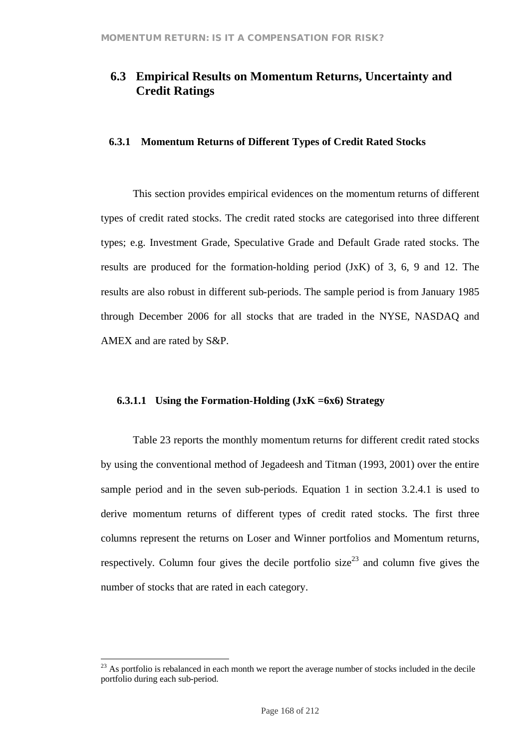## **6.3 Empirical Results on Momentum Returns, Uncertainty and Credit Ratings**

## **6.3.1 Momentum Returns of Different Types of Credit Rated Stocks**

This section provides empirical evidences on the momentum returns of different types of credit rated stocks. The credit rated stocks are categorised into three different types; e.g. Investment Grade, Speculative Grade and Default Grade rated stocks. The results are produced for the formation-holding period (JxK) of 3, 6, 9 and 12. The results are also robust in different sub-periods. The sample period is from January 1985 through December 2006 for all stocks that are traded in the NYSE, NASDAQ and AMEX and are rated by S&P.

## **6.3.1.1 Using the Formation-Holding (JxK =6x6) Strategy**

Table 23 reports the monthly momentum returns for different credit rated stocks by using the conventional method of Jegadeesh and Titman (1993, 2001) over the entire sample period and in the seven sub-periods. Equation 1 in section 3.2.4.1 is used to derive momentum returns of different types of credit rated stocks. The first three columns represent the returns on Loser and Winner portfolios and Momentum returns, respectively. Column four gives the decile portfolio size<sup>23</sup> and column five gives the number of stocks that are rated in each category.

 $23$  As portfolio is rebalanced in each month we report the average number of stocks included in the decile portfolio during each sub-period.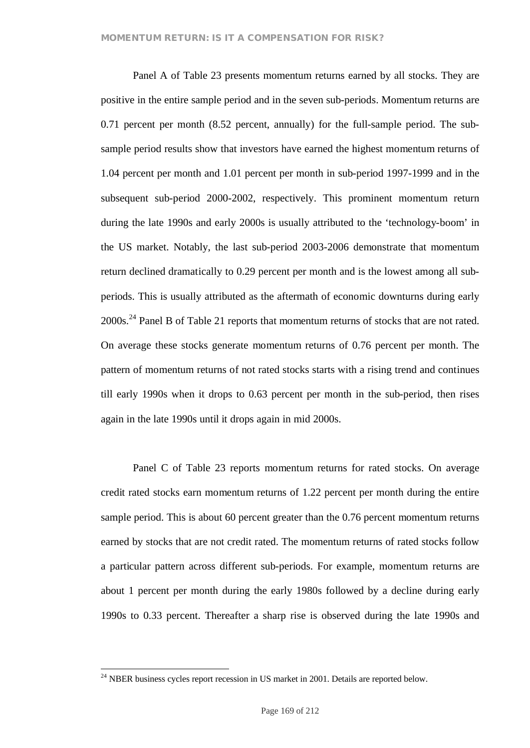Panel A of Table 23 presents momentum returns earned by all stocks. They are positive in the entire sample period and in the seven sub-periods. Momentum returns are 0.71 percent per month (8.52 percent, annually) for the full-sample period. The subsample period results show that investors have earned the highest momentum returns of 1.04 percent per month and 1.01 percent per month in sub-period 1997-1999 and in the subsequent sub-period 2000-2002, respectively. This prominent momentum return during the late 1990s and early 2000s is usually attributed to the 'technology-boom' in the US market. Notably, the last sub-period 2003-2006 demonstrate that momentum return declined dramatically to 0.29 percent per month and is the lowest among all subperiods. This is usually attributed as the aftermath of economic downturns during early 2000s.<sup>24</sup> Panel B of Table 21 reports that momentum returns of stocks that are not rated. On average these stocks generate momentum returns of 0.76 percent per month. The pattern of momentum returns of not rated stocks starts with a rising trend and continues till early 1990s when it drops to 0.63 percent per month in the sub-period, then rises again in the late 1990s until it drops again in mid 2000s.

Panel C of Table 23 reports momentum returns for rated stocks. On average credit rated stocks earn momentum returns of 1.22 percent per month during the entire sample period. This is about 60 percent greater than the 0.76 percent momentum returns earned by stocks that are not credit rated. The momentum returns of rated stocks follow a particular pattern across different sub-periods. For example, momentum returns are about 1 percent per month during the early 1980s followed by a decline during early 1990s to 0.33 percent. Thereafter a sharp rise is observed during the late 1990s and

 $24$  NBER business cycles report recession in US market in 2001. Details are reported below.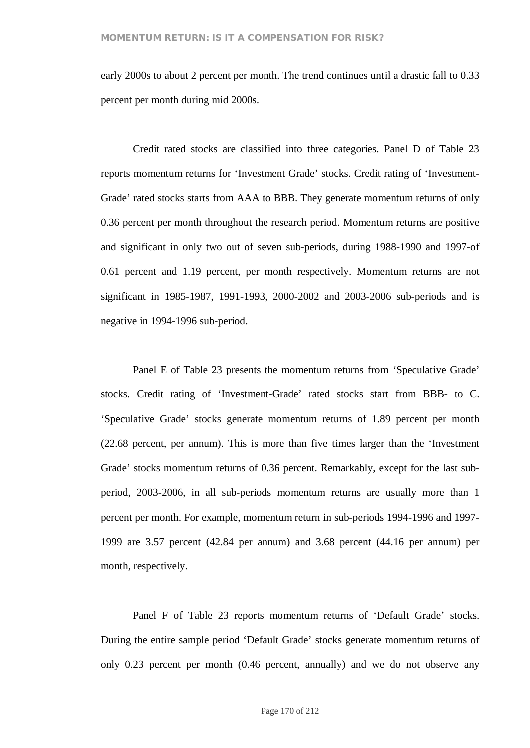early 2000s to about 2 percent per month. The trend continues until a drastic fall to 0.33 percent per month during mid 2000s.

Credit rated stocks are classified into three categories. Panel D of Table 23 reports momentum returns for 'Investment Grade' stocks. Credit rating of 'Investment-Grade' rated stocks starts from AAA to BBB. They generate momentum returns of only 0.36 percent per month throughout the research period. Momentum returns are positive and significant in only two out of seven sub-periods, during 1988-1990 and 1997-of 0.61 percent and 1.19 percent, per month respectively. Momentum returns are not significant in 1985-1987, 1991-1993, 2000-2002 and 2003-2006 sub-periods and is negative in 1994-1996 sub-period.

Panel E of Table 23 presents the momentum returns from 'Speculative Grade' stocks. Credit rating of 'Investment-Grade' rated stocks start from BBB- to C. 'Speculative Grade' stocks generate momentum returns of 1.89 percent per month (22.68 percent, per annum). This is more than five times larger than the 'Investment Grade' stocks momentum returns of 0.36 percent. Remarkably, except for the last subperiod, 2003-2006, in all sub-periods momentum returns are usually more than 1 percent per month. For example, momentum return in sub-periods 1994-1996 and 1997- 1999 are 3.57 percent (42.84 per annum) and 3.68 percent (44.16 per annum) per month, respectively.

Panel F of Table 23 reports momentum returns of 'Default Grade' stocks. During the entire sample period 'Default Grade' stocks generate momentum returns of only 0.23 percent per month (0.46 percent, annually) and we do not observe any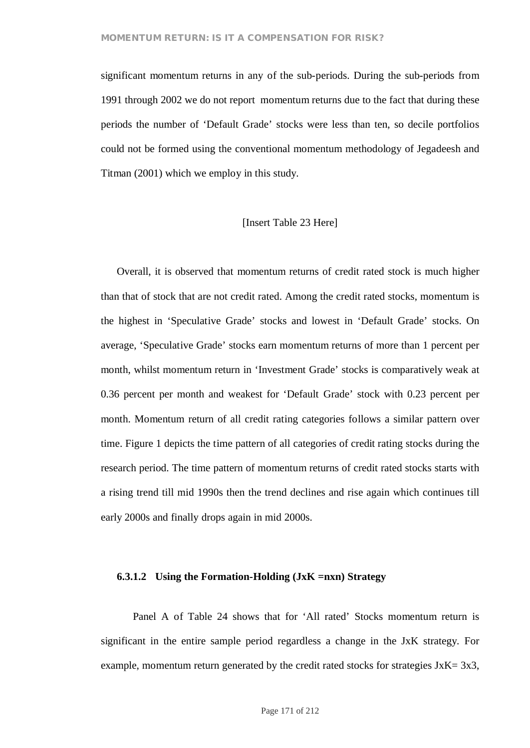significant momentum returns in any of the sub-periods. During the sub-periods from 1991 through 2002 we do not report momentum returns due to the fact that during these periods the number of 'Default Grade' stocks were less than ten, so decile portfolios could not be formed using the conventional momentum methodology of Jegadeesh and Titman (2001) which we employ in this study.

## [Insert Table 23 Here]

Overall, it is observed that momentum returns of credit rated stock is much higher than that of stock that are not credit rated. Among the credit rated stocks, momentum is the highest in 'Speculative Grade' stocks and lowest in 'Default Grade' stocks. On average, 'Speculative Grade' stocks earn momentum returns of more than 1 percent per month, whilst momentum return in 'Investment Grade' stocks is comparatively weak at 0.36 percent per month and weakest for 'Default Grade' stock with 0.23 percent per month. Momentum return of all credit rating categories follows a similar pattern over time. Figure 1 depicts the time pattern of all categories of credit rating stocks during the research period. The time pattern of momentum returns of credit rated stocks starts with a rising trend till mid 1990s then the trend declines and rise again which continues till early 2000s and finally drops again in mid 2000s.

#### **6.3.1.2 Using the Formation-Holding (JxK =nxn) Strategy**

Panel A of Table 24 shows that for 'All rated' Stocks momentum return is significant in the entire sample period regardless a change in the JxK strategy. For example, momentum return generated by the credit rated stocks for strategies  $JxK = 3x3$ ,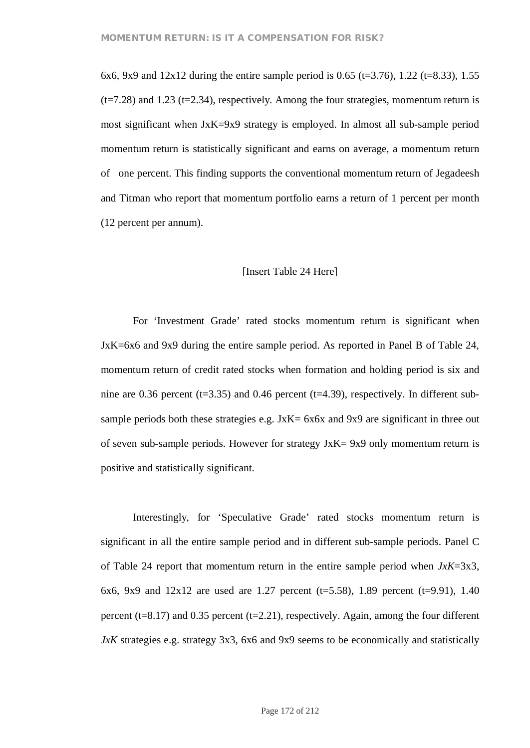6x6, 9x9 and  $12x12$  during the entire sample period is 0.65 (t=3.76), 1.22 (t=8.33), 1.55  $(t=7.28)$  and 1.23 ( $t=2.34$ ), respectively. Among the four strategies, momentum return is most significant when JxK=9x9 strategy is employed. In almost all sub-sample period momentum return is statistically significant and earns on average, a momentum return of one percent. This finding supports the conventional momentum return of Jegadeesh and Titman who report that momentum portfolio earns a return of 1 percent per month (12 percent per annum).

#### [Insert Table 24 Here]

For 'Investment Grade' rated stocks momentum return is significant when JxK=6x6 and 9x9 during the entire sample period. As reported in Panel B of Table 24, momentum return of credit rated stocks when formation and holding period is six and nine are 0.36 percent ( $t=3.35$ ) and 0.46 percent ( $t=4.39$ ), respectively. In different subsample periods both these strategies e.g. JxK= 6x6x and 9x9 are significant in three out of seven sub-sample periods. However for strategy JxK= 9x9 only momentum return is positive and statistically significant.

Interestingly, for 'Speculative Grade' rated stocks momentum return is significant in all the entire sample period and in different sub-sample periods. Panel C of Table 24 report that momentum return in the entire sample period when *JxK*=3x3, 6x6, 9x9 and  $12x12$  are used are 1.27 percent (t=5.58), 1.89 percent (t=9.91), 1.40 percent ( $t=8.17$ ) and 0.35 percent ( $t=2.21$ ), respectively. Again, among the four different *JxK* strategies e.g. strategy 3x3, 6x6 and 9x9 seems to be economically and statistically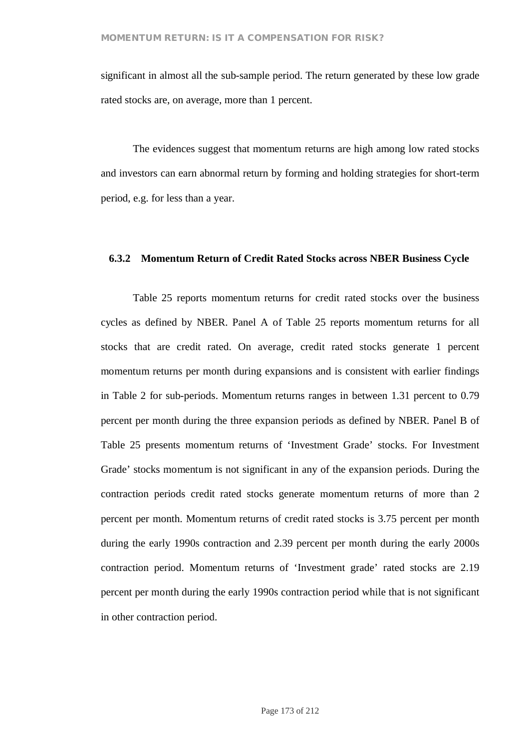significant in almost all the sub-sample period. The return generated by these low grade rated stocks are, on average, more than 1 percent.

The evidences suggest that momentum returns are high among low rated stocks and investors can earn abnormal return by forming and holding strategies for short-term period, e.g. for less than a year.

## **6.3.2 Momentum Return of Credit Rated Stocks across NBER Business Cycle**

Table 25 reports momentum returns for credit rated stocks over the business cycles as defined by NBER. Panel A of Table 25 reports momentum returns for all stocks that are credit rated. On average, credit rated stocks generate 1 percent momentum returns per month during expansions and is consistent with earlier findings in Table 2 for sub-periods. Momentum returns ranges in between 1.31 percent to 0.79 percent per month during the three expansion periods as defined by NBER. Panel B of Table 25 presents momentum returns of 'Investment Grade' stocks. For Investment Grade' stocks momentum is not significant in any of the expansion periods. During the contraction periods credit rated stocks generate momentum returns of more than 2 percent per month. Momentum returns of credit rated stocks is 3.75 percent per month during the early 1990s contraction and 2.39 percent per month during the early 2000s contraction period. Momentum returns of 'Investment grade' rated stocks are 2.19 percent per month during the early 1990s contraction period while that is not significant in other contraction period.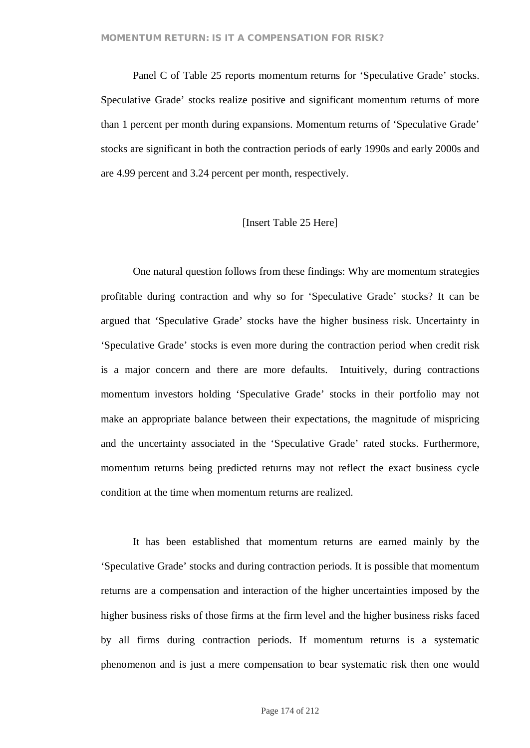Panel C of Table 25 reports momentum returns for 'Speculative Grade' stocks. Speculative Grade' stocks realize positive and significant momentum returns of more than 1 percent per month during expansions. Momentum returns of 'Speculative Grade' stocks are significant in both the contraction periods of early 1990s and early 2000s and are 4.99 percent and 3.24 percent per month, respectively.

## [Insert Table 25 Here]

One natural question follows from these findings: Why are momentum strategies profitable during contraction and why so for 'Speculative Grade' stocks? It can be argued that 'Speculative Grade' stocks have the higher business risk. Uncertainty in 'Speculative Grade' stocks is even more during the contraction period when credit risk is a major concern and there are more defaults. Intuitively, during contractions momentum investors holding 'Speculative Grade' stocks in their portfolio may not make an appropriate balance between their expectations, the magnitude of mispricing and the uncertainty associated in the 'Speculative Grade' rated stocks. Furthermore, momentum returns being predicted returns may not reflect the exact business cycle condition at the time when momentum returns are realized.

It has been established that momentum returns are earned mainly by the 'Speculative Grade' stocks and during contraction periods. It is possible that momentum returns are a compensation and interaction of the higher uncertainties imposed by the higher business risks of those firms at the firm level and the higher business risks faced by all firms during contraction periods. If momentum returns is a systematic phenomenon and is just a mere compensation to bear systematic risk then one would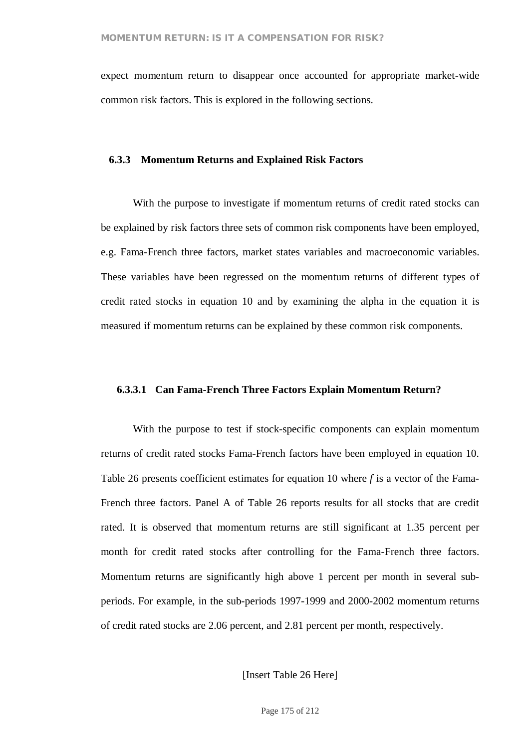expect momentum return to disappear once accounted for appropriate market-wide common risk factors. This is explored in the following sections.

## **6.3.3 Momentum Returns and Explained Risk Factors**

With the purpose to investigate if momentum returns of credit rated stocks can be explained by risk factors three sets of common risk components have been employed, e.g. Fama-French three factors, market states variables and macroeconomic variables. These variables have been regressed on the momentum returns of different types of credit rated stocks in equation 10 and by examining the alpha in the equation it is measured if momentum returns can be explained by these common risk components.

#### **6.3.3.1 Can Fama-French Three Factors Explain Momentum Return?**

With the purpose to test if stock-specific components can explain momentum returns of credit rated stocks Fama-French factors have been employed in equation 10. Table 26 presents coefficient estimates for equation 10 where *f* is a vector of the Fama-French three factors. Panel A of Table 26 reports results for all stocks that are credit rated. It is observed that momentum returns are still significant at 1.35 percent per month for credit rated stocks after controlling for the Fama-French three factors. Momentum returns are significantly high above 1 percent per month in several subperiods. For example, in the sub-periods 1997-1999 and 2000-2002 momentum returns of credit rated stocks are 2.06 percent, and 2.81 percent per month, respectively.

[Insert Table 26 Here]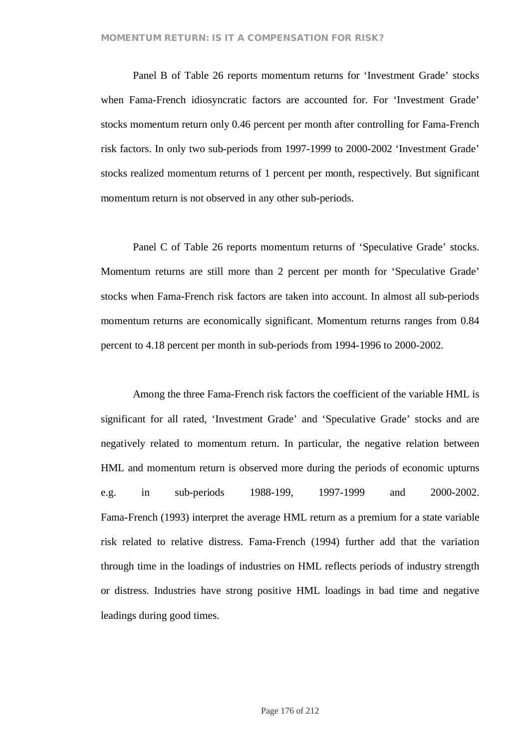Panel B of Table 26 reports momentum returns for 'Investment Grade' stocks when Fama-French idiosyncratic factors are accounted for. For 'Investment Grade' stocks momentum return only 0.46 percent per month after controlling for Fama-French risk factors. In only two sub-periods from 1997-1999 to 2000-2002 'Investment Grade' stocks realized momentum returns of 1 percent per month, respectively. But significant momentum return is not observed in any other sub-periods.

Panel C of Table 26 reports momentum returns of 'Speculative Grade' stocks. Momentum returns are still more than 2 percent per month for 'Speculative Grade' stocks when Fama-French risk factors are taken into account. In almost all sub-periods momentum returns are economically significant. Momentum returns ranges from 0.84 percent to 4.18 percent per month in sub-periods from 1994-1996 to 2000-2002.

Among the three Fama-French risk factors the coefficient of the variable HML is significant for all rated, 'Investment Grade' and 'Speculative Grade' stocks and are negatively related to momentum return. In particular, the negative relation between HML and momentum return is observed more during the periods of economic upturns e.g. in sub-periods 1988-199, 1997-1999 and 2000-2002. Fama-French (1993) interpret the average HML return as a premium for a state variable risk related to relative distress. Fama-French (1994) further add that the variation through time in the loadings of industries on HML reflects periods of industry strength or distress. Industries have strong positive HML loadings in bad time and negative leadings during good times.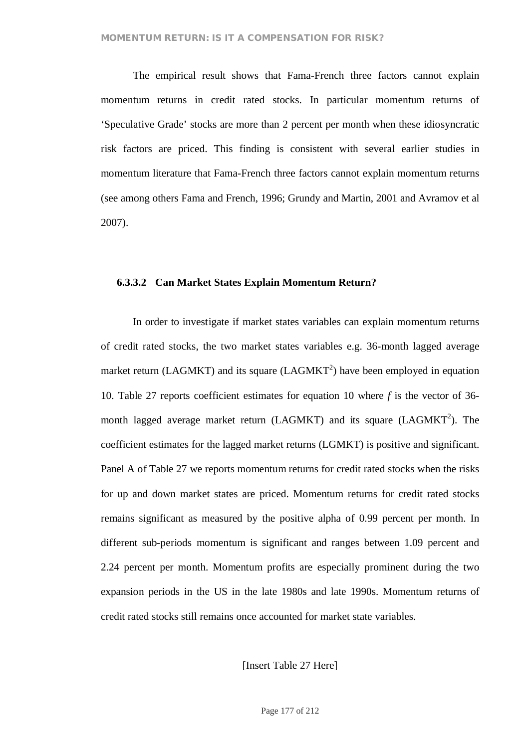The empirical result shows that Fama-French three factors cannot explain momentum returns in credit rated stocks. In particular momentum returns of 'Speculative Grade' stocks are more than 2 percent per month when these idiosyncratic risk factors are priced. This finding is consistent with several earlier studies in momentum literature that Fama-French three factors cannot explain momentum returns (see among others Fama and French, 1996; Grundy and Martin, 2001 and Avramov et al 2007).

## **6.3.3.2 Can Market States Explain Momentum Return?**

In order to investigate if market states variables can explain momentum returns of credit rated stocks, the two market states variables e.g. 36-month lagged average market return (LAGMKT) and its square (LAGMKT<sup>2</sup>) have been employed in equation 10. Table 27 reports coefficient estimates for equation 10 where *f* is the vector of 36 month lagged average market return (LAGMKT) and its square (LAGMKT<sup>2</sup>). The coefficient estimates for the lagged market returns (LGMKT) is positive and significant. Panel A of Table 27 we reports momentum returns for credit rated stocks when the risks for up and down market states are priced. Momentum returns for credit rated stocks remains significant as measured by the positive alpha of 0.99 percent per month. In different sub-periods momentum is significant and ranges between 1.09 percent and 2.24 percent per month. Momentum profits are especially prominent during the two expansion periods in the US in the late 1980s and late 1990s. Momentum returns of credit rated stocks still remains once accounted for market state variables.

[Insert Table 27 Here]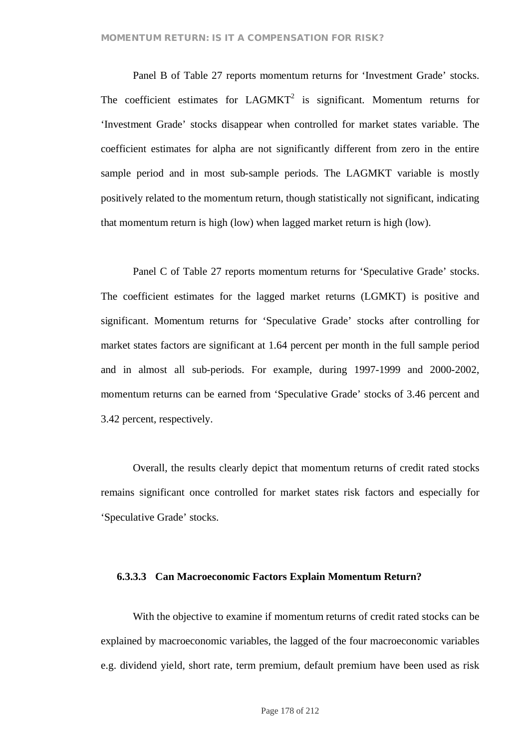Panel B of Table 27 reports momentum returns for 'Investment Grade' stocks. The coefficient estimates for  $LAGMKT<sup>2</sup>$  is significant. Momentum returns for 'Investment Grade' stocks disappear when controlled for market states variable. The coefficient estimates for alpha are not significantly different from zero in the entire sample period and in most sub-sample periods. The LAGMKT variable is mostly positively related to the momentum return, though statistically not significant, indicating that momentum return is high (low) when lagged market return is high (low).

Panel C of Table 27 reports momentum returns for 'Speculative Grade' stocks. The coefficient estimates for the lagged market returns (LGMKT) is positive and significant. Momentum returns for 'Speculative Grade' stocks after controlling for market states factors are significant at 1.64 percent per month in the full sample period and in almost all sub-periods. For example, during 1997-1999 and 2000-2002, momentum returns can be earned from 'Speculative Grade' stocks of 3.46 percent and 3.42 percent, respectively.

Overall, the results clearly depict that momentum returns of credit rated stocks remains significant once controlled for market states risk factors and especially for 'Speculative Grade' stocks.

#### **6.3.3.3 Can Macroeconomic Factors Explain Momentum Return?**

With the objective to examine if momentum returns of credit rated stocks can be explained by macroeconomic variables, the lagged of the four macroeconomic variables e.g. dividend yield, short rate, term premium, default premium have been used as risk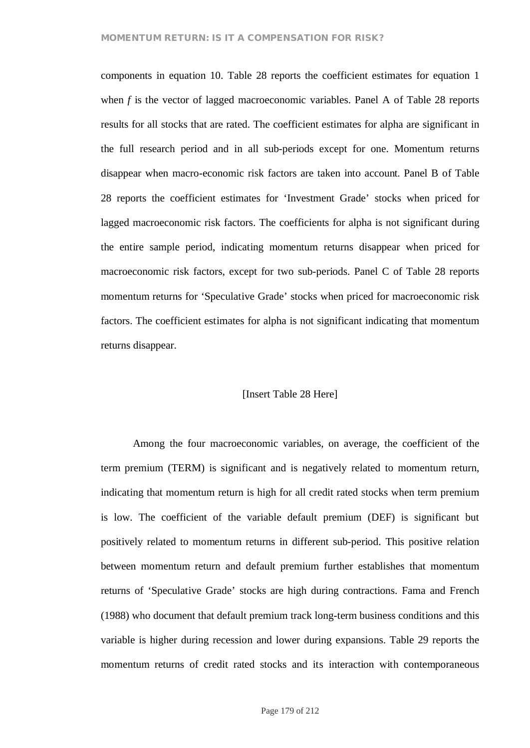## **MOMENTUM RETURN: IS IT A COMPENSATION FOR RISK?**

components in equation 10. Table 28 reports the coefficient estimates for equation 1 when *f* is the vector of lagged macroeconomic variables. Panel A of Table 28 reports results for all stocks that are rated. The coefficient estimates for alpha are significant in the full research period and in all sub-periods except for one. Momentum returns disappear when macro-economic risk factors are taken into account. Panel B of Table 28 reports the coefficient estimates for 'Investment Grade' stocks when priced for lagged macroeconomic risk factors. The coefficients for alpha is not significant during the entire sample period, indicating momentum returns disappear when priced for macroeconomic risk factors, except for two sub-periods. Panel C of Table 28 reports momentum returns for 'Speculative Grade' stocks when priced for macroeconomic risk factors. The coefficient estimates for alpha is not significant indicating that momentum returns disappear.

## [Insert Table 28 Here]

Among the four macroeconomic variables, on average, the coefficient of the term premium (TERM) is significant and is negatively related to momentum return, indicating that momentum return is high for all credit rated stocks when term premium is low. The coefficient of the variable default premium (DEF) is significant but positively related to momentum returns in different sub-period. This positive relation between momentum return and default premium further establishes that momentum returns of 'Speculative Grade' stocks are high during contractions. Fama and French (1988) who document that default premium track long-term business conditions and this variable is higher during recession and lower during expansions. Table 29 reports the momentum returns of credit rated stocks and its interaction with contemporaneous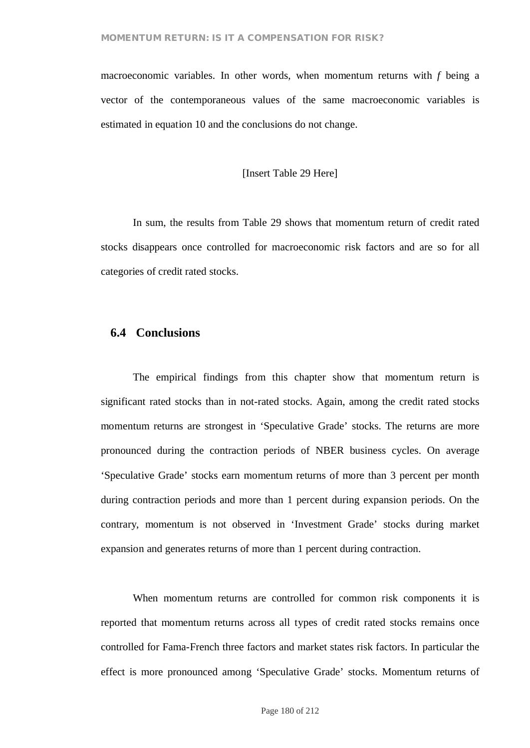macroeconomic variables. In other words, when momentum returns with *f* being a vector of the contemporaneous values of the same macroeconomic variables is estimated in equation 10 and the conclusions do not change.

### [Insert Table 29 Here]

In sum, the results from Table 29 shows that momentum return of credit rated stocks disappears once controlled for macroeconomic risk factors and are so for all categories of credit rated stocks.

## **6.4 Conclusions**

The empirical findings from this chapter show that momentum return is significant rated stocks than in not-rated stocks. Again, among the credit rated stocks momentum returns are strongest in 'Speculative Grade' stocks. The returns are more pronounced during the contraction periods of NBER business cycles. On average 'Speculative Grade' stocks earn momentum returns of more than 3 percent per month during contraction periods and more than 1 percent during expansion periods. On the contrary, momentum is not observed in 'Investment Grade' stocks during market expansion and generates returns of more than 1 percent during contraction.

When momentum returns are controlled for common risk components it is reported that momentum returns across all types of credit rated stocks remains once controlled for Fama-French three factors and market states risk factors. In particular the effect is more pronounced among 'Speculative Grade' stocks. Momentum returns of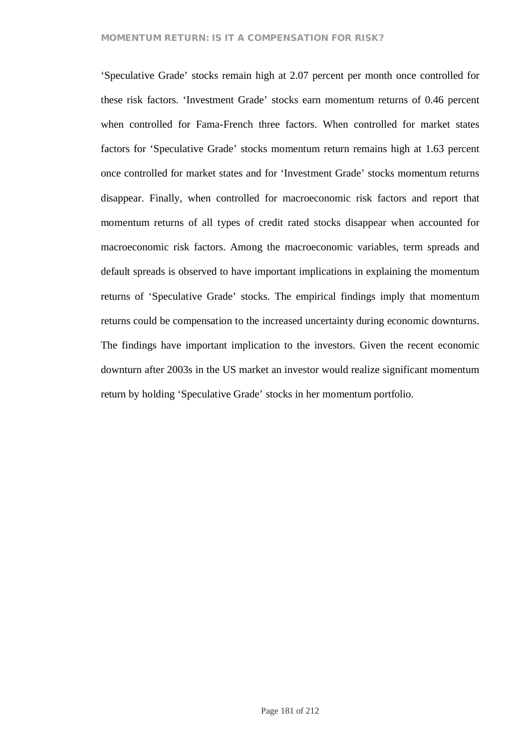#### **MOMENTUM RETURN: IS IT A COMPENSATION FOR RISK?**

'Speculative Grade' stocks remain high at 2.07 percent per month once controlled for these risk factors. 'Investment Grade' stocks earn momentum returns of 0.46 percent when controlled for Fama-French three factors. When controlled for market states factors for 'Speculative Grade' stocks momentum return remains high at 1.63 percent once controlled for market states and for 'Investment Grade' stocks momentum returns disappear. Finally, when controlled for macroeconomic risk factors and report that momentum returns of all types of credit rated stocks disappear when accounted for macroeconomic risk factors. Among the macroeconomic variables, term spreads and default spreads is observed to have important implications in explaining the momentum returns of 'Speculative Grade' stocks. The empirical findings imply that momentum returns could be compensation to the increased uncertainty during economic downturns. The findings have important implication to the investors. Given the recent economic downturn after 2003s in the US market an investor would realize significant momentum return by holding 'Speculative Grade' stocks in her momentum portfolio.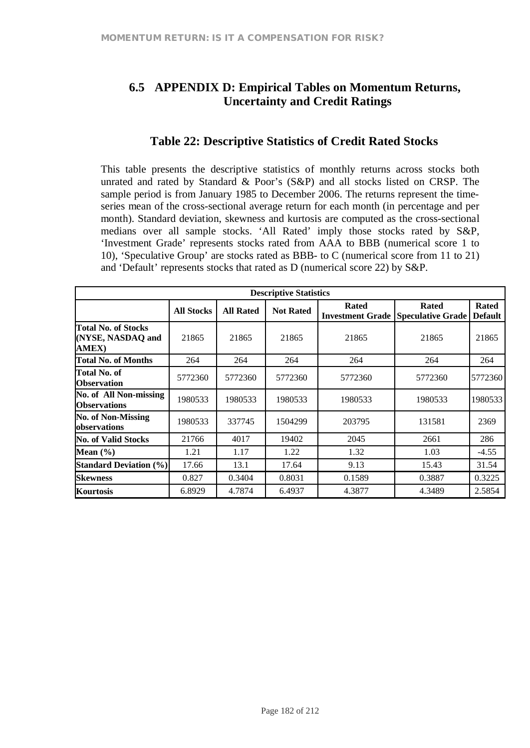# **6.5 APPENDIX D: Empirical Tables on Momentum Returns, Uncertainty and Credit Ratings**

## **Table 22: Descriptive Statistics of Credit Rated Stocks**

This table presents the descriptive statistics of monthly returns across stocks both unrated and rated by Standard & Poor's (S&P) and all stocks listed on CRSP. The sample period is from January 1985 to December 2006. The returns represent the timeseries mean of the cross-sectional average return for each month (in percentage and per month). Standard deviation, skewness and kurtosis are computed as the cross-sectional medians over all sample stocks. 'All Rated' imply those stocks rated by S&P, 'Investment Grade' represents stocks rated from AAA to BBB (numerical score 1 to 10), 'Speculative Group' are stocks rated as BBB- to C (numerical score from 11 to 21) and 'Default' represents stocks that rated as D (numerical score 22) by S&P.

| <b>Descriptive Statistics</b>                                   |                   |                  |                  |              |                                                           |                                |  |  |  |  |
|-----------------------------------------------------------------|-------------------|------------------|------------------|--------------|-----------------------------------------------------------|--------------------------------|--|--|--|--|
|                                                                 | <b>All Stocks</b> | <b>All Rated</b> | <b>Not Rated</b> | <b>Rated</b> | <b>Rated</b><br><b>Investment Grade Speculative Grade</b> | <b>Rated</b><br><b>Default</b> |  |  |  |  |
| <b>Total No. of Stocks</b><br>(NYSE, NASDAQ and<br><b>AMEX)</b> | 21865             | 21865            | 21865            | 21865        | 21865                                                     | 21865                          |  |  |  |  |
| <b>Total No. of Months</b>                                      | 264               | 264              | 264              | 264          | 264                                                       | 264                            |  |  |  |  |
| Total No. of<br><b>Observation</b>                              | 5772360           | 5772360          | 5772360          | 5772360      | 5772360                                                   | 5772360                        |  |  |  |  |
| No. of All Non-missing<br><b>Observations</b>                   | 1980533           | 1980533          | 1980533          | 1980533      | 1980533                                                   | 19805331                       |  |  |  |  |
| <b>No. of Non-Missing</b><br>observations                       | 1980533           | 337745           | 1504299          | 203795       | 131581                                                    | 2369                           |  |  |  |  |
| <b>No. of Valid Stocks</b>                                      | 21766             | 4017             | 19402            | 2045         | 2661                                                      | 286                            |  |  |  |  |
| Mean $(\% )$                                                    | 1.21              | 1.17             | 1.22             | 1.32         | 1.03                                                      | $-4.55$                        |  |  |  |  |
| <b>Standard Deviation (%)</b>                                   | 17.66             | 13.1             | 17.64            | 9.13         | 15.43                                                     | 31.54                          |  |  |  |  |
| <b>Skewness</b>                                                 | 0.827             | 0.3404           | 0.8031           | 0.1589       | 0.3887                                                    | 0.3225                         |  |  |  |  |
| Kourtosis                                                       | 6.8929            | 4.7874           | 6.4937           | 4.3877       | 4.3489                                                    | 2.5854                         |  |  |  |  |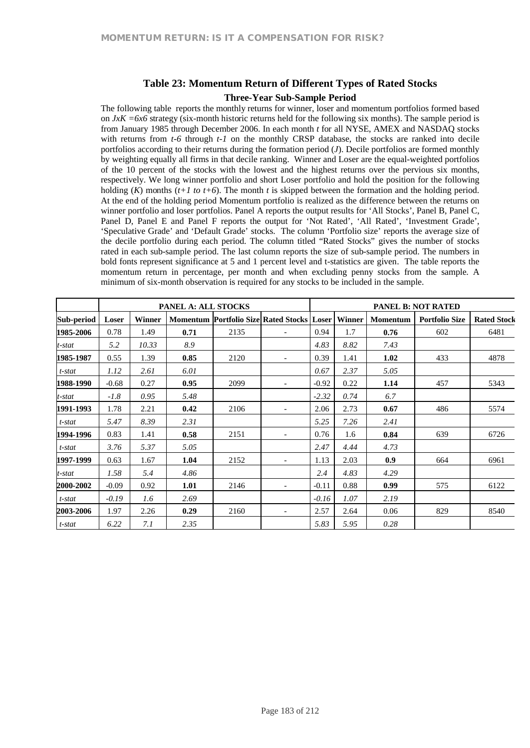### **Table 23: Momentum Return of Different Types of Rated Stocks**

#### **Three-Year Sub-Sample Period**

The following table reports the monthly returns for winner, loser and momentum portfolios formed based on *JxK =6x6* strategy (six-month historic returns held for the following six months). The sample period is from January 1985 through December 2006. In each month *t* for all NYSE, AMEX and NASDAQ stocks with returns from *t-6* through *t-1* on the monthly CRSP database, the stocks are ranked into decile portfolios according to their returns during the formation period (*J*). Decile portfolios are formed monthly by weighting equally all firms in that decile ranking. Winner and Loser are the equal-weighted portfolios of the 10 percent of the stocks with the lowest and the highest returns over the pervious six months, respectively. We long winner portfolio and short Loser portfolio and hold the position for the following holding (*K*) months (*t+1 to t+6*). The month *t* is skipped between the formation and the holding period. At the end of the holding period Momentum portfolio is realized as the difference between the returns on winner portfolio and loser portfolios. Panel A reports the output results for 'All Stocks', Panel B, Panel C, Panel D, Panel E and Panel F reports the output for 'Not Rated', 'All Rated', 'Investment Grade', 'Speculative Grade' and 'Default Grade' stocks. The column 'Portfolio size' reports the average size of the decile portfolio during each period. The column titled "Rated Stocks" gives the number of stocks rated in each sub-sample period. The last column reports the size of sub-sample period. The numbers in bold fonts represent significance at 5 and 1 percent level and t-statistics are given. The table reports the momentum return in percentage, per month and when excluding penny stocks from the sample. A minimum of six-month observation is required for any stocks to be included in the sample.

|            |         |               | PANEL A: ALL STOCKS |      |                                                   | <b>PANEL B: NOT RATED</b> |        |                 |                       |                    |  |
|------------|---------|---------------|---------------------|------|---------------------------------------------------|---------------------------|--------|-----------------|-----------------------|--------------------|--|
| Sub-period | Loser   | <b>Winner</b> |                     |      | <b>Momentum Portfolio Size Rated Stocks Loser</b> |                           | Winner | <b>Momentum</b> | <b>Portfolio Size</b> | <b>Rated Stock</b> |  |
| 1985-2006  | 0.78    | 1.49          | 0.71                | 2135 |                                                   | 0.94                      | 1.7    | 0.76            | 602                   | 6481               |  |
| t-stat     | 5.2     | 10.33         | 8.9                 |      |                                                   | 4.83                      | 8.82   | 7.43            |                       |                    |  |
| 1985-1987  | 0.55    | 1.39          | 0.85                | 2120 |                                                   | 0.39                      | 1.41   | 1.02            | 433                   | 4878               |  |
| t-stat     | 1.12    | 2.61          | 6.01                |      |                                                   | 0.67                      | 2.37   | 5.05            |                       |                    |  |
| 1988-1990  | $-0.68$ | 0.27          | 0.95                | 2099 | $\overline{\phantom{0}}$                          | $-0.92$                   | 0.22   | 1.14            | 457                   | 5343               |  |
| t-stat     | $-1.8$  | 0.95          | 5.48                |      |                                                   | $-2.32$                   | 0.74   | 6.7             |                       |                    |  |
| 1991-1993  | 1.78    | 2.21          | 0.42                | 2106 |                                                   | 2.06                      | 2.73   | 0.67            | 486                   | 5574               |  |
| $t$ -stat  | 5.47    | 8.39          | 2.31                |      |                                                   | 5.25                      | 7.26   | 2.41            |                       |                    |  |
| 1994-1996  | 0.83    | 1.41          | 0.58                | 2151 |                                                   | 0.76                      | 1.6    | 0.84            | 639                   | 6726               |  |
| t-stat     | 3.76    | 5.37          | 5.05                |      |                                                   | 2.47                      | 4.44   | 4.73            |                       |                    |  |
| 1997-1999  | 0.63    | 1.67          | 1.04                | 2152 | $\overline{a}$                                    | 1.13                      | 2.03   | 0.9             | 664                   | 6961               |  |
| t-stat     | 1.58    | 5.4           | 4.86                |      |                                                   | 2.4                       | 4.83   | 4.29            |                       |                    |  |
| 2000-2002  | $-0.09$ | 0.92          | 1.01                | 2146 |                                                   | $-0.11$                   | 0.88   | 0.99            | 575                   | 6122               |  |
| t-stat     | $-0.19$ | 1.6           | 2.69                |      |                                                   | $-0.16$                   | 1.07   | 2.19            |                       |                    |  |
| 2003-2006  | 1.97    | 2.26          | 0.29                | 2160 |                                                   | 2.57                      | 2.64   | 0.06            | 829                   | 8540               |  |
| t-stat     | 6.22    | 7.1           | 2.35                |      |                                                   | 5.83                      | 5.95   | 0.28            |                       |                    |  |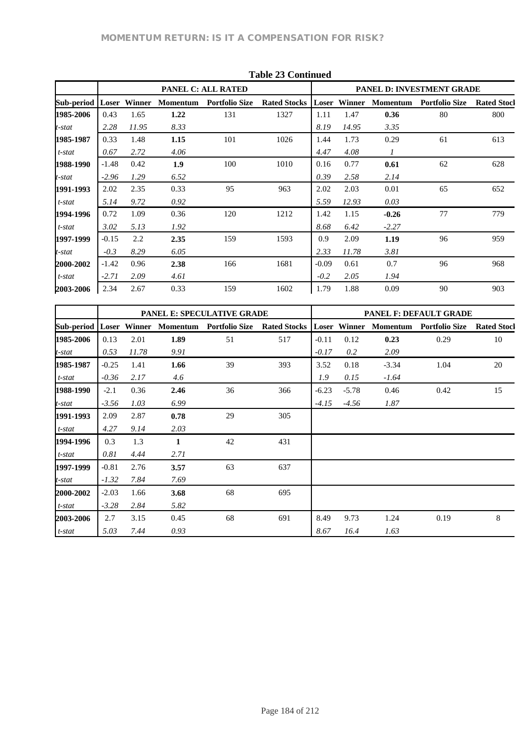|            |         |               |                 |                       | Table 25 Continued  |         |               |                 |                           |                    |
|------------|---------|---------------|-----------------|-----------------------|---------------------|---------|---------------|-----------------|---------------------------|--------------------|
|            |         |               |                 | PANEL C: ALL RATED    |                     |         |               |                 | PANEL D: INVESTMENT GRADE |                    |
| Sub-period | Loser   | <b>Winner</b> | <b>Momentum</b> | <b>Portfolio Size</b> | <b>Rated Stocks</b> | Loser   | <b>Winner</b> | <b>Momentum</b> | <b>Portfolio Size</b>     | <b>Rated Stocl</b> |
| 1985-2006  | 0.43    | 1.65          | 1.22            | 131                   | 1327                | 1.11    | 1.47          | 0.36            | 80                        | 800                |
| t-stat     | 2.28    | 11.95         | 8.33            |                       |                     | 8.19    | 14.95         | 3.35            |                           |                    |
| 1985-1987  | 0.33    | 1.48          | 1.15            | 101                   | 1026                | 1.44    | 1.73          | 0.29            | 61                        | 613                |
| t-stat     | 0.67    | 2.72          | 4.06            |                       |                     | 4.47    | 4.08          | 1               |                           |                    |
| 1988-1990  | $-1.48$ | 0.42          | 1.9             | 100                   | 1010                | 0.16    | 0.77          | 0.61            | 62                        | 628                |
| t-stat     | $-2.96$ | 1.29          | 6.52            |                       |                     | 0.39    | 2.58          | 2.14            |                           |                    |
| 1991-1993  | 2.02    | 2.35          | 0.33            | 95                    | 963                 | 2.02    | 2.03          | 0.01            | 65                        | 652                |
| t-stat     | 5.14    | 9.72          | 0.92            |                       |                     | 5.59    | 12.93         | 0.03            |                           |                    |
| 1994-1996  | 0.72    | 1.09          | 0.36            | 120                   | 1212                | 1.42    | 1.15          | $-0.26$         | 77                        | 779                |
| t-stat     | 3.02    | 5.13          | 1.92            |                       |                     | 8.68    | 6.42          | $-2.27$         |                           |                    |
| 1997-1999  | $-0.15$ | 2.2           | 2.35            | 159                   | 1593                | 0.9     | 2.09          | 1.19            | 96                        | 959                |
| t-stat     | $-0.3$  | 8.29          | 6.05            |                       |                     | 2.33    | 11.78         | 3.81            |                           |                    |
| 2000-2002  | $-1.42$ | 0.96          | 2.38            | 166                   | 1681                | $-0.09$ | 0.61          | 0.7             | 96                        | 968                |
| t-stat     | $-2.71$ | 2.09          | 4.61            |                       |                     | $-0.2$  | 2.05          | 1.94            |                           |                    |
| 2003-2006  | 2.34    | 2.67          | 0.33            | 159                   | 1602                | 1.79    | 1.88          | 0.09            | 90                        | 903                |

|            |         |        |                 | <b>PANEL E: SPECULATIVE GRADE</b> |                     | <b>PANEL F: DEFAULT GRADE</b> |         |                 |                       |                    |  |  |  |
|------------|---------|--------|-----------------|-----------------------------------|---------------------|-------------------------------|---------|-----------------|-----------------------|--------------------|--|--|--|
| Sub-period | Loser   | Winner | <b>Momentum</b> | <b>Portfolio Size</b>             | <b>Rated Stocks</b> | Loser                         | Winner  | <b>Momentum</b> | <b>Portfolio Size</b> | <b>Rated Stocl</b> |  |  |  |
| 1985-2006  | 0.13    | 2.01   | 1.89            | 51                                | 517                 | $-0.11$                       | 0.12    | 0.23            | 0.29                  | 10                 |  |  |  |
| t-stat     | 0.53    | 11.78  | 9.91            |                                   |                     | $-0.17$                       | 0.2     | 2.09            |                       |                    |  |  |  |
| 1985-1987  | $-0.25$ | 1.41   | 1.66            | 39                                | 393                 | 3.52                          | 0.18    | $-3.34$         | 1.04                  | 20                 |  |  |  |
| t-stat     | $-0.36$ | 2.17   | 4.6             |                                   |                     | 1.9                           | 0.15    | $-1.64$         |                       |                    |  |  |  |
| 1988-1990  | $-2.1$  | 0.36   | 2.46            | 36                                | 366                 | $-6.23$                       | $-5.78$ | 0.46            | 0.42                  | 15                 |  |  |  |
| t-stat     | $-3.56$ | 1.03   | 6.99            |                                   |                     | $-4.15$                       | $-4.56$ | 1.87            |                       |                    |  |  |  |
| 1991-1993  | 2.09    | 2.87   | 0.78            | 29                                | 305                 |                               |         |                 |                       |                    |  |  |  |
| t-stat     | 4.27    | 9.14   | 2.03            |                                   |                     |                               |         |                 |                       |                    |  |  |  |
| 1994-1996  | 0.3     | 1.3    | 1               | 42                                | 431                 |                               |         |                 |                       |                    |  |  |  |
| t-stat     | 0.81    | 4.44   | 2.71            |                                   |                     |                               |         |                 |                       |                    |  |  |  |
| 1997-1999  | $-0.81$ | 2.76   | 3.57            | 63                                | 637                 |                               |         |                 |                       |                    |  |  |  |
| t-stat     | $-1.32$ | 7.84   | 7.69            |                                   |                     |                               |         |                 |                       |                    |  |  |  |
| 2000-2002  | $-2.03$ | 1.66   | 3.68            | 68                                | 695                 |                               |         |                 |                       |                    |  |  |  |
| t-stat     | $-3.28$ | 2.84   | 5.82            |                                   |                     |                               |         |                 |                       |                    |  |  |  |
| 2003-2006  | 2.7     | 3.15   | 0.45            | 68                                | 691                 | 8.49                          | 9.73    | 1.24            | 0.19                  | 8                  |  |  |  |
| t-stat     | 5.03    | 7.44   | 0.93            |                                   |                     | 8.67                          | 16.4    | 1.63            |                       |                    |  |  |  |

## **Table 23 Continued**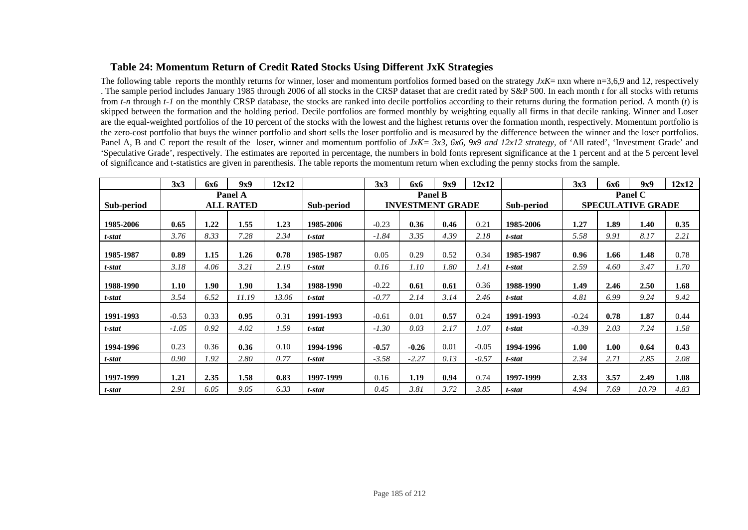### **Table 24: Momentum Return of Credit Rated Stocks Using Different JxK Strategies**

The following table reports the monthly returns for winner, loser and momentum portfolios formed based on the strategy *JxK*= nxn where n=3,6,9 and 12, respectively . The sample period includes January 1985 through 2006 of all stocks in the CRSP dataset that are credit rated by S&P 500. In each month *t* for all stocks with returns from *t-n* through *t-1* on the monthly CRSP database, the stocks are ranked into decile portfolios according to their returns during the formation period. A month (*t*) is skipped between the formation and the holding period. Decile portfolios are formed monthly by weighting equally all firms in that decile ranking. Winner and Loser are the equal-weighted portfolios of the 10 percent of the stocks with the lowest and the highest returns over the formation month, respectively. Momentum portfolio is the zero-cost portfolio that buys the winner portfolio and short sells the loser portfolio and is measured by the difference between the winner and the loser portfolios. Panel A, B and C report the result of the loser, winner and momentum portfolio of  $JxK = 3x3$ , 6x6, 9x9 and 12x12 strategy, of 'All rated', 'Investment Grade' and 'Speculative Grade', respectively. The estimates are reported in percentage, the numbers in bold fonts represent significance at the 1 percent and at the 5 percent level of significance and t-statistics are given in parenthesis. The table reports the momentum return when excluding the penny stocks from the sample.

|            | 3x3     | 6x6  | 9x9              | 12x12 |            | 3x3     | 6x6                     | 9x9  | 12x12   |            | 3x3     | <b>6x6</b> | 9x9                      | 12x12 |
|------------|---------|------|------------------|-------|------------|---------|-------------------------|------|---------|------------|---------|------------|--------------------------|-------|
|            |         |      | Panel A          |       |            |         | <b>Panel B</b>          |      |         |            |         |            | Panel C                  |       |
| Sub-period |         |      | <b>ALL RATED</b> |       | Sub-period |         | <b>INVESTMENT GRADE</b> |      |         | Sub-period |         |            | <b>SPECULATIVE GRADE</b> |       |
| 1985-2006  | 0.65    | 1.22 | 1.55             | 1.23  | 1985-2006  | $-0.23$ | 0.36                    | 0.46 | 0.21    | 1985-2006  | 1.27    | 1.89       | 1.40                     | 0.35  |
| t-stat     | 3.76    | 8.33 | 7.28             | 2.34  | t-stat     | $-1.84$ | 3.35                    | 4.39 | 2.18    | t-stat     | 5.58    | 9.91       | 8.17                     | 2.21  |
| 1985-1987  | 0.89    | 1.15 | 1.26             | 0.78  | 1985-1987  | 0.05    | 0.29                    | 0.52 | 0.34    | 1985-1987  | 0.96    | 1.66       | 1.48                     | 0.78  |
| t-stat     | 3.18    | 4.06 | 3.21             | 2.19  | t-stat     | 0.16    | 1.10                    | 1.80 | 1.41    | t-stat     | 2.59    | 4.60       | 3.47                     | 1.70  |
| 1988-1990  | 1.10    | 1.90 | 1.90             | 1.34  | 1988-1990  | $-0.22$ | 0.61                    | 0.61 | 0.36    | 1988-1990  | 1.49    | 2.46       | 2.50                     | 1.68  |
| t-stat     | 3.54    | 6.52 | 11.19            | 13.06 | t-stat     | $-0.77$ | 2.14                    | 3.14 | 2.46    | t-stat     | 4.81    | 6.99       | 9.24                     | 9.42  |
| 1991-1993  | $-0.53$ | 0.33 | 0.95             | 0.31  | 1991-1993  | $-0.61$ | 0.01                    | 0.57 | 0.24    | 1991-1993  | $-0.24$ | 0.78       | 1.87                     | 0.44  |
| t-stat     | $-1.05$ | 0.92 | 4.02             | 1.59  | t-stat     | $-1.30$ | 0.03                    | 2.17 | 1.07    | t-stat     | $-0.39$ | 2.03       | 7.24                     | 1.58  |
| 1994-1996  | 0.23    | 0.36 | 0.36             | 0.10  | 1994-1996  | $-0.57$ | $-0.26$                 | 0.01 | $-0.05$ | 1994-1996  | 1.00    | 1.00       | 0.64                     | 0.43  |
| t-stat     | 0.90    | 1.92 | 2.80             | 0.77  | t-stat     | $-3.58$ | $-2.27$                 | 0.13 | $-0.57$ | t-stat     | 2.34    | 2.71       | 2.85                     | 2.08  |
| 1997-1999  | 1.21    | 2.35 | 1.58             | 0.83  | 1997-1999  | 0.16    | 1.19                    | 0.94 | 0.74    | 1997-1999  | 2.33    | 3.57       | 2.49                     | 1.08  |
| t-stat     | 2.91    | 6.05 | 9.05             | 6.33  | t-stat     | 0.45    | 3.81                    | 3.72 | 3.85    | t-stat     | 4.94    | 7.69       | 10.79                    | 4.83  |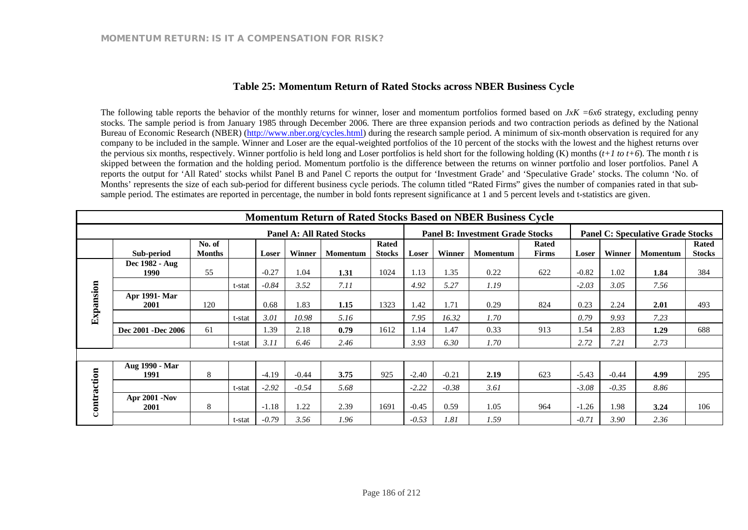### **Table 25: Momentum Return of Rated Stocks across NBER Business Cycle**

The following table reports the behavior of the monthly returns for winner, loser and momentum portfolios formed based on  $JxK = 6x6$  strategy, excluding penny stocks. The sample period is from January 1985 through December 2006. There are three expansion periods and two contraction periods as defined by the National Bureau of Economic Research (NBER) (http://www.nber.org/cycles.html) during the research sample period. A minimum of six-month observation is required for any company to be included in the sample. Winner and Loser are the equal-weighted portfolios of the 10 percent of the stocks with the lowest and the highest returns over the pervious six months, respectively. Winner portfolio is held long and Loser portfolios is held short for the following holding (K) months  $(t+1 \text{ to } t+6)$ . The month *t* is skipped between the formation and the holding period. Momentum portfolio is the difference between the returns on winner portfolio and loser portfolios. Panel A reports the output for 'All Rated' stocks whilst Panel B and Panel C reports the output for 'Investment Grade' and 'Speculative Grade' stocks. The column 'No. of Months' represents the size of each sub-period for different business cycle periods. The column titled "Rated Firms" gives the number of companies rated in that subsample period. The estimates are reported in percentage, the number in bold fonts represent significance at 1 and 5 percent levels and t-statistics are given.

| <b>Momentum Return of Rated Stocks Based on NBER Business Cycle</b> |                                     |                         |        |              |         |                                  |                               |            |         |                                         |                              |              |               |                                          |                               |
|---------------------------------------------------------------------|-------------------------------------|-------------------------|--------|--------------|---------|----------------------------------|-------------------------------|------------|---------|-----------------------------------------|------------------------------|--------------|---------------|------------------------------------------|-------------------------------|
|                                                                     |                                     |                         |        |              |         | <b>Panel A: All Rated Stocks</b> |                               |            |         | <b>Panel B: Investment Grade Stocks</b> |                              |              |               | <b>Panel C: Speculative Grade Stocks</b> |                               |
|                                                                     | Sub-period                          | No. of<br><b>Months</b> |        | <b>Loser</b> | Winner  | <b>Momentum</b>                  | <b>Rated</b><br><b>Stocks</b> | Loser      | Winner  | <b>Momentum</b>                         | <b>Rated</b><br><b>Firms</b> | <b>Loser</b> | <b>Winner</b> | <b>Momentum</b>                          | <b>Rated</b><br><b>Stocks</b> |
|                                                                     | Dec 1982 - Aug<br>1990              | 55                      |        | $-0.27$      | 1.04    | 1.31                             | 1024                          | 1.13       | 1.35    | 0.22                                    | 622                          | $-0.82$      | 1.02          | 1.84                                     | 384                           |
|                                                                     |                                     |                         | t-stat | $-0.84$      | 3.52    | 7.11                             |                               | 4.92       | 5.27    | 1.19                                    |                              | $-2.03$      | 3.05          | 7.56                                     |                               |
| Expansion                                                           | <b>Apr 1991- Mar</b><br><b>2001</b> | 120                     |        | 0.68         | 1.83    | 1.15                             | 1323                          | <b>.42</b> | 1.71    | 0.29                                    | 824                          | 0.23         | 2.24          | 2.01                                     | 493                           |
|                                                                     |                                     |                         | t-stat | 3.01         | 10.98   | 5.16                             |                               | 7.95       | 16.32   | 1.70                                    |                              | 0.79         | 9.93          | 7.23                                     |                               |
|                                                                     | Dec 2001 - Dec 2006                 | 61                      |        | 1.39         | 2.18    | 0.79                             | 1612                          | 1.14       | 1.47    | 0.33                                    | 913                          | 1.54         | 2.83          | 1.29                                     | 688                           |
|                                                                     |                                     |                         | t-stat | 3.11         | 6.46    | 2.46                             |                               | 3.93       | 6.30    | 1.70                                    |                              | 2.72         | 7.21          | 2.73                                     |                               |
|                                                                     |                                     |                         |        |              |         |                                  |                               |            |         |                                         |                              |              |               |                                          |                               |
|                                                                     | Aug 1990 - Mar<br>1991              | 8                       |        | $-4.19$      | $-0.44$ | 3.75                             | 925                           | $-2.40$    | $-0.21$ | 2.19                                    | 623                          | $-5.43$      | $-0.44$       | 4.99                                     | 295                           |
|                                                                     |                                     |                         | t-stat | $-2.92$      | $-0.54$ | 5.68                             |                               | $-2.22$    | $-0.38$ | 3.61                                    |                              | $-3.08$      | $-0.35$       | 8.86                                     |                               |
| contraction                                                         | <b>Apr 2001 -Nov</b><br>2001        | 8                       |        | $-1.18$      | 1.22    | 2.39                             | 1691                          | $-0.45$    | 0.59    | 1.05                                    | 964                          | $-1.26$      | 1.98          | 3.24                                     | 106                           |
|                                                                     |                                     |                         | t-stat | $-0.79$      | 3.56    | 1.96                             |                               | $-0.53$    | 1.81    | 1.59                                    |                              | $-0.71$      | 3.90          | 2.36                                     |                               |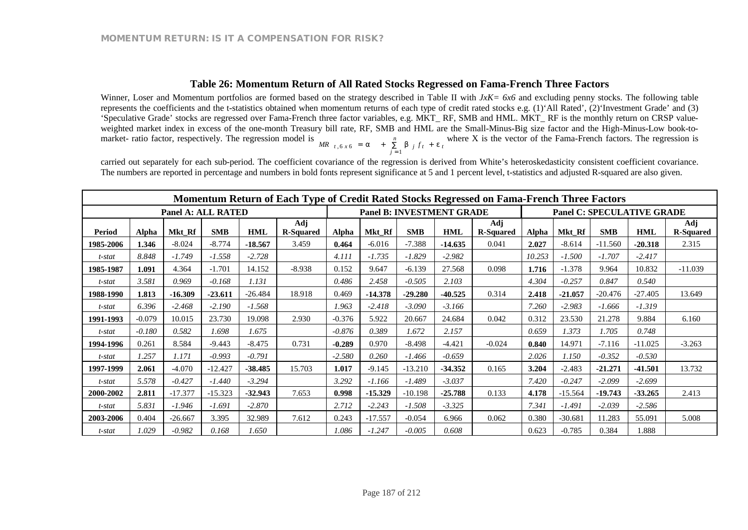### **Table 26: Momentum Return of All Rated Stocks Regressed on Fama-French Three Factors**

Winner, Loser and Momentum portfolios are formed based on the strategy described in Table II with *JxK* = 6x6 and excluding penny stocks. The following table represents the coefficients and the t-statistics obtained when momentum returns of each type of credit rated stocks e.g. (1)'All Rated', (2)'Investment Grade' and (3) 'Speculative Grade' stocks are regressed over Fama-French three factor variables, e.g. MKT\_ RF, SMB and HML. MKT\_ RF is the monthly return on CRSP valueweighted market index in excess of the one-month Treasury bill rate, RF, SMB and HML are the Small-Minus-Big size factor and the High-Minus-Low book-tomarket- ratio factor, respectively. The regression model is  $MR_{t,6x6} = a + \sum_{i=1}^{n} b_{i} f_{t} + e_{t}$ *n MR*  $_{t,6x6}$  = a +  $\sum_{j=1}^{n}$  b  $_{j} f_{t}$  +  $e_{t}$  where X is the vector of the Fama-French factors. The regression is

carried out separately for each sub-period. The coefficient covariance of the regression is derived from White's heteroskedasticity consistent coefficient covariance. The numbers are reported in percentage and numbers in bold fonts represent significance at 5 and 1 percent level, t-statistics and adjusted R-squared are also given.

|               | Momentum Return of Each Type of Credit Rated Stocks Regressed on Fama-French Three Factors |                           |            |            |                         |          |           |            |                                  |                         |              |           |            |                                   |                         |
|---------------|--------------------------------------------------------------------------------------------|---------------------------|------------|------------|-------------------------|----------|-----------|------------|----------------------------------|-------------------------|--------------|-----------|------------|-----------------------------------|-------------------------|
|               |                                                                                            | <b>Panel A: ALL RATED</b> |            |            |                         |          |           |            | <b>Panel B: INVESTMENT GRADE</b> |                         |              |           |            | <b>Panel C: SPECULATIVE GRADE</b> |                         |
| <b>Period</b> | Alpha                                                                                      | Mkt Rf                    | <b>SMB</b> | <b>HML</b> | Adj<br><b>R-Squared</b> | Alpha    | Mkt Rf    | <b>SMB</b> | <b>HML</b>                       | Adj<br><b>R-Squared</b> | <b>Alpha</b> | Mkt Rf    | <b>SMB</b> | <b>HML</b>                        | Adj<br><b>R-Squared</b> |
| 1985-2006     | 1.346                                                                                      | $-8.024$                  | $-8.774$   | $-18.567$  | 3.459                   | 0.464    | $-6.016$  | $-7.388$   | $-14.635$                        | 0.041                   | 2.027        | $-8.614$  | $-11.560$  | $-20.318$                         | 2.315                   |
| t-stat        | 8.848                                                                                      | $-1.749$                  | $-1.558$   | $-2.728$   |                         | 4.111    | $-1.735$  | $-1.829$   | $-2.982$                         |                         | 10.253       | $-1.500$  | $-1.707$   | $-2.417$                          |                         |
| 1985-1987     | 1.091                                                                                      | 4.364                     | $-1.701$   | 14.152     | $-8.938$                | 0.152    | 9.647     | $-6.139$   | 27.568                           | 0.098                   | 1.716        | $-1.378$  | 9.964      | 10.832                            | $-11.039$               |
| t-stat        | 3.581                                                                                      | 0.969                     | $-0.168$   | 1.131      |                         | 0.486    | 2.458     | $-0.505$   | 2.103                            |                         | 4.304        | $-0.257$  | 0.847      | 0.540                             |                         |
| 1988-1990     | 1.813                                                                                      | $-16.309$                 | $-23.611$  | $-26.484$  | 18.918                  | 0.469    | $-14.378$ | $-29.280$  | $-40.525$                        | 0.314                   | 2.418        | $-21.057$ | $-20.476$  | $-27.405$                         | 13.649                  |
| t-stat        | 6.396                                                                                      | $-2.468$                  | $-2.190$   | $-1.568$   |                         | 1.963    | $-2.418$  | $-3.090$   | $-3.166$                         |                         | 7.260        | $-2.983$  | $-1.666$   | $-1.319$                          |                         |
| 1991-1993     | $-0.079$                                                                                   | 10.015                    | 23.730     | 19.098     | 2.930                   | $-0.376$ | 5.922     | 20.667     | 24.684                           | 0.042                   | 0.312        | 23.530    | 21.278     | 9.884                             | 6.160                   |
| t-stat        | $-0.180$                                                                                   | 0.582                     | 1.698      | 1.675      |                         | $-0.876$ | 0.389     | 1.672      | 2.157                            |                         | 0.659        | 1.373     | 1.705      | 0.748                             |                         |
| 1994-1996     | 0.261                                                                                      | 8.584                     | $-9.443$   | $-8.475$   | 0.731                   | $-0.289$ | 0.970     | $-8.498$   | $-4.421$                         | $-0.024$                | 0.840        | 14.971    | $-7.116$   | $-11.025$                         | $-3.263$                |
| t-stat        | 1.257                                                                                      | 1.171                     | $-0.993$   | $-0.791$   |                         | $-2.580$ | 0.260     | $-1.466$   | $-0.659$                         |                         | 2.026        | 1.150     | $-0.352$   | $-0.530$                          |                         |
| 1997-1999     | 2.061                                                                                      | $-4.070$                  | $-12.427$  | $-38.485$  | 15.703                  | 1.017    | $-9.145$  | $-13.210$  | $-34.352$                        | 0.165                   | 3.204        | $-2.483$  | $-21.271$  | $-41.501$                         | 13.732                  |
| t-stat        | 5.578                                                                                      | $-0.427$                  | $-1.440$   | $-3.294$   |                         | 3.292    | $-1.166$  | $-1.489$   | $-3.037$                         |                         | 7.420        | $-0.247$  | $-2.099$   | $-2.699$                          |                         |
| 2000-2002     | 2.811                                                                                      | $-17.377$                 | $-15.323$  | $-32.943$  | 7.653                   | 0.998    | $-15.329$ | $-10.198$  | $-25.788$                        | 0.133                   | 4.178        | $-15.564$ | $-19.743$  | $-33.265$                         | 2.413                   |
| t-stat        | 5.831                                                                                      | $-1.946$                  | $-1.691$   | $-2.870$   |                         | 2.712    | $-2.243$  | $-1.508$   | $-3.325$                         |                         | 7.341        | $-1.491$  | $-2.039$   | $-2.586$                          |                         |
| 2003-2006     | 0.404                                                                                      | $-26.667$                 | 3.395      | 32.989     | 7.612                   | 0.243    | $-17.557$ | $-0.054$   | 6.966                            | 0.062                   | 0.380        | $-30.681$ | 11.283     | 55.091                            | 5.008                   |
| t-stat        | 1.029                                                                                      | $-0.982$                  | 0.168      | 1.650      |                         | 1.086    | $-1.247$  | $-0.005$   | 0.608                            |                         | 0.623        | $-0.785$  | 0.384      | 1.888                             |                         |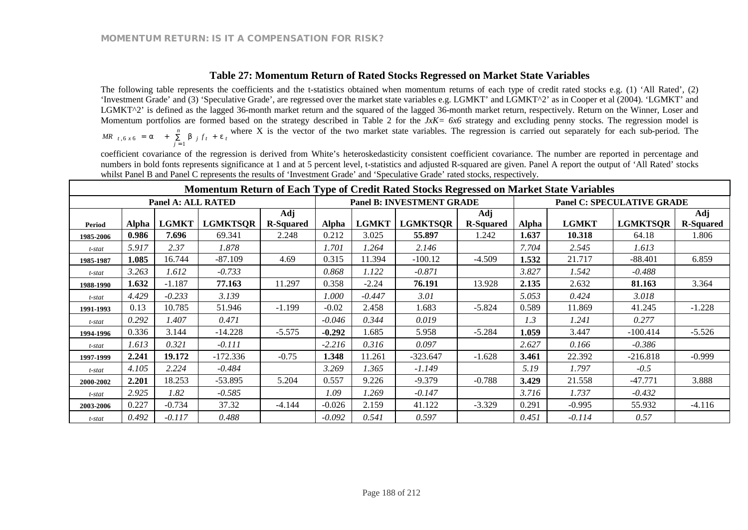### **Table 27: Momentum Return of Rated Stocks Regressed on Market State Variables**

The following table represents the coefficients and the t-statistics obtained when momentum returns of each type of credit rated stocks e.g. (1) 'All Rated', (2) 'Investment Grade' and (3) 'Speculative Grade', are regressed over the market state variables e.g. LGMKT' and LGMKT^2' as in Cooper et al (2004). 'LGMKT' and LGMKT<sup> $\gamma$ </sup> is defined as the lagged 36-month market return and the squared of the lagged 36-month market return, respectively. Return on the Winner, Loser and Momentum portfolios are formed based on the strategy described in Table 2 for the *JxK= 6x6* strategy and excluding penny stocks. The regression model is *t n* MR  $_{t,6x6}$  = a +  $\sum_{j=1}^{n}$  b  $_{j}f_{t}$  + e<sub>t</sub> where X is the vector of the two market state variables. The regression is carried out separately for each sub-period. The

coefficient covariance of the regression is derived from White's heteroskedasticity consistent coefficient covariance. The number are reported in percentage and numbers in bold fonts represents significance at 1 and at 5 percent level, t-statistics and adjusted R-squared are given. Panel A report the output of 'All Rated' stocks whilst Panel B and Panel C represents the results of 'Investment Grade' and 'Speculative Grade' rated stocks, respectively.

| Momentum Return of Each Type of Credit Rated Stocks Regressed on Market State Variables |              |                           |                 |                         |              |              |                                  |                         |              |              |                                   |                         |
|-----------------------------------------------------------------------------------------|--------------|---------------------------|-----------------|-------------------------|--------------|--------------|----------------------------------|-------------------------|--------------|--------------|-----------------------------------|-------------------------|
|                                                                                         |              | <b>Panel A: ALL RATED</b> |                 |                         |              |              | <b>Panel B: INVESTMENT GRADE</b> |                         |              |              | <b>Panel C: SPECULATIVE GRADE</b> |                         |
| Period                                                                                  | <b>Alpha</b> | <b>LGMKT</b>              | <b>LGMKTSQR</b> | Adj<br><b>R-Squared</b> | <b>Alpha</b> | <b>LGMKT</b> | <b>LGMKTSOR</b>                  | Adj<br><b>R-Squared</b> | <b>Alpha</b> | <b>LGMKT</b> | <b>LGMKTSQR</b>                   | Adj<br><b>R-Squared</b> |
| 1985-2006                                                                               | 0.986        | 7.696                     | 69.341          | 2.248                   | 0.212        | 3.025        | 55.897                           | 1.242                   | 1.637        | 10.318       | 64.18                             | 1.806                   |
| t-stat                                                                                  | 5.917        | 2.37                      | 1.878           |                         | 1.701        | 1.264        | 2.146                            |                         | 7.704        | 2.545        | 1.613                             |                         |
| 1985-1987                                                                               | 1.085        | 16.744                    | $-87.109$       | 4.69                    | 0.315        | 11.394       | $-100.12$                        | $-4.509$                | 1.532        | 21.717       | $-88.401$                         | 6.859                   |
| t-stat                                                                                  | 3.263        | 1.612                     | $-0.733$        |                         | 0.868        | 1.122        | $-0.871$                         |                         | 3.827        | 1.542        | $-0.488$                          |                         |
| 1988-1990                                                                               | 1.632        | $-1.187$                  | 77.163          | 11.297                  | 0.358        | $-2.24$      | 76.191                           | 13.928                  | 2.135        | 2.632        | 81.163                            | 3.364                   |
| t-stat                                                                                  | 4.429        | $-0.233$                  | 3.139           |                         | 1.000        | $-0.447$     | 3.01                             |                         | 5.053        | 0.424        | 3.018                             |                         |
| 1991-1993                                                                               | 0.13         | 10.785                    | 51.946          | $-1.199$                | $-0.02$      | 2.458        | 1.683                            | $-5.824$                | 0.589        | 11.869       | 41.245                            | $-1.228$                |
| t-stat                                                                                  | 0.292        | 1.407                     | 0.471           |                         | $-0.046$     | 0.344        | 0.019                            |                         | 1.3          | 1.241        | 0.277                             |                         |
| 1994-1996                                                                               | 0.336        | 3.144                     | $-14.228$       | $-5.575$                | $-0.292$     | 1.685        | 5.958                            | $-5.284$                | 1.059        | 3.447        | $-100.414$                        | $-5.526$                |
| t-stat                                                                                  | 1.613        | 0.321                     | $-0.111$        |                         | $-2.216$     | 0.316        | 0.097                            |                         | 2.627        | 0.166        | $-0.386$                          |                         |
| 1997-1999                                                                               | 2.241        | 19.172                    | $-172.336$      | $-0.75$                 | 1.348        | 11.261       | $-323.647$                       | $-1.628$                | 3.461        | 22.392       | $-216.818$                        | $-0.999$                |
| t-stat                                                                                  | 4.105        | 2.224                     | $-0.484$        |                         | 3.269        | 1.365        | $-1.149$                         |                         | 5.19         | 1.797        | $-0.5$                            |                         |
| 2000-2002                                                                               | 2.201        | 18.253                    | $-53.895$       | 5.204                   | 0.557        | 9.226        | $-9.379$                         | $-0.788$                | 3.429        | 21.558       | $-47.771$                         | 3.888                   |
| t-stat                                                                                  | 2.925        | 1.82                      | $-0.585$        |                         | 1.09         | 1.269        | $-0.147$                         |                         | 3.716        | 1.737        | $-0.432$                          |                         |
| 2003-2006                                                                               | 0.227        | $-0.734$                  | 37.32           | $-4.144$                | $-0.026$     | 2.159        | 41.122                           | $-3.329$                | 0.291        | $-0.995$     | 55.932                            | $-4.116$                |
| t-stat                                                                                  | 0.492        | $-0.117$                  | 0.488           |                         | $-0.092$     | 0.541        | 0.597                            |                         | 0.451        | $-0.114$     | 0.57                              |                         |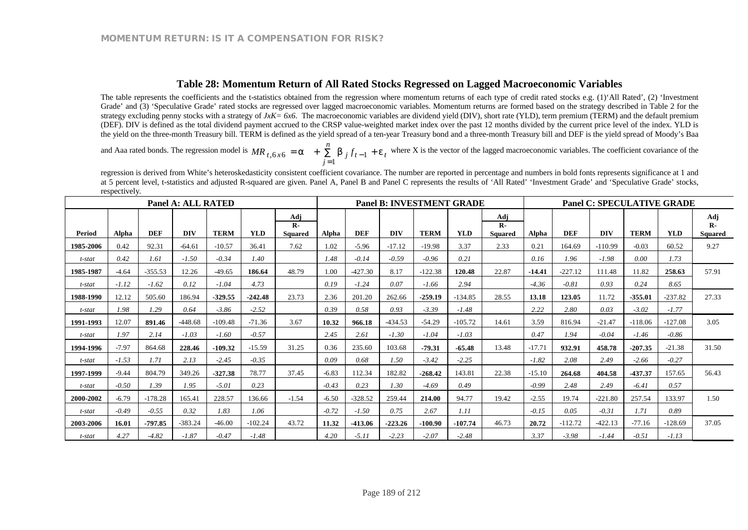### **Table 28: Momentum Return of All Rated Stocks Regressed on Lagged Macroeconomic Variables**

The table represents the coefficients and the t-statistics obtained from the regression where momentum returns of each type of credit rated stocks e.g. (1)'All Rated', (2) 'Investment Grade' and (3) 'Speculative Grade' rated stocks are regressed over lagged macroeconomic variables. Momentum returns are formed based on the strategy described in Table 2 for the strategy excluding penny stocks with a strategy of  $JxK = 6x6$ . The macroeconomic variables are dividend yield (DIV), short rate (YLD), term premium (TERM) and the default premium (DEF). DIV is defined as the total dividend payment accrued to the CRSP value-weighted market index over the past 12 months divided by the current price level of the index. YLD is the yield on the three-month Treasury bill. TERM is defined as the yield spread of a ten-year Treasury bond and a three-month Treasury bill and DEF is the yield spread of Moody's Baa

and Aaa rated bonds. The regression model is  $MR_{t,6x6} = a + \sum b_{j} f_{t-1} + e_{t}$ *n*  $MR_{t,6x6} = a + \sum_{j=1}^{x} b_j f_{t-1} + e_t$  where X is the vector of the lagged macroeconomic variables. The coefficient covariance of the

regression is derived from White's heteroskedasticity consistent coefficient covariance. The number are reported in percentage and numbers in bold fonts represents significance at 1 and at 5 percent level, t-statistics and adjusted R-squared are given. Panel A, Panel B and Panel C represents the results of 'All Rated' 'Investment Grade' and 'Speculative Grade' stocks, respectively.

|           |         |            | Panel A: ALL RATED |             |            |                                | <b>Panel B: INVESTMENT GRADE</b> |            |            |             |            |                                | <b>Panel C: SPECULATIVE GRADE</b> |            |            |             |            |                                |
|-----------|---------|------------|--------------------|-------------|------------|--------------------------------|----------------------------------|------------|------------|-------------|------------|--------------------------------|-----------------------------------|------------|------------|-------------|------------|--------------------------------|
| Period    | Alpha   | <b>DEF</b> | <b>DIV</b>         | <b>TERM</b> | <b>YLD</b> | Adi<br>$R -$<br><b>Squared</b> | Alpha                            | <b>DEF</b> | <b>DIV</b> | <b>TERM</b> | <b>YLD</b> | Adi<br>$\mathbf{R}$<br>Squared | Alpha                             | <b>DEF</b> | <b>DIV</b> | <b>TERM</b> | <b>YLD</b> | Adj<br>$R -$<br><b>Squared</b> |
| 1985-2006 | 0.42    | 92.31      | $-64.61$           | $-10.57$    | 36.41      | 7.62                           | 1.02                             | $-5.96$    | $-17.12$   | $-19.98$    | 3.37       | 2.33                           | 0.21                              | 164.69     | $-110.99$  | $-0.03$     | 60.52      | 9.27                           |
| t-stat    | 0.42    | 1.61       | $-1.50$            | $-0.34$     | 1.40       |                                | 1.48                             | $-0.14$    | $-0.59$    | $-0.96$     | 0.21       |                                | 0.16                              | 1.96       | $-1.98$    | 0.00        | 1.73       |                                |
| 1985-1987 | $-4.64$ | $-355.53$  | 12.26              | $-49.65$    | 186.64     | 48.79                          | 1.00                             | $-427.30$  | 8.17       | $-122.38$   | 120.48     | 22.87                          | $-14.41$                          | $-227.12$  | 111.48     | 11.82       | 258.63     | 57.91                          |
| t-stat    | $-1.12$ | $-1.62$    | 0.12               | $-1.04$     | 4.73       |                                | 0.19                             | $-1.24$    | 0.07       | $-1.66$     | 2.94       |                                | $-4.36$                           | $-0.81$    | 0.93       | 0.24        | 8.65       |                                |
| 1988-1990 | 12.12   | 505.60     | 186.94             | $-329.55$   | $-242.48$  | 23.73                          | 2.36                             | 201.20     | 262.66     | $-259.19$   | $-134.85$  | 28.55                          | 13.18                             | 123.05     | 11.72      | $-355.01$   | $-237.82$  | 27.33                          |
| t-stat    | 1.98    | 1.29       | 0.64               | $-3.86$     | $-2.52$    |                                | 0.39                             | 0.58       | 0.93       | $-3.39$     | $-1.48$    |                                | 2.22                              | 2.80       | 0.03       | $-3.02$     | $-1.77$    |                                |
| 1991-1993 | 12.07   | 891.46     | $-448.68$          | $-109.48$   | $-71.36$   | 3.67                           | 10.32                            | 966.18     | $-434.53$  | $-54.29$    | $-105.72$  | 14.61                          | 3.59                              | 816.94     | $-21.47$   | $-118.06$   | $-127.08$  | 3.05                           |
| t-stat    | 1.97    | 2.14       | $-1.03$            | $-1.60$     | $-0.57$    |                                | 2.45                             | 2.61       | $-1.30$    | $-1.04$     | $-1.03$    |                                | 0.47                              | 1.94       | $-0.04$    | $-1.46$     | $-0.86$    |                                |
| 1994-1996 | $-7.97$ | 864.68     | 228.46             | $-109.32$   | $-15.59$   | 31.25                          | 0.36                             | 235.60     | 103.68     | $-79.31$    | $-65.48$   | 13.48                          | $-17.71$                          | 932.91     | 458.78     | $-207.35$   | $-21.38$   | 31.50                          |
| t-stat    | $-1.53$ | 1.71       | 2.13               | $-2.45$     | $-0.35$    |                                | 0.09                             | 0.68       | 1.50       | $-3.42$     | $-2.25$    |                                | $-1.82$                           | 2.08       | 2.49       | $-2.66$     | $-0.27$    |                                |
| 1997-1999 | $-9.44$ | 804.79     | 349.26             | $-327.38$   | 78.77      | 37.45                          | $-6.83$                          | 112.34     | 182.82     | $-268.42$   | 143.81     | 22.38                          | $-15.10$                          | 264.68     | 404.58     | $-437.37$   | 157.65     | 56.43                          |
| t-stat    | $-0.50$ | 1.39       | 1.95               | $-5.01$     | 0.23       |                                | $-0.43$                          | 0.23       | 1.30       | $-4.69$     | 0.49       |                                | $-0.99$                           | 2.48       | 2.49       | $-6.41$     | 0.57       |                                |
| 2000-2002 | $-6.79$ | $-178.28$  | 165.41             | 228.57      | 136.66     | $-1.54$                        | $-6.50$                          | $-328.52$  | 259.44     | 214.00      | 94.77      | 19.42                          | $-2.55$                           | 19.74      | $-221.80$  | 257.54      | 133.97     | 1.50                           |
| t-stat    | $-0.49$ | $-0.55$    | 0.32               | 1.83        | 1.06       |                                | $-0.72$                          | $-1.50$    | 0.75       | 2.67        | 1.11       |                                | $-0.15$                           | 0.05       | $-0.31$    | 1.71        | 0.89       |                                |
| 2003-2006 | 16.01   | $-797.85$  | $-383.24$          | $-46.00$    | $-102.24$  | 43.72                          | 11.32                            | $-413.06$  | $-223.26$  | $-100.90$   | $-107.74$  | 46.73                          | 20.72                             | $-112.72$  | $-422.13$  | $-77.16$    | $-128.69$  | 37.05                          |
| t-stat    | 4.27    | $-4.82$    | $-1.87$            | $-0.47$     | $-1.48$    |                                | 4.20                             | $-5.11$    | $-2.23$    | $-2.07$     | $-2.48$    |                                | 3.37                              | $-3.98$    | $-1.44$    | $-0.51$     | $-1.13$    |                                |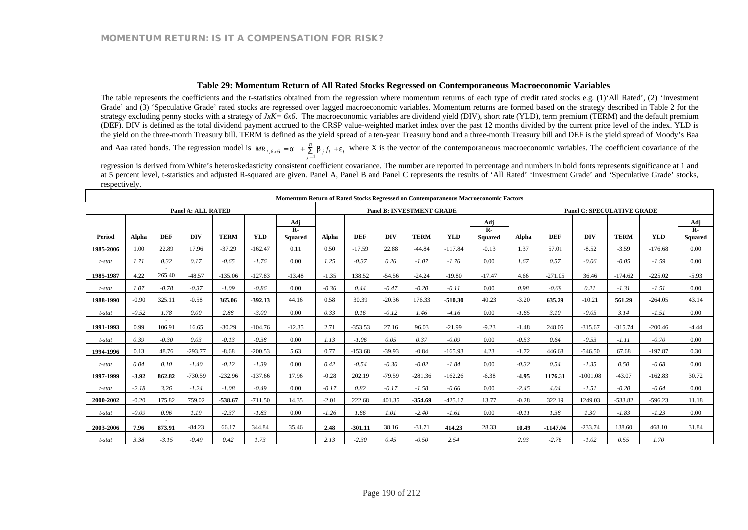#### **Table 29: Momentum Return of All Rated Stocks Regressed on Contemporaneous Macroeconomic Variables**

The table represents the coefficients and the t-statistics obtained from the regression where momentum returns of each type of credit rated stocks e.g. (1)'All Rated', (2) 'Investment Grade' and (3) 'Speculative Grade' rated stocks are regressed over lagged macroeconomic variables. Momentum returns are formed based on the strategy described in Table 2 for the strategy excluding penny stocks with a strategy of *JxK= 6x6*. The macroeconomic variables are dividend yield (DIV), short rate (YLD), term premium (TERM) and the default premium (DEF). DIV is defined as the total dividend payment accrued to the CRSP value-weighted market index over the past 12 months divided by the current price level of the index. YLD is the yield on the three-month Treasury bill. TERM is defined as the yield spread of a ten-year Treasury bond and a three-month Treasury bill and DEF is the yield spread of Moody's Baa

and Aaa rated bonds. The regression model is  $MR_{t,6x6} = a + \sum_{i=1}^{n} b_{i} f_{t} + e_{t}$ *n*  $MR_{t,6x6} = a + \sum_{j=1}^{n} b_j f_t + e_t$  where X is the vector of the contemporaneous macroeconomic variables. The coefficient covariance of the

regression is derived from White's heteroskedasticity consistent coefficient covariance. The number are reported in percentage and numbers in bold fonts represents significance at 1 and at 5 percent level, t-statistics and adjusted R-squared are given. Panel A, Panel B and Panel C represents the results of 'All Rated' 'Investment Grade' and 'Speculative Grade' stocks, respectively.

|               | <b>Momentum Return of Rated Stocks Regressed on Contemporaneous Macroeconomic Factors</b> |            |                           |             |            |                                  |         |            |            |                                  |            |                                |         |            |                                   |             |            |                                |
|---------------|-------------------------------------------------------------------------------------------|------------|---------------------------|-------------|------------|----------------------------------|---------|------------|------------|----------------------------------|------------|--------------------------------|---------|------------|-----------------------------------|-------------|------------|--------------------------------|
|               |                                                                                           |            | <b>Panel A: ALL RATED</b> |             |            |                                  |         |            |            | <b>Panel B: INVESTMENT GRADE</b> |            |                                |         |            | <b>Panel C: SPECULATIVE GRADE</b> |             |            |                                |
|               |                                                                                           |            |                           |             |            | Adi                              |         |            |            |                                  |            | Adj                            |         |            |                                   |             |            | Adj                            |
| <b>Period</b> | Alpha                                                                                     | <b>DEF</b> | <b>DIV</b>                | <b>TERM</b> | <b>YLD</b> | $\mathbf{R}$ -<br><b>Squared</b> | Alpha   | <b>DEF</b> | <b>DIV</b> | <b>TERM</b>                      | <b>YLD</b> | $\mathbf{R}$<br><b>Squared</b> | Alpha   | <b>DEF</b> | <b>DIV</b>                        | <b>TERM</b> | <b>YLD</b> | $\mathbf{R}$<br><b>Squared</b> |
| 1985-2006     | 1.00                                                                                      | 22.89      | 17.96                     | $-37.29$    | $-162.47$  | 0.11                             | 0.50    | $-17.59$   | 22.88      | $-44.84$                         | $-117.84$  | $-0.13$                        | 1.37    | 57.01      | $-8.52$                           | $-3.59$     | $-176.68$  | 0.00                           |
| t-stat        | 1.71                                                                                      | 0.32       | 0.17                      | $-0.65$     | $-1.76$    | 0.00                             | 1.25    | $-0.37$    | 0.26       | $-1.07$                          | $-1.76$    | 0.00                           | 1.67    | 0.57       | $-0.06$                           | $-0.05$     | $-1.59$    | 0.00                           |
|               |                                                                                           |            |                           |             |            |                                  |         |            |            |                                  |            |                                |         |            |                                   |             |            |                                |
| 1985-1987     | 4.22                                                                                      | 265.40     | $-48.57$                  | $-135.06$   | $-127.83$  | $-13.48$                         | $-1.35$ | 138.52     | $-54.56$   | $-24.24$                         | $-19.80$   | $-17.47$                       | 4.66    | $-271.05$  | 36.46                             | $-174.62$   | $-225.02$  | $-5.93$                        |
| t-stat        | 1.07                                                                                      | $-0.78$    | $-0.37$                   | $-1.09$     | $-0.86$    | 0.00                             | $-0.36$ | 0.44       | $-0.47$    | $-0.20$                          | $-0.11$    | 0.00                           | 0.98    | $-0.69$    | 0.21                              | $-1.31$     | $-1.51$    | 0.00                           |
| 1988-1990     | $-0.90$                                                                                   | 325.11     | $-0.58$                   | 365.06      | $-392.13$  | 44.16                            | 0.58    | 30.39      | $-20.36$   | 176.33                           | $-510.30$  | 40.23                          | $-3.20$ | 635.29     | $-10.21$                          | 561.29      | $-264.05$  | 43.14                          |
| t-stat        | $-0.52$                                                                                   | 1.78       | 0.00                      | 2.88        | $-3.00$    | 0.00                             | 0.33    | 0.16       | $-0.12$    | 1.46                             | $-4.16$    | 0.00                           | $-1.65$ | 3.10       | $-0.05$                           | 3.14        | $-1.51$    | 0.00                           |
| 1991-1993     | 0.99                                                                                      | 106.91     | 16.65                     | $-30.29$    | $-104.76$  | $-12.35$                         | 2.71    | $-353.53$  | 27.16      | 96.03                            | $-21.99$   | $-9.23$                        | $-1.48$ | 248.05     | $-315.67$                         | $-315.74$   | $-200.46$  | $-4.44$                        |
| t-stat        | 0.39                                                                                      | $-0.30$    | 0.03                      | $-0.13$     | $-0.38$    | 0.00                             | 1.13    | $-1.06$    | 0.05       | 0.37                             | $-0.09$    | 0.00                           | $-0.53$ | 0.64       | $-0.53$                           | $-1.11$     | $-0.70$    | 0.00                           |
| 1994-1996     | 0.13                                                                                      | 48.76      | $-293.77$                 | $-8.68$     | $-200.53$  | 5.63                             | 0.77    | $-153.68$  | $-39.93$   | $-0.84$                          | $-165.93$  | 4.23                           | $-1.72$ | 446.68     | $-546.50$                         | 67.68       | $-197.87$  | 0.30                           |
| t-stat        | 0.04                                                                                      | 0.10       | $-1.40$                   | $-0.12$     | $-1.39$    | 0.00                             | 0.42    | $-0.54$    | $-0.30$    | $-0.02$                          | $-1.84$    | 0.00                           | $-0.32$ | 0.54       | $-1.35$                           | 0.50        | $-0.68$    | 0.00                           |
| 1997-1999     | $-3.92$                                                                                   | 862.82     | $-730.59$                 | $-232.96$   | $-137.66$  | 17.96                            | $-0.28$ | 202.19     | $-79.59$   | $-281.36$                        | $-162.26$  | $-6.38$                        | $-4.95$ | 1176.31    | $-1001.08$                        | $-43.07$    | $-162.83$  | 30.72                          |
| t-stat        | $-2.18$                                                                                   | 3.26       | $-1.24$                   | $-1.08$     | $-0.49$    | 0.00                             | $-0.17$ | 0.82       | $-0.17$    | $-1.58$                          | $-0.66$    | 0.00                           | $-2.45$ | 4.04       | $-1.51$                           | $-0.20$     | $-0.64$    | 0.00                           |
| 2000-2002     | $-0.20$                                                                                   | 175.82     | 759.02                    | $-538.67$   | $-711.50$  | 14.35                            | $-2.01$ | 222.68     | 401.35     | $-354.69$                        | $-425.17$  | 13.77                          | $-0.28$ | 322.19     | 1249.03                           | $-533.82$   | $-596.23$  | 11.18                          |
| t-stat        | $-0.09$                                                                                   | 0.96       | 1.19                      | $-2.37$     | $-1.83$    | 0.00                             | $-1.26$ | 1.66       | 1.01       | $-2.40$                          | $-1.61$    | 0.00                           | $-0.11$ | 1.38       | 1.30                              | $-1.83$     | $-1.23$    | 0.00                           |
| 2003-2006     | 7.96                                                                                      | 873.91     | $-84.23$                  | 66.17       | 344.84     | 35.46                            | 2.48    | $-301.11$  | 38.16      | $-31.71$                         | 414.23     | 28.33                          | 10.49   | $-1147.04$ | $-233.74$                         | 138.60      | 468.10     | 31.84                          |
| t-stat        | 3.38                                                                                      | $-3.15$    | $-0.49$                   | 0.42        | 1.73       |                                  | 2.13    | $-2.30$    | 0.45       | $-0.50$                          | 2.54       |                                | 2.93    | $-2.76$    | $-1.02$                           | 0.55        | 1.70       |                                |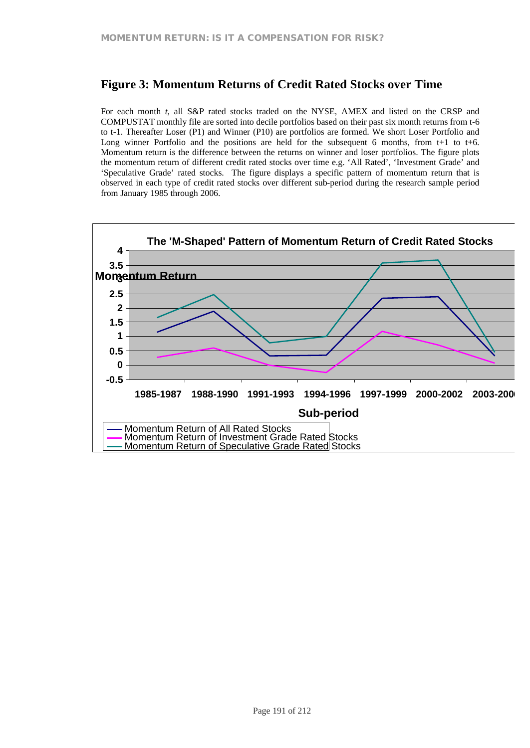# **Figure 3: Momentum Returns of Credit Rated Stocks over Time**

For each month *t*, all S&P rated stocks traded on the NYSE, AMEX and listed on the CRSP and COMPUSTAT monthly file are sorted into decile portfolios based on their past six month returns from t-6 to t-1. Thereafter Loser (P1) and Winner (P10) are portfolios are formed. We short Loser Portfolio and Long winner Portfolio and the positions are held for the subsequent 6 months, from  $t+1$  to  $t+6$ . Momentum return is the difference between the returns on winner and loser portfolios. The figure plots the momentum return of different credit rated stocks over time e.g. 'All Rated', 'Investment Grade' and 'Speculative Grade' rated stocks. The figure displays a specific pattern of momentum return that is observed in each type of credit rated stocks over different sub-period during the research sample period from January 1985 through 2006.

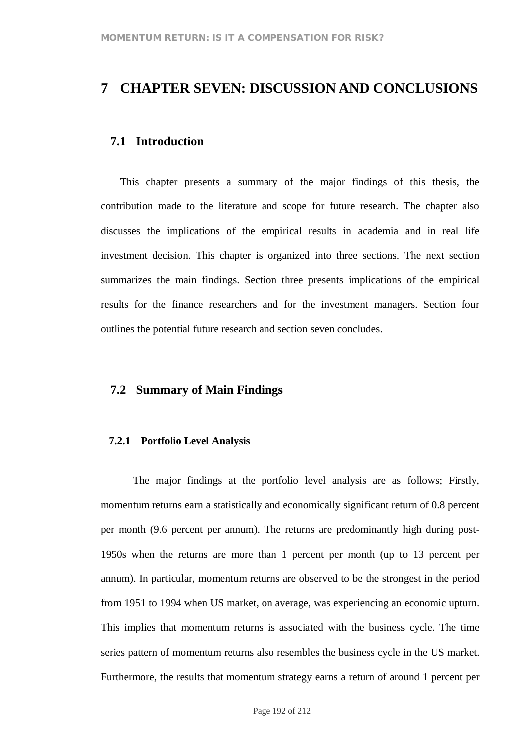# **7 CHAPTER SEVEN: DISCUSSION AND CONCLUSIONS**

### **7.1 Introduction**

This chapter presents a summary of the major findings of this thesis, the contribution made to the literature and scope for future research. The chapter also discusses the implications of the empirical results in academia and in real life investment decision. This chapter is organized into three sections. The next section summarizes the main findings. Section three presents implications of the empirical results for the finance researchers and for the investment managers. Section four outlines the potential future research and section seven concludes.

## **7.2 Summary of Main Findings**

### **7.2.1 Portfolio Level Analysis**

The major findings at the portfolio level analysis are as follows; Firstly, momentum returns earn a statistically and economically significant return of 0.8 percent per month (9.6 percent per annum). The returns are predominantly high during post-1950s when the returns are more than 1 percent per month (up to 13 percent per annum). In particular, momentum returns are observed to be the strongest in the period from 1951 to 1994 when US market, on average, was experiencing an economic upturn. This implies that momentum returns is associated with the business cycle. The time series pattern of momentum returns also resembles the business cycle in the US market. Furthermore, the results that momentum strategy earns a return of around 1 percent per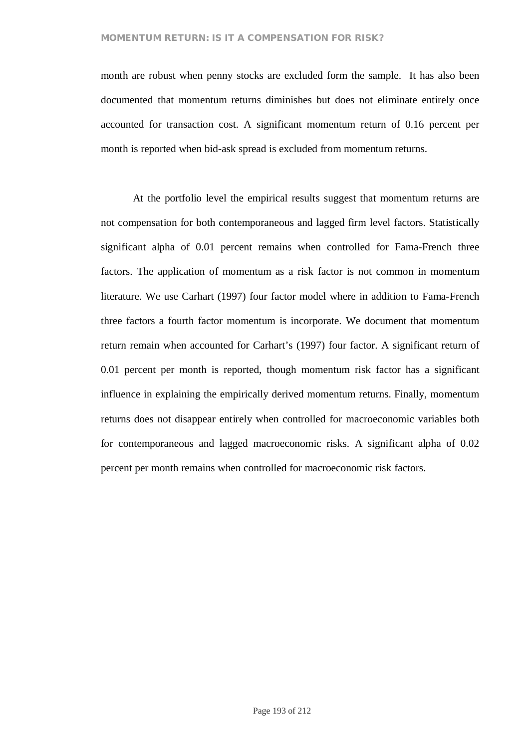### **MOMENTUM RETURN: IS IT A COMPENSATION FOR RISK?**

month are robust when penny stocks are excluded form the sample. It has also been documented that momentum returns diminishes but does not eliminate entirely once accounted for transaction cost. A significant momentum return of 0.16 percent per month is reported when bid-ask spread is excluded from momentum returns.

At the portfolio level the empirical results suggest that momentum returns are not compensation for both contemporaneous and lagged firm level factors. Statistically significant alpha of 0.01 percent remains when controlled for Fama-French three factors. The application of momentum as a risk factor is not common in momentum literature. We use Carhart (1997) four factor model where in addition to Fama-French three factors a fourth factor momentum is incorporate. We document that momentum return remain when accounted for Carhart's (1997) four factor. A significant return of 0.01 percent per month is reported, though momentum risk factor has a significant influence in explaining the empirically derived momentum returns. Finally, momentum returns does not disappear entirely when controlled for macroeconomic variables both for contemporaneous and lagged macroeconomic risks. A significant alpha of 0.02 percent per month remains when controlled for macroeconomic risk factors.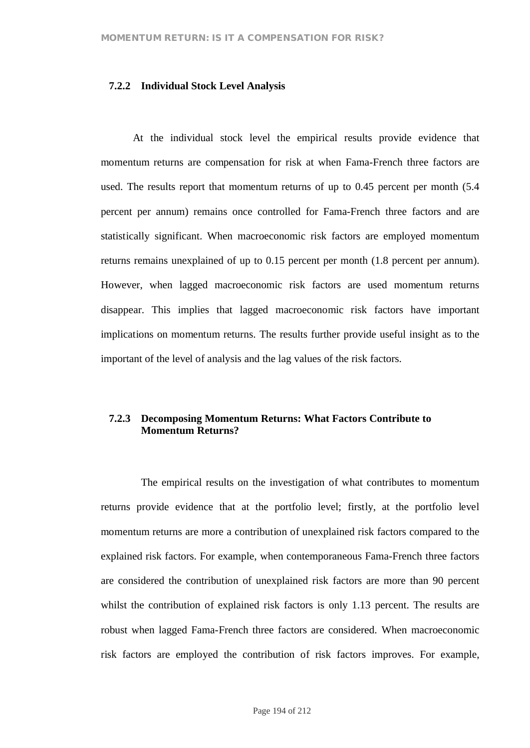### **7.2.2 Individual Stock Level Analysis**

At the individual stock level the empirical results provide evidence that momentum returns are compensation for risk at when Fama-French three factors are used. The results report that momentum returns of up to 0.45 percent per month (5.4 percent per annum) remains once controlled for Fama-French three factors and are statistically significant. When macroeconomic risk factors are employed momentum returns remains unexplained of up to 0.15 percent per month (1.8 percent per annum). However, when lagged macroeconomic risk factors are used momentum returns disappear. This implies that lagged macroeconomic risk factors have important implications on momentum returns. The results further provide useful insight as to the important of the level of analysis and the lag values of the risk factors.

### **7.2.3 Decomposing Momentum Returns: What Factors Contribute to Momentum Returns?**

The empirical results on the investigation of what contributes to momentum returns provide evidence that at the portfolio level; firstly, at the portfolio level momentum returns are more a contribution of unexplained risk factors compared to the explained risk factors. For example, when contemporaneous Fama-French three factors are considered the contribution of unexplained risk factors are more than 90 percent whilst the contribution of explained risk factors is only 1.13 percent. The results are robust when lagged Fama-French three factors are considered. When macroeconomic risk factors are employed the contribution of risk factors improves. For example,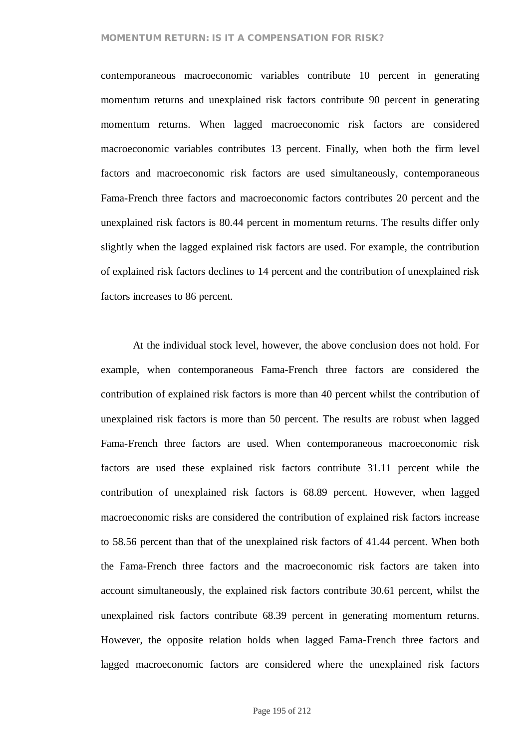#### **MOMENTUM RETURN: IS IT A COMPENSATION FOR RISK?**

contemporaneous macroeconomic variables contribute 10 percent in generating momentum returns and unexplained risk factors contribute 90 percent in generating momentum returns. When lagged macroeconomic risk factors are considered macroeconomic variables contributes 13 percent. Finally, when both the firm level factors and macroeconomic risk factors are used simultaneously, contemporaneous Fama-French three factors and macroeconomic factors contributes 20 percent and the unexplained risk factors is 80.44 percent in momentum returns. The results differ only slightly when the lagged explained risk factors are used. For example, the contribution of explained risk factors declines to 14 percent and the contribution of unexplained risk factors increases to 86 percent.

At the individual stock level, however, the above conclusion does not hold. For example, when contemporaneous Fama-French three factors are considered the contribution of explained risk factors is more than 40 percent whilst the contribution of unexplained risk factors is more than 50 percent. The results are robust when lagged Fama-French three factors are used. When contemporaneous macroeconomic risk factors are used these explained risk factors contribute 31.11 percent while the contribution of unexplained risk factors is 68.89 percent. However, when lagged macroeconomic risks are considered the contribution of explained risk factors increase to 58.56 percent than that of the unexplained risk factors of 41.44 percent. When both the Fama-French three factors and the macroeconomic risk factors are taken into account simultaneously, the explained risk factors contribute 30.61 percent, whilst the unexplained risk factors contribute 68.39 percent in generating momentum returns. However, the opposite relation holds when lagged Fama-French three factors and lagged macroeconomic factors are considered where the unexplained risk factors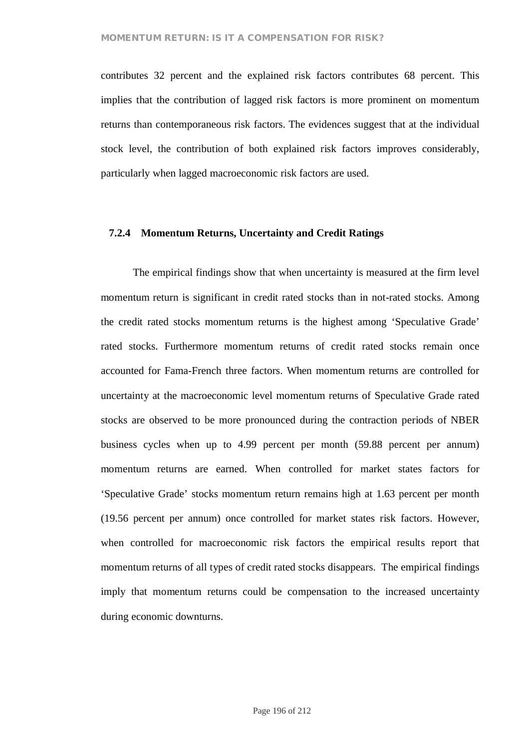contributes 32 percent and the explained risk factors contributes 68 percent. This implies that the contribution of lagged risk factors is more prominent on momentum returns than contemporaneous risk factors. The evidences suggest that at the individual stock level, the contribution of both explained risk factors improves considerably, particularly when lagged macroeconomic risk factors are used.

#### **7.2.4 Momentum Returns, Uncertainty and Credit Ratings**

The empirical findings show that when uncertainty is measured at the firm level momentum return is significant in credit rated stocks than in not-rated stocks. Among the credit rated stocks momentum returns is the highest among 'Speculative Grade' rated stocks. Furthermore momentum returns of credit rated stocks remain once accounted for Fama-French three factors. When momentum returns are controlled for uncertainty at the macroeconomic level momentum returns of Speculative Grade rated stocks are observed to be more pronounced during the contraction periods of NBER business cycles when up to 4.99 percent per month (59.88 percent per annum) momentum returns are earned. When controlled for market states factors for 'Speculative Grade' stocks momentum return remains high at 1.63 percent per month (19.56 percent per annum) once controlled for market states risk factors. However, when controlled for macroeconomic risk factors the empirical results report that momentum returns of all types of credit rated stocks disappears. The empirical findings imply that momentum returns could be compensation to the increased uncertainty during economic downturns.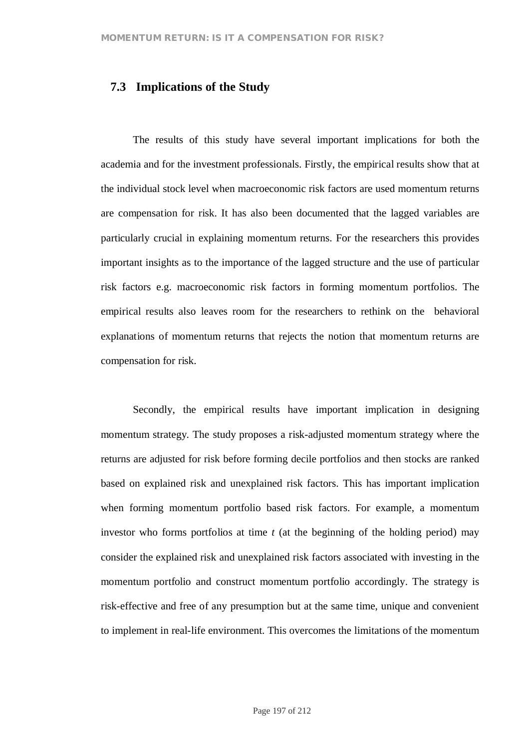## **7.3 Implications of the Study**

The results of this study have several important implications for both the academia and for the investment professionals. Firstly, the empirical results show that at the individual stock level when macroeconomic risk factors are used momentum returns are compensation for risk. It has also been documented that the lagged variables are particularly crucial in explaining momentum returns. For the researchers this provides important insights as to the importance of the lagged structure and the use of particular risk factors e.g. macroeconomic risk factors in forming momentum portfolios. The empirical results also leaves room for the researchers to rethink on the behavioral explanations of momentum returns that rejects the notion that momentum returns are compensation for risk.

Secondly, the empirical results have important implication in designing momentum strategy. The study proposes a risk-adjusted momentum strategy where the returns are adjusted for risk before forming decile portfolios and then stocks are ranked based on explained risk and unexplained risk factors. This has important implication when forming momentum portfolio based risk factors. For example, a momentum investor who forms portfolios at time *t* (at the beginning of the holding period) may consider the explained risk and unexplained risk factors associated with investing in the momentum portfolio and construct momentum portfolio accordingly. The strategy is risk-effective and free of any presumption but at the same time, unique and convenient to implement in real-life environment. This overcomes the limitations of the momentum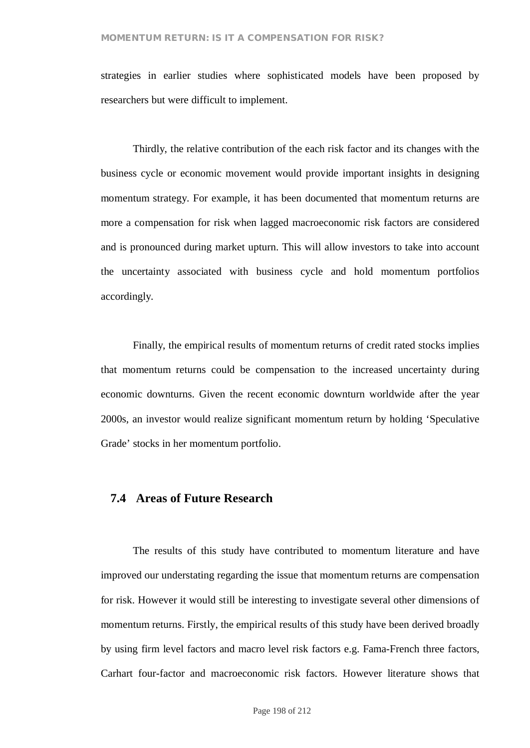strategies in earlier studies where sophisticated models have been proposed by researchers but were difficult to implement.

Thirdly, the relative contribution of the each risk factor and its changes with the business cycle or economic movement would provide important insights in designing momentum strategy. For example, it has been documented that momentum returns are more a compensation for risk when lagged macroeconomic risk factors are considered and is pronounced during market upturn. This will allow investors to take into account the uncertainty associated with business cycle and hold momentum portfolios accordingly.

Finally, the empirical results of momentum returns of credit rated stocks implies that momentum returns could be compensation to the increased uncertainty during economic downturns. Given the recent economic downturn worldwide after the year 2000s, an investor would realize significant momentum return by holding 'Speculative Grade' stocks in her momentum portfolio.

## **7.4 Areas of Future Research**

The results of this study have contributed to momentum literature and have improved our understating regarding the issue that momentum returns are compensation for risk. However it would still be interesting to investigate several other dimensions of momentum returns. Firstly, the empirical results of this study have been derived broadly by using firm level factors and macro level risk factors e.g. Fama-French three factors, Carhart four-factor and macroeconomic risk factors. However literature shows that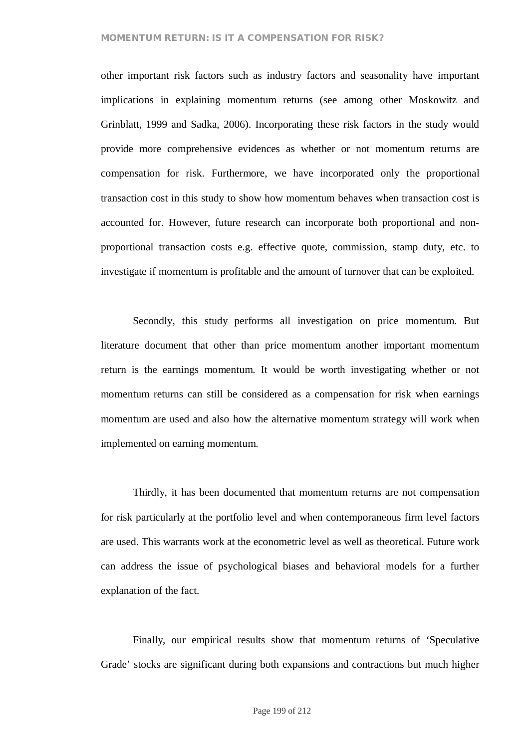#### **MOMENTUM RETURN: IS IT A COMPENSATION FOR RISK?**

other important risk factors such as industry factors and seasonality have important implications in explaining momentum returns (see among other Moskowitz and Grinblatt, 1999 and Sadka, 2006). Incorporating these risk factors in the study would provide more comprehensive evidences as whether or not momentum returns are compensation for risk. Furthermore, we have incorporated only the proportional transaction cost in this study to show how momentum behaves when transaction cost is accounted for. However, future research can incorporate both proportional and nonproportional transaction costs e.g. effective quote, commission, stamp duty, etc. to investigate if momentum is profitable and the amount of turnover that can be exploited.

Secondly, this study performs all investigation on price momentum. But literature document that other than price momentum another important momentum return is the earnings momentum. It would be worth investigating whether or not momentum returns can still be considered as a compensation for risk when earnings momentum are used and also how the alternative momentum strategy will work when implemented on earning momentum.

Thirdly, it has been documented that momentum returns are not compensation for risk particularly at the portfolio level and when contemporaneous firm level factors are used. This warrants work at the econometric level as well as theoretical. Future work can address the issue of psychological biases and behavioral models for a further explanation of the fact.

Finally, our empirical results show that momentum returns of 'Speculative Grade' stocks are significant during both expansions and contractions but much higher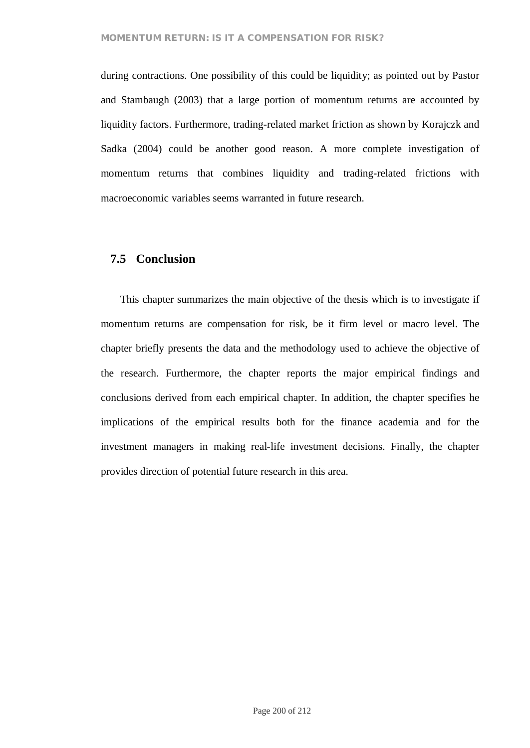during contractions. One possibility of this could be liquidity; as pointed out by Pastor and Stambaugh (2003) that a large portion of momentum returns are accounted by liquidity factors. Furthermore, trading-related market friction as shown by Korajczk and Sadka (2004) could be another good reason. A more complete investigation of momentum returns that combines liquidity and trading-related frictions with macroeconomic variables seems warranted in future research.

## **7.5 Conclusion**

This chapter summarizes the main objective of the thesis which is to investigate if momentum returns are compensation for risk, be it firm level or macro level. The chapter briefly presents the data and the methodology used to achieve the objective of the research. Furthermore, the chapter reports the major empirical findings and conclusions derived from each empirical chapter. In addition, the chapter specifies he implications of the empirical results both for the finance academia and for the investment managers in making real-life investment decisions. Finally, the chapter provides direction of potential future research in this area.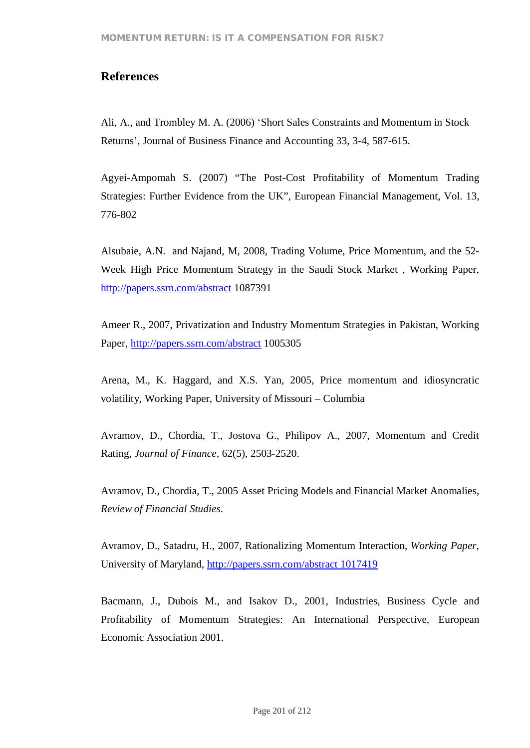# **References**

Ali, A., and Trombley M. A. (2006) 'Short Sales Constraints and Momentum in Stock Returns', Journal of Business Finance and Accounting 33, 3-4, 587-615.

Agyei-Ampomah S. (2007) "The Post-Cost Profitability of Momentum Trading Strategies: Further Evidence from the UK", European Financial Management, Vol. 13, 776-802

Alsubaie, A.N. and Najand, M, 2008, Trading Volume, Price Momentum, and the 52- Week High Price Momentum Strategy in the Saudi Stock Market , Working Paper, http://papers.ssrn.com/abstract 1087391

Ameer R., 2007, Privatization and Industry Momentum Strategies in Pakistan, Working Paper, http://papers.ssrn.com/abstract 1005305

Arena, M., K. Haggard, and X.S. Yan, 2005, Price momentum and idiosyncratic volatility, Working Paper, University of Missouri – Columbia

Avramov, D., Chordia, T., Jostova G., Philipov A., 2007, Momentum and Credit Rating, *Journal of Finance,* 62(5), 2503-2520.

Avramov, D., Chordia, T., 2005 Asset Pricing Models and Financial Market Anomalies, *Review of Financial Studies*.

Avramov, D., Satadru, H., 2007, Rationalizing Momentum Interaction, *Working Paper*, University of Maryland, http://papers.ssrn.com/abstract 1017419

Bacmann, J., Dubois M., and Isakov D., 2001, Industries, Business Cycle and Profitability of Momentum Strategies: An International Perspective, European Economic Association 2001.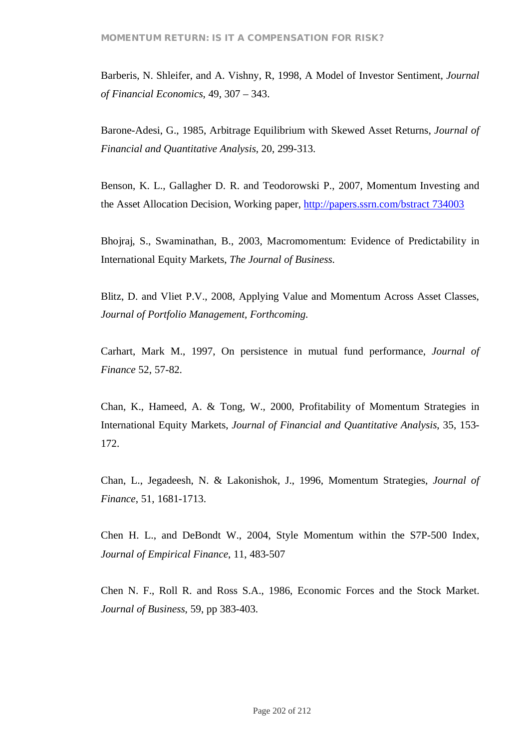Barberis, N. Shleifer, and A. Vishny, R, 1998, A Model of Investor Sentiment, *Journal of Financial Economics*, 49, 307 – 343.

Barone-Adesi, G., 1985, Arbitrage Equilibrium with Skewed Asset Returns, *Journal of Financial and Quantitative Analysis*, 20, 299-313.

Benson, K. L., Gallagher D. R. and Teodorowski P., 2007, Momentum Investing and the Asset Allocation Decision, Working paper, http://papers.ssrn.com/bstract 734003

Bhojraj, S., Swaminathan, B., 2003, Macromomentum: Evidence of Predictability in International Equity Markets, *The Journal of Business*.

Blitz, D. and Vliet P.V., 2008, Applying Value and Momentum Across Asset Classes, *Journal of Portfolio Management, Forthcoming.*

Carhart, Mark M., 1997, On persistence in mutual fund performance, *Journal of Finance* 52, 57-82.

Chan, K., Hameed, A. & Tong, W., 2000, Profitability of Momentum Strategies in International Equity Markets, *Journal of Financial and Quantitative Analysis*, 35, 153- 172.

Chan, L., Jegadeesh, N. & Lakonishok, J., 1996, Momentum Strategies, *Journal of Finance*, 51, 1681-1713.

Chen H. L., and DeBondt W., 2004, Style Momentum within the S7P-500 Index, *Journal of Empirical Finance*, 11, 483-507

Chen N. F., Roll R. and Ross S.A., 1986, Economic Forces and the Stock Market. *Journal of Business*, 59, pp 383-403.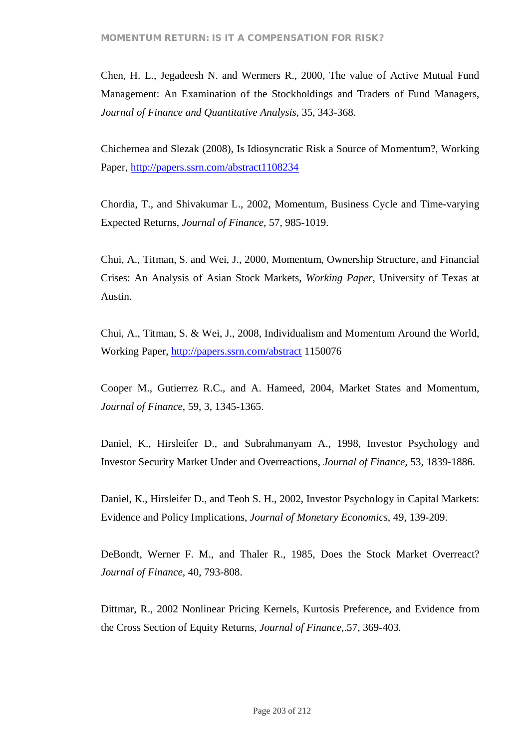Chen, H. L., Jegadeesh N. and Wermers R., 2000, The value of Active Mutual Fund Management: An Examination of the Stockholdings and Traders of Fund Managers, *Journal of Finance and Quantitative Analysis,* 35, 343-368.

Chichernea and Slezak (2008), Is Idiosyncratic Risk a Source of Momentum?, Working Paper, http://papers.ssrn.com/abstract1108234

Chordia, T., and Shivakumar L., 2002, Momentum, Business Cycle and Time-varying Expected Returns, *Journal of Finance*, 57, 985-1019.

Chui, A., Titman, S. and Wei, J., 2000, Momentum, Ownership Structure, and Financial Crises: An Analysis of Asian Stock Markets, *Working Paper*, University of Texas at Austin.

Chui, A., Titman, S. & Wei, J., 2008, Individualism and Momentum Around the World, Working Paper, http://papers.ssrn.com/abstract 1150076

Cooper M., Gutierrez R.C., and A. Hameed, 2004, Market States and Momentum, *Journal of Finance*, 59, 3, 1345-1365.

Daniel, K., Hirsleifer D., and Subrahmanyam A., 1998, Investor Psychology and Investor Security Market Under and Overreactions, *Journal of Finance,* 53, 1839-1886.

Daniel, K., Hirsleifer D., and Teoh S. H., 2002, Investor Psychology in Capital Markets: Evidence and Policy Implications, *Journal of Monetary Economics*, 49, 139-209.

DeBondt, Werner F. M., and Thaler R., 1985, Does the Stock Market Overreact? *Journal of Finance*, 40, 793-808.

Dittmar, R., 2002 Nonlinear Pricing Kernels, Kurtosis Preference, and Evidence from the Cross Section of Equity Returns, *Journal of Finance,*.57, 369-403.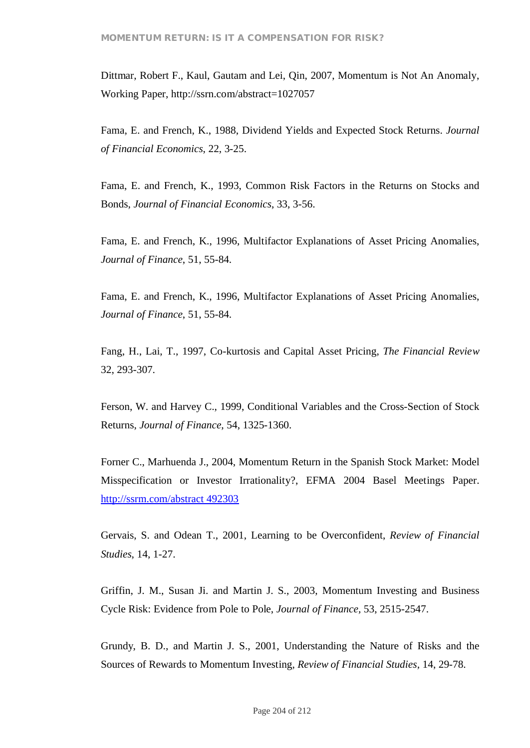Dittmar, Robert F., Kaul, Gautam and Lei, Qin, 2007, Momentum is Not An Anomaly, Working Paper, http://ssrn.com/abstract=1027057

Fama, E. and French, K., 1988, Dividend Yields and Expected Stock Returns. *Journal of Financial Economics*, 22, 3-25.

Fama, E. and French, K., 1993, Common Risk Factors in the Returns on Stocks and Bonds, *Journal of Financial Economics*, 33, 3-56.

Fama, E. and French, K., 1996, Multifactor Explanations of Asset Pricing Anomalies, *Journal of Finance*, 51, 55-84.

Fama, E. and French, K., 1996, Multifactor Explanations of Asset Pricing Anomalies, *Journal of Finance*, 51, 55-84.

Fang, H., Lai, T., 1997, Co-kurtosis and Capital Asset Pricing, *The Financial Review* 32, 293-307.

Ferson, W. and Harvey C., 1999, Conditional Variables and the Cross-Section of Stock Returns, *Journal of Finance*, 54, 1325-1360.

Forner C., Marhuenda J., 2004, Momentum Return in the Spanish Stock Market: Model Misspecification or Investor Irrationality?, EFMA 2004 Basel Meetings Paper. http://ssrm.com/abstract 492303

Gervais, S. and Odean T., 2001, Learning to be Overconfident, *Review of Financial Studies*, 14, 1-27.

Griffin, J. M., Susan Ji. and Martin J. S., 2003, Momentum Investing and Business Cycle Risk: Evidence from Pole to Pole, *Journal of Finance,* 53, 2515-2547.

Grundy, B. D., and Martin J. S., 2001, Understanding the Nature of Risks and the Sources of Rewards to Momentum Investing, *Review of Financial Studies,* 14, 29-78.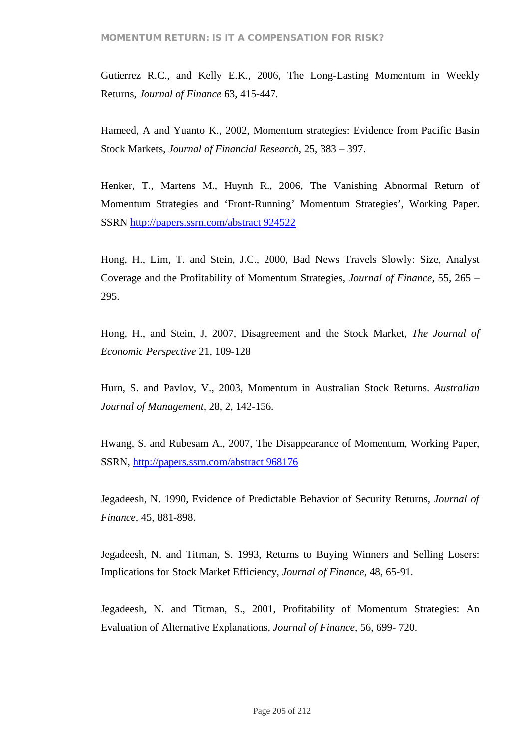Gutierrez R.C., and Kelly E.K., 2006, The Long-Lasting Momentum in Weekly Returns, *Journal of Finance* 63, 415-447.

Hameed, A and Yuanto K., 2002, Momentum strategies: Evidence from Pacific Basin Stock Markets, *Journal of Financial Research*, 25, 383 – 397.

Henker, T., Martens M., Huynh R., 2006, The Vanishing Abnormal Return of Momentum Strategies and 'Front-Running' Momentum Strategies', Working Paper. SSRN http://papers.ssrn.com/abstract 924522

Hong, H., Lim, T. and Stein, J.C., 2000, Bad News Travels Slowly: Size, Analyst Coverage and the Profitability of Momentum Strategies, *Journal of Finance*, 55, 265 – 295.

Hong, H., and Stein, J, 2007, Disagreement and the Stock Market, *The Journal of Economic Perspective* 21, 109-128

Hurn, S. and Pavlov, V., 2003, Momentum in Australian Stock Returns. *Australian Journal of Management,* 28, 2, 142-156.

Hwang, S. and Rubesam A., 2007, The Disappearance of Momentum, Working Paper, SSRN, http://papers.ssrn.com/abstract 968176

Jegadeesh, N. 1990, Evidence of Predictable Behavior of Security Returns, *Journal of Finance*, 45, 881-898.

Jegadeesh, N. and Titman, S. 1993, Returns to Buying Winners and Selling Losers: Implications for Stock Market Efficiency, *Journal of Finance*, 48, 65-91.

Jegadeesh, N. and Titman, S., 2001, Profitability of Momentum Strategies: An Evaluation of Alternative Explanations, *Journal of Finance*, 56, 699- 720.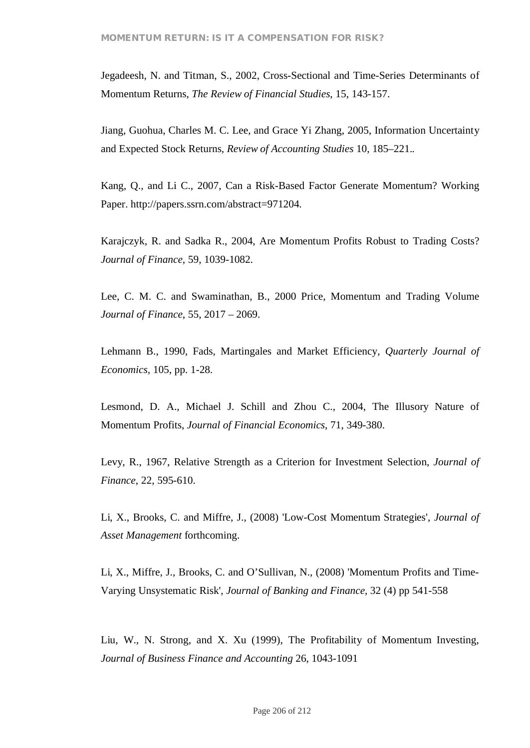Jegadeesh, N. and Titman, S., 2002, Cross-Sectional and Time-Series Determinants of Momentum Returns, *The Review of Financial Studies*, 15, 143-157.

Jiang, Guohua, Charles M. C. Lee, and Grace Yi Zhang, 2005, Information Uncertainty and Expected Stock Returns*, Review of Accounting Studies* 10, 185–221.*.*

Kang, Q., and Li C., 2007, Can a Risk-Based Factor Generate Momentum? Working Paper. http://papers.ssrn.com/abstract=971204.

Karajczyk, R. and Sadka R., 2004, Are Momentum Profits Robust to Trading Costs? *Journal of Finance*, 59, 1039-1082.

Lee, C. M. C. and Swaminathan, B., 2000 Price, Momentum and Trading Volume *Journal of Finance*, 55, 2017 – 2069.

Lehmann B., 1990, Fads, Martingales and Market Efficiency, *Quarterly Journal of Economics,* 105, pp. 1-28.

Lesmond, D. A., Michael J. Schill and Zhou C., 2004, The Illusory Nature of Momentum Profits, *Journal of Financial Economics*, 71, 349-380.

Levy, R., 1967, Relative Strength as a Criterion for Investment Selection, *Journal of Finance*, 22, 595-610.

Li, X., Brooks, C. and Miffre, J., (2008) 'Low-Cost Momentum Strategies', *Journal of Asset Management* forthcoming.

Li, X., Miffre, J., Brooks, C. and O'Sullivan, N., (2008) 'Momentum Profits and Time-Varying Unsystematic Risk', *Journal of Banking and Finance*, 32 (4) pp 541-558

Liu, W., N. Strong, and X. Xu (1999), The Profitability of Momentum Investing, *Journal of Business Finance and Accounting* 26, 1043-1091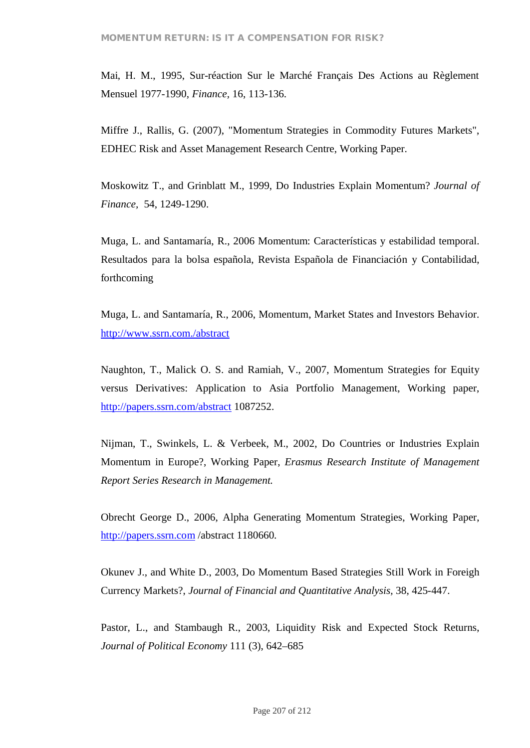Mai, H. M., 1995, Sur-réaction Sur le Marché Français Des Actions au Règlement Mensuel 1977-1990, *Finance,* 16, 113-136.

Miffre J., Rallis, G. (2007), "Momentum Strategies in Commodity Futures Markets", EDHEC Risk and Asset Management Research Centre, Working Paper.

Moskowitz T., and Grinblatt M., 1999, Do Industries Explain Momentum? *Journal of Finance,* 54, 1249-1290.

Muga, L. and Santamaría, R., 2006 Momentum: Características y estabilidad temporal. Resultados para la bolsa española, Revista Española de Financiación y Contabilidad, forthcoming

Muga, L. and Santamaría, R., 2006, Momentum, Market States and Investors Behavior. http://www.ssrn.com./abstract

Naughton, T., Malick O. S. and Ramiah, V., 2007, Momentum Strategies for Equity versus Derivatives: Application to Asia Portfolio Management, Working paper, http://papers.ssrn.com/abstract 1087252.

Nijman, T., Swinkels, L. & Verbeek, M., 2002, Do Countries or Industries Explain Momentum in Europe?, Working Paper, *Erasmus Research Institute of Management Report Series Research in Management.*

Obrecht George D., 2006, Alpha Generating Momentum Strategies, Working Paper, http://papers.ssrn.com /abstract 1180660.

Okunev J., and White D., 2003, Do Momentum Based Strategies Still Work in Foreigh Currency Markets?, *Journal of Financial and Quantitative Analysis,* 38, 425-447.

Pastor, L., and Stambaugh R., 2003, Liquidity Risk and Expected Stock Returns, *Journal of Political Economy* 111 (3), 642–685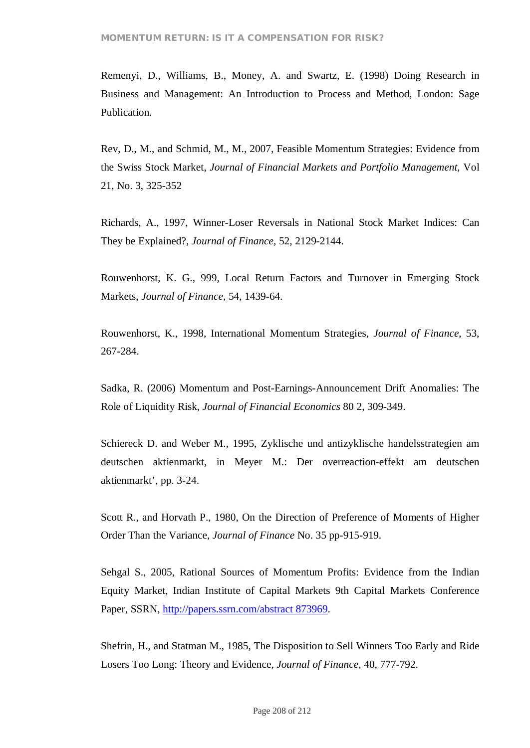Remenyi, D., Williams, B., Money, A. and Swartz, E. (1998) Doing Research in Business and Management: An Introduction to Process and Method, London: Sage Publication.

Rev, D., M., and Schmid, M., M., 2007, Feasible Momentum Strategies: Evidence from the Swiss Stock Market, *Journal of Financial Markets and Portfolio Management*, Vol 21, No. 3, 325-352

Richards, A., 1997, Winner-Loser Reversals in National Stock Market Indices: Can They be Explained?, *Journal of Finance,* 52, 2129-2144.

Rouwenhorst, K. G., 999, Local Return Factors and Turnover in Emerging Stock Markets, *Journal of Finance,* 54, 1439-64.

Rouwenhorst, K., 1998, International Momentum Strategies, *Journal of Finance*, 53, 267-284.

Sadka, R. (2006) Momentum and Post-Earnings-Announcement Drift Anomalies: The Role of Liquidity Risk, *Journal of Financial Economics* 80 2, 309-349.

Schiereck D. and Weber M., 1995, Zyklische und antizyklische handelsstrategien am deutschen aktienmarkt, in Meyer M.: Der overreaction-effekt am deutschen aktienmarkt', pp. 3-24.

Scott R., and Horvath P., 1980, On the Direction of Preference of Moments of Higher Order Than the Variance, *Journal of Finance* No. 35 pp-915-919.

Sehgal S., 2005, Rational Sources of Momentum Profits: Evidence from the Indian Equity Market, Indian Institute of Capital Markets 9th Capital Markets Conference Paper, SSRN, http://papers.ssrn.com/abstract 873969.

Shefrin, H., and Statman M., 1985, The Disposition to Sell Winners Too Early and Ride Losers Too Long: Theory and Evidence, *Journal of Finance,* 40, 777-792.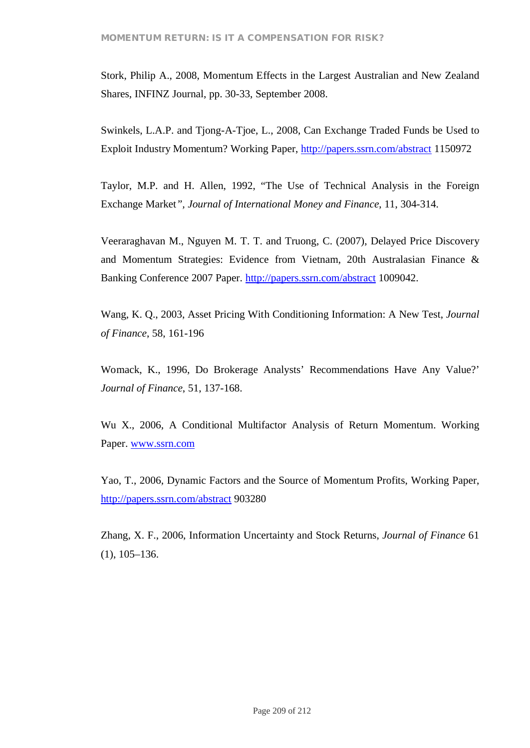Stork, Philip A., 2008, Momentum Effects in the Largest Australian and New Zealand Shares, INFINZ Journal, pp. 30-33, September 2008.

Swinkels, L.A.P. and Tjong-A-Tjoe, L., 2008, Can Exchange Traded Funds be Used to Exploit Industry Momentum? Working Paper, http://papers.ssrn.com/abstract 1150972

Taylor, M.P. and H. Allen, 1992, "The Use of Technical Analysis in the Foreign Exchange Market*", Journal of International Money and Finance*, 11, 304-314.

Veeraraghavan M., Nguyen M. T. T. and Truong, C. (2007), Delayed Price Discovery and Momentum Strategies: Evidence from Vietnam, 20th Australasian Finance & Banking Conference 2007 Paper. http://papers.ssrn.com/abstract 1009042.

Wang, K. Q., 2003, Asset Pricing With Conditioning Information: A New Test, *Journal of Finance*, 58, 161-196

Womack, K., 1996, Do Brokerage Analysts' Recommendations Have Any Value?' *Journal of Finance*, 51, 137-168.

Wu X., 2006, A Conditional Multifactor Analysis of Return Momentum. Working Paper. www.ssrn.com

Yao, T., 2006, Dynamic Factors and the Source of Momentum Profits, Working Paper, http://papers.ssrn.com/abstract 903280

Zhang, X. F., 2006, Information Uncertainty and Stock Returns, *Journal of Finance* 61 (1), 105–136.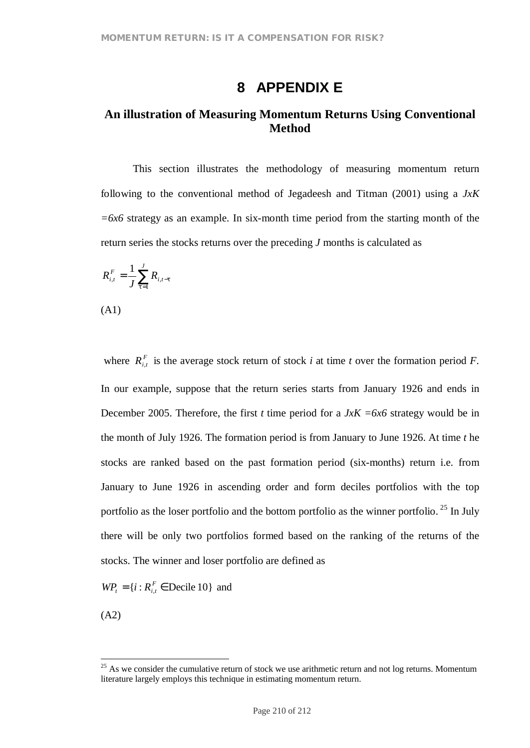# **8 APPENDIX E**

# **An illustration of Measuring Momentum Returns Using Conventional Method**

This section illustrates the methodology of measuring momentum return following to the conventional method of Jegadeesh and Titman (2001) using a *JxK =6x6* strategy as an example. In six-month time period from the starting month of the return series the stocks returns over the preceding *J* months is calculated as

$$
R_{i,t}^F = \frac{1}{J} \sum_{t=1}^{J} R_{i,t-t}
$$

(A1)

where  $R_{i,t}^F$  is the average stock return of stock *i* at time *t* over the formation period *F*. In our example, suppose that the return series starts from January 1926 and ends in December 2005. Therefore, the first *t* time period for a  $JxK = 6x6$  strategy would be in the month of July 1926. The formation period is from January to June 1926. At time *t* he stocks are ranked based on the past formation period (six-months) return i.e. from January to June 1926 in ascending order and form deciles portfolios with the top portfolio as the loser portfolio and the bottom portfolio as the winner portfolio.<sup>25</sup> In July there will be only two portfolios formed based on the ranking of the returns of the stocks. The winner and loser portfolio are defined as

 $WP_{t} = \{ i : R_{i,t}^{F} \in \text{Decile } 10 \}$  and

(A2)

 $25$  As we consider the cumulative return of stock we use arithmetic return and not log returns. Momentum literature largely employs this technique in estimating momentum return.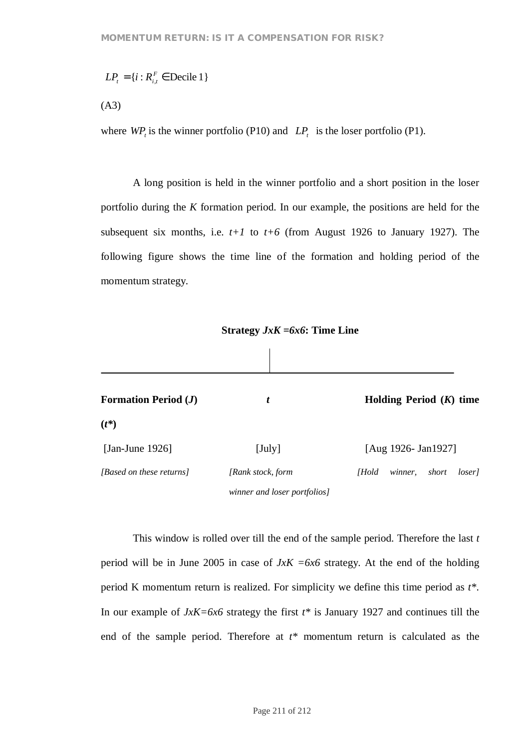$$
LP_{t} = \{i : R_{i,t}^{F} \in \text{Decile 1}\}\
$$

(A3)

where  $WP_t$  is the winner portfolio (P10) and  $LP_t$  is the loser portfolio (P1).

A long position is held in the winner portfolio and a short position in the loser portfolio during the *K* formation period. In our example, the positions are held for the subsequent six months, i.e.  $t+1$  to  $t+6$  (from August 1926 to January 1927). The following figure shows the time line of the formation and holding period of the momentum strategy.

**Strategy** *JxK =6x6***: Time Line**

| <b>Formation Period (J)</b> | t                            | Holding Period $(K)$ time           |
|-----------------------------|------------------------------|-------------------------------------|
| $(t^*)$                     |                              |                                     |
| [Jan-June 1926]             | $[\mathrm{July}]$            | [Aug 1926- Jan1927]                 |
| [Based on these returns]    | [Rank stock, form            | [Hold<br>winner,<br>short<br>loser] |
|                             | winner and loser portfolios] |                                     |

This window is rolled over till the end of the sample period. Therefore the last *t* period will be in June 2005 in case of *JxK =6x6* strategy. At the end of the holding period K momentum return is realized. For simplicity we define this time period as *t\**. In our example of *JxK=6x6* strategy the first *t\** is January 1927 and continues till the end of the sample period. Therefore at *t\** momentum return is calculated as the